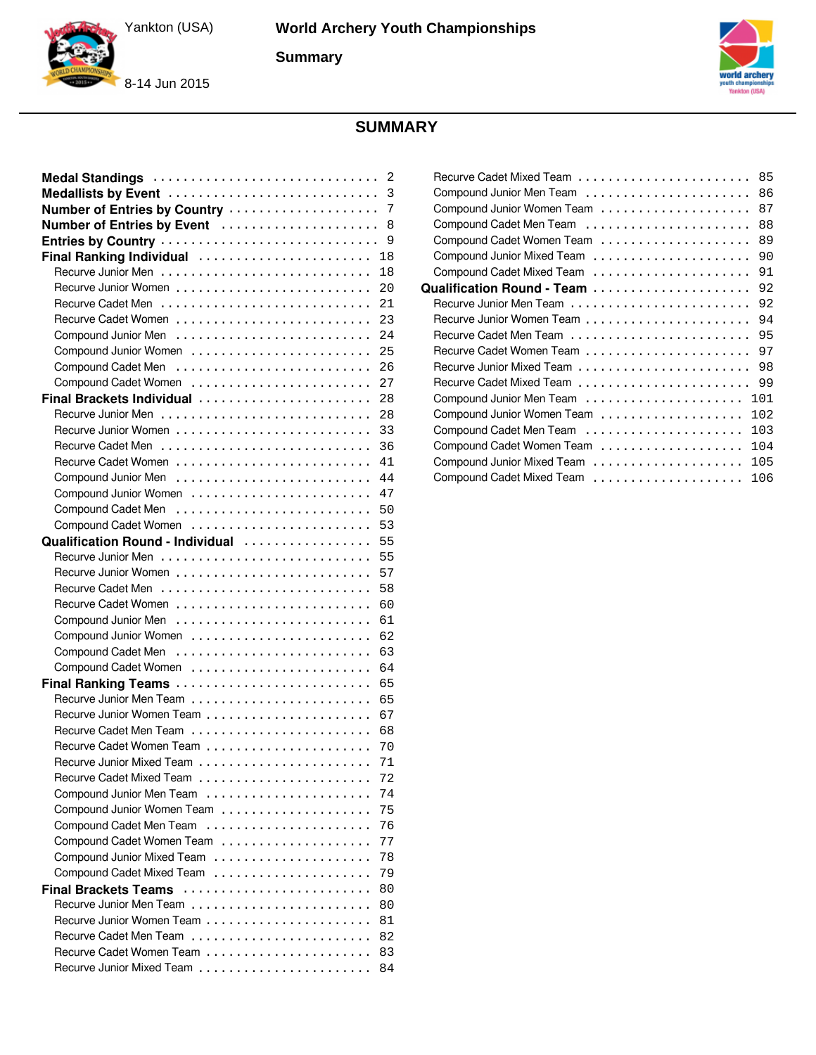**Summary**



8-14 Jun 2015



### **SUMMARY**

| Medal Standings                                     | 2<br>3 |
|-----------------------------------------------------|--------|
| Medallists by Event<br>Number of Entries by Country | 7      |
|                                                     | 8      |
| Number of Entries by Event                          | 9      |
|                                                     | 18     |
| Final Ranking Individual                            | 18     |
|                                                     | 20     |
|                                                     | 21     |
|                                                     | 23     |
|                                                     | 24     |
|                                                     | 25     |
|                                                     |        |
|                                                     | 26     |
| Compound Cadet Women                                | 27     |
| Final Brackets Individual                           | 28     |
|                                                     | 28     |
|                                                     | 33     |
|                                                     | 36     |
|                                                     | 41     |
|                                                     | 44     |
|                                                     | 47     |
|                                                     | 50     |
|                                                     | 53     |
| Qualification Round - Individual                    | 55     |
|                                                     | 55     |
|                                                     | 57     |
|                                                     | 58     |
|                                                     | 60     |
|                                                     | 61     |
|                                                     | 62     |
|                                                     | 63     |
|                                                     | 64     |
| Final Ranking Teams                                 | 65     |
|                                                     | 65     |
|                                                     | 67     |
|                                                     | 68     |
|                                                     | 70     |
|                                                     | 71     |
|                                                     | 72     |
| Compound Junior Men Team                            | 74     |
|                                                     | 75     |
| Compound Cadet Men Team                             | 76     |
|                                                     | 77     |
| Compound Junior Mixed Team                          | 78     |
|                                                     | 79     |
| <b>Final Brackets Teams</b>                         | 80     |
|                                                     | 80     |
|                                                     | 81     |
|                                                     | 82     |
|                                                     | 83     |
|                                                     | 84     |

|                                | 85  |
|--------------------------------|-----|
|                                | 86  |
|                                | 87  |
|                                | 88  |
|                                | 89  |
|                                | 90  |
|                                | 91  |
|                                | 92  |
|                                | 92  |
|                                | 94  |
|                                | 95  |
|                                | 97  |
|                                | 98  |
|                                | 99  |
|                                | 101 |
|                                | 102 |
|                                | 103 |
|                                | 104 |
|                                | 105 |
| Compound Cadet Mixed Team<br>. | 106 |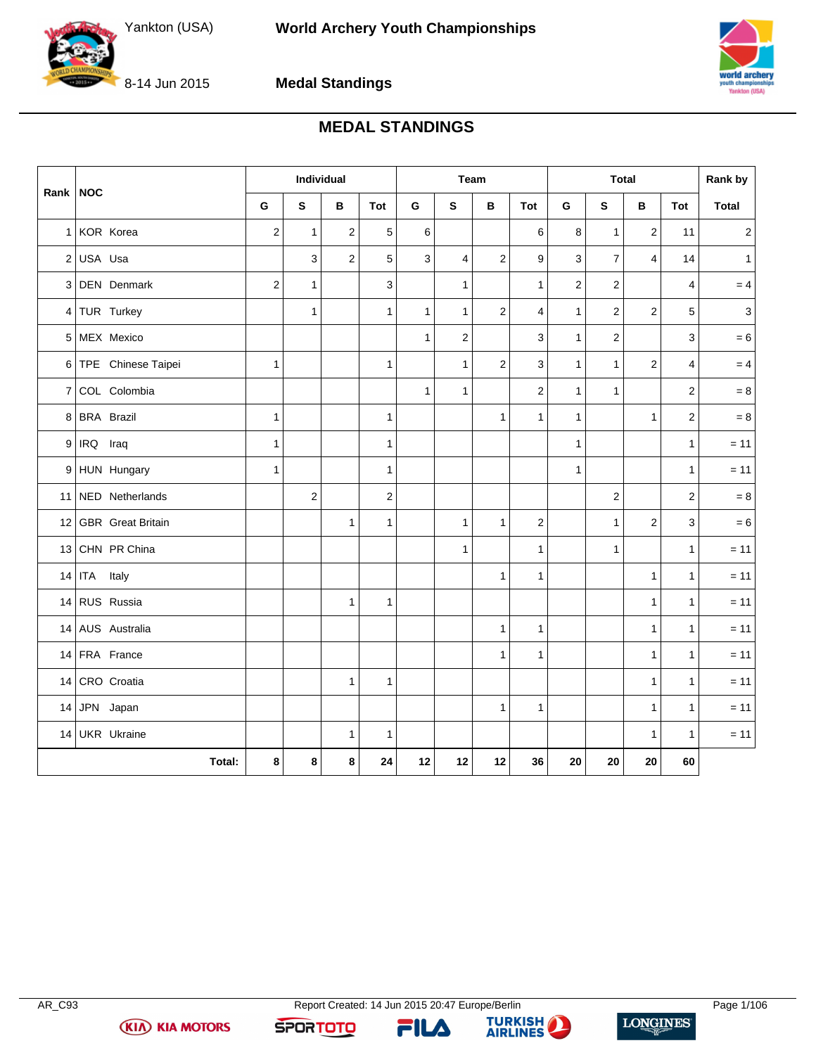

8-14 Jun 2015

**Medal Standings**

### **MEDAL STANDINGS**

<span id="page-1-0"></span>

| <b>NOC</b>     |                      | Individual     |                | Team           |                |              | <b>Total</b>            |                  |                  |                | Rank by        |                |                |                |
|----------------|----------------------|----------------|----------------|----------------|----------------|--------------|-------------------------|------------------|------------------|----------------|----------------|----------------|----------------|----------------|
| Rank           |                      | G              | S              | B              | Tot            | G            | S                       | B                | Tot              | G              | ${\sf s}$      | В              | Tot            | <b>Total</b>   |
|                | 1 KOR Korea          | $\mathbf 2$    | $\mathbf{1}$   | $\overline{2}$ | 5              | 6            |                         |                  | 6                | 8              | $\mathbf{1}$   | $\overline{2}$ | 11             | $\overline{2}$ |
|                | $2$ USA Usa          |                | 3              | $\overline{2}$ | 5              | $\mathbf{3}$ | $\overline{\mathbf{4}}$ | $\overline{2}$   | $\boldsymbol{9}$ | 3              | $\overline{7}$ | $\overline{4}$ | 14             | $\mathbf{1}$   |
|                | 3 DEN Denmark        | $\overline{2}$ | $\mathbf{1}$   |                | 3              |              | 1                       |                  | $\mathbf{1}$     | $\overline{2}$ | $\overline{2}$ |                | 4              | $= 4$          |
|                | 4 TUR Turkey         |                | $\mathbf{1}$   |                | $\mathbf{1}$   | $\mathbf{1}$ | $\mathbf{1}$            | $\mathbf{2}$     | $\overline{4}$   | $\mathbf{1}$   | 2              | $\overline{2}$ | 5              | $\mathbf{3}$   |
| 5              | MEX Mexico           |                |                |                |                | $\mathbf{1}$ | 2                       |                  | 3                | $\mathbf{1}$   | 2              |                | 3              | $= 6$          |
|                | 6 TPE Chinese Taipei | $\mathbf{1}$   |                |                | $\mathbf{1}$   |              | $\mathbf{1}$            | $\boldsymbol{2}$ | 3                | $\mathbf{1}$   | $\mathbf{1}$   | $\overline{c}$ | $\overline{4}$ | $= 4$          |
| 7 <sup>1</sup> | COL Colombia         |                |                |                |                | $\mathbf{1}$ | $\mathbf{1}$            |                  | $\overline{c}$   | $\mathbf{1}$   | $\mathbf{1}$   |                | $\overline{2}$ | $= 8$          |
|                | 8 BRA Brazil         | $\mathbf{1}$   |                |                | $\mathbf{1}$   |              |                         | $\mathbf{1}$     | $\mathbf{1}$     | $\mathbf{1}$   |                | $\mathbf{1}$   | $\overline{2}$ | $= 8$          |
| 9 <sup>1</sup> | IRQ Iraq             | 1              |                |                | $\mathbf{1}$   |              |                         |                  |                  | $\mathbf{1}$   |                |                | $\mathbf{1}$   | $= 11$         |
|                | 9 HUN Hungary        | 1              |                |                | $\mathbf{1}$   |              |                         |                  |                  | $\mathbf{1}$   |                |                | $\mathbf{1}$   | $= 11$         |
|                | 11 NED Netherlands   |                | $\overline{c}$ |                | $\overline{c}$ |              |                         |                  |                  |                | $\overline{c}$ |                | $\overline{2}$ | $= 8$          |
|                | 12 GBR Great Britain |                |                | $\mathbf{1}$   | $\mathbf{1}$   |              | $\mathbf{1}$            | $\mathbf{1}$     | $\mathbf 2$      |                | $\mathbf{1}$   | $\overline{2}$ | 3              | $=6$           |
|                | 13 CHN PR China      |                |                |                |                |              | 1                       |                  | $\mathbf{1}$     |                | $\mathbf{1}$   |                | $\mathbf{1}$   | $= 11$         |
|                | 14 ITA<br>Italy      |                |                |                |                |              |                         | 1                | $\mathbf{1}$     |                |                | $\mathbf{1}$   | $\mathbf{1}$   | $= 11$         |
|                | 14 RUS Russia        |                |                | $\mathbf{1}$   | $\mathbf{1}$   |              |                         |                  |                  |                |                | $\mathbf{1}$   | $\mathbf{1}$   | $= 11$         |
|                | 14 AUS Australia     |                |                |                |                |              |                         | $\mathbf{1}$     | $\mathbf{1}$     |                |                | $\mathbf{1}$   | $\mathbf{1}$   | $= 11$         |
|                | 14 FRA France        |                |                |                |                |              |                         | $\mathbf{1}$     | $\mathbf{1}$     |                |                | $\mathbf{1}$   | $\mathbf{1}$   | $= 11$         |
| 14             | CRO Croatia          |                |                | $\mathbf{1}$   | $\mathbf{1}$   |              |                         |                  |                  |                |                | $\mathbf{1}$   | $\mathbf{1}$   | $= 11$         |
| 14             | JPN Japan            |                |                |                |                |              |                         | $\mathbf{1}$     | $\mathbf{1}$     |                |                | $\mathbf{1}$   | $\mathbf{1}$   | $= 11$         |
| 14             | UKR Ukraine          |                |                | $\mathbf{1}$   | $\mathbf{1}$   |              |                         |                  |                  |                |                | $\mathbf{1}$   | $\mathbf{1}$   | $= 11$         |
|                | Total:               | 8              | 8              | 8              | 24             | 12           | 12                      | 12               | 36               | 20             | 20             | 20             | 60             |                |



FILA



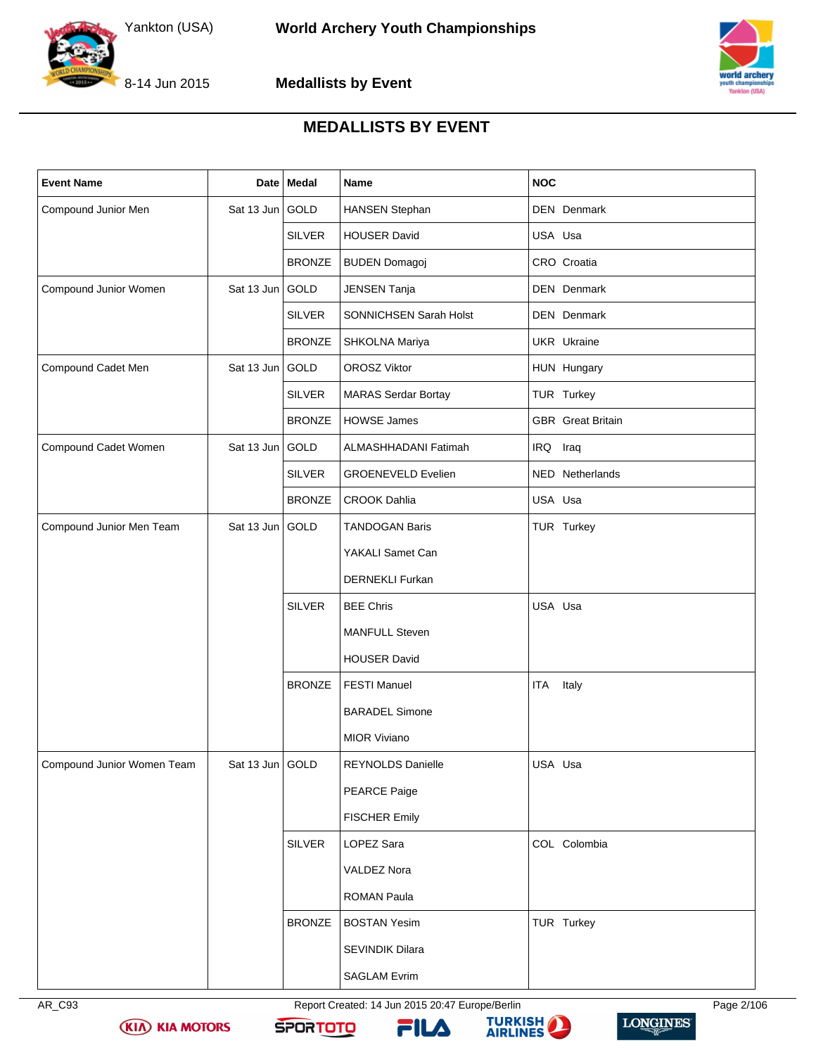





### **MEDALLISTS BY EVENT**

<span id="page-2-0"></span>

| <b>Event Name</b>          |                 | Date Medal    | Name                       | <b>NOC</b>               |
|----------------------------|-----------------|---------------|----------------------------|--------------------------|
| Compound Junior Men        | Sat 13 Jun GOLD |               | <b>HANSEN Stephan</b>      | <b>DEN</b> Denmark       |
|                            |                 | <b>SILVER</b> | <b>HOUSER David</b>        | USA Usa                  |
|                            |                 | <b>BRONZE</b> | <b>BUDEN Domagoj</b>       | CRO Croatia              |
| Compound Junior Women      | Sat 13 Jun GOLD |               | JENSEN Tanja               | DEN Denmark              |
|                            |                 | <b>SILVER</b> | SONNICHSEN Sarah Holst     | DEN Denmark              |
|                            |                 | <b>BRONZE</b> | SHKOLNA Mariya             | UKR Ukraine              |
| Compound Cadet Men         | Sat 13 Jun GOLD |               | <b>OROSZ Viktor</b>        | HUN Hungary              |
|                            |                 | <b>SILVER</b> | <b>MARAS Serdar Bortay</b> | TUR Turkey               |
|                            |                 | <b>BRONZE</b> | <b>HOWSE James</b>         | <b>GBR</b> Great Britain |
| Compound Cadet Women       | Sat 13 Jun GOLD |               | ALMASHHADANI Fatimah       | IRQ Iraq                 |
|                            |                 | <b>SILVER</b> | <b>GROENEVELD Evelien</b>  | NED Netherlands          |
|                            |                 | <b>BRONZE</b> | <b>CROOK Dahlia</b>        | USA Usa                  |
| Compound Junior Men Team   | Sat 13 Jun GOLD |               | <b>TANDOGAN Baris</b>      | TUR Turkey               |
|                            |                 |               | YAKALI Samet Can           |                          |
|                            |                 |               | <b>DERNEKLI Furkan</b>     |                          |
|                            |                 | <b>SILVER</b> | <b>BEE Chris</b>           | USA Usa                  |
|                            |                 |               | <b>MANFULL Steven</b>      |                          |
|                            |                 |               | <b>HOUSER David</b>        |                          |
|                            |                 | <b>BRONZE</b> | <b>FESTI Manuel</b>        | ITA<br>Italy             |
|                            |                 |               | <b>BARADEL Simone</b>      |                          |
|                            |                 |               | <b>MIOR Viviano</b>        |                          |
| Compound Junior Women Team | Sat 13 Jun GOLD |               | REYNOLDS Danielle          | USA Usa                  |
|                            |                 |               | PEARCE Paige               |                          |
|                            |                 |               | <b>FISCHER Emily</b>       |                          |
|                            |                 | <b>SILVER</b> | LOPEZ Sara                 | COL Colombia             |
|                            |                 |               | VALDEZ Nora                |                          |
|                            |                 |               | <b>ROMAN Paula</b>         |                          |
|                            |                 | <b>BRONZE</b> | <b>BOSTAN Yesim</b>        | TUR Turkey               |
|                            |                 |               | SEVINDIK Dilara            |                          |
|                            |                 |               | <b>SAGLAM Evrim</b>        |                          |



AR\_C93 Report Created: 14 Jun 2015 20:47 Europe/Berlin Page 2/106







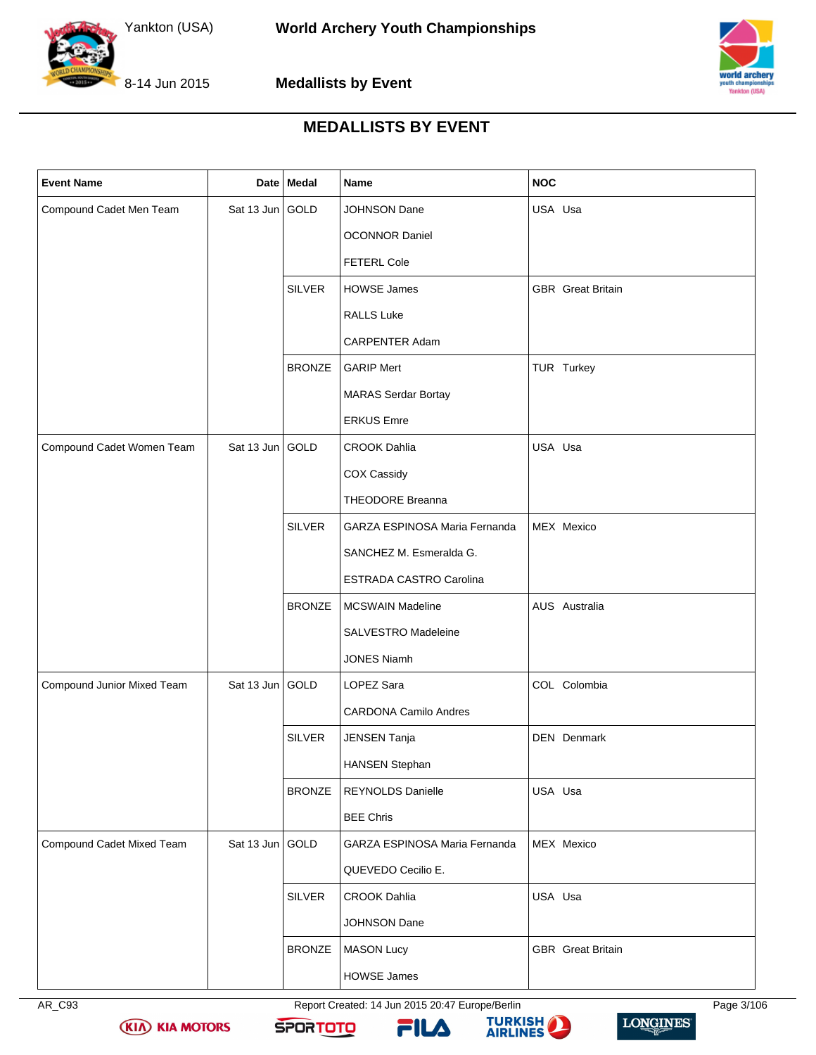





### **MEDALLISTS BY EVENT**

| <b>Event Name</b>          |                 | Date   Medal  | Name                           | <b>NOC</b>               |
|----------------------------|-----------------|---------------|--------------------------------|--------------------------|
| Compound Cadet Men Team    | Sat 13 Jun GOLD |               | JOHNSON Dane                   | USA Usa                  |
|                            |                 |               | <b>OCONNOR Daniel</b>          |                          |
|                            |                 |               | <b>FETERL Cole</b>             |                          |
|                            |                 | <b>SILVER</b> | <b>HOWSE James</b>             | <b>GBR</b> Great Britain |
|                            |                 |               | RALLS Luke                     |                          |
|                            |                 |               | CARPENTER Adam                 |                          |
|                            |                 | <b>BRONZE</b> | <b>GARIP Mert</b>              | TUR Turkey               |
|                            |                 |               | <b>MARAS Serdar Bortay</b>     |                          |
|                            |                 |               | <b>ERKUS Emre</b>              |                          |
| Compound Cadet Women Team  | Sat 13 Jun GOLD |               | <b>CROOK Dahlia</b>            | USA Usa                  |
|                            |                 |               | COX Cassidy                    |                          |
|                            |                 |               | <b>THEODORE Breanna</b>        |                          |
|                            |                 | <b>SILVER</b> | GARZA ESPINOSA Maria Fernanda  | MEX Mexico               |
|                            |                 |               | SANCHEZ M. Esmeralda G.        |                          |
|                            |                 |               | <b>ESTRADA CASTRO Carolina</b> |                          |
|                            |                 | <b>BRONZE</b> | <b>MCSWAIN Madeline</b>        | AUS Australia            |
|                            |                 |               | SALVESTRO Madeleine            |                          |
|                            |                 |               | <b>JONES Niamh</b>             |                          |
| Compound Junior Mixed Team | Sat 13 Jun GOLD |               | LOPEZ Sara                     | COL Colombia             |
|                            |                 |               | <b>CARDONA Camilo Andres</b>   |                          |
|                            |                 | <b>SILVER</b> | JENSEN Tanja                   | <b>DEN</b> Denmark       |
|                            |                 |               | <b>HANSEN Stephan</b>          |                          |
|                            |                 | <b>BRONZE</b> | REYNOLDS Danielle              | USA Usa                  |
|                            |                 |               | <b>BEE Chris</b>               |                          |
| Compound Cadet Mixed Team  | Sat 13 Jun GOLD |               | GARZA ESPINOSA Maria Fernanda  | MEX Mexico               |
|                            |                 |               | QUEVEDO Cecilio E.             |                          |
|                            |                 | <b>SILVER</b> | <b>CROOK Dahlia</b>            | USA Usa                  |
|                            |                 |               | JOHNSON Dane                   |                          |
|                            |                 | <b>BRONZE</b> | <b>MASON Lucy</b>              | <b>GBR</b> Great Britain |
|                            |                 |               | HOWSE James                    |                          |

AR\_C93 Report Created: 14 Jun 2015 20:47 Europe/Berlin Page 3/106



**KIA KIA MOTORS** 





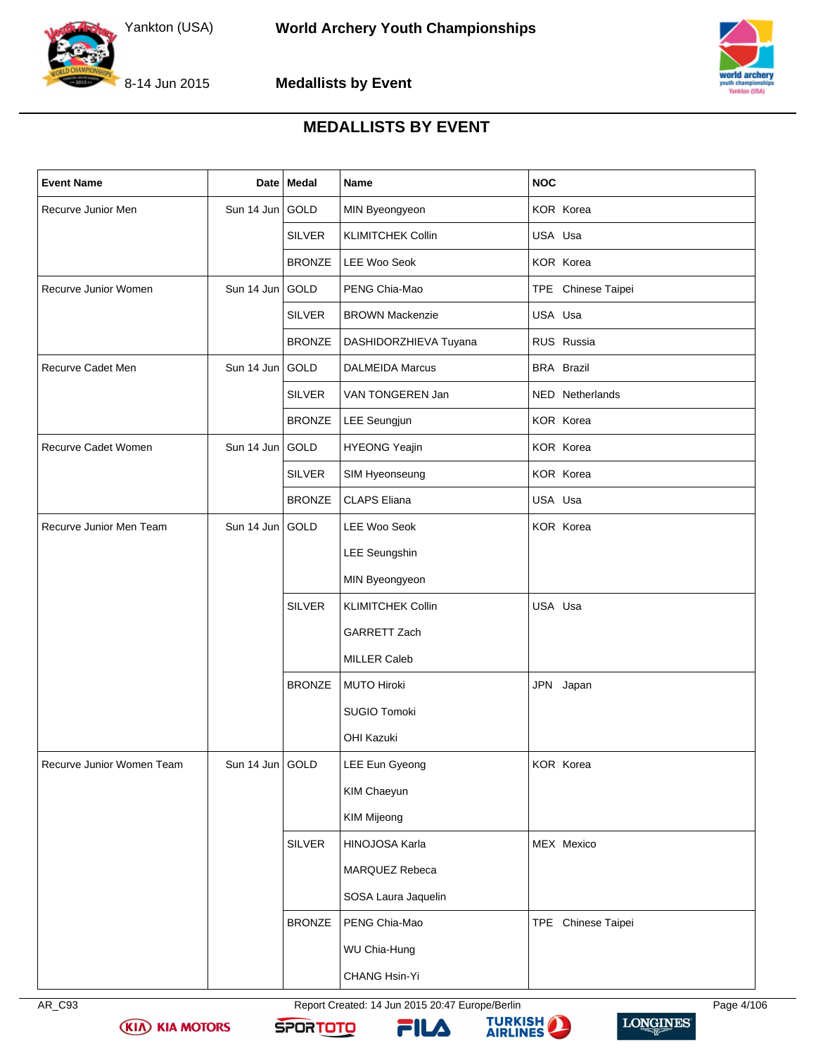





### **MEDALLISTS BY EVENT**

| <b>Event Name</b>         |                 | Date   Medal  | Name                     | <b>NOC</b>         |
|---------------------------|-----------------|---------------|--------------------------|--------------------|
| Recurve Junior Men        | Sun 14 Jun GOLD |               | MIN Byeongyeon           | KOR Korea          |
|                           |                 | <b>SILVER</b> | <b>KLIMITCHEK Collin</b> | USA Usa            |
|                           |                 | <b>BRONZE</b> | LEE Woo Seok             | KOR Korea          |
| Recurve Junior Women      | Sun 14 Jun GOLD |               | PENG Chia-Mao            | TPE Chinese Taipei |
|                           |                 | <b>SILVER</b> | <b>BROWN Mackenzie</b>   | USA Usa            |
|                           |                 | <b>BRONZE</b> | DASHIDORZHIEVA Tuyana    | RUS Russia         |
| Recurve Cadet Men         | Sun 14 Jun GOLD |               | <b>DALMEIDA Marcus</b>   | <b>BRA Brazil</b>  |
|                           |                 | <b>SILVER</b> | VAN TONGEREN Jan         | NED Netherlands    |
|                           |                 | <b>BRONZE</b> | LEE Seungjun             | KOR Korea          |
| Recurve Cadet Women       | Sun 14 Jun GOLD |               | <b>HYEONG Yeajin</b>     | KOR Korea          |
|                           |                 | <b>SILVER</b> | SIM Hyeonseung           | KOR Korea          |
|                           |                 | <b>BRONZE</b> | <b>CLAPS Eliana</b>      | USA Usa            |
| Recurve Junior Men Team   | Sun 14 Jun GOLD |               | <b>LEE Woo Seok</b>      | KOR Korea          |
|                           |                 |               | <b>LEE Seungshin</b>     |                    |
|                           |                 |               | MIN Byeongyeon           |                    |
|                           |                 | <b>SILVER</b> | <b>KLIMITCHEK Collin</b> | USA Usa            |
|                           |                 |               | <b>GARRETT Zach</b>      |                    |
|                           |                 |               | <b>MILLER Caleb</b>      |                    |
|                           |                 | <b>BRONZE</b> | <b>MUTO Hiroki</b>       | JPN Japan          |
|                           |                 |               | SUGIO Tomoki             |                    |
|                           |                 |               | <b>OHI Kazuki</b>        |                    |
| Recurve Junior Women Team | Sun 14 Jun GOLD |               | LEE Eun Gyeong           | KOR Korea          |
|                           |                 |               | KIM Chaeyun              |                    |
|                           |                 |               | <b>KIM Mijeong</b>       |                    |
|                           |                 | <b>SILVER</b> | HINOJOSA Karla           | MEX Mexico         |
|                           |                 |               | MARQUEZ Rebeca           |                    |
|                           |                 |               | SOSA Laura Jaquelin      |                    |
|                           |                 | <b>BRONZE</b> | PENG Chia-Mao            | TPE Chinese Taipei |
|                           |                 |               | WU Chia-Hung             |                    |
|                           |                 |               | CHANG Hsin-Yi            |                    |



**KIA KIA MOTORS** 

AR\_C93 Report Created: 14 Jun 2015 20:47 Europe/Berlin Page 4/106







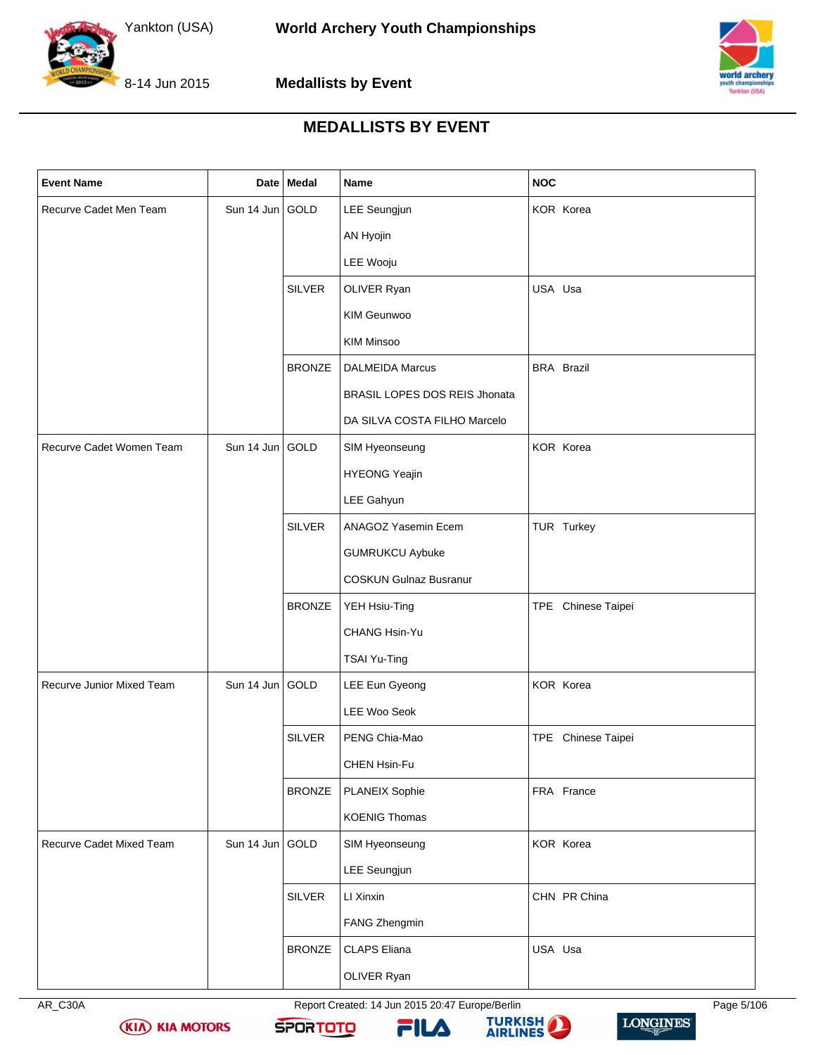





### **MEDALLISTS BY EVENT**

| <b>Event Name</b>         |                 | Date Medal    | Name                          | <b>NOC</b>         |
|---------------------------|-----------------|---------------|-------------------------------|--------------------|
| Recurve Cadet Men Team    | Sun 14 Jun GOLD |               | LEE Seungjun                  | KOR Korea          |
|                           |                 |               | AN Hyojin                     |                    |
|                           |                 |               | LEE Wooju                     |                    |
|                           |                 | <b>SILVER</b> | OLIVER Ryan                   | USA Usa            |
|                           |                 |               | KIM Geunwoo                   |                    |
|                           |                 |               | <b>KIM Minsoo</b>             |                    |
|                           |                 | <b>BRONZE</b> | <b>DALMEIDA Marcus</b>        | <b>BRA Brazil</b>  |
|                           |                 |               | BRASIL LOPES DOS REIS Jhonata |                    |
|                           |                 |               | DA SILVA COSTA FILHO Marcelo  |                    |
| Recurve Cadet Women Team  | Sun 14 Jun GOLD |               | SIM Hyeonseung                | KOR Korea          |
|                           |                 |               | <b>HYEONG Yeajin</b>          |                    |
|                           |                 |               | LEE Gahyun                    |                    |
|                           |                 | <b>SILVER</b> | ANAGOZ Yasemin Ecem           | TUR Turkey         |
|                           |                 |               | <b>GUMRUKCU Aybuke</b>        |                    |
|                           |                 |               | <b>COSKUN Gulnaz Busranur</b> |                    |
|                           |                 | <b>BRONZE</b> | YEH Hsiu-Ting                 | TPE Chinese Taipei |
|                           |                 |               | CHANG Hsin-Yu                 |                    |
|                           |                 |               | TSAI Yu-Ting                  |                    |
| Recurve Junior Mixed Team | Sun 14 Jun GOLD |               | LEE Eun Gyeong                | KOR Korea          |
|                           |                 |               | LEE Woo Seok                  |                    |
|                           |                 | <b>SILVER</b> | PENG Chia-Mao                 | TPE Chinese Taipei |
|                           |                 |               | CHEN Hsin-Fu                  |                    |
|                           |                 | <b>BRONZE</b> | PLANEIX Sophie                | FRA France         |
|                           |                 |               | <b>KOENIG Thomas</b>          |                    |
| Recurve Cadet Mixed Team  | Sun 14 Jun GOLD |               | SIM Hyeonseung                | KOR Korea          |
|                           |                 |               | <b>LEE Seungjun</b>           |                    |
|                           |                 | <b>SILVER</b> | LI Xinxin                     | CHN PR China       |
|                           |                 |               | FANG Zhengmin                 |                    |
|                           |                 | <b>BRONZE</b> | <b>CLAPS Eliana</b>           | USA Usa            |
|                           |                 |               | OLIVER Ryan                   |                    |

**KIA KIA MOTORS** 

AR\_C30A Report Created: 14 Jun 2015 20:47 Europe/Berlin Page 5/106





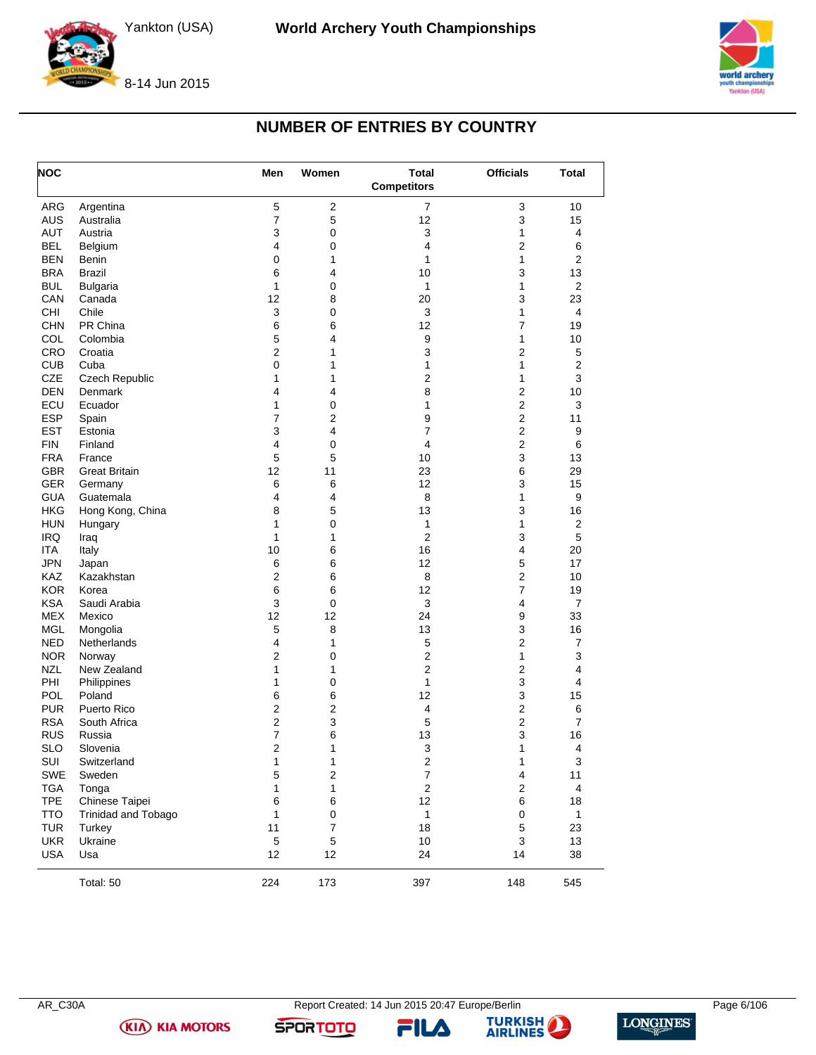

8-14 Jun 2015

### **NUMBER OF ENTRIES BY COUNTRY**

<span id="page-6-0"></span>

| <b>NOC</b>        |                      | Men            | Women            | <b>Total</b><br><b>Competitors</b> | <b>Officials</b>        | <b>Total</b>   |
|-------------------|----------------------|----------------|------------------|------------------------------------|-------------------------|----------------|
| <b>ARG</b>        | Argentina            | 5              | $\overline{2}$   | $\overline{7}$                     | 3                       | 10             |
| <b>AUS</b>        | Australia            | 7              | 5                | 12                                 | 3                       | 15             |
| <b>AUT</b>        | Austria              | 3              | 0                | 3                                  | 1                       | 4              |
| <b>BEL</b>        | Belgium              | 4              | 0                | 4                                  | $\overline{2}$          | 6              |
| <b>BEN</b>        | Benin                | 0              | 1                | 1                                  | $\mathbf{1}$            | $\overline{2}$ |
| <b>BRA</b>        | <b>Brazil</b>        | 6              | 4                | 10                                 | 3                       | 13             |
| <b>BUL</b>        | <b>Bulgaria</b>      | 1              | $\pmb{0}$        | 1                                  | 1                       | $\overline{2}$ |
| CAN               | Canada               | 12             | 8                | 20                                 | 3                       | 23             |
| <b>CHI</b>        | Chile                | 3              | 0                | 3                                  | 1                       | 4              |
| <b>CHN</b>        | PR China             | 6              | 6                | 12                                 | $\overline{7}$          | 19             |
| COL               | Colombia             | 5              | 4                | 9                                  | 1                       | 10             |
| CRO               | Croatia              | 2              | 1                | 3                                  | $\overline{2}$          | 5              |
| <b>CUB</b>        | Cuba                 | 0              | 1                | 1                                  | 1                       | $\overline{2}$ |
| <b>CZE</b>        | Czech Republic       | 1              | 1                | $\overline{2}$                     | 1                       | 3              |
| <b>DEN</b>        | Denmark              | 4              | 4                | 8                                  | $\overline{2}$          | 10             |
| ECU               | Ecuador              | 1              | 0                | 1                                  | $\overline{2}$          | 3              |
| <b>ESP</b>        | Spain                | $\overline{7}$ | 2                | 9                                  | $\overline{2}$          | 11             |
| <b>EST</b>        | Estonia              | 3              | 4                | 7                                  | $\overline{2}$          | 9              |
| <b>FIN</b>        | Finland              | 4              | 0                | 4                                  | $\overline{2}$          | 6              |
| <b>FRA</b>        | France               | 5              | 5                | 10                                 | 3                       | 13             |
| <b>GBR</b>        | <b>Great Britain</b> | 12             | 11               | 23                                 | 6                       | 29             |
| <b>GER</b>        | Germany              | 6              | 6                | 12                                 | 3                       | 15             |
| <b>GUA</b>        | Guatemala            | 4              | 4                | 8                                  | 1                       | 9              |
| <b>HKG</b>        | Hong Kong, China     | 8              | 5                | 13                                 | 3                       | 16             |
| <b>HUN</b>        | Hungary              | 1              | 0                | 1                                  | 1                       | $\overline{2}$ |
| <b>IRQ</b>        | Iraq                 | 1              | 1                | $\overline{c}$                     | 3                       | 5              |
| <b>ITA</b>        | Italy                | 10             | 6                | 16                                 | $\overline{\mathbf{4}}$ | 20             |
| <b>JPN</b>        | Japan                | 6              | 6                | 12                                 | 5                       | 17             |
| KAZ               | Kazakhstan           | 2              | 6                | 8                                  | $\overline{2}$          | 10             |
| <b>KOR</b>        | Korea                | 6              | 6                | 12                                 | $\overline{7}$          | 19             |
| <b>KSA</b>        | Saudi Arabia         | 3              | 0                | 3                                  | $\overline{\mathbf{4}}$ | $\overline{7}$ |
| <b>MEX</b>        | Mexico               | 12             | 12               | 24                                 | 9                       | 33             |
| <b>MGL</b>        | Mongolia             | 5              | 8                | 13                                 | 3                       | 16             |
| <b>NED</b>        | Netherlands          | 4              | 1                | 5                                  | $\overline{2}$          | $\overline{7}$ |
| NOR.              | Norway               | 2              | 0                | $\overline{c}$                     | 1                       | 3              |
| <b>NZL</b>        | New Zealand          | 1              | 1                | $\overline{c}$                     | $\mathbf{2}$            | 4              |
| <b>PHI</b>        | Philippines          | 1              | 0                | 1                                  | 3                       | 4              |
| <b>POL</b>        | Poland               | 6              | 6                | 12                                 | 3                       | 15             |
| <b>PUR</b>        | Puerto Rico          | 2              | 2                | 4                                  | $\boldsymbol{2}$        | 6              |
| <b>RSA</b>        | South Africa         | 2              | 3                | 5                                  | $\overline{2}$          | $\overline{7}$ |
| RUS               | Russia               | 7              | 6                | 13                                 | 3                       | 16             |
|                   | Slovenia             | 2              | 1                | 3                                  | 1                       | 4              |
| <b>SLO</b><br>SUI |                      |                |                  |                                    |                         |                |
|                   | Switzerland          | 1              | $\mathbf{1}$     | 2<br>$\overline{7}$                | 1                       | 3<br>11        |
| SWE               | Sweden               | 5              | $\boldsymbol{2}$ |                                    | $\overline{\mathbf{4}}$ |                |
| <b>TGA</b>        | Tonga                | 1              | 1                | $\mathbf 2$                        | $\mathbf 2$             | 4              |
| <b>TPE</b>        | Chinese Taipei       | 6              | 6                | 12                                 | 6                       | 18             |
| <b>TTO</b>        | Trinidad and Tobago  | 1              | $\pmb{0}$        | 1                                  | $\pmb{0}$               | $\mathbf{1}$   |
| <b>TUR</b>        | Turkey               | 11             | $\overline{7}$   | 18                                 | $\mathbf 5$             | 23             |
| <b>UKR</b>        | Ukraine              | $\mathbf 5$    | $\mathbf 5$      | 10                                 | 3                       | 13             |
| <b>USA</b>        | Usa                  | 12             | 12               | 24                                 | 14                      | 38             |
|                   | Total: 50            | 224            | 173              | 397                                | 148                     | 545            |



AR\_C30A Report Created: 14 Jun 2015 20:47 Europe/Berlin Page 6/106

FILA



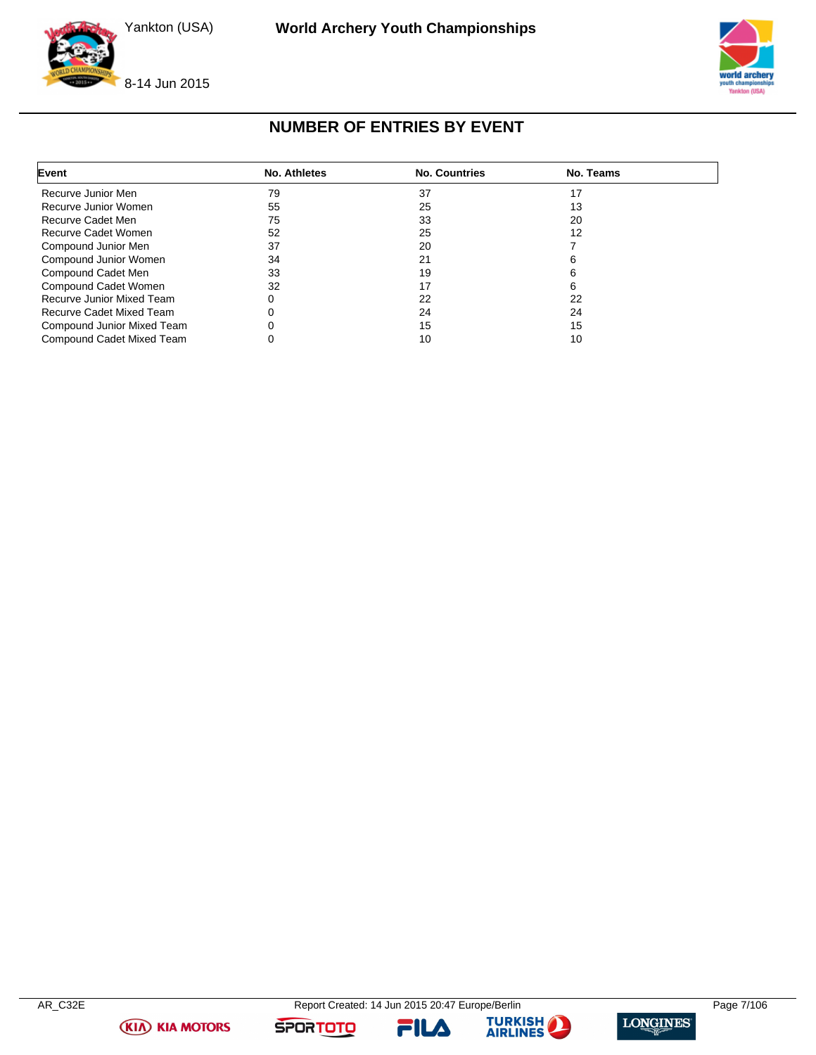



### **NUMBER OF ENTRIES BY EVENT**

<span id="page-7-0"></span>

| Event                      | No. Athletes | <b>No. Countries</b> | No. Teams |  |
|----------------------------|--------------|----------------------|-----------|--|
| Recurve Junior Men         | 79           | 37                   | 17        |  |
| Recurve Junior Women       | 55           | 25                   | 13        |  |
| Recurve Cadet Men          | 75           | 33                   | 20        |  |
| Recurve Cadet Women        | 52           | 25                   | 12        |  |
| Compound Junior Men        | 37           | 20                   |           |  |
| Compound Junior Women      | 34           | 21                   |           |  |
| Compound Cadet Men         | 33           | 19                   |           |  |
| Compound Cadet Women       | 32           | 17                   |           |  |
| Recurve Junior Mixed Team  |              | 22                   | 22        |  |
| Recurve Cadet Mixed Team   |              | 24                   | 24        |  |
| Compound Junior Mixed Team |              | 15                   | 15        |  |
| Compound Cadet Mixed Team  |              | 10                   | 10        |  |

**(KIA) KIA MOTORS** 

FILA



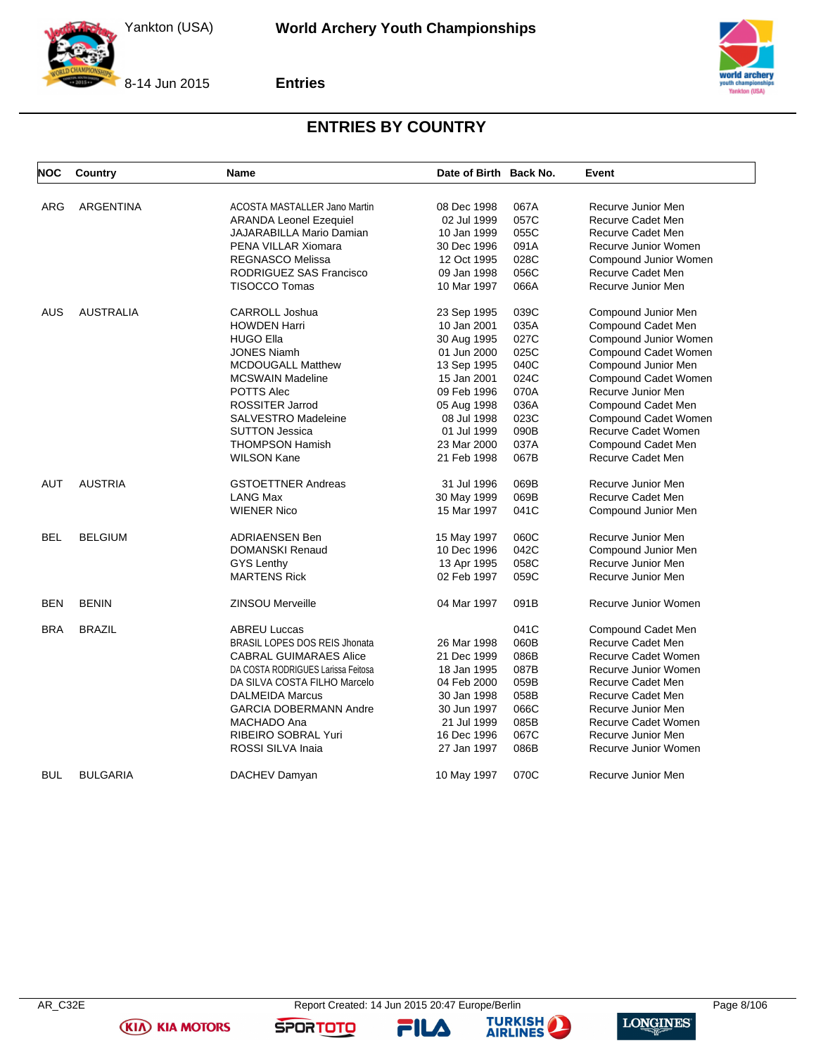

8-14 Jun 2015

**Entries**



### **ENTRIES BY COUNTRY**

<span id="page-8-0"></span>

| <b>NOC</b> | Country          | Name                                 | Date of Birth Back No. |      | Event                       |
|------------|------------------|--------------------------------------|------------------------|------|-----------------------------|
|            |                  |                                      |                        |      |                             |
| ARG        | <b>ARGENTINA</b> | ACOSTA MASTALLER Jano Martin         | 08 Dec 1998            | 067A | Recurve Junior Men          |
|            |                  | <b>ARANDA Leonel Ezequiel</b>        | 02 Jul 1999            | 057C | Recurve Cadet Men           |
|            |                  | JAJARABILLA Mario Damian             | 10 Jan 1999            | 055C | Recurve Cadet Men           |
|            |                  | PENA VILLAR Xiomara                  | 30 Dec 1996            | 091A | Recurve Junior Women        |
|            |                  | <b>REGNASCO Melissa</b>              | 12 Oct 1995            | 028C | Compound Junior Women       |
|            |                  | RODRIGUEZ SAS Francisco              | 09 Jan 1998            | 056C | Recurve Cadet Men           |
|            |                  | <b>TISOCCO Tomas</b>                 | 10 Mar 1997            | 066A | Recurve Junior Men          |
| AUS        | <b>AUSTRALIA</b> | <b>CARROLL Joshua</b>                | 23 Sep 1995            | 039C | Compound Junior Men         |
|            |                  | <b>HOWDEN Harri</b>                  | 10 Jan 2001            | 035A | Compound Cadet Men          |
|            |                  | <b>HUGO Ella</b>                     | 30 Aug 1995            | 027C | Compound Junior Women       |
|            |                  | <b>JONES Niamh</b>                   | 01 Jun 2000            | 025C | Compound Cadet Women        |
|            |                  | <b>MCDOUGALL Matthew</b>             | 13 Sep 1995            | 040C | Compound Junior Men         |
|            |                  | <b>MCSWAIN Madeline</b>              | 15 Jan 2001            | 024C | Compound Cadet Women        |
|            |                  | <b>POTTS Alec</b>                    | 09 Feb 1996            | 070A | Recurve Junior Men          |
|            |                  | <b>ROSSITER Jarrod</b>               | 05 Aug 1998            | 036A | Compound Cadet Men          |
|            |                  | <b>SALVESTRO Madeleine</b>           | 08 Jul 1998            | 023C | <b>Compound Cadet Women</b> |
|            |                  | <b>SUTTON Jessica</b>                | 01 Jul 1999            | 090B | Recurve Cadet Women         |
|            |                  | <b>THOMPSON Hamish</b>               | 23 Mar 2000            | 037A | Compound Cadet Men          |
|            |                  | <b>WILSON Kane</b>                   | 21 Feb 1998            | 067B | Recurve Cadet Men           |
| AUT        | <b>AUSTRIA</b>   | <b>GSTOETTNER Andreas</b>            | 31 Jul 1996            | 069B | Recurve Junior Men          |
|            |                  | <b>LANG Max</b>                      | 30 May 1999            | 069B | Recurve Cadet Men           |
|            |                  | <b>WIENER Nico</b>                   | 15 Mar 1997            | 041C | Compound Junior Men         |
| <b>BEL</b> | <b>BELGIUM</b>   | <b>ADRIAENSEN Ben</b>                | 15 May 1997            | 060C | Recurve Junior Men          |
|            |                  | <b>DOMANSKI Renaud</b>               | 10 Dec 1996            | 042C | Compound Junior Men         |
|            |                  | <b>GYS Lenthy</b>                    | 13 Apr 1995            | 058C | Recurve Junior Men          |
|            |                  | <b>MARTENS Rick</b>                  | 02 Feb 1997            | 059C | Recurve Junior Men          |
| <b>BEN</b> | <b>BENIN</b>     | <b>ZINSOU Merveille</b>              | 04 Mar 1997            | 091B | Recurve Junior Women        |
| <b>BRA</b> | <b>BRAZIL</b>    | <b>ABREU Luccas</b>                  |                        | 041C | Compound Cadet Men          |
|            |                  | <b>BRASIL LOPES DOS REIS Jhonata</b> | 26 Mar 1998            | 060B | <b>Recurve Cadet Men</b>    |
|            |                  | <b>CABRAL GUIMARAES Alice</b>        | 21 Dec 1999            | 086B | Recurve Cadet Women         |
|            |                  | DA COSTA RODRIGUES Larissa Feitosa   | 18 Jan 1995            | 087B | Recurve Junior Women        |
|            |                  | DA SILVA COSTA FILHO Marcelo         | 04 Feb 2000            | 059B | <b>Recurve Cadet Men</b>    |
|            |                  | <b>DALMEIDA Marcus</b>               | 30 Jan 1998            | 058B | Recurve Cadet Men           |
|            |                  | <b>GARCIA DOBERMANN Andre</b>        | 30 Jun 1997            | 066C | Recurve Junior Men          |
|            |                  | MACHADO Ana                          | 21 Jul 1999            | 085B | Recurve Cadet Women         |
|            |                  | RIBEIRO SOBRAL Yuri                  | 16 Dec 1996            | 067C | Recurve Junior Men          |
|            |                  | ROSSI SILVA Inaia                    | 27 Jan 1997            | 086B | Recurve Junior Women        |
| <b>BUL</b> | <b>BULGARIA</b>  | DACHEV Damyan                        | 10 May 1997            | 070C | Recurve Junior Men          |

**(KIA) KIA MOTORS** 

FILA



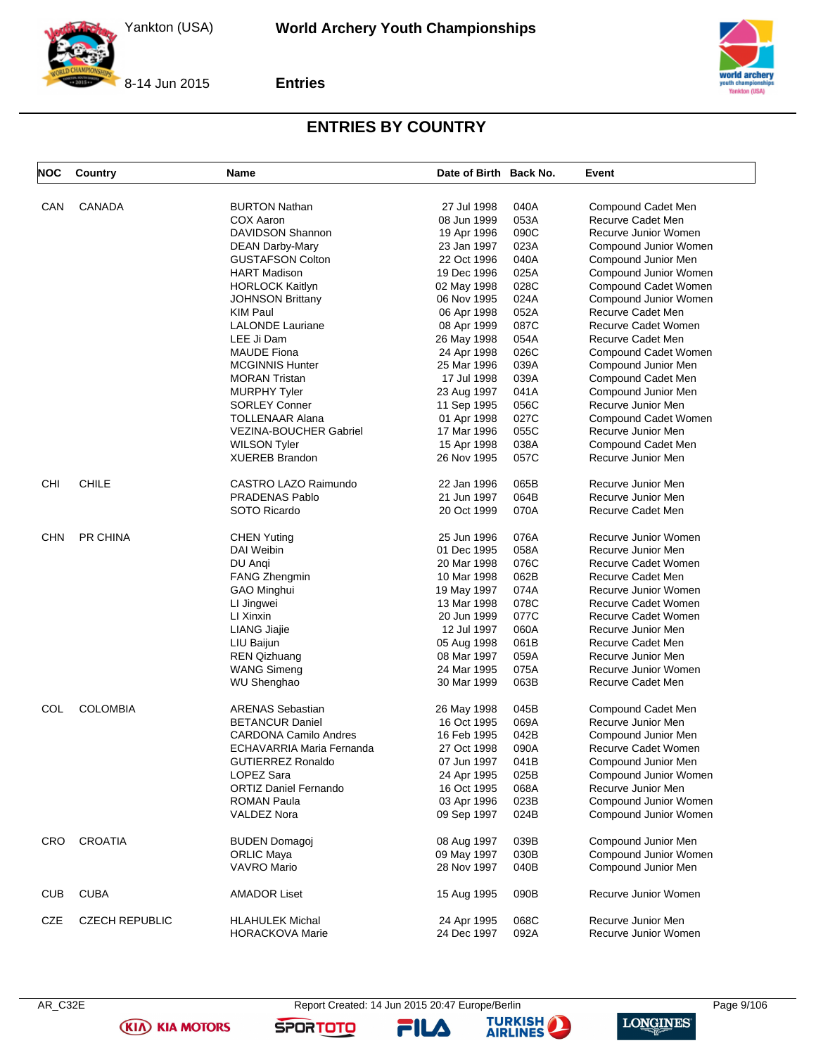

**Entries**



### **ENTRIES BY COUNTRY**

| <b>NOC</b> | <b>Country</b>        | <b>Name</b>                                | Date of Birth Back No. |      | Event                                   |
|------------|-----------------------|--------------------------------------------|------------------------|------|-----------------------------------------|
|            | CANADA                | <b>BURTON Nathan</b>                       | 27 Jul 1998            | 040A |                                         |
| CAN        |                       | COX Aaron                                  | 08 Jun 1999            | 053A | Compound Cadet Men<br>Recurve Cadet Men |
|            |                       | DAVIDSON Shannon                           |                        | 090C | Recurve Junior Women                    |
|            |                       |                                            | 19 Apr 1996            | 023A |                                         |
|            |                       | DEAN Darby-Mary<br><b>GUSTAFSON Colton</b> | 23 Jan 1997            | 040A | Compound Junior Women                   |
|            |                       |                                            | 22 Oct 1996            |      | Compound Junior Men                     |
|            |                       | HART Madison                               | 19 Dec 1996            | 025A | Compound Junior Women                   |
|            |                       | <b>HORLOCK Kaitlyn</b>                     | 02 May 1998            | 028C | Compound Cadet Women                    |
|            |                       | <b>JOHNSON Brittany</b>                    | 06 Nov 1995            | 024A | Compound Junior Women                   |
|            |                       | KIM Paul                                   | 06 Apr 1998            | 052A | Recurve Cadet Men                       |
|            |                       | <b>LALONDE Lauriane</b>                    | 08 Apr 1999            | 087C | Recurve Cadet Women                     |
|            |                       | LEE Ji Dam                                 | 26 May 1998            | 054A | Recurve Cadet Men                       |
|            |                       | <b>MAUDE Fiona</b>                         | 24 Apr 1998            | 026C | Compound Cadet Women                    |
|            |                       | <b>MCGINNIS Hunter</b>                     | 25 Mar 1996            | 039A | Compound Junior Men                     |
|            |                       | <b>MORAN Tristan</b>                       | 17 Jul 1998            | 039A | Compound Cadet Men                      |
|            |                       | <b>MURPHY Tyler</b>                        | 23 Aug 1997            | 041A | Compound Junior Men                     |
|            |                       | <b>SORLEY Conner</b>                       | 11 Sep 1995            | 056C | Recurve Junior Men                      |
|            |                       | TOLLENAAR Alana                            | 01 Apr 1998            | 027C | Compound Cadet Women                    |
|            |                       | VEZINA-BOUCHER Gabriel                     | 17 Mar 1996            | 055C | Recurve Junior Men                      |
|            |                       | <b>WILSON Tyler</b>                        | 15 Apr 1998            | 038A | Compound Cadet Men                      |
|            |                       | <b>XUEREB Brandon</b>                      | 26 Nov 1995            | 057C | Recurve Junior Men                      |
| CHI        | <b>CHILE</b>          | CASTRO LAZO Raimundo                       | 22 Jan 1996            | 065B | Recurve Junior Men                      |
|            |                       | <b>PRADENAS Pablo</b>                      | 21 Jun 1997            | 064B | Recurve Junior Men                      |
|            |                       | SOTO Ricardo                               | 20 Oct 1999            | 070A | Recurve Cadet Men                       |
|            |                       |                                            |                        |      |                                         |
| <b>CHN</b> | PR CHINA              | CHEN Yuting                                | 25 Jun 1996            | 076A | Recurve Junior Women                    |
|            |                       | DAI Weibin                                 | 01 Dec 1995            | 058A | Recurve Junior Men                      |
|            |                       | DU Angi                                    | 20 Mar 1998            | 076C | Recurve Cadet Women                     |
|            |                       | <b>FANG Zhengmin</b>                       | 10 Mar 1998            | 062B | Recurve Cadet Men                       |
|            |                       | GAO Minghui                                | 19 May 1997            | 074A | Recurve Junior Women                    |
|            |                       | LI Jingwei                                 | 13 Mar 1998            | 078C | Recurve Cadet Women                     |
|            |                       | LI Xinxin                                  | 20 Jun 1999            | 077C | Recurve Cadet Women                     |
|            |                       | LIANG Jiajie                               | 12 Jul 1997            | 060A | Recurve Junior Men                      |
|            |                       | LIU Baijun                                 | 05 Aug 1998            | 061B | Recurve Cadet Men                       |
|            |                       | <b>REN Qizhuang</b>                        | 08 Mar 1997            | 059A | Recurve Junior Men                      |
|            |                       | <b>WANG Simeng</b>                         | 24 Mar 1995            | 075A | Recurve Junior Women                    |
|            |                       | <b>WU Shenghao</b>                         | 30 Mar 1999            | 063B | Recurve Cadet Men                       |
| COL        | <b>COLOMBIA</b>       | <b>ARENAS Sebastian</b>                    | 26 May 1998            | 045B | Compound Cadet Men                      |
|            |                       | <b>BETANCUR Daniel</b>                     | 16 Oct 1995            | 069A | Recurve Junior Men                      |
|            |                       | <b>CARDONA Camilo Andres</b>               | 16 Feb 1995            | 042B | Compound Junior Men                     |
|            |                       | ECHAVARRIA Maria Fernanda                  | 27 Oct 1998            | 090A | Recurve Cadet Women                     |
|            |                       | GUTIERREZ Ronaldo                          | 07 Jun 1997            | 041B | Compound Junior Men                     |
|            |                       | LOPEZ Sara                                 | 24 Apr 1995            | 025B | Compound Junior Women                   |
|            |                       | <b>ORTIZ Daniel Fernando</b>               | 16 Oct 1995            | 068A | Recurve Junior Men                      |
|            |                       | ROMAN Paula                                | 03 Apr 1996            | 023B | Compound Junior Women                   |
|            |                       | VALDEZ Nora                                |                        | 024B | Compound Junior Women                   |
|            |                       |                                            | 09 Sep 1997            |      |                                         |
| <b>CRO</b> | <b>CROATIA</b>        | <b>BUDEN Domagoj</b>                       | 08 Aug 1997            | 039B | Compound Junior Men                     |
|            |                       | <b>ORLIC Maya</b>                          | 09 May 1997            | 030B | Compound Junior Women                   |
|            |                       | <b>VAVRO Mario</b>                         | 28 Nov 1997            | 040B | Compound Junior Men                     |
| <b>CUB</b> | <b>CUBA</b>           | <b>AMADOR Liset</b>                        | 15 Aug 1995            | 090B | Recurve Junior Women                    |
| CZE        | <b>CZECH REPUBLIC</b> | <b>HLAHULEK Michal</b>                     | 24 Apr 1995            | 068C | Recurve Junior Men                      |
|            |                       | <b>HORACKOVA Marie</b>                     | 24 Dec 1997            | 092A | Recurve Junior Women                    |
|            |                       |                                            |                        |      |                                         |

**(KIA) KIA MOTORS** 

AR\_C32E Report Created: 14 Jun 2015 20:47 Europe/Berlin Page 9/106

FILA



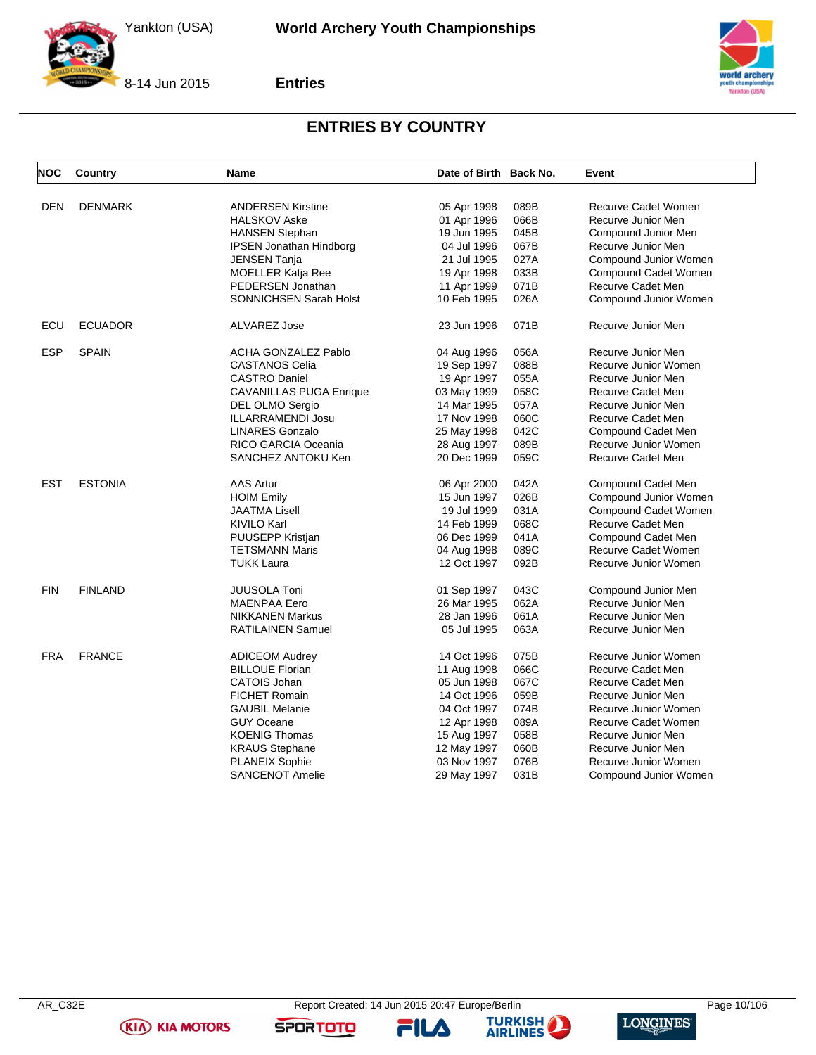



**Entries**



### **ENTRIES BY COUNTRY**

| DEN<br><b>DENMARK</b><br><b>ANDERSEN Kirstine</b><br>089B<br>Recurve Cadet Women<br>05 Apr 1998<br>066B<br><b>HALSKOV Aske</b><br>01 Apr 1996<br>Recurve Junior Men<br>19 Jun 1995<br>045B<br><b>HANSEN Stephan</b><br>Compound Junior Men<br>067B<br>Recurve Junior Men<br><b>IPSEN Jonathan Hindborg</b><br>04 Jul 1996<br>21 Jul 1995<br>027A<br>Compound Junior Women<br><b>JENSEN Tanja</b><br>033B<br><b>MOELLER Katja Ree</b><br>Compound Cadet Women<br>19 Apr 1998<br>PEDERSEN Jonathan<br>071B<br>Recurve Cadet Men<br>11 Apr 1999<br><b>SONNICHSEN Sarah Holst</b><br>10 Feb 1995<br>026A<br>Compound Junior Women<br>ECU<br><b>ECUADOR</b><br><b>ALVAREZ Jose</b><br>071B<br>Recurve Junior Men<br>23 Jun 1996<br><b>ESP</b><br><b>SPAIN</b><br><b>ACHA GONZALEZ Pablo</b><br>056A<br>Recurve Junior Men<br>04 Aug 1996<br>Recurve Junior Women<br><b>CASTANOS Celia</b><br>19 Sep 1997<br>088B<br><b>CASTRO Daniel</b><br>19 Apr 1997<br>055A<br>Recurve Junior Men<br>058C<br><b>CAVANILLAS PUGA Enrique</b><br>03 May 1999<br>Recurve Cadet Men<br>057A<br>Recurve Junior Men<br>DEL OLMO Sergio<br>14 Mar 1995<br>17 Nov 1998<br>060C<br>ILLARRAMENDI Josu<br>Recurve Cadet Men<br><b>LINARES Gonzalo</b><br>042C<br>25 May 1998<br>Compound Cadet Men<br>RICO GARCIA Oceania<br>089B<br>Recurve Junior Women<br>28 Aug 1997<br>059C<br>SANCHEZ ANTOKU Ken<br>20 Dec 1999<br><b>Recurve Cadet Men</b><br><b>EST</b><br><b>AAS Artur</b><br><b>ESTONIA</b><br>042A<br>Compound Cadet Men<br>06 Apr 2000<br>026B<br><b>HOIM Emily</b><br>15 Jun 1997<br>Compound Junior Women<br>031A<br>Compound Cadet Women<br><b>JAATMA Lisell</b><br>19 Jul 1999<br>068C<br><b>KIVILO Karl</b><br>14 Feb 1999<br>Recurve Cadet Men<br>041A<br>Compound Cadet Men<br>PUUSEPP Kristjan<br>06 Dec 1999<br>089C<br><b>TETSMANN Maris</b><br>Recurve Cadet Women<br>04 Aug 1998<br>092B<br>Recurve Junior Women<br><b>TUKK Laura</b><br>12 Oct 1997<br><b>FINLAND</b><br><b>FIN</b><br><b>JUUSOLA Toni</b><br>043C<br>Compound Junior Men<br>01 Sep 1997<br>062A<br>Recurve Junior Men<br><b>MAENPAA Eero</b><br>26 Mar 1995<br>28 Jan 1996<br>061A<br>Recurve Junior Men<br><b>NIKKANEN Markus</b><br>063A<br><b>RATILAINEN Samuel</b><br>05 Jul 1995<br>Recurve Junior Men<br><b>FRA</b><br><b>FRANCE</b><br>075B<br>Recurve Junior Women<br><b>ADICEOM Audrey</b><br>14 Oct 1996<br><b>BILLOUE Florian</b><br>066C<br><b>Recurve Cadet Men</b><br>11 Aug 1998<br>067C<br><b>CATOIS Johan</b><br>05 Jun 1998<br><b>Recurve Cadet Men</b> | <b>NOC</b> | Country | <b>Name</b>          | Date of Birth Back No. |      | Event              |
|-----------------------------------------------------------------------------------------------------------------------------------------------------------------------------------------------------------------------------------------------------------------------------------------------------------------------------------------------------------------------------------------------------------------------------------------------------------------------------------------------------------------------------------------------------------------------------------------------------------------------------------------------------------------------------------------------------------------------------------------------------------------------------------------------------------------------------------------------------------------------------------------------------------------------------------------------------------------------------------------------------------------------------------------------------------------------------------------------------------------------------------------------------------------------------------------------------------------------------------------------------------------------------------------------------------------------------------------------------------------------------------------------------------------------------------------------------------------------------------------------------------------------------------------------------------------------------------------------------------------------------------------------------------------------------------------------------------------------------------------------------------------------------------------------------------------------------------------------------------------------------------------------------------------------------------------------------------------------------------------------------------------------------------------------------------------------------------------------------------------------------------------------------------------------------------------------------------------------------------------------------------------------------------------------------------------------------------------------------------------------------------------------------------------------------------------------------------------------------------------------------------------------------------------|------------|---------|----------------------|------------------------|------|--------------------|
|                                                                                                                                                                                                                                                                                                                                                                                                                                                                                                                                                                                                                                                                                                                                                                                                                                                                                                                                                                                                                                                                                                                                                                                                                                                                                                                                                                                                                                                                                                                                                                                                                                                                                                                                                                                                                                                                                                                                                                                                                                                                                                                                                                                                                                                                                                                                                                                                                                                                                                                                         |            |         |                      |                        |      |                    |
|                                                                                                                                                                                                                                                                                                                                                                                                                                                                                                                                                                                                                                                                                                                                                                                                                                                                                                                                                                                                                                                                                                                                                                                                                                                                                                                                                                                                                                                                                                                                                                                                                                                                                                                                                                                                                                                                                                                                                                                                                                                                                                                                                                                                                                                                                                                                                                                                                                                                                                                                         |            |         |                      |                        |      |                    |
|                                                                                                                                                                                                                                                                                                                                                                                                                                                                                                                                                                                                                                                                                                                                                                                                                                                                                                                                                                                                                                                                                                                                                                                                                                                                                                                                                                                                                                                                                                                                                                                                                                                                                                                                                                                                                                                                                                                                                                                                                                                                                                                                                                                                                                                                                                                                                                                                                                                                                                                                         |            |         |                      |                        |      |                    |
|                                                                                                                                                                                                                                                                                                                                                                                                                                                                                                                                                                                                                                                                                                                                                                                                                                                                                                                                                                                                                                                                                                                                                                                                                                                                                                                                                                                                                                                                                                                                                                                                                                                                                                                                                                                                                                                                                                                                                                                                                                                                                                                                                                                                                                                                                                                                                                                                                                                                                                                                         |            |         |                      |                        |      |                    |
|                                                                                                                                                                                                                                                                                                                                                                                                                                                                                                                                                                                                                                                                                                                                                                                                                                                                                                                                                                                                                                                                                                                                                                                                                                                                                                                                                                                                                                                                                                                                                                                                                                                                                                                                                                                                                                                                                                                                                                                                                                                                                                                                                                                                                                                                                                                                                                                                                                                                                                                                         |            |         |                      |                        |      |                    |
|                                                                                                                                                                                                                                                                                                                                                                                                                                                                                                                                                                                                                                                                                                                                                                                                                                                                                                                                                                                                                                                                                                                                                                                                                                                                                                                                                                                                                                                                                                                                                                                                                                                                                                                                                                                                                                                                                                                                                                                                                                                                                                                                                                                                                                                                                                                                                                                                                                                                                                                                         |            |         |                      |                        |      |                    |
|                                                                                                                                                                                                                                                                                                                                                                                                                                                                                                                                                                                                                                                                                                                                                                                                                                                                                                                                                                                                                                                                                                                                                                                                                                                                                                                                                                                                                                                                                                                                                                                                                                                                                                                                                                                                                                                                                                                                                                                                                                                                                                                                                                                                                                                                                                                                                                                                                                                                                                                                         |            |         |                      |                        |      |                    |
|                                                                                                                                                                                                                                                                                                                                                                                                                                                                                                                                                                                                                                                                                                                                                                                                                                                                                                                                                                                                                                                                                                                                                                                                                                                                                                                                                                                                                                                                                                                                                                                                                                                                                                                                                                                                                                                                                                                                                                                                                                                                                                                                                                                                                                                                                                                                                                                                                                                                                                                                         |            |         |                      |                        |      |                    |
|                                                                                                                                                                                                                                                                                                                                                                                                                                                                                                                                                                                                                                                                                                                                                                                                                                                                                                                                                                                                                                                                                                                                                                                                                                                                                                                                                                                                                                                                                                                                                                                                                                                                                                                                                                                                                                                                                                                                                                                                                                                                                                                                                                                                                                                                                                                                                                                                                                                                                                                                         |            |         |                      |                        |      |                    |
|                                                                                                                                                                                                                                                                                                                                                                                                                                                                                                                                                                                                                                                                                                                                                                                                                                                                                                                                                                                                                                                                                                                                                                                                                                                                                                                                                                                                                                                                                                                                                                                                                                                                                                                                                                                                                                                                                                                                                                                                                                                                                                                                                                                                                                                                                                                                                                                                                                                                                                                                         |            |         |                      |                        |      |                    |
|                                                                                                                                                                                                                                                                                                                                                                                                                                                                                                                                                                                                                                                                                                                                                                                                                                                                                                                                                                                                                                                                                                                                                                                                                                                                                                                                                                                                                                                                                                                                                                                                                                                                                                                                                                                                                                                                                                                                                                                                                                                                                                                                                                                                                                                                                                                                                                                                                                                                                                                                         |            |         |                      |                        |      |                    |
|                                                                                                                                                                                                                                                                                                                                                                                                                                                                                                                                                                                                                                                                                                                                                                                                                                                                                                                                                                                                                                                                                                                                                                                                                                                                                                                                                                                                                                                                                                                                                                                                                                                                                                                                                                                                                                                                                                                                                                                                                                                                                                                                                                                                                                                                                                                                                                                                                                                                                                                                         |            |         |                      |                        |      |                    |
|                                                                                                                                                                                                                                                                                                                                                                                                                                                                                                                                                                                                                                                                                                                                                                                                                                                                                                                                                                                                                                                                                                                                                                                                                                                                                                                                                                                                                                                                                                                                                                                                                                                                                                                                                                                                                                                                                                                                                                                                                                                                                                                                                                                                                                                                                                                                                                                                                                                                                                                                         |            |         |                      |                        |      |                    |
|                                                                                                                                                                                                                                                                                                                                                                                                                                                                                                                                                                                                                                                                                                                                                                                                                                                                                                                                                                                                                                                                                                                                                                                                                                                                                                                                                                                                                                                                                                                                                                                                                                                                                                                                                                                                                                                                                                                                                                                                                                                                                                                                                                                                                                                                                                                                                                                                                                                                                                                                         |            |         |                      |                        |      |                    |
|                                                                                                                                                                                                                                                                                                                                                                                                                                                                                                                                                                                                                                                                                                                                                                                                                                                                                                                                                                                                                                                                                                                                                                                                                                                                                                                                                                                                                                                                                                                                                                                                                                                                                                                                                                                                                                                                                                                                                                                                                                                                                                                                                                                                                                                                                                                                                                                                                                                                                                                                         |            |         |                      |                        |      |                    |
|                                                                                                                                                                                                                                                                                                                                                                                                                                                                                                                                                                                                                                                                                                                                                                                                                                                                                                                                                                                                                                                                                                                                                                                                                                                                                                                                                                                                                                                                                                                                                                                                                                                                                                                                                                                                                                                                                                                                                                                                                                                                                                                                                                                                                                                                                                                                                                                                                                                                                                                                         |            |         |                      |                        |      |                    |
|                                                                                                                                                                                                                                                                                                                                                                                                                                                                                                                                                                                                                                                                                                                                                                                                                                                                                                                                                                                                                                                                                                                                                                                                                                                                                                                                                                                                                                                                                                                                                                                                                                                                                                                                                                                                                                                                                                                                                                                                                                                                                                                                                                                                                                                                                                                                                                                                                                                                                                                                         |            |         |                      |                        |      |                    |
|                                                                                                                                                                                                                                                                                                                                                                                                                                                                                                                                                                                                                                                                                                                                                                                                                                                                                                                                                                                                                                                                                                                                                                                                                                                                                                                                                                                                                                                                                                                                                                                                                                                                                                                                                                                                                                                                                                                                                                                                                                                                                                                                                                                                                                                                                                                                                                                                                                                                                                                                         |            |         |                      |                        |      |                    |
|                                                                                                                                                                                                                                                                                                                                                                                                                                                                                                                                                                                                                                                                                                                                                                                                                                                                                                                                                                                                                                                                                                                                                                                                                                                                                                                                                                                                                                                                                                                                                                                                                                                                                                                                                                                                                                                                                                                                                                                                                                                                                                                                                                                                                                                                                                                                                                                                                                                                                                                                         |            |         |                      |                        |      |                    |
|                                                                                                                                                                                                                                                                                                                                                                                                                                                                                                                                                                                                                                                                                                                                                                                                                                                                                                                                                                                                                                                                                                                                                                                                                                                                                                                                                                                                                                                                                                                                                                                                                                                                                                                                                                                                                                                                                                                                                                                                                                                                                                                                                                                                                                                                                                                                                                                                                                                                                                                                         |            |         |                      |                        |      |                    |
|                                                                                                                                                                                                                                                                                                                                                                                                                                                                                                                                                                                                                                                                                                                                                                                                                                                                                                                                                                                                                                                                                                                                                                                                                                                                                                                                                                                                                                                                                                                                                                                                                                                                                                                                                                                                                                                                                                                                                                                                                                                                                                                                                                                                                                                                                                                                                                                                                                                                                                                                         |            |         |                      |                        |      |                    |
|                                                                                                                                                                                                                                                                                                                                                                                                                                                                                                                                                                                                                                                                                                                                                                                                                                                                                                                                                                                                                                                                                                                                                                                                                                                                                                                                                                                                                                                                                                                                                                                                                                                                                                                                                                                                                                                                                                                                                                                                                                                                                                                                                                                                                                                                                                                                                                                                                                                                                                                                         |            |         |                      |                        |      |                    |
|                                                                                                                                                                                                                                                                                                                                                                                                                                                                                                                                                                                                                                                                                                                                                                                                                                                                                                                                                                                                                                                                                                                                                                                                                                                                                                                                                                                                                                                                                                                                                                                                                                                                                                                                                                                                                                                                                                                                                                                                                                                                                                                                                                                                                                                                                                                                                                                                                                                                                                                                         |            |         |                      |                        |      |                    |
|                                                                                                                                                                                                                                                                                                                                                                                                                                                                                                                                                                                                                                                                                                                                                                                                                                                                                                                                                                                                                                                                                                                                                                                                                                                                                                                                                                                                                                                                                                                                                                                                                                                                                                                                                                                                                                                                                                                                                                                                                                                                                                                                                                                                                                                                                                                                                                                                                                                                                                                                         |            |         |                      |                        |      |                    |
|                                                                                                                                                                                                                                                                                                                                                                                                                                                                                                                                                                                                                                                                                                                                                                                                                                                                                                                                                                                                                                                                                                                                                                                                                                                                                                                                                                                                                                                                                                                                                                                                                                                                                                                                                                                                                                                                                                                                                                                                                                                                                                                                                                                                                                                                                                                                                                                                                                                                                                                                         |            |         |                      |                        |      |                    |
|                                                                                                                                                                                                                                                                                                                                                                                                                                                                                                                                                                                                                                                                                                                                                                                                                                                                                                                                                                                                                                                                                                                                                                                                                                                                                                                                                                                                                                                                                                                                                                                                                                                                                                                                                                                                                                                                                                                                                                                                                                                                                                                                                                                                                                                                                                                                                                                                                                                                                                                                         |            |         |                      |                        |      |                    |
|                                                                                                                                                                                                                                                                                                                                                                                                                                                                                                                                                                                                                                                                                                                                                                                                                                                                                                                                                                                                                                                                                                                                                                                                                                                                                                                                                                                                                                                                                                                                                                                                                                                                                                                                                                                                                                                                                                                                                                                                                                                                                                                                                                                                                                                                                                                                                                                                                                                                                                                                         |            |         |                      |                        |      |                    |
|                                                                                                                                                                                                                                                                                                                                                                                                                                                                                                                                                                                                                                                                                                                                                                                                                                                                                                                                                                                                                                                                                                                                                                                                                                                                                                                                                                                                                                                                                                                                                                                                                                                                                                                                                                                                                                                                                                                                                                                                                                                                                                                                                                                                                                                                                                                                                                                                                                                                                                                                         |            |         |                      |                        |      |                    |
|                                                                                                                                                                                                                                                                                                                                                                                                                                                                                                                                                                                                                                                                                                                                                                                                                                                                                                                                                                                                                                                                                                                                                                                                                                                                                                                                                                                                                                                                                                                                                                                                                                                                                                                                                                                                                                                                                                                                                                                                                                                                                                                                                                                                                                                                                                                                                                                                                                                                                                                                         |            |         |                      |                        |      |                    |
|                                                                                                                                                                                                                                                                                                                                                                                                                                                                                                                                                                                                                                                                                                                                                                                                                                                                                                                                                                                                                                                                                                                                                                                                                                                                                                                                                                                                                                                                                                                                                                                                                                                                                                                                                                                                                                                                                                                                                                                                                                                                                                                                                                                                                                                                                                                                                                                                                                                                                                                                         |            |         |                      |                        |      |                    |
|                                                                                                                                                                                                                                                                                                                                                                                                                                                                                                                                                                                                                                                                                                                                                                                                                                                                                                                                                                                                                                                                                                                                                                                                                                                                                                                                                                                                                                                                                                                                                                                                                                                                                                                                                                                                                                                                                                                                                                                                                                                                                                                                                                                                                                                                                                                                                                                                                                                                                                                                         |            |         |                      |                        |      |                    |
|                                                                                                                                                                                                                                                                                                                                                                                                                                                                                                                                                                                                                                                                                                                                                                                                                                                                                                                                                                                                                                                                                                                                                                                                                                                                                                                                                                                                                                                                                                                                                                                                                                                                                                                                                                                                                                                                                                                                                                                                                                                                                                                                                                                                                                                                                                                                                                                                                                                                                                                                         |            |         |                      |                        |      |                    |
|                                                                                                                                                                                                                                                                                                                                                                                                                                                                                                                                                                                                                                                                                                                                                                                                                                                                                                                                                                                                                                                                                                                                                                                                                                                                                                                                                                                                                                                                                                                                                                                                                                                                                                                                                                                                                                                                                                                                                                                                                                                                                                                                                                                                                                                                                                                                                                                                                                                                                                                                         |            |         |                      |                        |      |                    |
|                                                                                                                                                                                                                                                                                                                                                                                                                                                                                                                                                                                                                                                                                                                                                                                                                                                                                                                                                                                                                                                                                                                                                                                                                                                                                                                                                                                                                                                                                                                                                                                                                                                                                                                                                                                                                                                                                                                                                                                                                                                                                                                                                                                                                                                                                                                                                                                                                                                                                                                                         |            |         | <b>FICHET Romain</b> | 14 Oct 1996            | 059B | Recurve Junior Men |
| 074B<br><b>GAUBIL Melanie</b><br>04 Oct 1997<br>Recurve Junior Women                                                                                                                                                                                                                                                                                                                                                                                                                                                                                                                                                                                                                                                                                                                                                                                                                                                                                                                                                                                                                                                                                                                                                                                                                                                                                                                                                                                                                                                                                                                                                                                                                                                                                                                                                                                                                                                                                                                                                                                                                                                                                                                                                                                                                                                                                                                                                                                                                                                                    |            |         |                      |                        |      |                    |
| 089A<br>Recurve Cadet Women<br><b>GUY Oceane</b><br>12 Apr 1998                                                                                                                                                                                                                                                                                                                                                                                                                                                                                                                                                                                                                                                                                                                                                                                                                                                                                                                                                                                                                                                                                                                                                                                                                                                                                                                                                                                                                                                                                                                                                                                                                                                                                                                                                                                                                                                                                                                                                                                                                                                                                                                                                                                                                                                                                                                                                                                                                                                                         |            |         |                      |                        |      |                    |
| 058B<br><b>KOENIG Thomas</b><br>15 Aug 1997<br>Recurve Junior Men                                                                                                                                                                                                                                                                                                                                                                                                                                                                                                                                                                                                                                                                                                                                                                                                                                                                                                                                                                                                                                                                                                                                                                                                                                                                                                                                                                                                                                                                                                                                                                                                                                                                                                                                                                                                                                                                                                                                                                                                                                                                                                                                                                                                                                                                                                                                                                                                                                                                       |            |         |                      |                        |      |                    |
| 060B<br><b>KRAUS Stephane</b><br>12 May 1997<br>Recurve Junior Men                                                                                                                                                                                                                                                                                                                                                                                                                                                                                                                                                                                                                                                                                                                                                                                                                                                                                                                                                                                                                                                                                                                                                                                                                                                                                                                                                                                                                                                                                                                                                                                                                                                                                                                                                                                                                                                                                                                                                                                                                                                                                                                                                                                                                                                                                                                                                                                                                                                                      |            |         |                      |                        |      |                    |
| <b>PLANEIX Sophie</b><br>03 Nov 1997<br>076B<br>Recurve Junior Women                                                                                                                                                                                                                                                                                                                                                                                                                                                                                                                                                                                                                                                                                                                                                                                                                                                                                                                                                                                                                                                                                                                                                                                                                                                                                                                                                                                                                                                                                                                                                                                                                                                                                                                                                                                                                                                                                                                                                                                                                                                                                                                                                                                                                                                                                                                                                                                                                                                                    |            |         |                      |                        |      |                    |
| <b>SANCENOT Amelie</b><br>031B<br>29 May 1997<br>Compound Junior Women                                                                                                                                                                                                                                                                                                                                                                                                                                                                                                                                                                                                                                                                                                                                                                                                                                                                                                                                                                                                                                                                                                                                                                                                                                                                                                                                                                                                                                                                                                                                                                                                                                                                                                                                                                                                                                                                                                                                                                                                                                                                                                                                                                                                                                                                                                                                                                                                                                                                  |            |         |                      |                        |      |                    |

**(KIA) KIA MOTORS** 





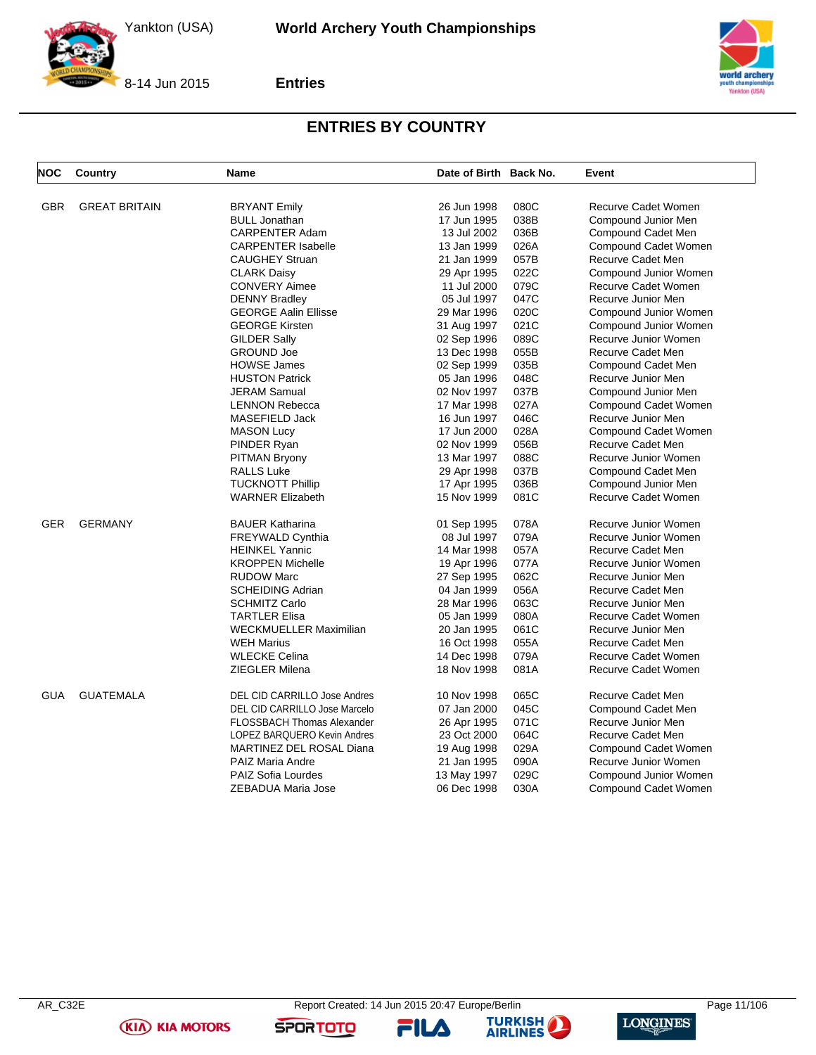

**Entries**



### **ENTRIES BY COUNTRY**

| <b>NOC</b> | Country              | Name                                               | Date of Birth Back No.     |      | Event                                            |
|------------|----------------------|----------------------------------------------------|----------------------------|------|--------------------------------------------------|
| <b>GBR</b> | <b>GREAT BRITAIN</b> |                                                    | 26 Jun 1998                | 080C | <b>Recurve Cadet Women</b>                       |
|            |                      | <b>BRYANT Emily</b>                                |                            | 038B |                                                  |
|            |                      | <b>BULL Jonathan</b><br><b>CARPENTER Adam</b>      | 17 Jun 1995<br>13 Jul 2002 | 036B | Compound Junior Men                              |
|            |                      |                                                    |                            | 026A | Compound Cadet Men                               |
|            |                      | <b>CARPENTER Isabelle</b><br><b>CAUGHEY Struan</b> | 13 Jan 1999                | 057B | Compound Cadet Women<br><b>Recurve Cadet Men</b> |
|            |                      |                                                    | 21 Jan 1999                |      |                                                  |
|            |                      | <b>CLARK Daisy</b>                                 | 29 Apr 1995                | 022C | Compound Junior Women                            |
|            |                      | <b>CONVERY Aimee</b>                               | 11 Jul 2000                | 079C | Recurve Cadet Women                              |
|            |                      | <b>DENNY Bradley</b>                               | 05 Jul 1997                | 047C | Recurve Junior Men                               |
|            |                      | <b>GEORGE Aalin Ellisse</b>                        | 29 Mar 1996                | 020C | Compound Junior Women                            |
|            |                      | <b>GEORGE Kirsten</b>                              | 31 Aug 1997                | 021C | Compound Junior Women                            |
|            |                      | <b>GILDER Sally</b>                                | 02 Sep 1996                | 089C | Recurve Junior Women                             |
|            |                      | <b>GROUND Joe</b>                                  | 13 Dec 1998                | 055B | <b>Recurve Cadet Men</b>                         |
|            |                      | <b>HOWSE James</b>                                 | 02 Sep 1999                | 035B | Compound Cadet Men                               |
|            |                      | <b>HUSTON Patrick</b>                              | 05 Jan 1996                | 048C | Recurve Junior Men                               |
|            |                      | <b>JERAM Samual</b>                                | 02 Nov 1997                | 037B | Compound Junior Men                              |
|            |                      | <b>LENNON Rebecca</b>                              | 17 Mar 1998                | 027A | Compound Cadet Women                             |
|            |                      | MASEFIELD Jack                                     | 16 Jun 1997                | 046C | Recurve Junior Men                               |
|            |                      | <b>MASON Lucy</b>                                  | 17 Jun 2000                | 028A | Compound Cadet Women                             |
|            |                      | PINDER Ryan                                        | 02 Nov 1999                | 056B | Recurve Cadet Men                                |
|            |                      | <b>PITMAN Bryony</b>                               | 13 Mar 1997                | 088C | Recurve Junior Women                             |
|            |                      | <b>RALLS Luke</b>                                  | 29 Apr 1998                | 037B | Compound Cadet Men                               |
|            |                      | <b>TUCKNOTT Phillip</b>                            | 17 Apr 1995                | 036B | Compound Junior Men                              |
|            |                      | <b>WARNER Elizabeth</b>                            | 15 Nov 1999                | 081C | Recurve Cadet Women                              |
| GER        | <b>GERMANY</b>       | <b>BAUER Katharina</b>                             | 01 Sep 1995                | 078A | Recurve Junior Women                             |
|            |                      | <b>FREYWALD Cynthia</b>                            | 08 Jul 1997                | 079A | Recurve Junior Women                             |
|            |                      | <b>HEINKEL Yannic</b>                              | 14 Mar 1998                | 057A | Recurve Cadet Men                                |
|            |                      | <b>KROPPEN Michelle</b>                            | 19 Apr 1996                | 077A | Recurve Junior Women                             |
|            |                      | <b>RUDOW Marc</b>                                  | 27 Sep 1995                | 062C | Recurve Junior Men                               |
|            |                      | <b>SCHEIDING Adrian</b>                            | 04 Jan 1999                | 056A | <b>Recurve Cadet Men</b>                         |
|            |                      | <b>SCHMITZ Carlo</b>                               | 28 Mar 1996                | 063C | Recurve Junior Men                               |
|            |                      | <b>TARTLER Elisa</b>                               | 05 Jan 1999                | 080A | Recurve Cadet Women                              |
|            |                      | <b>WECKMUELLER Maximilian</b>                      | 20 Jan 1995                | 061C | Recurve Junior Men                               |
|            |                      | <b>WEH Marius</b>                                  | 16 Oct 1998                | 055A | <b>Recurve Cadet Men</b>                         |
|            |                      | <b>WLECKE Celina</b>                               | 14 Dec 1998                | 079A | Recurve Cadet Women                              |
|            |                      | <b>ZIEGLER Milena</b>                              | 18 Nov 1998                | 081A | Recurve Cadet Women                              |
| <b>GUA</b> | <b>GUATEMALA</b>     | <b>DEL CID CARRILLO Jose Andres</b>                | 10 Nov 1998                | 065C | Recurve Cadet Men                                |
|            |                      | DEL CID CARRILLO Jose Marcelo                      | 07 Jan 2000                | 045C | Compound Cadet Men                               |
|            |                      | <b>FLOSSBACH Thomas Alexander</b>                  | 26 Apr 1995                | 071C | Recurve Junior Men                               |
|            |                      | LOPEZ BARQUERO Kevin Andres                        | 23 Oct 2000                | 064C | Recurve Cadet Men                                |
|            |                      | MARTINEZ DEL ROSAL Diana                           | 19 Aug 1998                | 029A | Compound Cadet Women                             |
|            |                      | <b>PAIZ Maria Andre</b>                            | 21 Jan 1995                | 090A | Recurve Junior Women                             |
|            |                      | <b>PAIZ Sofia Lourdes</b>                          | 13 May 1997                | 029C | Compound Junior Women                            |
|            |                      | ZEBADUA Maria Jose                                 | 06 Dec 1998                | 030A | Compound Cadet Women                             |
|            |                      |                                                    |                            |      |                                                  |

**(KIA) KIA MOTORS** 

FILA





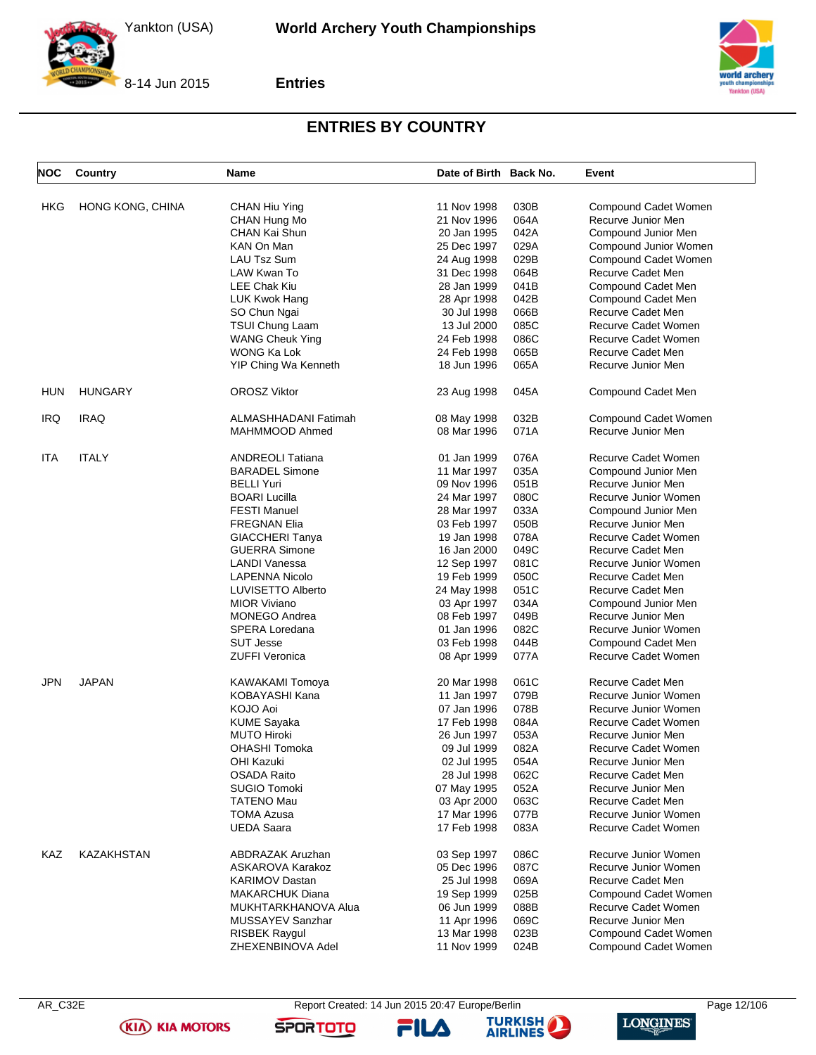

**Entries**



### **ENTRIES BY COUNTRY**

| <b>NOC</b> | Country          | Name                    | Date of Birth Back No. |      | Event                 |
|------------|------------------|-------------------------|------------------------|------|-----------------------|
| HKG        | HONG KONG, CHINA | CHAN Hiu Ying           | 11 Nov 1998            | 030B | Compound Cadet Women  |
|            |                  | CHAN Hung Mo            | 21 Nov 1996            | 064A | Recurve Junior Men    |
|            |                  | CHAN Kai Shun           | 20 Jan 1995            | 042A | Compound Junior Men   |
|            |                  | KAN On Man              | 25 Dec 1997            | 029A | Compound Junior Women |
|            |                  | LAU Tsz Sum             | 24 Aug 1998            | 029B | Compound Cadet Women  |
|            |                  | LAW Kwan To             | 31 Dec 1998            | 064B | Recurve Cadet Men     |
|            |                  | <b>LEE Chak Kiu</b>     | 28 Jan 1999            | 041B |                       |
|            |                  |                         |                        | 042B | Compound Cadet Men    |
|            |                  | LUK Kwok Hang           | 28 Apr 1998            |      | Compound Cadet Men    |
|            |                  | SO Chun Ngai            | 30 Jul 1998            | 066B | Recurve Cadet Men     |
|            |                  | <b>TSUI Chung Laam</b>  | 13 Jul 2000            | 085C | Recurve Cadet Women   |
|            |                  | <b>WANG Cheuk Ying</b>  | 24 Feb 1998            | 086C | Recurve Cadet Women   |
|            |                  | WONG Ka Lok             | 24 Feb 1998            | 065B | Recurve Cadet Men     |
|            |                  | YIP Ching Wa Kenneth    | 18 Jun 1996            | 065A | Recurve Junior Men    |
| <b>HUN</b> | <b>HUNGARY</b>   | <b>OROSZ Viktor</b>     | 23 Aug 1998            | 045A | Compound Cadet Men    |
| <b>IRQ</b> | <b>IRAQ</b>      | ALMASHHADANI Fatimah    | 08 May 1998            | 032B | Compound Cadet Women  |
|            |                  | MAHMMOOD Ahmed          | 08 Mar 1996            | 071A | Recurve Junior Men    |
| ITA        | <b>ITALY</b>     | <b>ANDREOLI Tatiana</b> | 01 Jan 1999            | 076A | Recurve Cadet Women   |
|            |                  | <b>BARADEL Simone</b>   | 11 Mar 1997            | 035A | Compound Junior Men   |
|            |                  | <b>BELLI Yuri</b>       | 09 Nov 1996            | 051B | Recurve Junior Men    |
|            |                  | <b>BOARI Lucilla</b>    | 24 Mar 1997            | 080C | Recurve Junior Women  |
|            |                  | <b>FESTI Manuel</b>     | 28 Mar 1997            | 033A | Compound Junior Men   |
|            |                  | <b>FREGNAN Elia</b>     | 03 Feb 1997            | 050B | Recurve Junior Men    |
|            |                  | <b>GIACCHERI Tanya</b>  | 19 Jan 1998            | 078A | Recurve Cadet Women   |
|            |                  | <b>GUERRA Simone</b>    | 16 Jan 2000            | 049C | Recurve Cadet Men     |
|            |                  | <b>LANDI Vanessa</b>    | 12 Sep 1997            | 081C | Recurve Junior Women  |
|            |                  | LAPENNA Nicolo          | 19 Feb 1999            | 050C | Recurve Cadet Men     |
|            |                  | LUVISETTO Alberto       | 24 May 1998            | 051C | Recurve Cadet Men     |
|            |                  | <b>MIOR Viviano</b>     |                        | 034A |                       |
|            |                  |                         | 03 Apr 1997            | 049B | Compound Junior Men   |
|            |                  | <b>MONEGO Andrea</b>    | 08 Feb 1997            | 082C | Recurve Junior Men    |
|            |                  | SPERA Loredana          | 01 Jan 1996            |      | Recurve Junior Women  |
|            |                  | <b>SUT Jesse</b>        | 03 Feb 1998            | 044B | Compound Cadet Men    |
|            |                  | <b>ZUFFI Veronica</b>   | 08 Apr 1999            | 077A | Recurve Cadet Women   |
| JPN        | <b>JAPAN</b>     | <b>KAWAKAMI Tomoya</b>  | 20 Mar 1998            | 061C | Recurve Cadet Men     |
|            |                  | KOBAYASHI Kana          | 11 Jan 1997            | 079B | Recurve Junior Women  |
|            |                  | KOJO Aoi                | 07 Jan 1996            | 078B | Recurve Junior Women  |
|            |                  | <b>KUME Sayaka</b>      | 17 Feb 1998            | 084A | Recurve Cadet Women   |
|            |                  | <b>MUTO Hiroki</b>      | 26 Jun 1997            | 053A | Recurve Junior Men    |
|            |                  | <b>OHASHI Tomoka</b>    | 09 Jul 1999            | 082A | Recurve Cadet Women   |
|            |                  | <b>OHI Kazuki</b>       | 02 Jul 1995            | 054A | Recurve Junior Men    |
|            |                  | <b>OSADA Raito</b>      | 28 Jul 1998            | 062C | Recurve Cadet Men     |
|            |                  | <b>SUGIO Tomoki</b>     | 07 May 1995            | 052A | Recurve Junior Men    |
|            |                  | <b>TATENO Mau</b>       | 03 Apr 2000            | 063C | Recurve Cadet Men     |
|            |                  | <b>TOMA Azusa</b>       | 17 Mar 1996            | 077B | Recurve Junior Women  |
|            |                  | <b>UEDA Saara</b>       | 17 Feb 1998            | 083A | Recurve Cadet Women   |
| KAZ        | KAZAKHSTAN       | ABDRAZAK Aruzhan        | 03 Sep 1997            | 086C | Recurve Junior Women  |
|            |                  | ASKAROVA Karakoz        | 05 Dec 1996            | 087C | Recurve Junior Women  |
|            |                  | <b>KARIMOV Dastan</b>   | 25 Jul 1998            | 069A | Recurve Cadet Men     |
|            |                  | <b>MAKARCHUK Diana</b>  | 19 Sep 1999            | 025B | Compound Cadet Women  |
|            |                  | MUKHTARKHANOVA Alua     | 06 Jun 1999            | 088B | Recurve Cadet Women   |
|            |                  | MUSSAYEV Sanzhar        | 11 Apr 1996            | 069C | Recurve Junior Men    |
|            |                  | <b>RISBEK Raygul</b>    | 13 Mar 1998            | 023B | Compound Cadet Women  |
|            |                  | ZHEXENBINOVA Adel       | 11 Nov 1999            | 024B | Compound Cadet Women  |
|            |                  |                         |                        |      |                       |

AR\_C32E Report Created: 14 Jun 2015 20:47 Europe/Berlin Page 12/106

**SPORTOTO** 

**TURKISH** FILA



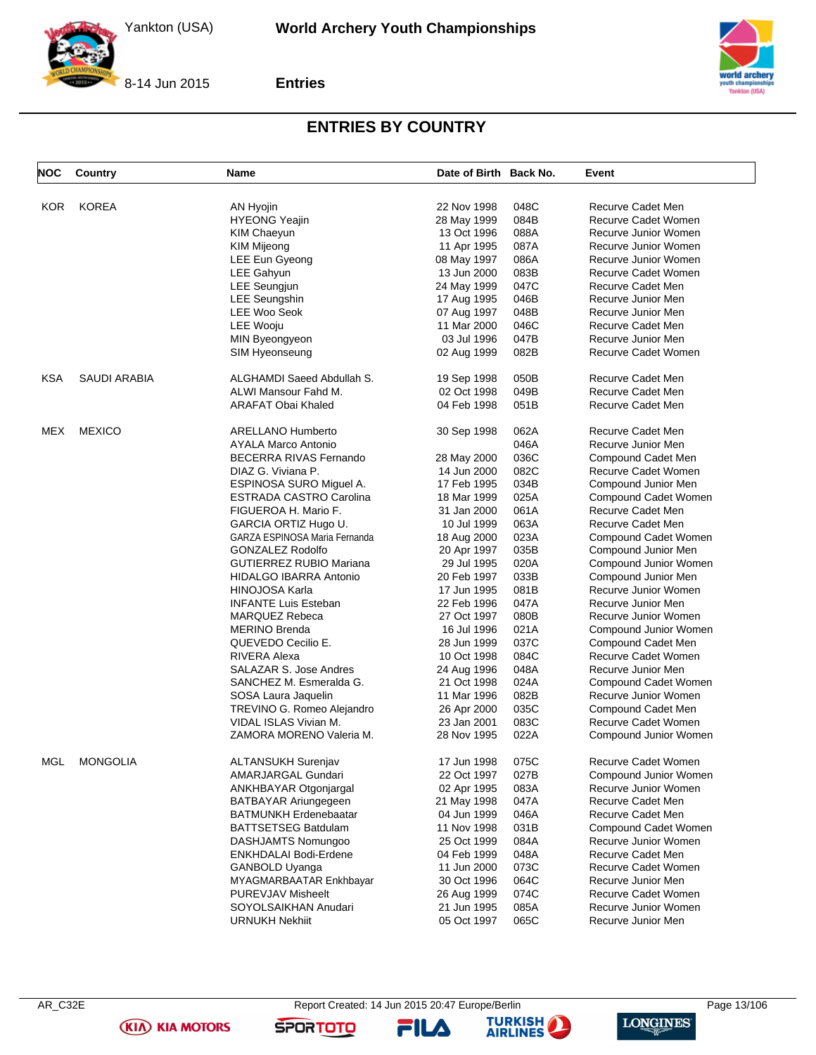

**Entries**



### **ENTRIES BY COUNTRY**

| <b>NOC</b> | Country             | Name                           | Date of Birth Back No. |      | Event                                     |
|------------|---------------------|--------------------------------|------------------------|------|-------------------------------------------|
|            |                     |                                |                        |      |                                           |
| <b>KOR</b> | <b>KOREA</b>        | AN Hyojin                      | 22 Nov 1998            | 048C | Recurve Cadet Men                         |
|            |                     | <b>HYEONG Yeajin</b>           | 28 May 1999            | 084B | Recurve Cadet Women                       |
|            |                     | KIM Chaeyun                    | 13 Oct 1996            | 088A | Recurve Junior Women                      |
|            |                     | <b>KIM Mijeong</b>             | 11 Apr 1995            | 087A | Recurve Junior Women                      |
|            |                     | LEE Eun Gyeong                 | 08 May 1997            | 086A | Recurve Junior Women                      |
|            |                     | LEE Gahyun                     | 13 Jun 2000            | 083B | Recurve Cadet Women                       |
|            |                     | <b>LEE Seungjun</b>            | 24 May 1999            | 047C | Recurve Cadet Men                         |
|            |                     | <b>LEE Seungshin</b>           | 17 Aug 1995            | 046B | Recurve Junior Men                        |
|            |                     | <b>LEE Woo Seok</b>            | 07 Aug 1997            | 048B | Recurve Junior Men                        |
|            |                     | <b>LEE Wooiu</b>               | 11 Mar 2000            | 046C | Recurve Cadet Men                         |
|            |                     | MIN Byeongyeon                 | 03 Jul 1996            | 047B | Recurve Junior Men                        |
|            |                     | SIM Hyeonseung                 | 02 Aug 1999            | 082B | Recurve Cadet Women                       |
| <b>KSA</b> | <b>SAUDI ARABIA</b> | ALGHAMDI Saeed Abdullah S.     | 19 Sep 1998            | 050B | Recurve Cadet Men                         |
|            |                     | ALWI Mansour Fahd M.           | 02 Oct 1998            | 049B | Recurve Cadet Men                         |
|            |                     | <b>ARAFAT Obai Khaled</b>      | 04 Feb 1998            | 051B | Recurve Cadet Men                         |
| <b>MEX</b> | <b>MEXICO</b>       | <b>ARELLANO Humberto</b>       | 30 Sep 1998            | 062A | Recurve Cadet Men                         |
|            |                     | <b>AYALA Marco Antonio</b>     |                        | 046A | Recurve Junior Men                        |
|            |                     | <b>BECERRA RIVAS Fernando</b>  | 28 May 2000            | 036C | Compound Cadet Men                        |
|            |                     | DIAZ G. Viviana P.             | 14 Jun 2000            | 082C | Recurve Cadet Women                       |
|            |                     | ESPINOSA SURO Miguel A.        | 17 Feb 1995            | 034B | Compound Junior Men                       |
|            |                     | <b>ESTRADA CASTRO Carolina</b> | 18 Mar 1999            | 025A | Compound Cadet Women                      |
|            |                     | FIGUEROA H. Mario F.           | 31 Jan 2000            | 061A | Recurve Cadet Men                         |
|            |                     | GARCIA ORTIZ Hugo U.           | 10 Jul 1999            | 063A | Recurve Cadet Men                         |
|            |                     | GARZA ESPINOSA Maria Fernanda  | 18 Aug 2000            | 023A | Compound Cadet Women                      |
|            |                     | <b>GONZALEZ Rodolfo</b>        | 20 Apr 1997            | 035B | Compound Junior Men                       |
|            |                     | <b>GUTIERREZ RUBIO Mariana</b> | 29 Jul 1995            | 020A | Compound Junior Women                     |
|            |                     | <b>HIDALGO IBARRA Antonio</b>  | 20 Feb 1997            | 033B | Compound Junior Men                       |
|            |                     | <b>HINOJOSA Karla</b>          | 17 Jun 1995            | 081B | Recurve Junior Women                      |
|            |                     | <b>INFANTE Luis Esteban</b>    | 22 Feb 1996            | 047A | Recurve Junior Men                        |
|            |                     | <b>MARQUEZ Rebeca</b>          | 27 Oct 1997            | 080B | Recurve Junior Women                      |
|            |                     | <b>MERINO Brenda</b>           | 16 Jul 1996            | 021A | Compound Junior Women                     |
|            |                     | QUEVEDO Cecilio E.             | 28 Jun 1999            | 037C | Compound Cadet Men                        |
|            |                     | RIVERA Alexa                   | 10 Oct 1998            | 084C | Recurve Cadet Women                       |
|            |                     | SALAZAR S. Jose Andres         | 24 Aug 1996            | 048A | Recurve Junior Men                        |
|            |                     | SANCHEZ M. Esmeralda G.        | 21 Oct 1998            | 024A | Compound Cadet Women                      |
|            |                     | SOSA Laura Jaquelin            | 11 Mar 1996            | 082B | Recurve Junior Women                      |
|            |                     | TREVINO G. Romeo Alejandro     | 26 Apr 2000            | 035C | Compound Cadet Men                        |
|            |                     | VIDAL ISLAS Vivian M.          | 23 Jan 2001            | 083C | Recurve Cadet Women                       |
|            |                     | ZAMORA MORENO Valeria M.       | 28 Nov 1995            | 022A | Compound Junior Women                     |
| MGL        | <b>MONGOLIA</b>     | ALTANSUKH Surenjav             | 17 Jun 1998            | 075C | Recurve Cadet Women                       |
|            |                     | AMARJARGAL Gundari             | 22 Oct 1997            | 027B | Compound Junior Women                     |
|            |                     |                                |                        |      |                                           |
|            |                     | ANKHBAYAR Otgonjargal          | 02 Apr 1995            | 083A | Recurve Junior Women                      |
|            |                     | BATBAYAR Ariungegeen           | 21 May 1998            | 047A | Recurve Cadet Men                         |
|            |                     | <b>BATMUNKH Erdenebaatar</b>   | 04 Jun 1999            | 046A | Recurve Cadet Men<br>Compound Cadet Women |
|            |                     | <b>BATTSETSEG Batdulam</b>     | 11 Nov 1998            | 031B |                                           |
|            |                     | DASHJAMTS Nomungoo             | 25 Oct 1999            | 084A | Recurve Junior Women                      |
|            |                     | ENKHDALAI Bodi-Erdene          | 04 Feb 1999            | 048A | Recurve Cadet Men                         |
|            |                     | GANBOLD Uyanga                 | 11 Jun 2000            | 073C | Recurve Cadet Women                       |
|            |                     | MYAGMARBAATAR Enkhbayar        | 30 Oct 1996            | 064C | Recurve Junior Men                        |
|            |                     | <b>PUREVJAV Misheelt</b>       | 26 Aug 1999            | 074C | Recurve Cadet Women                       |
|            |                     | SOYOLSAIKHAN Anudari           | 21 Jun 1995            | 085A | Recurve Junior Women                      |
|            |                     | URNUKH Nekhiit                 | 05 Oct 1997            | 065C | Recurve Junior Men                        |

**(KIA) KIA MOTORS** 

FILA



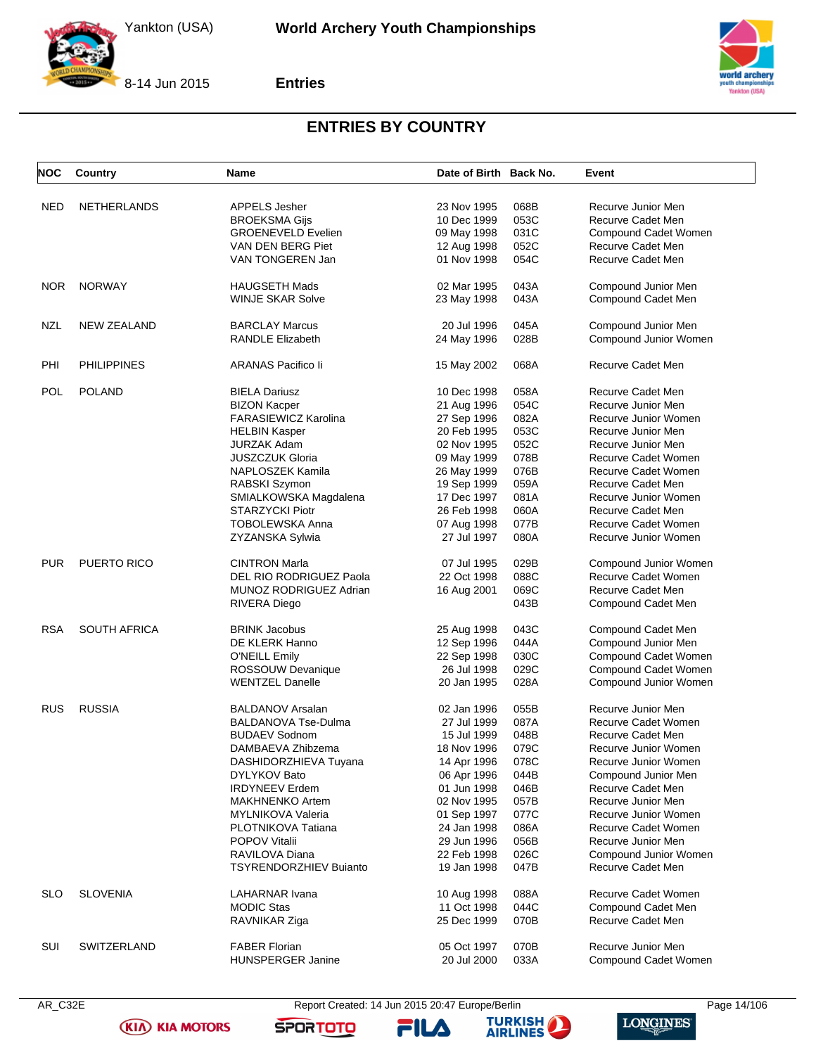



**Entries**



### **ENTRIES BY COUNTRY**

| <b>NOC</b> | Country             | Name                                            | Date of Birth Back No. |      | Event                      |
|------------|---------------------|-------------------------------------------------|------------------------|------|----------------------------|
| <b>NED</b> | <b>NETHERLANDS</b>  | <b>APPELS Jesher</b>                            | 23 Nov 1995            | 068B | Recurve Junior Men         |
|            |                     | <b>BROEKSMA Gijs</b>                            | 10 Dec 1999            | 053C | <b>Recurve Cadet Men</b>   |
|            |                     | <b>GROENEVELD Evelien</b>                       | 09 May 1998            | 031C | Compound Cadet Women       |
|            |                     | VAN DEN BERG Piet                               | 12 Aug 1998            | 052C | Recurve Cadet Men          |
|            |                     | VAN TONGEREN Jan                                | 01 Nov 1998            | 054C | Recurve Cadet Men          |
|            |                     |                                                 |                        |      |                            |
| <b>NOR</b> | <b>NORWAY</b>       | <b>HAUGSETH Mads</b>                            | 02 Mar 1995            | 043A | Compound Junior Men        |
|            |                     | <b>WINJE SKAR Solve</b>                         | 23 May 1998            | 043A | Compound Cadet Men         |
| NZL        | <b>NEW ZEALAND</b>  | <b>BARCLAY Marcus</b>                           | 20 Jul 1996            | 045A | Compound Junior Men        |
|            |                     | <b>RANDLE Elizabeth</b>                         | 24 May 1996            | 028B | Compound Junior Women      |
| PHI        | <b>PHILIPPINES</b>  | ARANAS Pacifico li                              | 15 May 2002            | 068A | Recurve Cadet Men          |
| POL        | <b>POLAND</b>       | <b>BIELA Dariusz</b>                            | 10 Dec 1998            | 058A | Recurve Cadet Men          |
|            |                     | <b>BIZON Kacper</b>                             | 21 Aug 1996            | 054C | Recurve Junior Men         |
|            |                     | FARASIEWICZ Karolina                            | 27 Sep 1996            | 082A | Recurve Junior Women       |
|            |                     | <b>HELBIN Kasper</b>                            | 20 Feb 1995            | 053C | Recurve Junior Men         |
|            |                     | <b>JURZAK Adam</b>                              | 02 Nov 1995            | 052C | Recurve Junior Men         |
|            |                     | <b>JUSZCZUK Gloria</b>                          | 09 May 1999            | 078B | Recurve Cadet Women        |
|            |                     | NAPLOSZEK Kamila                                | 26 May 1999            | 076B | Recurve Cadet Women        |
|            |                     | RABSKI Szymon                                   | 19 Sep 1999            | 059A | Recurve Cadet Men          |
|            |                     |                                                 |                        | 081A |                            |
|            |                     | SMIALKOWSKA Magdalena<br><b>STARZYCKI Piotr</b> | 17 Dec 1997            | 060A | Recurve Junior Women       |
|            |                     |                                                 | 26 Feb 1998            | 077B | Recurve Cadet Men          |
|            |                     | <b>TOBOLEWSKA Anna</b>                          | 07 Aug 1998            |      | Recurve Cadet Women        |
|            |                     | ZYZANSKA Sylwia                                 | 27 Jul 1997            | 080A | Recurve Junior Women       |
| <b>PUR</b> | PUERTO RICO         | <b>CINTRON Marla</b>                            | 07 Jul 1995            | 029B | Compound Junior Women      |
|            |                     | DEL RIO RODRIGUEZ Paola                         | 22 Oct 1998            | 088C | Recurve Cadet Women        |
|            |                     | MUNOZ RODRIGUEZ Adrian                          | 16 Aug 2001            | 069C | Recurve Cadet Men          |
|            |                     | <b>RIVERA Diego</b>                             |                        | 043B | Compound Cadet Men         |
| <b>RSA</b> | <b>SOUTH AFRICA</b> | <b>BRINK Jacobus</b>                            | 25 Aug 1998            | 043C | Compound Cadet Men         |
|            |                     | DE KLERK Hanno                                  | 12 Sep 1996            | 044A | Compound Junior Men        |
|            |                     | <b>O'NEILL Emily</b>                            | 22 Sep 1998            | 030C | Compound Cadet Women       |
|            |                     | ROSSOUW Devanique                               | 26 Jul 1998            | 029C | Compound Cadet Women       |
|            |                     | <b>WENTZEL Danelle</b>                          | 20 Jan 1995            | 028A | Compound Junior Women      |
| <b>RUS</b> | <b>RUSSIA</b>       | <b>BALDANOV Arsalan</b>                         | 02 Jan 1996            | 055B | Recurve Junior Men         |
|            |                     | <b>BALDANOVA Tse-Dulma</b>                      | 27 Jul 1999            | 087A | <b>Recurve Cadet Women</b> |
|            |                     | <b>BUDAEV Sodnom</b>                            | 15 Jul 1999            | 048B | Recurve Cadet Men          |
|            |                     | DAMBAEVA Zhibzema                               | 18 Nov 1996            | 079C | Recurve Junior Women       |
|            |                     | DASHIDORZHIEVA Tuyana                           | 14 Apr 1996            | 078C | Recurve Junior Women       |
|            |                     | DYLYKOV Bato                                    | 06 Apr 1996            | 044B | Compound Junior Men        |
|            |                     | <b>IRDYNEEV Erdem</b>                           | 01 Jun 1998            | 046B | <b>Recurve Cadet Men</b>   |
|            |                     | <b>MAKHNENKO Artem</b>                          | 02 Nov 1995            | 057B | Recurve Junior Men         |
|            |                     | <b>MYLNIKOVA Valeria</b>                        | 01 Sep 1997            | 077C | Recurve Junior Women       |
|            |                     | PLOTNIKOVA Tatiana                              | 24 Jan 1998            | 086A | Recurve Cadet Women        |
|            |                     | <b>POPOV Vitalii</b>                            | 29 Jun 1996            | 056B | Recurve Junior Men         |
|            |                     | RAVILOVA Diana                                  | 22 Feb 1998            | 026C | Compound Junior Women      |
|            |                     | <b>TSYRENDORZHIEV Buianto</b>                   | 19 Jan 1998            | 047B | <b>Recurve Cadet Men</b>   |
|            |                     |                                                 |                        |      |                            |
| <b>SLO</b> | <b>SLOVENIA</b>     | <b>LAHARNAR Ivana</b>                           | 10 Aug 1998            | 088A | Recurve Cadet Women        |
|            |                     | <b>MODIC Stas</b>                               | 11 Oct 1998            | 044C | Compound Cadet Men         |
|            |                     | RAVNIKAR Ziga                                   | 25 Dec 1999            | 070B | Recurve Cadet Men          |
| SUI        | SWITZERLAND         | <b>FABER Florian</b>                            | 05 Oct 1997            | 070B | Recurve Junior Men         |
|            |                     | HUNSPERGER Janine                               | 20 Jul 2000            | 033A | Compound Cadet Women       |

AR\_C32E Report Created: 14 Jun 2015 20:47 Europe/Berlin Page 14/106



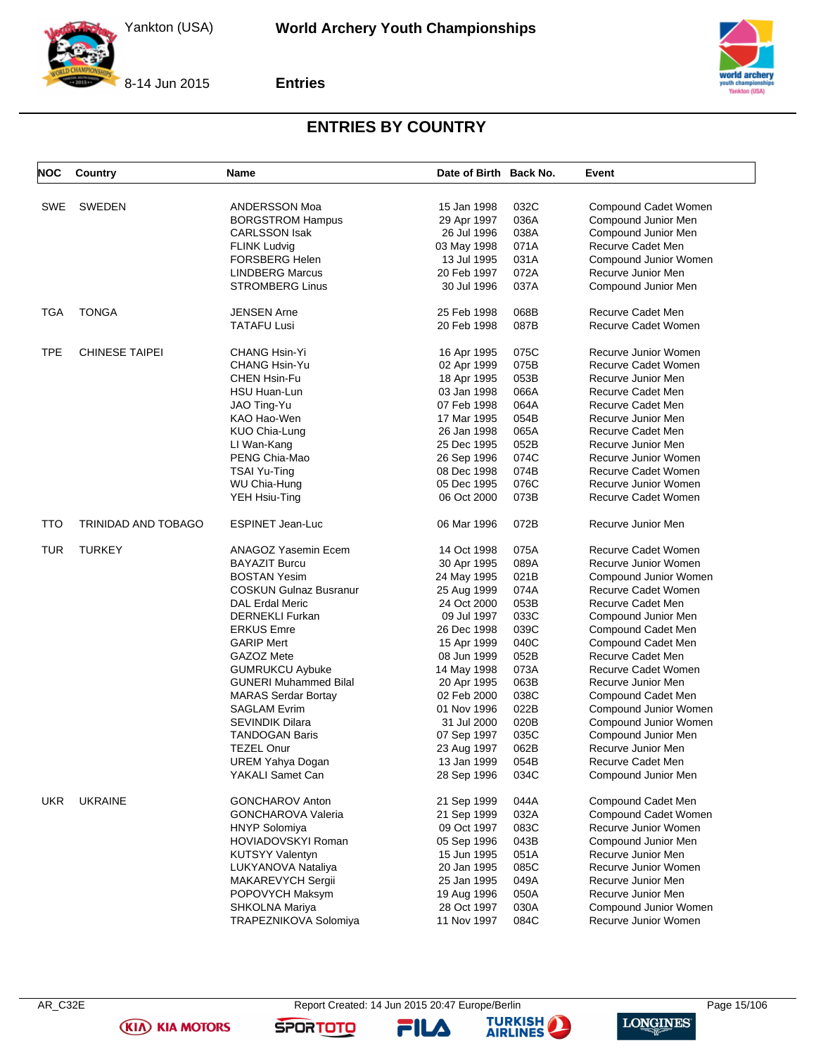



**Entries**



### **ENTRIES BY COUNTRY**

| <b>NOC</b> | Country               | <b>Name</b>                   | Date of Birth Back No. |      | Event                 |
|------------|-----------------------|-------------------------------|------------------------|------|-----------------------|
| SWE        | <b>SWEDEN</b>         | ANDERSSON Moa                 | 15 Jan 1998            | 032C | Compound Cadet Women  |
|            |                       | <b>BORGSTROM Hampus</b>       | 29 Apr 1997            | 036A | Compound Junior Men   |
|            |                       | <b>CARLSSON Isak</b>          | 26 Jul 1996            | 038A | Compound Junior Men   |
|            |                       | <b>FLINK Ludvig</b>           | 03 May 1998            | 071A | Recurve Cadet Men     |
|            |                       | <b>FORSBERG Helen</b>         | 13 Jul 1995            | 031A | Compound Junior Women |
|            |                       |                               |                        |      |                       |
|            |                       | <b>LINDBERG Marcus</b>        | 20 Feb 1997            | 072A | Recurve Junior Men    |
|            |                       | <b>STROMBERG Linus</b>        | 30 Jul 1996            | 037A | Compound Junior Men   |
| <b>TGA</b> | <b>TONGA</b>          | <b>JENSEN Arne</b>            | 25 Feb 1998            | 068B | Recurve Cadet Men     |
|            |                       | <b>TATAFU Lusi</b>            | 20 Feb 1998            | 087B | Recurve Cadet Women   |
| <b>TPE</b> | <b>CHINESE TAIPEI</b> | <b>CHANG Hsin-Yi</b>          | 16 Apr 1995            | 075C | Recurve Junior Women  |
|            |                       | CHANG Hsin-Yu                 | 02 Apr 1999            | 075B | Recurve Cadet Women   |
|            |                       | <b>CHEN Hsin-Fu</b>           |                        | 053B | Recurve Junior Men    |
|            |                       |                               | 18 Apr 1995            |      |                       |
|            |                       | HSU Huan-Lun                  | 03 Jan 1998            | 066A | Recurve Cadet Men     |
|            |                       | JAO Ting-Yu                   | 07 Feb 1998            | 064A | Recurve Cadet Men     |
|            |                       | KAO Hao-Wen                   | 17 Mar 1995            | 054B | Recurve Junior Men    |
|            |                       | KUO Chia-Lung                 | 26 Jan 1998            | 065A | Recurve Cadet Men     |
|            |                       | LI Wan-Kang                   | 25 Dec 1995            | 052B | Recurve Junior Men    |
|            |                       | PENG Chia-Mao                 | 26 Sep 1996            | 074C | Recurve Junior Women  |
|            |                       | <b>TSAI Yu-Ting</b>           | 08 Dec 1998            | 074B | Recurve Cadet Women   |
|            |                       | WU Chia-Hung                  | 05 Dec 1995            | 076C | Recurve Junior Women  |
|            |                       | YEH Hsiu-Ting                 | 06 Oct 2000            | 073B | Recurve Cadet Women   |
| TTO        | TRINIDAD AND TOBAGO   | <b>ESPINET Jean-Luc</b>       | 06 Mar 1996            | 072B | Recurve Junior Men    |
| <b>TUR</b> | <b>TURKEY</b>         | <b>ANAGOZ Yasemin Ecem</b>    | 14 Oct 1998            | 075A | Recurve Cadet Women   |
|            |                       | <b>BAYAZIT Burcu</b>          | 30 Apr 1995            | 089A | Recurve Junior Women  |
|            |                       | <b>BOSTAN Yesim</b>           | 24 May 1995            | 021B | Compound Junior Women |
|            |                       | <b>COSKUN Gulnaz Busranur</b> | 25 Aug 1999            | 074A | Recurve Cadet Women   |
|            |                       | <b>DAL Erdal Meric</b>        | 24 Oct 2000            | 053B | Recurve Cadet Men     |
|            |                       | <b>DERNEKLI Furkan</b>        |                        | 033C |                       |
|            |                       |                               | 09 Jul 1997            |      | Compound Junior Men   |
|            |                       | <b>ERKUS Emre</b>             | 26 Dec 1998            | 039C | Compound Cadet Men    |
|            |                       | <b>GARIP Mert</b>             | 15 Apr 1999            | 040C | Compound Cadet Men    |
|            |                       | GAZOZ Mete                    | 08 Jun 1999            | 052B | Recurve Cadet Men     |
|            |                       | <b>GUMRUKCU Aybuke</b>        | 14 May 1998            | 073A | Recurve Cadet Women   |
|            |                       | <b>GUNERI Muhammed Bilal</b>  | 20 Apr 1995            | 063B | Recurve Junior Men    |
|            |                       | <b>MARAS Serdar Bortay</b>    | 02 Feb 2000            | 038C | Compound Cadet Men    |
|            |                       | <b>SAGLAM Evrim</b>           | 01 Nov 1996            | 022B | Compound Junior Women |
|            |                       | SEVINDIK Dilara               | 31 Jul 2000            | 020B | Compound Junior Women |
|            |                       | <b>TANDOGAN Baris</b>         | 07 Sep 1997            | 035C | Compound Junior Men   |
|            |                       | <b>TEZEL Onur</b>             | 23 Aug 1997            | 062B | Recurve Junior Men    |
|            |                       | UREM Yahya Dogan              | 13 Jan 1999            | 054B | Recurve Cadet Men     |
|            |                       | YAKALI Samet Can              | 28 Sep 1996            | 034C | Compound Junior Men   |
| <b>UKR</b> | <b>UKRAINE</b>        | <b>GONCHAROV Anton</b>        | 21 Sep 1999            | 044A | Compound Cadet Men    |
|            |                       |                               |                        |      |                       |
|            |                       | GONCHAROVA Valeria            | 21 Sep 1999            | 032A | Compound Cadet Women  |
|            |                       | <b>HNYP Solomiya</b>          | 09 Oct 1997            | 083C | Recurve Junior Women  |
|            |                       | <b>HOVIADOVSKYI Roman</b>     | 05 Sep 1996            | 043B | Compound Junior Men   |
|            |                       | <b>KUTSYY Valentyn</b>        | 15 Jun 1995            | 051A | Recurve Junior Men    |
|            |                       | LUKYANOVA Nataliya            | 20 Jan 1995            | 085C | Recurve Junior Women  |
|            |                       | MAKAREVYCH Sergii             | 25 Jan 1995            | 049A | Recurve Junior Men    |
|            |                       | POPOVYCH Maksym               | 19 Aug 1996            | 050A | Recurve Junior Men    |
|            |                       | SHKOLNA Mariya                | 28 Oct 1997            | 030A | Compound Junior Women |
|            |                       | TRAPEZNIKOVA Solomiya         | 11 Nov 1997            | 084C | Recurve Junior Women  |

**(KIA) KIA MOTORS** 

FILA



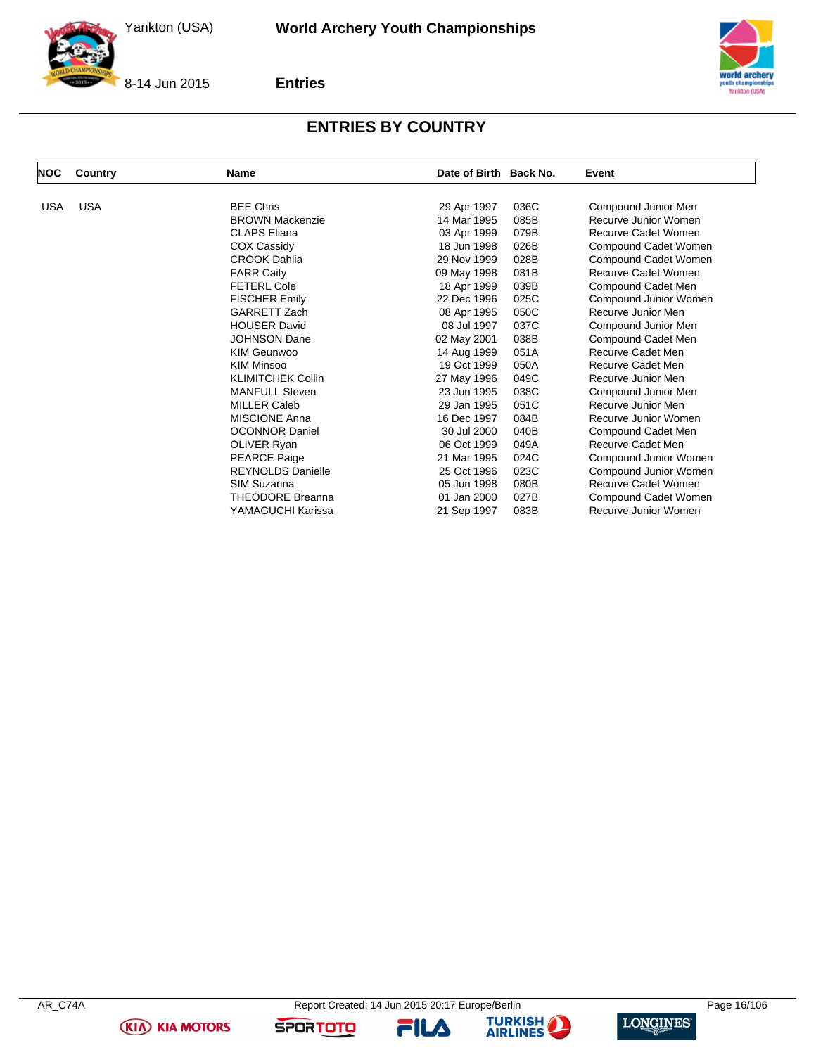



8-14 Jun 2015

**Entries**



### **ENTRIES BY COUNTRY**

| <b>NOC</b> | Country    | Name                     | Date of Birth Back No. |      | Event                      |
|------------|------------|--------------------------|------------------------|------|----------------------------|
| <b>USA</b> | <b>USA</b> | <b>BEE Chris</b>         | 29 Apr 1997            | 036C | Compound Junior Men        |
|            |            | <b>BROWN Mackenzie</b>   | 14 Mar 1995            | 085B | Recurve Junior Women       |
|            |            | <b>CLAPS Eliana</b>      | 03 Apr 1999            | 079B | <b>Recurve Cadet Women</b> |
|            |            | <b>COX Cassidy</b>       | 18 Jun 1998            | 026B | Compound Cadet Women       |
|            |            | <b>CROOK Dahlia</b>      | 29 Nov 1999            | 028B | Compound Cadet Women       |
|            |            | <b>FARR Caity</b>        | 09 May 1998            | 081B | Recurve Cadet Women        |
|            |            | <b>FETERL Cole</b>       | 18 Apr 1999            | 039B | Compound Cadet Men         |
|            |            | <b>FISCHER Emily</b>     | 22 Dec 1996            | 025C | Compound Junior Women      |
|            |            | <b>GARRETT Zach</b>      | 08 Apr 1995            | 050C | Recurve Junior Men         |
|            |            | <b>HOUSER David</b>      | 08 Jul 1997            | 037C | Compound Junior Men        |
|            |            | <b>JOHNSON Dane</b>      | 02 May 2001            | 038B | Compound Cadet Men         |
|            |            | <b>KIM Geunwoo</b>       | 14 Aug 1999            | 051A | Recurve Cadet Men          |
|            |            | <b>KIM Minsoo</b>        | 19 Oct 1999            | 050A | Recurve Cadet Men          |
|            |            | <b>KLIMITCHEK Collin</b> | 27 May 1996            | 049C | Recurve Junior Men         |
|            |            | <b>MANFULL Steven</b>    | 23 Jun 1995            | 038C | Compound Junior Men        |
|            |            | <b>MILLER Caleb</b>      | 29 Jan 1995            | 051C | Recurve Junior Men         |
|            |            | <b>MISCIONE Anna</b>     | 16 Dec 1997            | 084B | Recurve Junior Women       |
|            |            | <b>OCONNOR Daniel</b>    | 30 Jul 2000            | 040B | Compound Cadet Men         |
|            |            | <b>OLIVER Ryan</b>       | 06 Oct 1999            | 049A | Recurve Cadet Men          |
|            |            | <b>PEARCE Paige</b>      | 21 Mar 1995            | 024C | Compound Junior Women      |
|            |            | <b>REYNOLDS Danielle</b> | 25 Oct 1996            | 023C | Compound Junior Women      |
|            |            | SIM Suzanna              | 05 Jun 1998            | 080B | Recurve Cadet Women        |
|            |            | <b>THEODORE Breanna</b>  | 01 Jan 2000            | 027B | Compound Cadet Women       |
|            |            | YAMAGUCHI Karissa        | 21 Sep 1997            | 083B | Recurve Junior Women       |

**(KIA) KIA MOTORS** 





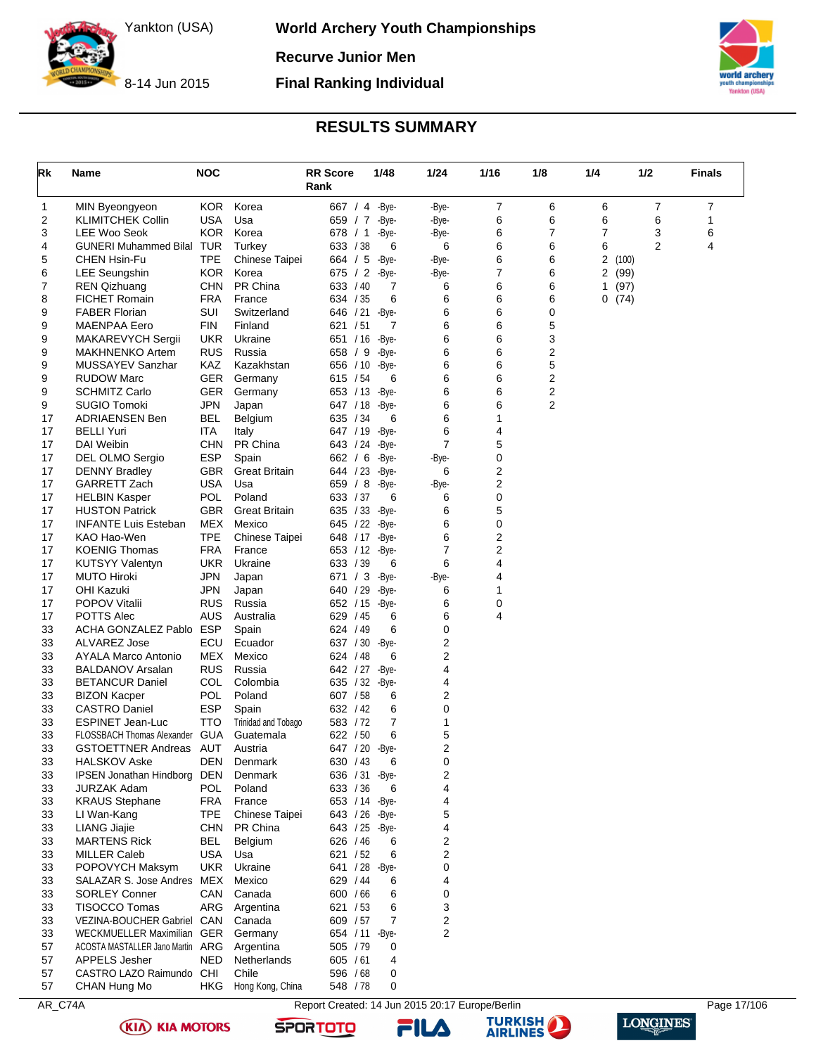**World Archery Youth Championships**

**Recurve Junior Men**

**Final Ranking Individual**

8-14 Jun 2015

## **TISA)**

### **RESULTS SUMMARY**

<span id="page-17-0"></span>

| Rk       | Name                                       | <b>NOC</b>               |                            | <b>RR Score</b><br>Rank     | 1/48  | 1/24   | 1/16   | 1/8    | 1/4    | 1/2            | <b>Finals</b> |
|----------|--------------------------------------------|--------------------------|----------------------------|-----------------------------|-------|--------|--------|--------|--------|----------------|---------------|
| 1        | MIN Byeongyeon                             | <b>KOR</b>               | Korea                      | 667 / 4 - Bye-              |       | -Bye-  | 7      | 6      | 6      | 7              | 7             |
| 2        | <b>KLIMITCHEK Collin</b>                   | <b>USA</b>               | Usa                        | 659 / 7                     | -Bye- | -Bye-  | 6      | 6      | 6      | 6              | 1             |
| 3        | LEE Woo Seok                               | <b>KOR</b>               | Korea                      | 678 / 1                     | -Bye- | -Bye-  | 6      | 7      | 7      | 3              | 6             |
| 4        | <b>GUNERI Muhammed Bilal TUR</b>           |                          | Turkey                     | 633 / 38                    | 6     | 6      | 6      | 6      | 6      | $\overline{2}$ | 4             |
| 5        | CHEN Hsin-Fu                               | <b>TPE</b>               | <b>Chinese Taipei</b>      | 664 / 5                     | -Bye- | -Bye-  | 6      | 6      | 2(100) |                |               |
| 6        | <b>LEE Seungshin</b>                       | KOR.                     | Korea                      | 675 / 2                     | -Bye- | -Bye-  | 7      | 6      | 2      | (99)           |               |
| 7        | <b>REN Qizhuang</b>                        | <b>CHN</b>               | PR China                   | 633 / 40                    | 7     | 6      | 6      | 6      | 1      | (97)           |               |
| 8        | <b>FICHET Romain</b>                       | <b>FRA</b>               | France                     | 634 / 35                    | 6     | 6      | 6      | 6      | 0(74)  |                |               |
| 9        | <b>FABER Florian</b>                       | SUI                      | Switzerland                | 646 / 21                    | -Bye- | 6      | 6      | 0      |        |                |               |
| 9        | MAENPAA Eero                               | <b>FIN</b>               | Finland                    | 621 / 51                    | 7     | 6      | 6      | 5      |        |                |               |
| 9        | MAKAREVYCH Sergii                          | <b>UKR</b>               | Ukraine                    | 651 / 16                    | -Bye- | 6      | 6      | 3      |        |                |               |
| 9        | <b>MAKHNENKO Artem</b>                     | <b>RUS</b>               | Russia                     | 658 / 9                     | -Bye- | 6      | 6      | 2      |        |                |               |
| 9        | MUSSAYEV Sanzhar<br><b>RUDOW Marc</b>      | KAZ<br><b>GER</b>        | Kazakhstan                 | 656 / 10 - Bye -            | 6     | 6<br>6 | 6<br>6 | 5<br>2 |        |                |               |
| 9<br>9   | <b>SCHMITZ Carlo</b>                       | <b>GER</b>               | Germany<br>Germany         | 615 / 54<br>653 / 13 - Bye- |       | 6      | 6      | 2      |        |                |               |
| 9        | <b>SUGIO Tomoki</b>                        | <b>JPN</b>               | Japan                      | 647 / 18 - Bye-             |       | 6      | 6      | 2      |        |                |               |
| 17       | <b>ADRIAENSEN Ben</b>                      | <b>BEL</b>               | Belgium                    | 635 / 34                    | 6     | 6      | 1      |        |        |                |               |
| 17       | BELLI Yuri                                 | <b>ITA</b>               | Italy                      | 647 / 19 - Bye-             |       | 6      | 4      |        |        |                |               |
| 17       | <b>DAI Weibin</b>                          | <b>CHN</b>               | PR China                   | 643 / 24 - Bye-             |       | 7      | 5      |        |        |                |               |
| 17       | DEL OLMO Sergio                            | <b>ESP</b>               | Spain                      | 662 / 6 - Bye-              |       | -Bye-  | 0      |        |        |                |               |
| 17       | <b>DENNY Bradley</b>                       | <b>GBR</b>               | <b>Great Britain</b>       | 644 / 23 - Bye-             |       | 6      | 2      |        |        |                |               |
| 17       | GARRETT Zach                               | <b>USA</b>               | Usa                        | 659 / 8 -Bye-               |       | -Bye-  | 2      |        |        |                |               |
| 17       | HELBIN Kasper                              | <b>POL</b>               | Poland                     | 633 / 37                    | 6     | 6      | 0      |        |        |                |               |
| 17       | <b>HUSTON Patrick</b>                      | <b>GBR</b>               | <b>Great Britain</b>       | 635 / 33 - Bye-             |       | 6      | 5      |        |        |                |               |
| 17       | <b>INFANTE Luis Esteban</b>                | MEX                      | Mexico                     | 645 / 22 - Bye-             |       | 6      | 0      |        |        |                |               |
| 17       | KAO Hao-Wen                                | <b>TPE</b>               | Chinese Taipei             | 648 / 17 - Bye-             |       | 6      | 2      |        |        |                |               |
| 17       | <b>KOENIG Thomas</b>                       | <b>FRA</b>               | France                     | 653 / 12 - Bye-             |       | 7      | 2      |        |        |                |               |
| 17       | <b>KUTSYY Valentyn</b>                     | <b>UKR</b>               | Ukraine                    | 633 / 39                    | 6     | 6      | 4      |        |        |                |               |
| 17       | <b>MUTO Hiroki</b>                         | <b>JPN</b>               | Japan                      | 671 / 3 -Bye-               |       | -Bye-  | 4      |        |        |                |               |
| 17<br>17 | OHI Kazuki<br><b>POPOV Vitalii</b>         | <b>JPN</b><br><b>RUS</b> | Japan<br>Russia            | 640 / 29 - Bye-             |       | 6<br>6 | 1<br>0 |        |        |                |               |
| 17       | <b>POTTS Alec</b>                          | AUS                      | Australia                  | 652 / 15 - Bye-<br>629 / 45 | 6     | 6      | 4      |        |        |                |               |
| 33       | ACHA GONZALEZ Pablo                        | <b>ESP</b>               | Spain                      | 624 / 49                    | 6     | 0      |        |        |        |                |               |
| 33       | <b>ALVAREZ Jose</b>                        | ECU                      | Ecuador                    | 637 / 30 - Bye-             |       | 2      |        |        |        |                |               |
| 33       | AYALA Marco Antonio                        | MEX                      | Mexico                     | 624 / 48                    | 6     | 2      |        |        |        |                |               |
| 33       | <b>BALDANOV Arsalan</b>                    | <b>RUS</b>               | Russia                     | 642 / 27 - Bye-             |       | 4      |        |        |        |                |               |
| 33       | <b>BETANCUR Daniel</b>                     | COL                      | Colombia                   | 635 / 32 - Bye-             |       | 4      |        |        |        |                |               |
| 33       | <b>BIZON Kacper</b>                        | POL                      | Poland                     | 607 / 58                    | 6     | 2      |        |        |        |                |               |
| 33       | <b>CASTRO Daniel</b>                       | <b>ESP</b>               | Spain                      | 632 / 42                    | 6     | 0      |        |        |        |                |               |
| 33       | <b>ESPINET Jean-Luc</b>                    | <b>TTO</b>               | Trinidad and Tobago        | 583 / 72                    | 7     | 1      |        |        |        |                |               |
| 33       | FLOSSBACH Thomas Alexander GUA             |                          | Guatemala                  | 622 / 50                    | 6     | 5      |        |        |        |                |               |
| 33       | GSTOETTNER Andreas                         | AUT                      | Austria                    | 647 / 20 - Bye-             |       | 2      |        |        |        |                |               |
| 33       | <b>HALSKOV Aske</b>                        | <b>DEN</b>               | Denmark                    | 630 / 43                    | 6     | 0      |        |        |        |                |               |
| 33       | <b>IPSEN Jonathan Hindborg</b>             | <b>DEN</b>               | Denmark                    | 636 / 31 - Bye-             |       | 2      |        |        |        |                |               |
| 33       | <b>JURZAK Adam</b>                         | <b>POL</b>               | Poland                     | 633 / 36                    | 6     | 4      |        |        |        |                |               |
| 33       | <b>KRAUS Stephane</b>                      | FRA                      | France                     | 653 / 14 - Bye-             |       | 4      |        |        |        |                |               |
| 33<br>33 | LI Wan-Kang                                | <b>TPE</b><br><b>CHN</b> | Chinese Taipei<br>PR China | 643 / 26 - Bye-             |       | 5      |        |        |        |                |               |
| 33       | <b>LIANG Jiajie</b><br><b>MARTENS Rick</b> | <b>BEL</b>               | Belgium                    | 643 / 25 - Bye-<br>626 / 46 | 6     | 4<br>2 |        |        |        |                |               |
| 33       | <b>MILLER Caleb</b>                        | <b>USA</b>               | Usa                        | 621 / 52                    | 6     | 2      |        |        |        |                |               |
| 33       | POPOVYCH Maksym                            | <b>UKR</b>               | Ukraine                    | 641 / 28 - Bye-             |       | 0      |        |        |        |                |               |
| 33       | SALAZAR S. Jose Andres MEX                 |                          | Mexico                     | 629 / 44                    | 6     | 4      |        |        |        |                |               |
| 33       | SORLEY Conner                              | CAN                      | Canada                     | 600 / 66                    | 6     | 0      |        |        |        |                |               |
| 33       | TISOCCO Tomas                              | ARG                      | Argentina                  | 621 / 53                    | 6     | 3      |        |        |        |                |               |
| 33       | VEZINA-BOUCHER Gabriel CAN                 |                          | Canada                     | 609 / 57                    | 7     | 2      |        |        |        |                |               |
| 33       | WECKMUELLER Maximilian GER                 |                          | Germany                    | 654 / 11 - Bye-             |       | 2      |        |        |        |                |               |
| 57       | ACOSTA MASTALLER Jano Martin ARG           |                          | Argentina                  | 505 / 79                    | 0     |        |        |        |        |                |               |
| 57       | APPELS Jesher                              | <b>NED</b>               | Netherlands                | 605 / 61                    | 4     |        |        |        |        |                |               |
| 57       | CASTRO LAZO Raimundo CHI                   |                          | Chile                      | 596 / 68                    | 0     |        |        |        |        |                |               |
| 57       | CHAN Hung Mo                               | <b>HKG</b>               | Hong Kong, China           | 548 / 78                    | 0     |        |        |        |        |                |               |

AR\_C74A Report Created: 14 Jun 2015 20:17 Europe/Berlin Page 17/106





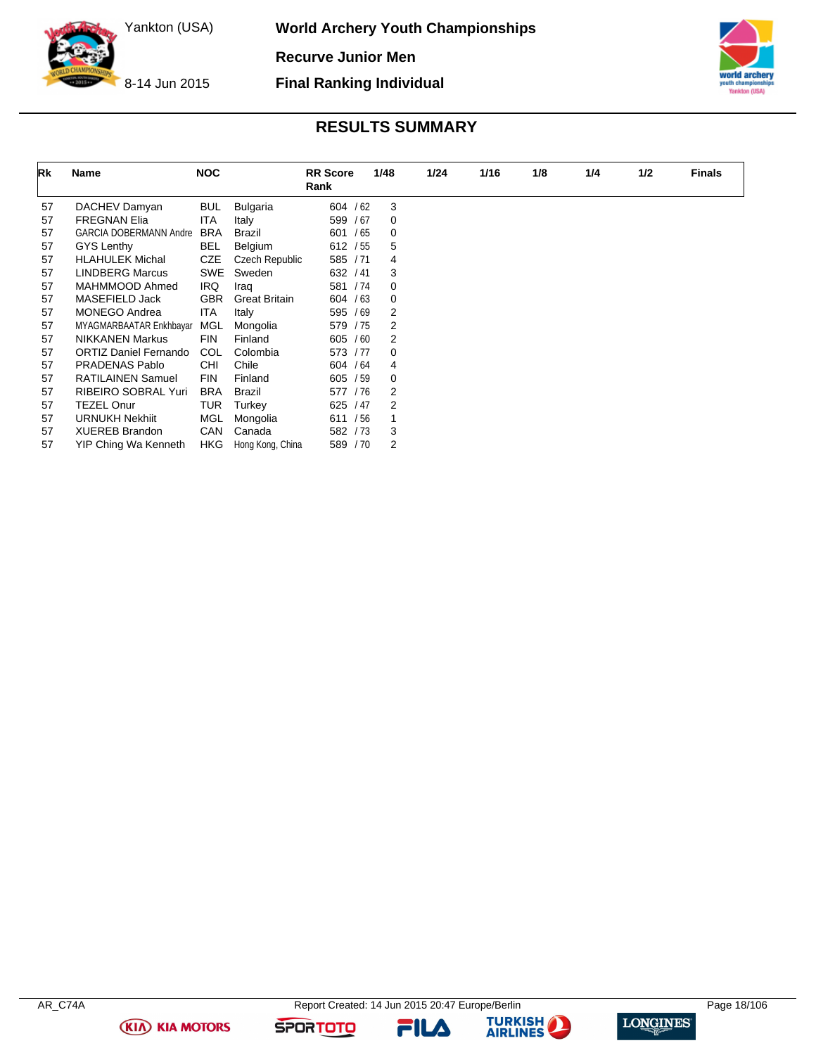**World Archery Youth Championships**

**Recurve Junior Men**

**Final Ranking Individual**



8-14 Jun 2015

### **RESULTS SUMMARY**

| Rk | Name                         | <b>NOC</b> |                      | <b>RR</b> Score<br>Rank | 1/48 | 1/24 | 1/16 | 1/8 | 1/4 | 1/2 | <b>Finals</b> |
|----|------------------------------|------------|----------------------|-------------------------|------|------|------|-----|-----|-----|---------------|
| 57 | DACHEV Damyan                | <b>BUL</b> | <b>Bulgaria</b>      | 604 / 62                |      | 3    |      |     |     |     |               |
| 57 | <b>FREGNAN Elia</b>          | <b>ITA</b> | Italy                | 599 / 67                |      | 0    |      |     |     |     |               |
| 57 | GARCIA DOBERMANN Andre       | <b>BRA</b> | Brazil               | /65<br>601              |      | 0    |      |     |     |     |               |
| 57 | GYS Lenthy                   | <b>BEL</b> | Belgium              | 612 / 55                |      | 5    |      |     |     |     |               |
| 57 | <b>HLAHULEK Michal</b>       | <b>CZE</b> | Czech Republic       | 585 / 71                |      | 4    |      |     |     |     |               |
| 57 | <b>LINDBERG Marcus</b>       | SWE        | Sweden               | 632 / 41                |      | 3    |      |     |     |     |               |
| 57 | MAHMMOOD Ahmed               | <b>IRQ</b> | Iraq                 | 581 / 74                |      | 0    |      |     |     |     |               |
| 57 | MASEFIELD Jack               | <b>GBR</b> | <b>Great Britain</b> | 604 / 63                |      | 0    |      |     |     |     |               |
| 57 | <b>MONEGO Andrea</b>         | ITA        | Italy                | 595 / 69                |      | 2    |      |     |     |     |               |
| 57 | MYAGMARBAATAR Enkhbayar      | MGL        | Mongolia             | 579 / 75                |      | 2    |      |     |     |     |               |
| 57 | <b>NIKKANEN Markus</b>       | <b>FIN</b> | Finland              | 605 / 60                |      | 2    |      |     |     |     |               |
| 57 | <b>ORTIZ Daniel Fernando</b> | COL        | Colombia             | 573 / 77                |      | 0    |      |     |     |     |               |
| 57 | PRADENAS Pablo               | CHI        | Chile                | 604 / 64                |      | 4    |      |     |     |     |               |
| 57 | <b>RATILAINEN Samuel</b>     | <b>FIN</b> | Finland              | 605 / 59                |      | 0    |      |     |     |     |               |
| 57 | <b>RIBEIRO SOBRAL Yuri</b>   | <b>BRA</b> | Brazil               | 577 / 76                |      | 2    |      |     |     |     |               |
| 57 | <b>TEZEL Onur</b>            | TUR        | Turkey               | 625 / 47                |      | 2    |      |     |     |     |               |
| 57 | <b>URNUKH Nekhiit</b>        | MGL        | Mongolia             | /56<br>611              | 1    |      |      |     |     |     |               |
| 57 | <b>XUEREB Brandon</b>        | CAN        | Canada               | 582 / 73                |      | 3    |      |     |     |     |               |
| 57 | YIP Ching Wa Kenneth         | HKG.       | Hong Kong, China     | 589 / 70                |      | 2    |      |     |     |     |               |

**(KIA) KIA MOTORS** 

FILA



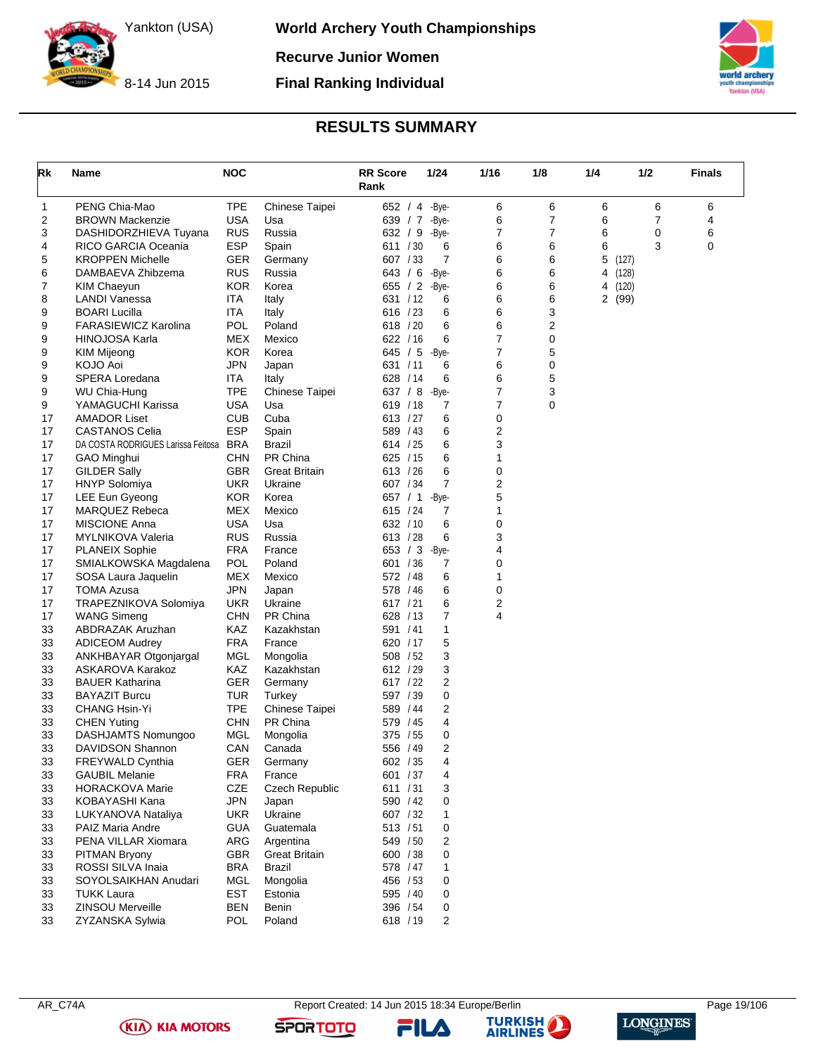

8-14 Jun 2015

### **TISA)**

### **RESULTS SUMMARY**

**Final Ranking Individual**

<span id="page-19-0"></span>

| Rk       | Name                                       | <b>NOC</b>        |                       | <b>RR Score</b><br>Rank | 1/24           | 1/16   | 1/8            | 1/4        | 1/2            | <b>Finals</b> |
|----------|--------------------------------------------|-------------------|-----------------------|-------------------------|----------------|--------|----------------|------------|----------------|---------------|
| 1        | PENG Chia-Mao                              | <b>TPE</b>        | Chinese Taipei        | 652 / 4 -Bye-           |                | 6      | 6              | 6          | 6              | 6             |
| 2        | <b>BROWN Mackenzie</b>                     | <b>USA</b>        | Usa                   | 639 / 7                 | -Bye-          | 6      | $\overline{7}$ | 6          | $\overline{7}$ | 4             |
| 3        | DASHIDORZHIEVA Tuyana                      | <b>RUS</b>        | Russia                | 632 / 9                 | -Bye-          | 7      | 7              | 6          | 0              | 6             |
| 4        | RICO GARCIA Oceania                        | <b>ESP</b>        | Spain                 | 611 / 30                | 6              | 6      | 6              | 6          | 3              | 0             |
| 5        | <b>KROPPEN Michelle</b>                    | GER               | Germany               | 607 / 33                | $\overline{7}$ | 6      | 6              | 5<br>(127) |                |               |
| 6        | DAMBAEVA Zhibzema                          | <b>RUS</b>        | Russia                | 643 / 6                 | -Bye-          | 6      | 6              | 4<br>(128) |                |               |
| 7        | <b>KIM Chaeyun</b>                         | <b>KOR</b>        | Korea                 | 655 / 2                 | -Bye-          | 6      | 6              | 4<br>(120) |                |               |
| 8        | <b>LANDI Vanessa</b>                       | ITA               | Italy                 | 631 / 12                | 6              | 6      | 6              | 2 (99)     |                |               |
| 9        | <b>BOARI Lucilla</b>                       | <b>ITA</b>        | Italy                 | 616 / 23                | 6              | 6      | 3              |            |                |               |
| 9        | <b>FARASIEWICZ Karolina</b>                | <b>POL</b>        | Poland                | 618 / 20                | 6              | 6      | 2              |            |                |               |
| 9        | HINOJOSA Karla                             | <b>MEX</b>        | Mexico                | 622 / 16                | 6              | 7      | 0              |            |                |               |
| 9        | KIM Mijeong                                | <b>KOR</b>        | Korea                 | 645 / 5                 | -Bye-          | 7      | 5              |            |                |               |
| 9        | KOJO Aoi                                   | <b>JPN</b>        | Japan                 | 631 / 11                | 6              | 6      | 0              |            |                |               |
| 9        | SPERA Loredana                             | <b>ITA</b>        | Italy                 | 628 / 14                | 6              | 6      | 5              |            |                |               |
| 9        | WU Chia-Hung                               | <b>TPE</b>        | Chinese Taipei        | 637 / 8                 | -Bye-          | 7      | 3              |            |                |               |
| 9        | YAMAGUCHI Karissa                          | <b>USA</b>        | Usa                   | 619 / 18                | 7              | 7      | 0              |            |                |               |
| 17       | <b>AMADOR Liset</b>                        | <b>CUB</b>        | Cuba                  | 613 / 27                | 6              | 0      |                |            |                |               |
| 17       | <b>CASTANOS Celia</b>                      | <b>ESP</b>        | Spain                 | 589 / 43                | 6              | 2      |                |            |                |               |
| 17       | DA COSTA RODRIGUES Larissa Feitosa BRA     |                   | Brazil                | 614 / 25                | 6              | 3      |                |            |                |               |
| 17       | <b>GAO Minghui</b>                         | <b>CHN</b>        | PR China              | 625 / 15                | 6              | 1      |                |            |                |               |
| 17       | <b>GILDER Sally</b>                        | <b>GBR</b>        | <b>Great Britain</b>  | 613 / 26                | 6              | 0      |                |            |                |               |
| 17       | <b>HNYP</b> Solomiya                       | <b>UKR</b>        | Ukraine               | 607 / 34                | 7              | 2      |                |            |                |               |
| 17       | LEE Eun Gyeong                             | <b>KOR</b>        | Korea                 | 657 / 1                 | -Bye-          | 5      |                |            |                |               |
| 17       | <b>MARQUEZ Rebeca</b>                      | <b>MEX</b>        | Mexico                | 615 / 24                | 7              | 1      |                |            |                |               |
| 17       | <b>MISCIONE Anna</b>                       | <b>USA</b>        | Usa                   | 632 / 10                | 6              | 0      |                |            |                |               |
| 17       | <b>MYLNIKOVA Valeria</b>                   | <b>RUS</b>        | Russia                | 613 / 28                | 6              | 3      |                |            |                |               |
| 17       | <b>PLANEIX Sophie</b>                      | <b>FRA</b>        | France                | 653 / 3                 | -Bye-          | 4      |                |            |                |               |
| 17       | SMIALKOWSKA Magdalena                      | <b>POL</b>        | Poland                | 601 / 36                | 7              | 0      |                |            |                |               |
| 17       | SOSA Laura Jaquelin                        | <b>MEX</b>        | Mexico                | 572 / 48                | 6              | 1      |                |            |                |               |
| 17       | <b>TOMA Azusa</b>                          | <b>JPN</b>        | Japan                 | 578 / 46                | 6              | 0      |                |            |                |               |
| 17       | TRAPEZNIKOVA Solomiya                      | <b>UKR</b>        | Ukraine               | 617 / 21                | 6              | 2<br>4 |                |            |                |               |
| 17       | <b>WANG Simeng</b>                         | <b>CHN</b>        | PR China              | 628 / 13                | 7              |        |                |            |                |               |
| 33       | ABDRAZAK Aruzhan                           | KAZ<br><b>FRA</b> | Kazakhstan            | 591 / 41                | 1              |        |                |            |                |               |
| 33       | <b>ADICEOM Audrey</b>                      |                   | France                | 620 / 17                | 5              |        |                |            |                |               |
| 33       | ANKHBAYAR Otgonjargal                      | <b>MGL</b><br>KAZ | Mongolia              | 508 / 52                | 3              |        |                |            |                |               |
| 33<br>33 | ASKAROVA Karakoz<br><b>BAUER Katharina</b> | GER               | Kazakhstan            | 612 / 29<br>617 / 22    | 3<br>2         |        |                |            |                |               |
| 33       | <b>BAYAZIT Burcu</b>                       | TUR               | Germany<br>Turkey     | 597 / 39                | 0              |        |                |            |                |               |
| 33       | CHANG Hsin-Yi                              | <b>TPE</b>        | Chinese Taipei        | 589 / 44                | 2              |        |                |            |                |               |
| 33       | <b>CHEN Yuting</b>                         | <b>CHN</b>        | PR China              | 579 / 45                | 4              |        |                |            |                |               |
| 33       | DASHJAMTS Nomungoo                         | MGL               | Mongolia              | 375 / 55                | 0              |        |                |            |                |               |
| 33       | DAVIDSON Shannon                           | CAN               | Canada                | 556 / 49                | 2              |        |                |            |                |               |
| 33       | FREYWALD Cynthia                           | <b>GER</b>        | Germany               | 602 / 35                | 4              |        |                |            |                |               |
| 33       | <b>GAUBIL Melanie</b>                      | <b>FRA</b>        | France                | 601 / 37                | 4              |        |                |            |                |               |
| 33       | <b>HORACKOVA Marie</b>                     | CZE               | <b>Czech Republic</b> | 611 / 31                | 3              |        |                |            |                |               |
| 33       | KOBAYASHI Kana                             | <b>JPN</b>        | Japan                 | 590 / 42                | 0              |        |                |            |                |               |
| 33       | LUKYANOVA Nataliya                         | <b>UKR</b>        | Ukraine               | 607 / 32                | 1              |        |                |            |                |               |
| 33       | PAIZ Maria Andre                           | <b>GUA</b>        | Guatemala             | 513 / 51                | 0              |        |                |            |                |               |
| 33       | PENA VILLAR Xiomara                        | ARG               | Argentina             | 549 / 50                | 2              |        |                |            |                |               |
| 33       | PITMAN Bryony                              | GBR               | Great Britain         | 600 / 38                | 0              |        |                |            |                |               |
| 33       | ROSSI SILVA Inaia                          | <b>BRA</b>        | <b>Brazil</b>         | 578 / 47                | 1              |        |                |            |                |               |
| 33       | SOYOLSAIKHAN Anudari                       | MGL               | Mongolia              | 456 / 53                | 0              |        |                |            |                |               |
| 33       | <b>TUKK Laura</b>                          | <b>EST</b>        | Estonia               | 595 / 40                | 0              |        |                |            |                |               |
| 33       | <b>ZINSOU Merveille</b>                    | BEN               | Benin                 | 396 / 54                | 0              |        |                |            |                |               |
| 33       | ZYZANSKA Sylwia                            | <b>POL</b>        | Poland                | 618 / 19                | 2              |        |                |            |                |               |

**(KIA) KIA MOTORS** 



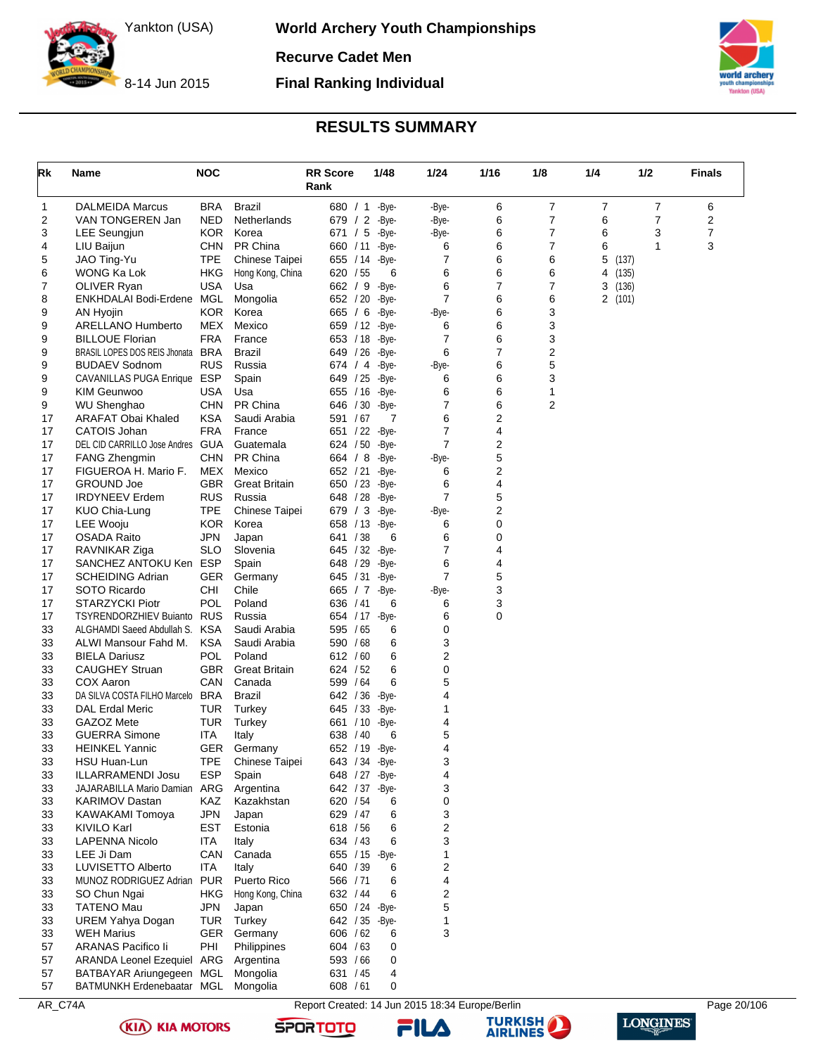**World Archery Youth Championships**

**Recurve Cadet Men**

8-14 Jun 2015

**Final Ranking Individual**



### **RESULTS SUMMARY**

<span id="page-20-0"></span>

| Rk       | Name                                                | <b>NOC</b>        |                      | <b>RR</b> Score<br>Rank     | 1/48  | $1/24$ |            | 1/16   | 1/8            | 1/4    | 1/2   | <b>Finals</b>  |
|----------|-----------------------------------------------------|-------------------|----------------------|-----------------------------|-------|--------|------------|--------|----------------|--------|-------|----------------|
| 1        | <b>DALMEIDA Marcus</b>                              | <b>BRA</b>        | Brazil               | 680 / 1                     | -Bye- |        | -Bye-      | 6      | 7              | 7      | 7     | 6              |
| 2        | VAN TONGEREN Jan                                    | <b>NED</b>        | Netherlands          | 679 / 2                     | -Bye- |        | -Bye-      | 6      | $\overline{7}$ | 6      | 7     | 2              |
| 3        | LEE Seungjun                                        | <b>KOR</b>        | Korea                | 671 / 5                     | -Bye- |        | -Bye-      | 6      | 7              | 6      | 3     | $\overline{7}$ |
| 4        | LIU Baijun                                          | <b>CHN</b>        | PR China             | 660 / 11 - Bye-             |       |        | 6          | 6      | 7              | 6      | 1     | 3              |
| 5        | JAO Ting-Yu                                         | <b>TPE</b>        | Chinese Taipei       | 655 / 14 - Bye-             |       |        | 7          | 6      | 6              | 5      | (137) |                |
| 6        | WONG Ka Lok                                         | <b>HKG</b>        | Hong Kong, China     | 620 / 55                    |       | 6      | 6          | 6      | 6              | 4      | (135) |                |
| 7        | <b>OLIVER Ryan</b>                                  | USA               | Usa                  | 662 / 9 - Bye-              |       |        | 6          | 7      | 7              | 3      | (136) |                |
| 8        | ENKHDALAI Bodi-Erdene MGL                           |                   | Mongolia             | 652 / 20                    | -Bye- |        | 7          | 6      | 6              | 2(101) |       |                |
| 9        | AN Hyojin                                           | <b>KOR</b>        | Korea                | 665 / 6                     | -Bye- |        | -Bye-      | 6      | 3              |        |       |                |
| 9        | <b>ARELLANO Humberto</b>                            | MEX               | Mexico               | 659 / 12 - Bye-             |       |        | 6          | 6      | 3              |        |       |                |
| 9        | <b>BILLOUE Florian</b>                              | <b>FRA</b>        | France               | 653 / 18 - Bye-             |       |        | 7          | 6      | 3              |        |       |                |
| 9        | BRASIL LOPES DOS REIS Jhonata BRA                   | <b>RUS</b>        | <b>Brazil</b>        | 649 / 26 - Bye-             |       |        | 6          | 7<br>6 | 2<br>5         |        |       |                |
| 9<br>9   | <b>BUDAEV Sodnom</b><br>CAVANILLAS PUGA Enrique ESP |                   | Russia<br>Spain      | 674 / 4 - Bye-<br>649 / 25  | -Bye- |        | -Bye-<br>6 | 6      | 3              |        |       |                |
| 9        | KIM Geunwoo                                         | <b>USA</b>        | Usa                  | 655 / 16 - Bye -            |       |        | 6          | 6      | 1              |        |       |                |
| 9        | <b>WU Shenghao</b>                                  | <b>CHN</b>        | PR China             | 646 / 30 - Bye-             |       |        | 7          | 6      | 2              |        |       |                |
| 17       | ARAFAT Obai Khaled                                  | <b>KSA</b>        | Saudi Arabia         | 591 / 67                    |       | 7      | 6          | 2      |                |        |       |                |
| 17       | <b>CATOIS Johan</b>                                 | <b>FRA</b>        | France               | 651 / 22 - Bye-             |       |        | 7          | 4      |                |        |       |                |
| 17       | DEL CID CARRILLO Jose Andres GUA                    |                   | Guatemala            | 624 / 50                    | -Bye- |        | 7          | 2      |                |        |       |                |
| 17       | <b>FANG Zhengmin</b>                                | <b>CHN</b>        | PR China             | 664 / 8                     | -Bye- |        | -Bye-      | 5      |                |        |       |                |
| 17       | FIGUEROA H. Mario F.                                | MEX               | Mexico               | 652 / 21                    | -Bye- |        | 6          | 2      |                |        |       |                |
| 17       | <b>GROUND Joe</b>                                   | <b>GBR</b>        | <b>Great Britain</b> | 650 / 23                    | -Bye- |        | 6          | 4      |                |        |       |                |
| 17       | <b>IRDYNEEV Erdem</b>                               | <b>RUS</b>        | Russia               | 648 / 28 - Bye-             |       |        | 7          | 5      |                |        |       |                |
| 17       | KUO Chia-Lung                                       | <b>TPE</b>        | Chinese Taipei       | 679 / $3$ -Bye-             |       |        | -Bye-      | 2      |                |        |       |                |
| 17       | LEE Wooju                                           | <b>KOR</b>        | Korea                | 658 / 13                    | -Bye- |        | 6          | 0      |                |        |       |                |
| 17       | OSADA Raito                                         | <b>JPN</b>        | Japan                | 641 / 38                    |       | 6      | 6          | 0      |                |        |       |                |
| 17       | RAVNIKAR Ziga                                       | <b>SLO</b>        | Slovenia             | 645 / 32 - Bye-             |       |        | 7          | 4      |                |        |       |                |
| 17       | SANCHEZ ANTOKU Ken ESP                              |                   | Spain                | 648 / 29                    | -Bye- |        | 6          | 4      |                |        |       |                |
| 17       | <b>SCHEIDING Adrian</b>                             | GER               | Germany              | 645 / 31                    | -Bye- |        | 7          | 5      |                |        |       |                |
| 17<br>17 | SOTO Ricardo<br><b>STARZYCKI Piotr</b>              | CHI<br><b>POL</b> | Chile<br>Poland      | 665 / 7 -Bye-<br>636 / 41   |       | 6      | -Bye-<br>6 | 3<br>3 |                |        |       |                |
| 17       | TSYRENDORZHIEV Buianto                              | <b>RUS</b>        | Russia               | 654 / 17 - Bye-             |       |        | 6          | 0      |                |        |       |                |
| 33       | ALGHAMDI Saeed Abdullah S.                          | <b>KSA</b>        | Saudi Arabia         | 595 / 65                    |       | 6      | 0          |        |                |        |       |                |
| 33       | ALWI Mansour Fahd M.                                | <b>KSA</b>        | Saudi Arabia         | 590 / 68                    |       | 6      | 3          |        |                |        |       |                |
| 33       | <b>BIELA Dariusz</b>                                | <b>POL</b>        | Poland               | 612 / 60                    |       | 6      | 2          |        |                |        |       |                |
| 33       | <b>CAUGHEY Struan</b>                               | <b>GBR</b>        | <b>Great Britain</b> | 624 / 52                    |       | 6      | 0          |        |                |        |       |                |
| 33       | COX Aaron                                           | CAN               | Canada               | 599 / 64                    |       | 6      | 5          |        |                |        |       |                |
| 33       | DA SILVA COSTA FILHO Marcelo                        | <b>BRA</b>        | <b>Brazil</b>        | 642 / 36 - Bye-             |       |        | 4          |        |                |        |       |                |
| 33       | DAL Erdal Meric                                     | TUR               | Turkey               | 645 / 33                    | -Bye- |        | 1          |        |                |        |       |                |
| 33       | GAZOZ Mete                                          | TUR               | Turkey               | 661 / 10                    | -Bye- |        | 4          |        |                |        |       |                |
| 33       | <b>GUERRA Simone</b>                                | ITA               | Italy                | 638 / 40                    |       | 6      | 5          |        |                |        |       |                |
| 33       | <b>HEINKEL Yannic</b>                               | GER.              | Germany              | 652 / 19                    | -Bye- |        | 4          |        |                |        |       |                |
| 33       | HSU Huan-Lun                                        | <b>TPE</b>        | Chinese Taipei       | 643 / 34 - Bye-             |       |        | 3          |        |                |        |       |                |
| 33       | ILLARRAMENDI Josu                                   | <b>ESP</b>        | Spain                | 648 / 27                    | -Bye- |        | 4          |        |                |        |       |                |
| 33       | JAJARABILLA Mario Damian ARG                        |                   | Argentina            | 642 / 37 - Bye-             |       |        | 3          |        |                |        |       |                |
| 33       | KARIMOV Dastan                                      | KAZ               | Kazakhstan           | 620 / 54                    |       | 6      | 0          |        |                |        |       |                |
| 33       | KAWAKAMI Tomoya                                     | <b>JPN</b>        | Japan                | 629 / 47                    |       | 6      | 3          |        |                |        |       |                |
| 33       | KIVILO Karl                                         | <b>EST</b>        | Estonia              | 618 / 56                    |       | 6      | 2          |        |                |        |       |                |
| 33       | <b>LAPENNA Nicolo</b><br>LEE Ji Dam                 | <b>ITA</b><br>CAN | Italy<br>Canada      | 634 / 43                    |       | 6      | 3<br>1     |        |                |        |       |                |
| 33<br>33 | LUVISETTO Alberto                                   | ITA               | Italy                | 655 / 15 - Bye-<br>640 / 39 |       | 6      | 2          |        |                |        |       |                |
| 33       | MUNOZ RODRIGUEZ Adrian PUR                          |                   | Puerto Rico          | 566 / 71                    |       | 6      | 4          |        |                |        |       |                |
| 33       | SO Chun Ngai                                        | HKG               | Hong Kong, China     | 632 / 44                    |       | 6      | 2          |        |                |        |       |                |
| 33       | <b>TATENO Mau</b>                                   | <b>JPN</b>        | Japan                | 650 / 24 - Bye-             |       |        | 5          |        |                |        |       |                |
| 33       | <b>UREM Yahya Dogan</b>                             | <b>TUR</b>        | Turkey               | 642 / 35 - Bye-             |       |        | 1          |        |                |        |       |                |
| 33       | <b>WEH Marius</b>                                   | GER.              | Germany              | 606 / 62                    |       | 6      | 3          |        |                |        |       |                |
| 57       | ARANAS Pacifico li                                  | PHI               | Philippines          | 604 / 63                    |       | 0      |            |        |                |        |       |                |
| 57       | ARANDA Leonel Ezequiel ARG                          |                   | Argentina            | 593 / 66                    |       | 0      |            |        |                |        |       |                |
| 57       | BATBAYAR Ariungegeen MGL                            |                   | Mongolia             | 631 / 45                    |       | 4      |            |        |                |        |       |                |
| 57       | BATMUNKH Erdenebaatar MGL                           |                   | Mongolia             | 608 / 61                    |       | 0      |            |        |                |        |       |                |

AR\_C74A Report Created: 14 Jun 2015 18:34 Europe/Berlin Page 20/106





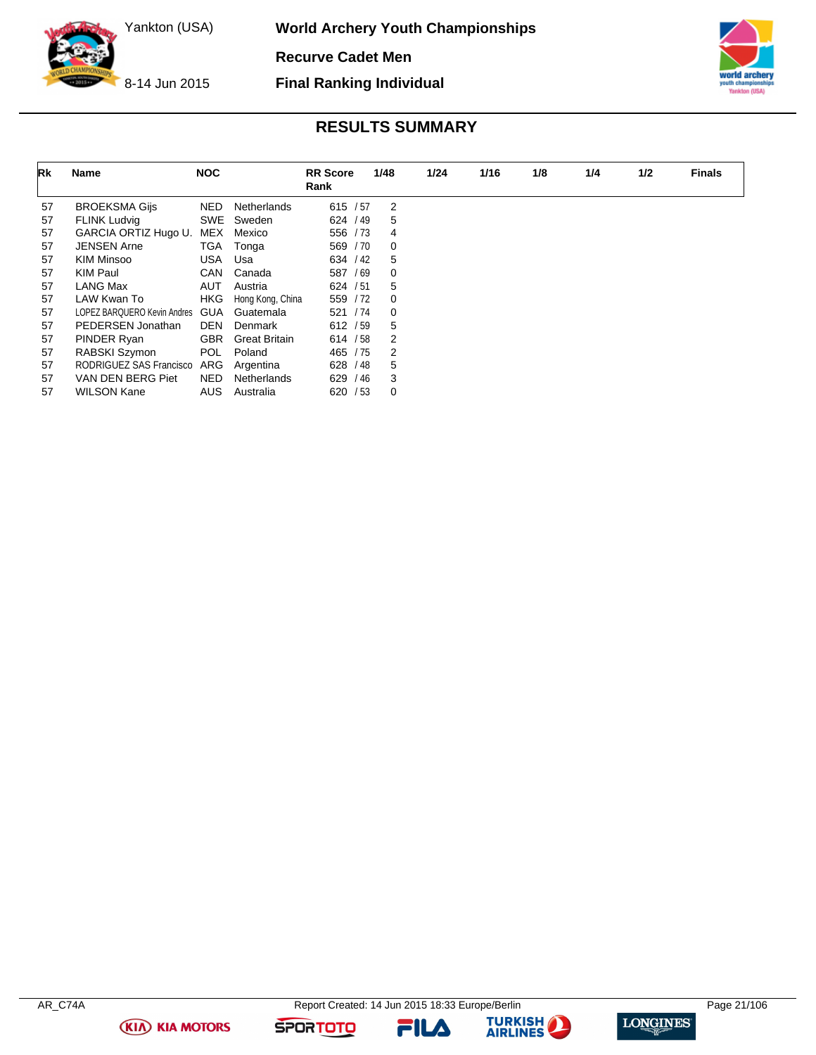**World Archery Youth Championships**

**Recurve Cadet Men**



8-14 Jun 2015

#### **Final Ranking Individual**



### **RESULTS SUMMARY**

| Rk | <b>Name</b>                 | <b>NOC</b> |                      | <b>RR Score</b> | 1/48     | 1/24 | 1/16 | 1/8 | 1/4 | 1/2 | <b>Finals</b> |
|----|-----------------------------|------------|----------------------|-----------------|----------|------|------|-----|-----|-----|---------------|
|    |                             |            |                      | Rank            |          |      |      |     |     |     |               |
| 57 | <b>BROEKSMA Gijs</b>        | NED        | Netherlands          | 615 / 57        | 2        |      |      |     |     |     |               |
| 57 | <b>FLINK Ludvig</b>         | SWE        | Sweden               | 624 / 49        | 5        |      |      |     |     |     |               |
| 57 | GARCIA ORTIZ Hugo U.        | MEX        | Mexico               | 556 / 73        | 4        |      |      |     |     |     |               |
| 57 | <b>JENSEN Arne</b>          | TGA        | Tonga                | 569 / 70        | 0        |      |      |     |     |     |               |
| 57 | KIM Minsoo                  | USA        | Usa                  | 634 / 42        | 5        |      |      |     |     |     |               |
| 57 | KIM Paul                    | <b>CAN</b> | Canada               | 587 / 69        | 0        |      |      |     |     |     |               |
| 57 | LANG Max                    | <b>AUT</b> | Austria              | 624 / 51        | 5        |      |      |     |     |     |               |
| 57 | LAW Kwan To                 | <b>HKG</b> | Hong Kong, China     | 559 / 72        | $\Omega$ |      |      |     |     |     |               |
| 57 | LOPEZ BARQUERO Kevin Andres | <b>GUA</b> | Guatemala            | 521 / 74        | 0        |      |      |     |     |     |               |
| 57 | PEDERSEN Jonathan           | <b>DEN</b> | Denmark              | 612 / 59        | 5        |      |      |     |     |     |               |
| 57 | PINDER Ryan                 | <b>GBR</b> | <b>Great Britain</b> | 614 / 58        | 2        |      |      |     |     |     |               |
| 57 | RABSKI Szymon               | <b>POL</b> | Poland               | 465 / 75        | 2        |      |      |     |     |     |               |
| 57 | RODRIGUEZ SAS Francisco     | ARG        | Argentina            | 628 / 48        | 5        |      |      |     |     |     |               |
| 57 | VAN DEN BERG Piet           | NED.       | <b>Netherlands</b>   | /46<br>629      | 3        |      |      |     |     |     |               |
| 57 | <b>WILSON Kane</b>          | <b>AUS</b> | Australia            | 620 / 53        | 0        |      |      |     |     |     |               |

**(KIA) KIA MOTORS** 

FILA



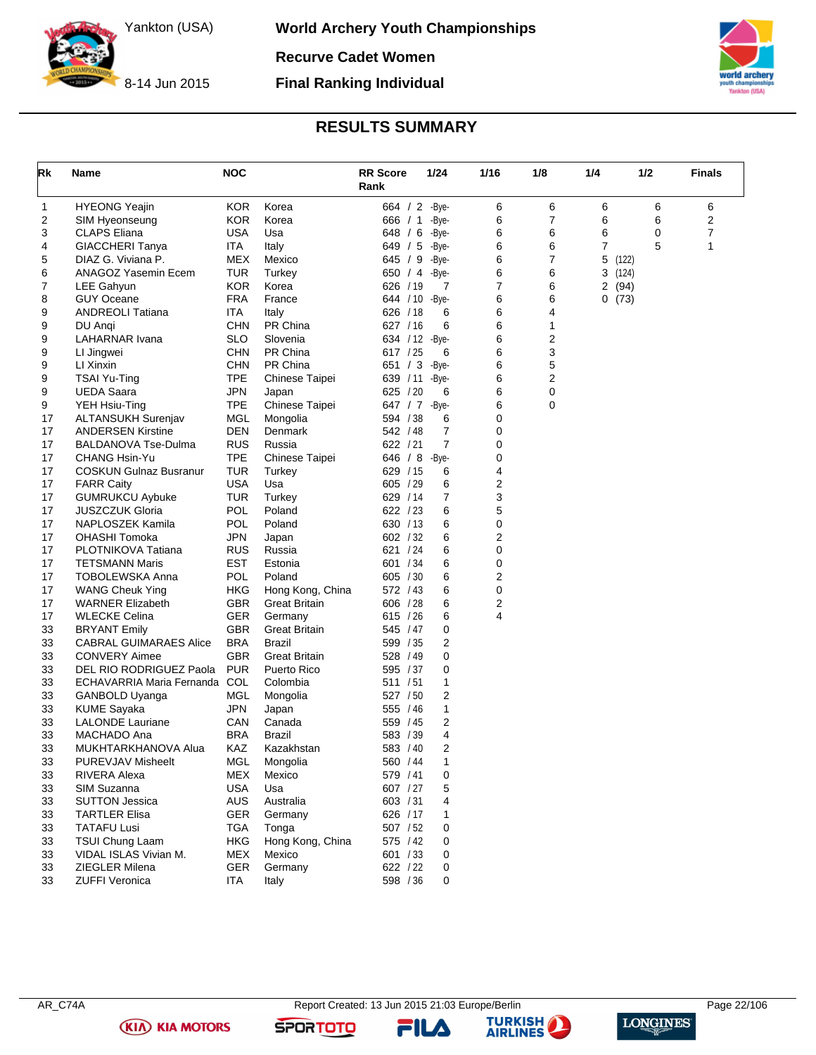

**World Archery Youth Championships Recurve Cadet Women**

8-14 Jun 2015 **Final Ranking Individual**



Yankton (USA)

### **RESULTS SUMMARY**

<span id="page-22-0"></span>

| Rk       | Name                                    | <b>NOC</b>        |                            | <b>RR Score</b><br>Rank | 1/24  | 1/16           | 1/8 | 1/4   | 1/2   | <b>Finals</b> |
|----------|-----------------------------------------|-------------------|----------------------------|-------------------------|-------|----------------|-----|-------|-------|---------------|
| 1        | <b>HYEONG Yeajin</b>                    | <b>KOR</b>        | Korea                      | 664 / 2 - Bye-          |       | 6              | 6   | 6     | 6     | 6             |
| 2        | SIM Hyeonseung                          | <b>KOR</b>        | Korea                      | 666 / 1                 | -Bye- | 6              | 7   | 6     | 6     | 2             |
| 3        | CLAPS Eliana                            | USA               | Usa                        | 648 / 6                 | -Bye- | 6              | 6   | 6     | 0     | 7             |
| 4        | GIACCHERI Tanya                         | ITA               | Italy                      | 649 / 5                 | -Bye- | 6              | 6   | 7     | 5     | 1             |
| 5        | DIAZ G. Viviana P.                      | MEX               | Mexico                     | 645 / 9                 | -Bye- | 6              | 7   | 5     | (122) |               |
| 6        | ANAGOZ Yasemin Ecem                     | TUR               | Turkey                     | 650 / 4                 | -Bye- | 6              | 6   | 3     | (124) |               |
| 7        | LEE Gahyun                              | <b>KOR</b>        | Korea                      | 626 / 19                | 7     | 7              | 6   | 2(94) |       |               |
| 8        | GUY Oceane                              | <b>FRA</b>        | France                     | 644 / 10                | -Bye- | 6              | 6   | 0(73) |       |               |
| 9        | <b>ANDREOLI Tatiana</b>                 | ITA               | Italy                      | 626 / 18                | 6     | 6              | 4   |       |       |               |
| 9        | DU Angi                                 | <b>CHN</b>        | PR China                   | 627 / 16                | 6     | 6              | 1   |       |       |               |
| 9        | LAHARNAR Ivana                          | SLO               | Slovenia                   | 634 / 12 - Bye-         |       | 6              | 2   |       |       |               |
| 9        | LI Jingwei                              | <b>CHN</b>        | PR China                   | 617 / 25                | 6     | 6              | 3   |       |       |               |
| 9        | LI Xinxin                               | <b>CHN</b>        | PR China                   | 651 / 3                 | -Bye- | 6              | 5   |       |       |               |
| 9        | <b>TSAI Yu-Ting</b>                     | <b>TPE</b>        | Chinese Taipei             | 639 / 11                | -Bye- | 6              | 2   |       |       |               |
| 9        | <b>UEDA Saara</b>                       | <b>JPN</b>        | Japan                      | 625 / 20                | 6     | 6              | 0   |       |       |               |
| 9        | YEH Hsiu-Ting                           | <b>TPE</b>        | Chinese Taipei             | 647 / 7 -Bye-           |       | 6              | 0   |       |       |               |
| 17       | <b>ALTANSUKH Surenjav</b>               | MGL               | Mongolia                   | 594 / 38                | 6     | 0              |     |       |       |               |
| 17       | <b>ANDERSEN Kirstine</b>                | DEN               | Denmark                    | 542 / 48                | 7     | 0              |     |       |       |               |
| 17       | <b>BALDANOVA Tse-Dulma</b>              | <b>RUS</b>        | Russia                     | 622 / 21                | 7     | 0              |     |       |       |               |
| 17       | CHANG Hsin-Yu                           | <b>TPE</b>        | Chinese Taipei             | 646 / 8                 | -Bye- | 0              |     |       |       |               |
| 17       | <b>COSKUN Gulnaz Busranur</b>           | TUR               | Turkey                     | 629 / 15                | 6     | 4              |     |       |       |               |
| 17       | <b>FARR Caity</b>                       | <b>USA</b>        | Usa                        | 605 / 29                | 6     | 2              |     |       |       |               |
| 17       | <b>GUMRUKCU Aybuke</b>                  | TUR               | Turkey                     | 629 / 14                | 7     | 3              |     |       |       |               |
| 17       | JUSZCZUK Gloria                         | POL               | Poland                     | 622 / 23                | 6     | 5              |     |       |       |               |
| 17       | NAPLOSZEK Kamila                        | POL               | Poland                     | 630 / 13                | 6     | 0              |     |       |       |               |
| 17       | OHASHI Tomoka                           | JPN               | Japan                      | 602 / 32                | 6     | $\overline{2}$ |     |       |       |               |
| 17       | PLOTNIKOVA Tatiana                      | <b>RUS</b>        | Russia                     | 621 / 24                | 6     | 0              |     |       |       |               |
| 17       | <b>TETSMANN Maris</b>                   | <b>EST</b>        | Estonia                    | 601 / 34                | 6     | 0              |     |       |       |               |
| 17       | TOBOLEWSKA Anna                         | POL               | Poland                     | 605 / 30                | 6     | 2              |     |       |       |               |
| 17       | <b>WANG Cheuk Ying</b>                  | HKG               | Hong Kong, China           | 572 / 43                | 6     | 0              |     |       |       |               |
| 17       | <b>WARNER Elizabeth</b>                 | GBR               | <b>Great Britain</b>       | 606 / 28                | 6     | $\overline{2}$ |     |       |       |               |
| 17       | <b>WLECKE Celina</b>                    | GER               | Germany                    | 615 / 26                | 6     | 4              |     |       |       |               |
| 33       | <b>BRYANT Emily</b>                     | <b>GBR</b>        | Great Britain              | 545 / 47                | 0     |                |     |       |       |               |
| 33       | <b>CABRAL GUIMARAES Alice</b>           | <b>BRA</b>        | Brazil                     | 599 / 35                | 2     |                |     |       |       |               |
| 33       | <b>CONVERY Aimee</b>                    | <b>GBR</b>        | <b>Great Britain</b>       | 528 / 49                | 0     |                |     |       |       |               |
| 33       | DEL RIO RODRIGUEZ Paola                 | <b>PUR</b>        | Puerto Rico                | 595 / 37                | 0     |                |     |       |       |               |
| 33       | ECHAVARRIA Maria Fernanda COL           |                   | Colombia                   | 511 / 51                | 1     |                |     |       |       |               |
| 33       | GANBOLD Uyanga                          | MGL               | Mongolia                   | 527 / 50                | 2     |                |     |       |       |               |
| 33       | <b>KUME Sayaka</b>                      | <b>JPN</b>        | Japan                      | 555 / 46                | 1     |                |     |       |       |               |
| 33       | <b>LALONDE Lauriane</b>                 | CAN               | Canada                     | 559 / 45                | 2     |                |     |       |       |               |
| 33       | MACHADO Ana                             | <b>BRA</b>        | <b>Brazil</b>              | 583 / 39                | 4     |                |     |       |       |               |
| 33       | MUKHTARKHANOVA Alua                     | KAZ               | Kazakhstan                 | 583 / 40                | 2     |                |     |       |       |               |
| 33       | PUREVJAV Misheelt                       | MGL               | Mongolia                   | 560 / 44                | 1     |                |     |       |       |               |
| 33       | RIVERA Alexa                            | <b>MEX</b>        | Mexico                     | 579 / 41                | 0     |                |     |       |       |               |
| 33       | SIM Suzanna                             | <b>USA</b>        | Usa                        | 607 / 27                | 5     |                |     |       |       |               |
| 33       | <b>SUTTON Jessica</b>                   | <b>AUS</b>        | Australia                  | 603 / 31                | 4     |                |     |       |       |               |
| 33       | <b>TARTLER Elisa</b>                    | GER               | Germany                    | 626 / 17                | 1     |                |     |       |       |               |
| 33       | <b>TATAFU Lusi</b>                      | <b>TGA</b>        | Tonga                      | 507 / 52                | 0     |                |     |       |       |               |
| 33       | TSUI Chung Laam                         | <b>HKG</b>        | Hong Kong, China<br>Mexico | 575 / 42                | 0     |                |     |       |       |               |
| 33       | VIDAL ISLAS Vivian M.                   | <b>MEX</b>        |                            | 601 / 33                | 0     |                |     |       |       |               |
| 33<br>33 | ZIEGLER Milena<br><b>ZUFFI Veronica</b> | <b>GER</b><br>ITA | Germany                    | 622 / 22<br>598 / 36    | 0     |                |     |       |       |               |
|          |                                         |                   | Italy                      |                         | 0     |                |     |       |       |               |

**(KIA) KIA MOTORS** 



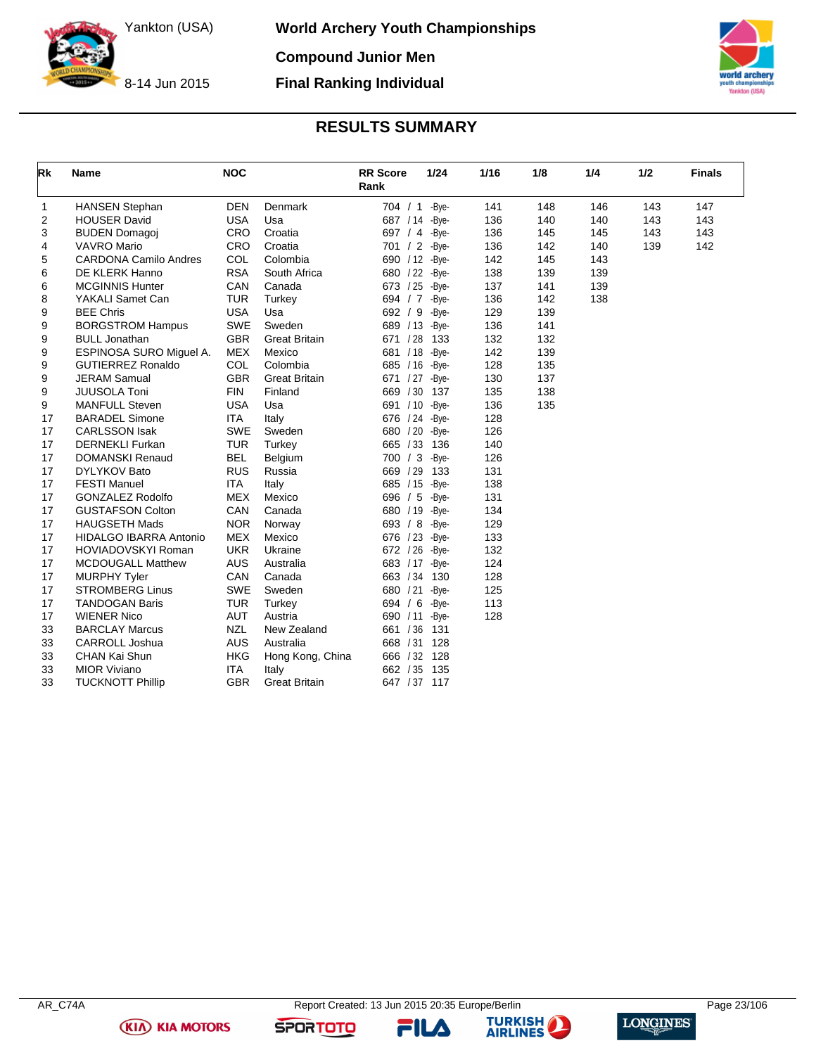

**World Archery Youth Championships Compound Junior Men**

8-14 Jun 2015

### **RESULTS SUMMARY**

**Final Ranking Individual**



<span id="page-23-0"></span>

| <b>Rk</b>    | <b>Name</b>                   | <b>NOC</b> |                      | <b>RR Score</b><br>Rank | 1/24  | 1/16 | 1/8 | 1/4 | 1/2 | <b>Finals</b> |
|--------------|-------------------------------|------------|----------------------|-------------------------|-------|------|-----|-----|-----|---------------|
| $\mathbf{1}$ | <b>HANSEN Stephan</b>         | <b>DEN</b> | Denmark              | 704 / 1 -Bye-           |       | 141  | 148 | 146 | 143 | 147           |
| 2            | <b>HOUSER David</b>           | <b>USA</b> | Usa                  | 687 / 14                | -Bye- | 136  | 140 | 140 | 143 | 143           |
| 3            | <b>BUDEN Domagoi</b>          | <b>CRO</b> | Croatia              | 697 $/4$                | -Bye- | 136  | 145 | 145 | 143 | 143           |
| 4            | <b>VAVRO Mario</b>            | <b>CRO</b> | Croatia              | 701 / 2                 | -Bye- | 136  | 142 | 140 | 139 | 142           |
| 5            | <b>CARDONA Camilo Andres</b>  | COL        | Colombia             | 690 / 12 - Bye-         |       | 142  | 145 | 143 |     |               |
| 6            | DE KLERK Hanno                | <b>RSA</b> | South Africa         | 680 / 22 - Bye-         |       | 138  | 139 | 139 |     |               |
| 6            | <b>MCGINNIS Hunter</b>        | CAN        | Canada               | 673 / 25 - Bye-         |       | 137  | 141 | 139 |     |               |
| 8            | YAKALI Samet Can              | <b>TUR</b> | Turkey               | 694 / 7 -Bye-           |       | 136  | 142 | 138 |     |               |
| 9            | <b>BEE Chris</b>              | <b>USA</b> | Usa                  | 692 / 9                 | -Bye- | 129  | 139 |     |     |               |
| 9            | <b>BORGSTROM Hampus</b>       | <b>SWE</b> | Sweden               | 689 / 13                | -Bye- | 136  | 141 |     |     |               |
| 9            | <b>BULL Jonathan</b>          | <b>GBR</b> | <b>Great Britain</b> | 671 / 28                | 133   | 132  | 132 |     |     |               |
| 9            | ESPINOSA SURO Miquel A.       | <b>MEX</b> | Mexico               | 681 / 18                | -Bye- | 142  | 139 |     |     |               |
| 9            | <b>GUTIERREZ Ronaldo</b>      | COL        | Colombia             | 685 / 16                | -Bye- | 128  | 135 |     |     |               |
| 9            | <b>JERAM Samual</b>           | <b>GBR</b> | <b>Great Britain</b> | 671 / 27 - Bye-         |       | 130  | 137 |     |     |               |
| 9            | <b>JUUSOLA Toni</b>           | <b>FIN</b> | Finland              | 669 / 30                | 137   | 135  | 138 |     |     |               |
| 9            | <b>MANFULL Steven</b>         | <b>USA</b> | Usa                  | 691 / 10                | -Bye- | 136  | 135 |     |     |               |
| 17           | <b>BARADEL Simone</b>         | <b>ITA</b> | Italy                | 676 / 24                | -Bye- | 128  |     |     |     |               |
| 17           | <b>CARLSSON Isak</b>          | <b>SWE</b> | Sweden               | 680 / 20                | -Bye- | 126  |     |     |     |               |
| 17           | <b>DERNEKLI Furkan</b>        | <b>TUR</b> | Turkey               | 665 / 33                | 136   | 140  |     |     |     |               |
| 17           | <b>DOMANSKI Renaud</b>        | <b>BEL</b> | Belgium              | 700 / 3                 | -Bye- | 126  |     |     |     |               |
| 17           | DYLYKOV Bato                  | <b>RUS</b> | Russia               | 669 / 29                | 133   | 131  |     |     |     |               |
| 17           | <b>FESTI Manuel</b>           | <b>ITA</b> | Italy                | 685 / 15                | -Bye- | 138  |     |     |     |               |
| 17           | <b>GONZALEZ Rodolfo</b>       | <b>MEX</b> | Mexico               | 696 / 5                 | -Bve- | 131  |     |     |     |               |
| 17           | <b>GUSTAFSON Colton</b>       | CAN        | Canada               | 680 / 19                | -Bye- | 134  |     |     |     |               |
| 17           | <b>HAUGSETH Mads</b>          | <b>NOR</b> | Norway               | 693 / 8                 | -Bye- | 129  |     |     |     |               |
| 17           | <b>HIDALGO IBARRA Antonio</b> | <b>MEX</b> | Mexico               | 676 / 23                | -Bve- | 133  |     |     |     |               |
| 17           | <b>HOVIADOVSKYI Roman</b>     | <b>UKR</b> | Ukraine              | 672 / 26                | -Bye- | 132  |     |     |     |               |
| 17           | <b>MCDOUGALL Matthew</b>      | <b>AUS</b> | Australia            | 683 / 17 - Bye-         |       | 124  |     |     |     |               |
| 17           | <b>MURPHY Tyler</b>           | CAN        | Canada               | 663 / 34                | 130   | 128  |     |     |     |               |
| 17           | <b>STROMBERG Linus</b>        | <b>SWE</b> | Sweden               | 680 / 21                | -Bye- | 125  |     |     |     |               |
| 17           | <b>TANDOGAN Baris</b>         | <b>TUR</b> | Turkey               | 694 / 6                 | -Bye- | 113  |     |     |     |               |
| 17           | <b>WIENER Nico</b>            | <b>AUT</b> | Austria              | 690 / 11                | -Bye- | 128  |     |     |     |               |
| 33           | <b>BARCLAY Marcus</b>         | <b>NZL</b> | New Zealand          | 661 / 36                | 131   |      |     |     |     |               |
| 33           | <b>CARROLL Joshua</b>         | <b>AUS</b> | Australia            | 668 / 31                | 128   |      |     |     |     |               |
| 33           | CHAN Kai Shun                 | <b>HKG</b> | Hong Kong, China     | 666 / 32                | 128   |      |     |     |     |               |
| 33           | <b>MIOR Viviano</b>           | <b>ITA</b> | Italy                | 662 / 35                | 135   |      |     |     |     |               |
| 33           | <b>TUCKNOTT Phillip</b>       | <b>GBR</b> | <b>Great Britain</b> | 647 / 37 117            |       |      |     |     |     |               |

AR\_C74A Report Created: 13 Jun 2015 20:35 Europe/Berlin Page 23/106

FILA



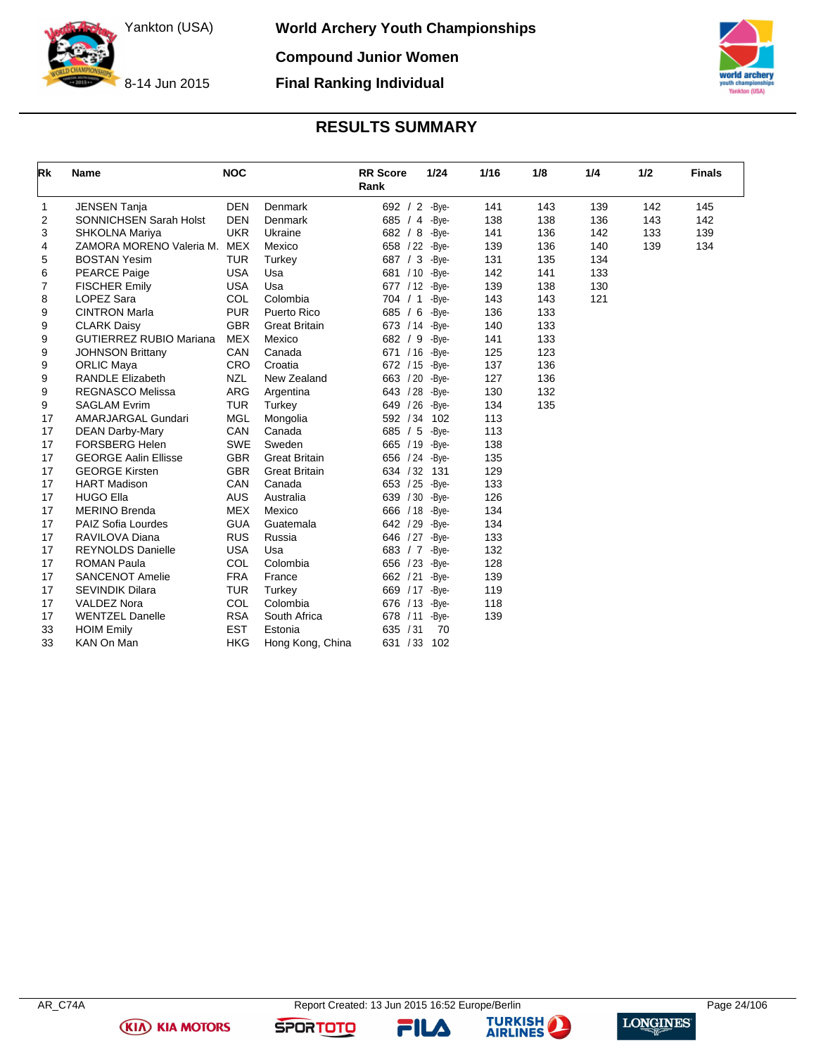**World Archery Youth Championships Compound Junior Women**

8-14 Jun 2015



### **RESULTS SUMMARY**

**Final Ranking Individual**

<span id="page-24-0"></span>

| Rk | <b>Name</b>                    | <b>NOC</b> |                      | <b>RR</b> Score<br>Rank | 1/24  | 1/16 | 1/8 | 1/4 | 1/2 | <b>Finals</b> |
|----|--------------------------------|------------|----------------------|-------------------------|-------|------|-----|-----|-----|---------------|
| 1  | <b>JENSEN Tanja</b>            | <b>DEN</b> | Denmark              | 692 / 2 -Bye-           |       | 141  | 143 | 139 | 142 | 145           |
| 2  | SONNICHSEN Sarah Holst         | <b>DEN</b> | Denmark              | 685 / 4 -Bye-           |       | 138  | 138 | 136 | 143 | 142           |
| 3  | SHKOLNA Mariya                 | <b>UKR</b> | Ukraine              | 682 / 8 -Bye-           |       | 141  | 136 | 142 | 133 | 139           |
| 4  | ZAMORA MORENO Valeria M.       | MEX        | Mexico               | 658 / 22 - Bye-         |       | 139  | 136 | 140 | 139 | 134           |
| 5  | <b>BOSTAN Yesim</b>            | <b>TUR</b> | Turkey               | 687 / 3 -Bye-           |       | 131  | 135 | 134 |     |               |
| 6  | <b>PEARCE Paige</b>            | <b>USA</b> | Usa                  | 681 / 10 - Bye-         |       | 142  | 141 | 133 |     |               |
| 7  | <b>FISCHER Emily</b>           | <b>USA</b> | Usa                  | 677 / 12 - Bye-         |       | 139  | 138 | 130 |     |               |
| 8  | <b>LOPEZ Sara</b>              | COL        | Colombia             | 704 / 1                 | -Bye- | 143  | 143 | 121 |     |               |
| 9  | <b>CINTRON Marla</b>           | <b>PUR</b> | Puerto Rico          | 685 / 6                 | -Bye- | 136  | 133 |     |     |               |
| 9  | <b>CLARK Daisy</b>             | <b>GBR</b> | <b>Great Britain</b> | 673 / 14                | -Bve- | 140  | 133 |     |     |               |
| 9  | <b>GUTIERREZ RUBIO Mariana</b> | <b>MEX</b> | Mexico               | 682 / 9                 | -Bve- | 141  | 133 |     |     |               |
| 9  | <b>JOHNSON Brittany</b>        | <b>CAN</b> | Canada               | 671 / 16 - Bye-         |       | 125  | 123 |     |     |               |
| 9  | <b>ORLIC Maya</b>              | CRO        | Croatia              | 672 / 15                | -Bye- | 137  | 136 |     |     |               |
| 9  | <b>RANDLE Elizabeth</b>        | <b>NZL</b> | New Zealand          | 663 / 20                | -Bye- | 127  | 136 |     |     |               |
| 9  | <b>REGNASCO Melissa</b>        | <b>ARG</b> | Argentina            | 643 / 28                | -Bye- | 130  | 132 |     |     |               |
| 9  | <b>SAGLAM Evrim</b>            | <b>TUR</b> | Turkey               | 649 / 26                | -Bye- | 134  | 135 |     |     |               |
| 17 | AMARJARGAL Gundari             | <b>MGL</b> | Mongolia             | 592 / 34                | 102   | 113  |     |     |     |               |
| 17 | <b>DEAN Darby-Mary</b>         | CAN        | Canada               | 685 / 5                 | -Bye- | 113  |     |     |     |               |
| 17 | <b>FORSBERG Helen</b>          | <b>SWE</b> | Sweden               | 665 / 19                | -Bye- | 138  |     |     |     |               |
| 17 | <b>GEORGE Aalin Ellisse</b>    | <b>GBR</b> | <b>Great Britain</b> | 656 / 24                | -Bye- | 135  |     |     |     |               |
| 17 | <b>GEORGE Kirsten</b>          | <b>GBR</b> | <b>Great Britain</b> | 634 / 32                | 131   | 129  |     |     |     |               |
| 17 | <b>HART Madison</b>            | <b>CAN</b> | Canada               | 653 / 25                | -Bye- | 133  |     |     |     |               |
| 17 | <b>HUGO Ella</b>               | <b>AUS</b> | Australia            | 639 / 30                | -Bye- | 126  |     |     |     |               |
| 17 | <b>MERINO Brenda</b>           | <b>MEX</b> | Mexico               | 666 / 18                | -Bye- | 134  |     |     |     |               |
| 17 | <b>PAIZ Sofia Lourdes</b>      | <b>GUA</b> | Guatemala            | 642 / 29                | -Bye- | 134  |     |     |     |               |
| 17 | RAVILOVA Diana                 | <b>RUS</b> | Russia               | 646 / 27                | -Bye- | 133  |     |     |     |               |
| 17 | <b>REYNOLDS Danielle</b>       | <b>USA</b> | Usa                  | 683 / 7                 | -Bye- | 132  |     |     |     |               |
| 17 | <b>ROMAN Paula</b>             | COL        | Colombia             | 656 / 23                | -Bye- | 128  |     |     |     |               |
| 17 | <b>SANCENOT Amelie</b>         | <b>FRA</b> | France               | 662 / 21                | -Bye- | 139  |     |     |     |               |
| 17 | <b>SEVINDIK Dilara</b>         | <b>TUR</b> | Turkey               | 669 / 17                | -Bye- | 119  |     |     |     |               |
| 17 | <b>VALDEZ Nora</b>             | COL        | Colombia             | /13<br>676              | -Bye- | 118  |     |     |     |               |
| 17 | <b>WENTZEL Danelle</b>         | <b>RSA</b> | South Africa         | /11<br>678              | -Bye- | 139  |     |     |     |               |
| 33 | <b>HOIM Emily</b>              | <b>EST</b> | Estonia              | /31<br>635              | 70    |      |     |     |     |               |
| 33 | KAN On Man                     | <b>HKG</b> | Hong Kong, China     | 631<br>/33              | 102   |      |     |     |     |               |

**(KIA) KIA MOTORS** 





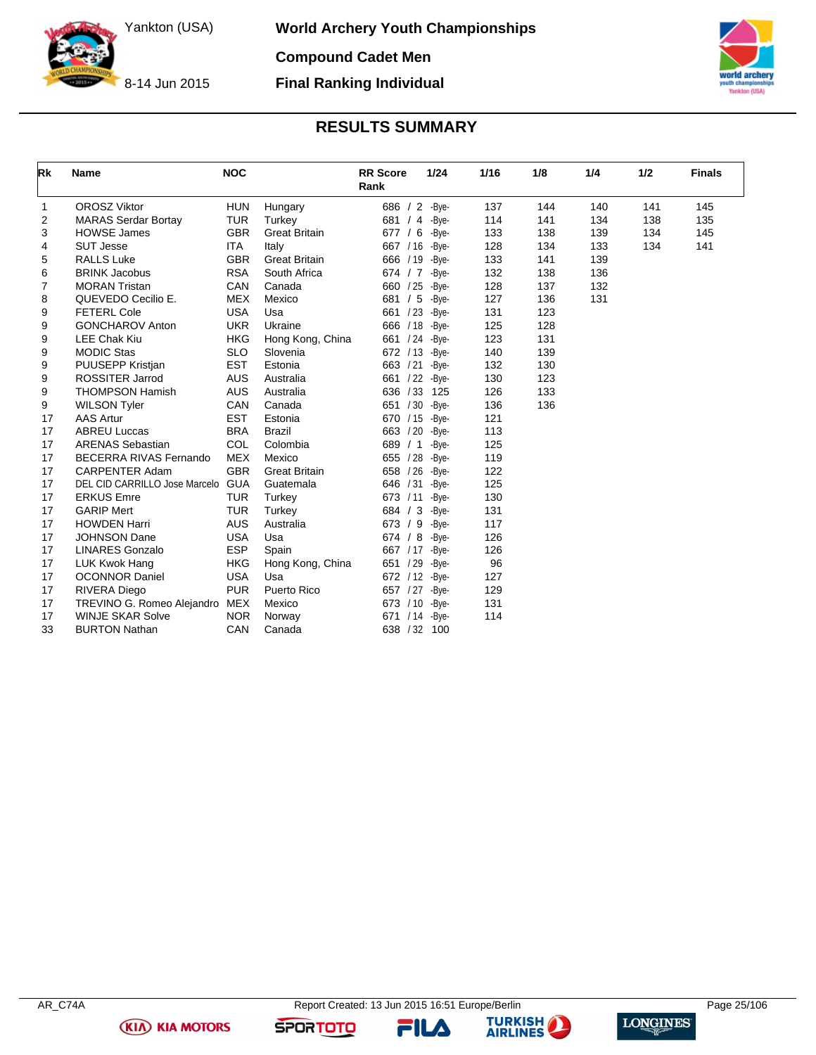

**World Archery Youth Championships**

**Compound Cadet Men Final Ranking Individual**

8-14 Jun 2015

# Yankton (USA)

### **RESULTS SUMMARY**

<span id="page-25-0"></span>

| Rk | <b>Name</b>                   | <b>NOC</b> |                      | <b>RR</b> Score<br>Rank | 1/24  | 1/16 | 1/8 | 1/4 | 1/2 | <b>Finals</b> |
|----|-------------------------------|------------|----------------------|-------------------------|-------|------|-----|-----|-----|---------------|
| 1  | <b>OROSZ Viktor</b>           | <b>HUN</b> | Hungary              | 686 / 2 -Bye-           |       | 137  | 144 | 140 | 141 | 145           |
| 2  | <b>MARAS Serdar Bortay</b>    | <b>TUR</b> | Turkey               | 681 / 4                 | -Bye- | 114  | 141 | 134 | 138 | 135           |
| 3  | <b>HOWSE James</b>            | <b>GBR</b> | <b>Great Britain</b> | 677 / 6                 | -Bye- | 133  | 138 | 139 | 134 | 145           |
| 4  | <b>SUT Jesse</b>              | ITA        | Italy                | 667 / 16                | -Bye- | 128  | 134 | 133 | 134 | 141           |
| 5  | <b>RALLS Luke</b>             | <b>GBR</b> | <b>Great Britain</b> | 666 / 19 - Bye-         |       | 133  | 141 | 139 |     |               |
| 6  | <b>BRINK Jacobus</b>          | <b>RSA</b> | South Africa         | 674 / 7                 | -Bve- | 132  | 138 | 136 |     |               |
| 7  | <b>MORAN Tristan</b>          | CAN        | Canada               | 660 / 25                | -Bye- | 128  | 137 | 132 |     |               |
| 8  | QUEVEDO Cecilio E.            | <b>MEX</b> | Mexico               | 681 / 5                 | -Bye- | 127  | 136 | 131 |     |               |
| 9  | <b>FETERL Cole</b>            | <b>USA</b> | Usa                  | 661 / 23                | -Bye- | 131  | 123 |     |     |               |
| 9  | <b>GONCHAROV Anton</b>        | <b>UKR</b> | Ukraine              | 666 / 18 - Bye-         |       | 125  | 128 |     |     |               |
| 9  | <b>LEE Chak Kiu</b>           | <b>HKG</b> | Hong Kong, China     | 661 / 24                | -Bye- | 123  | 131 |     |     |               |
| 9  | <b>MODIC Stas</b>             | <b>SLO</b> | Slovenia             | 672 / 13                | -Bye- | 140  | 139 |     |     |               |
| 9  | PUUSEPP Kristjan              | <b>EST</b> | Estonia              | 663 / 21                | -Bye- | 132  | 130 |     |     |               |
| 9  | <b>ROSSITER Jarrod</b>        | <b>AUS</b> | Australia            | 661 / 22                | -Bye- | 130  | 123 |     |     |               |
| 9  | <b>THOMPSON Hamish</b>        | <b>AUS</b> | Australia            | 636 / 33                | 125   | 126  | 133 |     |     |               |
| 9  | <b>WILSON Tyler</b>           | CAN        | Canada               | 651 / 30                | -Bye- | 136  | 136 |     |     |               |
| 17 | <b>AAS Artur</b>              | <b>EST</b> | Estonia              | 670 / 15                | -Bye- | 121  |     |     |     |               |
| 17 | <b>ABREU Luccas</b>           | <b>BRA</b> | <b>Brazil</b>        | 663 / 20                | -Bye- | 113  |     |     |     |               |
| 17 | <b>ARENAS Sebastian</b>       | <b>COL</b> | Colombia             | 689 / 1                 | -Bve- | 125  |     |     |     |               |
| 17 | BECERRA RIVAS Fernando        | <b>MEX</b> | Mexico               | 655 / 28                | -Bye- | 119  |     |     |     |               |
| 17 | <b>CARPENTER Adam</b>         | <b>GBR</b> | <b>Great Britain</b> | 658 / 26                | -Bye- | 122  |     |     |     |               |
| 17 | DEL CID CARRILLO Jose Marcelo | <b>GUA</b> | Guatemala            | 646 / 31                | -Bye- | 125  |     |     |     |               |
| 17 | <b>ERKUS Emre</b>             | <b>TUR</b> | Turkey               | 673 / 11                | -Bye- | 130  |     |     |     |               |
| 17 | <b>GARIP Mert</b>             | <b>TUR</b> | Turkey               | 684 / 3                 | -Bye- | 131  |     |     |     |               |
| 17 | <b>HOWDEN Harri</b>           | <b>AUS</b> | Australia            | 673 / 9                 | -Bye- | 117  |     |     |     |               |
| 17 | <b>JOHNSON Dane</b>           | <b>USA</b> | Usa                  | 674 / 8                 | -Bye- | 126  |     |     |     |               |
| 17 | <b>LINARES Gonzalo</b>        | <b>ESP</b> | Spain                | 667 / 17                | -Bye- | 126  |     |     |     |               |
| 17 | <b>LUK Kwok Hang</b>          | <b>HKG</b> | Hong Kong, China     | 651 / 29                | -Bye- | 96   |     |     |     |               |
| 17 | <b>OCONNOR Daniel</b>         | <b>USA</b> | Usa                  | 672 / 12                | -Bye- | 127  |     |     |     |               |
| 17 | RIVERA Diego                  | <b>PUR</b> | Puerto Rico          | 657 / 27 - Bye-         |       | 129  |     |     |     |               |
| 17 | TREVINO G. Romeo Alejandro    | <b>MEX</b> | Mexico               | 673 / 10 - Bye-         |       | 131  |     |     |     |               |
| 17 | <b>WINJE SKAR Solve</b>       | <b>NOR</b> | Norway               | /14<br>671              | -Bye- | 114  |     |     |     |               |
| 33 | <b>BURTON Nathan</b>          | CAN        | Canada               | 638 / 32                | 100   |      |     |     |     |               |

**(KIA) KIA MOTORS** 

FILA



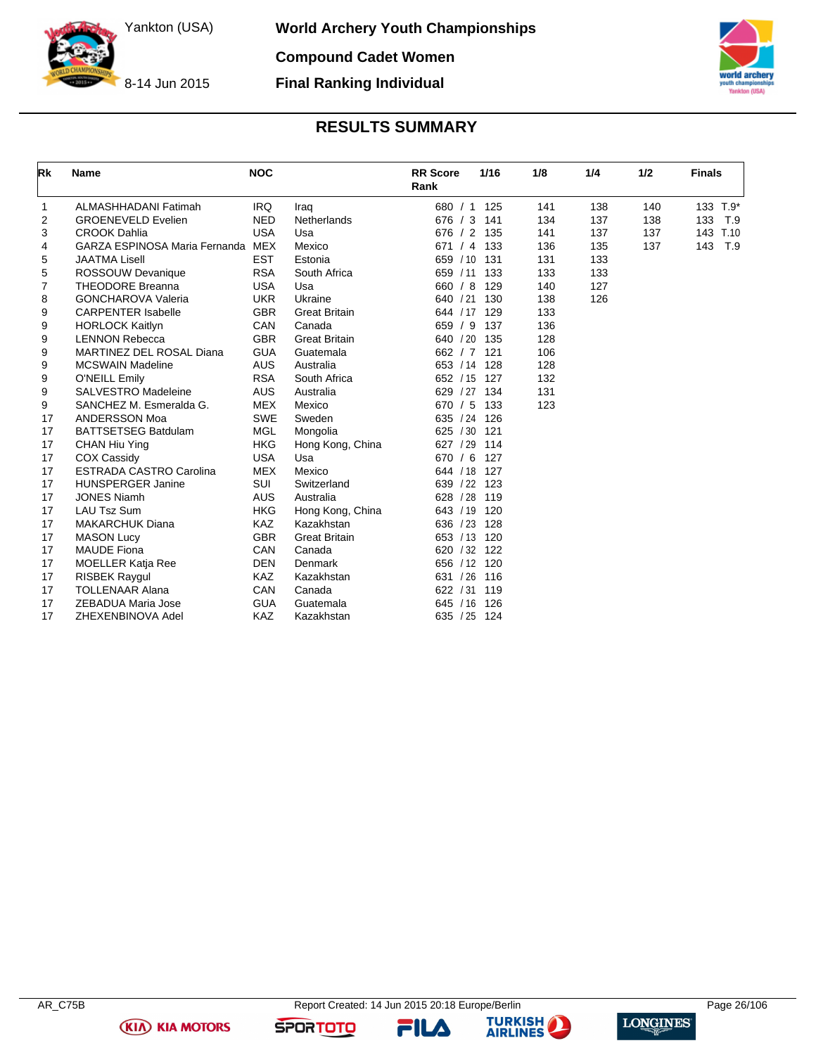**World Archery Youth Championships Compound Cadet Women**

8-14 Jun 2015

**Final Ranking Individual**



### **RESULTS SUMMARY**

<span id="page-26-0"></span>

| Rk | <b>Name</b>                     | <b>NOC</b> |                      | <b>RR</b> Score<br>1/16<br>Rank | 1/8 | 1/4 | 1/2 | <b>Finals</b> |
|----|---------------------------------|------------|----------------------|---------------------------------|-----|-----|-----|---------------|
| 1  | ALMASHHADANI Fatimah            | <b>IRQ</b> | Iraq                 | 680 / 1 125                     | 141 | 138 | 140 | 133 T.9*      |
| 2  | <b>GROENEVELD Evelien</b>       | <b>NED</b> | Netherlands          | 676 / 3<br>141                  | 134 | 137 | 138 | 133<br>T.9    |
| 3  | <b>CROOK Dahlia</b>             | <b>USA</b> | Usa                  | 676 / 2<br>135                  | 141 | 137 | 137 | T.10<br>143   |
| 4  | GARZA ESPINOSA Maria Fernanda   | MEX        | Mexico               | 671 / 4<br>133                  | 136 | 135 | 137 | 143<br>T.9    |
| 5  | <b>JAATMA Lisell</b>            | <b>EST</b> | Estonia              | 659 / 10<br>131                 | 131 | 133 |     |               |
| 5  | ROSSOUW Devanique               | <b>RSA</b> | South Africa         | 659 / 11 133                    | 133 | 133 |     |               |
| 7  | <b>THEODORE Breanna</b>         | <b>USA</b> | Usa                  | 660 / 8<br>129                  | 140 | 127 |     |               |
| 8  | <b>GONCHAROVA Valeria</b>       | <b>UKR</b> | Ukraine              | 130<br>640 / 21                 | 138 | 126 |     |               |
| 9  | <b>CARPENTER Isabelle</b>       | <b>GBR</b> | <b>Great Britain</b> | 129<br>644 / 17                 | 133 |     |     |               |
| 9  | <b>HORLOCK Kaitlyn</b>          | CAN        | Canada               | 137<br>659 / 9                  | 136 |     |     |               |
| 9  | <b>LENNON Rebecca</b>           | <b>GBR</b> | <b>Great Britain</b> | 640 / 20<br>135                 | 128 |     |     |               |
| 9  | <b>MARTINEZ DEL ROSAL Diana</b> | <b>GUA</b> | Guatemala            | 662 / 7<br>121                  | 106 |     |     |               |
| 9  | <b>MCSWAIN Madeline</b>         | <b>AUS</b> | Australia            | 653 / 14<br>128                 | 128 |     |     |               |
| 9  | O'NEILL Emily                   | <b>RSA</b> | South Africa         | 652 / 15 127                    | 132 |     |     |               |
| 9  | <b>SALVESTRO Madeleine</b>      | <b>AUS</b> | Australia            | 629 / 27 134                    | 131 |     |     |               |
| 9  | SANCHEZ M. Esmeralda G.         | <b>MEX</b> | Mexico               | 670 / 5<br>133                  | 123 |     |     |               |
| 17 | <b>ANDERSSON Moa</b>            | <b>SWE</b> | Sweden               | 635 / 24<br>126                 |     |     |     |               |
| 17 | <b>BATTSETSEG Batdulam</b>      | <b>MGL</b> | Mongolia             | 625 / 30<br>121                 |     |     |     |               |
| 17 | CHAN Hiu Ying                   | <b>HKG</b> | Hong Kong, China     | 627 / 29<br>114                 |     |     |     |               |
| 17 | <b>COX Cassidy</b>              | <b>USA</b> | Usa                  | 670 / 6<br>127                  |     |     |     |               |
| 17 | <b>ESTRADA CASTRO Carolina</b>  | <b>MEX</b> | Mexico               | 644 / 18<br>- 127               |     |     |     |               |
| 17 | <b>HUNSPERGER Janine</b>        | SUI        | Switzerland          | 639 / 22 123                    |     |     |     |               |
| 17 | <b>JONES Niamh</b>              | <b>AUS</b> | Australia            | 628 / 28<br>119                 |     |     |     |               |
| 17 | <b>LAU Tsz Sum</b>              | <b>HKG</b> | Hong Kong, China     | 643 / 19<br>120                 |     |     |     |               |
| 17 | <b>MAKARCHUK Diana</b>          | <b>KAZ</b> | Kazakhstan           | 636 / 23<br>128                 |     |     |     |               |
| 17 | <b>MASON Lucy</b>               | <b>GBR</b> | <b>Great Britain</b> | 120<br>653 / 13                 |     |     |     |               |
| 17 | <b>MAUDE Fiona</b>              | CAN        | Canada               | 620 / 32<br>122                 |     |     |     |               |
| 17 | <b>MOELLER Katja Ree</b>        | <b>DEN</b> | Denmark              | 656 / 12 120                    |     |     |     |               |
| 17 | <b>RISBEK Raygul</b>            | <b>KAZ</b> | Kazakhstan           | 631 / 26<br>116                 |     |     |     |               |
| 17 | <b>TOLLENAAR Alana</b>          | CAN        | Canada               | /31<br>119<br>622               |     |     |     |               |
| 17 | ZEBADUA Maria Jose              | <b>GUA</b> | Guatemala            | 126<br>645<br>/16               |     |     |     |               |
| 17 | ZHEXENBINOVA Adel               | <b>KAZ</b> | Kazakhstan           | 635 / 25<br>124                 |     |     |     |               |

**(KIA) KIA MOTORS** 

FILA



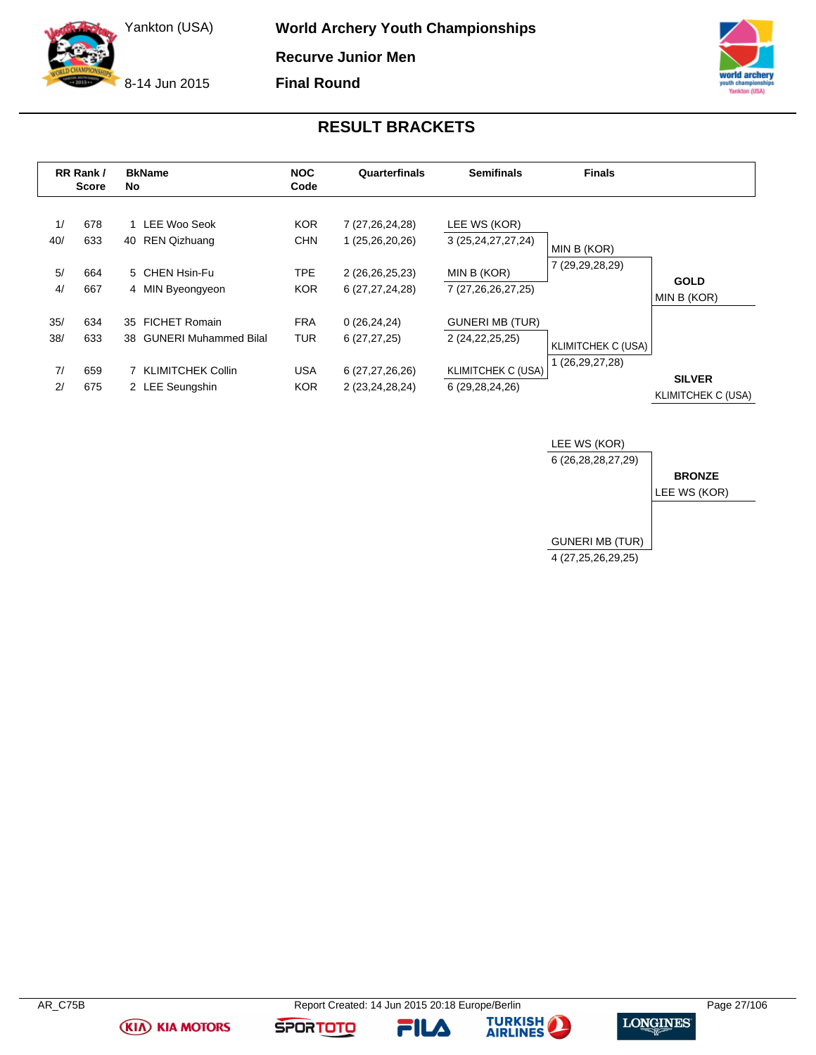8-14 Jun 2015

**World Archery Youth Championships Recurve Junior Men**

**Final Round**



### **RESULT BRACKETS**

<span id="page-27-0"></span>

|     | RR Rank /<br><b>Score</b> | No | <b>BkName</b>            | <b>NOC</b><br>Code | Quarterfinals      | <b>Semifinals</b>      | <b>Finals</b>             |                                     |
|-----|---------------------------|----|--------------------------|--------------------|--------------------|------------------------|---------------------------|-------------------------------------|
| 1/  | 678                       |    | 1 LEE Woo Seok           | <b>KOR</b>         | 7 (27,26,24,28)    | LEE WS (KOR)           |                           |                                     |
| 40/ | 633                       | 40 | REN Qizhuang             | <b>CHN</b>         | 1 (25,26,20,26)    | 3 (25, 24, 27, 27, 24) | MIN B (KOR)               |                                     |
| 5/  | 664                       |    | 5 CHEN Hsin-Fu           | TPE                | 2 (26,26,25,23)    | MIN B (KOR)            | 7 (29,29,28,29)           |                                     |
| 4/  | 667                       |    | 4 MIN Byeongyeon         | <b>KOR</b>         | 6 (27, 27, 24, 28) | 7 (27,26,26,27,25)     |                           | <b>GOLD</b><br>MIN B (KOR)          |
| 35/ | 634                       | 35 | <b>FICHET Romain</b>     | <b>FRA</b>         | 0(26, 24, 24)      | <b>GUNERI MB (TUR)</b> |                           |                                     |
| 38/ | 633                       |    | 38 GUNERI Muhammed Bilal | <b>TUR</b>         | 6(27, 27, 25)      | 2 (24, 22, 25, 25)     | <b>KLIMITCHEK C (USA)</b> |                                     |
| 7/  | 659                       |    | 7 KLIMITCHEK Collin      | <b>USA</b>         | 6 (27,27,26,26)    | KLIMITCHEK C (USA)     | 1 (26,29,27,28)           |                                     |
| 2/  | 675                       |    | 2 LEE Seungshin          | <b>KOR</b>         | 2 (23,24,28,24)    | 6 (29,28,24,26)        |                           | <b>SILVER</b><br>KLIMITCHEK C (USA) |



**(KIA) KIA MOTORS** 

FILA



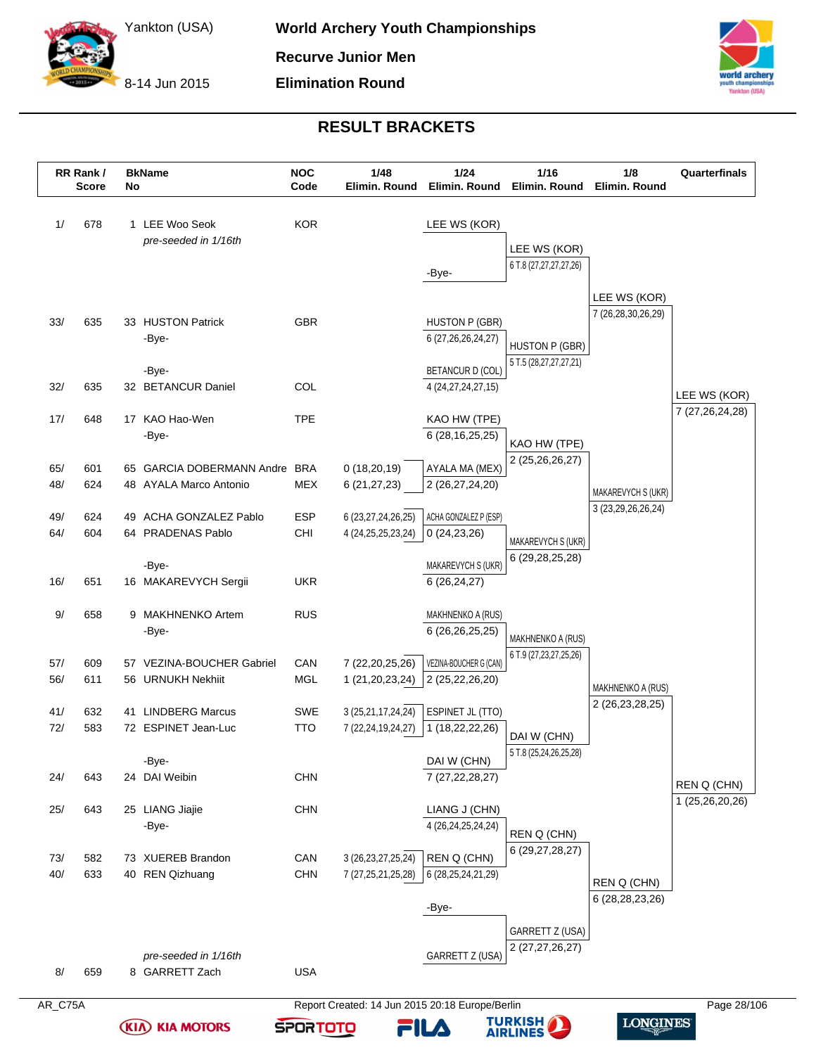8-14 Jun 2015



### **RESULT BRACKETS**

|            | RR Rank /<br><b>Score</b> | No | <b>BkName</b>                                  | <b>NOC</b><br>Code | 1/48<br>Elimin. Round  | 1/24<br>Elimin. Round                             | $1/16$<br>Elimin. Round                     | 1/8<br>Elimin. Round                         | Quarterfinals                  |
|------------|---------------------------|----|------------------------------------------------|--------------------|------------------------|---------------------------------------------------|---------------------------------------------|----------------------------------------------|--------------------------------|
| 1/         | 678                       |    | 1 LEE Woo Seok<br>pre-seeded in 1/16th         | <b>KOR</b>         |                        | LEE WS (KOR)                                      |                                             |                                              |                                |
|            |                           |    |                                                |                    |                        |                                                   | LEE WS (KOR)                                |                                              |                                |
|            |                           |    |                                                |                    |                        | -Bye-                                             | 6 T.8 (27,27,27,27,26)                      |                                              |                                |
|            |                           |    |                                                |                    |                        |                                                   |                                             | LEE WS (KOR)                                 |                                |
| 33/        | 635                       |    | 33 HUSTON Patrick                              | <b>GBR</b>         |                        | <b>HUSTON P (GBR)</b>                             |                                             | 7 (26,28,30,26,29)                           |                                |
|            |                           |    | -Bye-                                          |                    |                        | 6 (27, 26, 26, 24, 27)                            | <b>HUSTON P (GBR)</b>                       |                                              |                                |
|            |                           |    |                                                |                    |                        |                                                   | 5 T.5 (28,27,27,27,21)                      |                                              |                                |
| 32/        | 635                       |    | -Bye-<br>32 BETANCUR Daniel                    | COL                |                        | <b>BETANCUR D (COL)</b><br>4 (24, 27, 24, 27, 15) |                                             |                                              |                                |
|            |                           |    |                                                |                    |                        |                                                   |                                             |                                              | LEE WS (KOR)                   |
| 17/        | 648                       |    | 17 KAO Hao-Wen                                 | <b>TPE</b>         |                        | KAO HW (TPE)                                      |                                             |                                              | 7 (27,26,24,28)                |
|            |                           |    | -Bye-                                          |                    |                        | 6 (28, 16, 25, 25)                                | KAO HW (TPE)                                |                                              |                                |
| 65/        | 601                       |    | 65 GARCIA DOBERMANN Andre BRA                  |                    | 0(18,20,19)            | AYALA MA (MEX)                                    | 2 (25,26,26,27)                             |                                              |                                |
| 48/        | 624                       |    | 48 AYALA Marco Antonio                         | <b>MEX</b>         | 6(21, 27, 23)          | 2 (26,27,24,20)                                   |                                             |                                              |                                |
|            |                           |    |                                                |                    |                        |                                                   |                                             | MAKAREVYCH S (UKR)<br>3 (23, 29, 26, 26, 24) |                                |
| 49/<br>64/ | 624<br>604                |    | 49 ACHA GONZALEZ Pablo<br>64 PRADENAS Pablo    | ESP<br>CHI         | 6 (23, 27, 24, 26, 25) | ACHA GONZALEZ P (ESP)<br>0(24, 23, 26)            |                                             |                                              |                                |
|            |                           |    |                                                |                    | 4 (24, 25, 25, 23, 24) |                                                   | MAKAREVYCH S (UKR)                          |                                              |                                |
|            |                           |    | -Bye-                                          |                    |                        | MAKAREVYCH S (UKR)                                | 6 (29, 28, 25, 28)                          |                                              |                                |
| 16/        | 651                       |    | 16 MAKAREVYCH Sergii                           | <b>UKR</b>         |                        | 6(26, 24, 27)                                     |                                             |                                              |                                |
| 9/         | 658                       |    | 9 MAKHNENKO Artem                              | <b>RUS</b>         |                        | MAKHNENKO A (RUS)                                 |                                             |                                              |                                |
|            |                           |    | -Bye-                                          |                    |                        | 6 (26,26,25,25)                                   |                                             |                                              |                                |
|            |                           |    |                                                |                    |                        |                                                   | MAKHNENKO A (RUS)<br>6 T.9 (27,23,27,25,26) |                                              |                                |
| 57/<br>56/ | 609<br>611                |    | 57 VEZINA-BOUCHER Gabriel<br>56 URNUKH Nekhiit | CAN<br><b>MGL</b>  | 7 (22, 20, 25, 26)     | VEZINA-BOUCHER G (CAN)                            |                                             |                                              |                                |
|            |                           |    |                                                |                    | 1 (21,20,23,24)        | 2 (25,22,26,20)                                   |                                             | MAKHNENKO A (RUS)                            |                                |
| 41/        | 632                       |    | 41 LINDBERG Marcus                             | SWE                | 3 (25,21,17,24,24)     | ESPINET JL (TTO)                                  |                                             | 2 (26,23,28,25)                              |                                |
| 72/        | 583                       |    | 72 ESPINET Jean-Luc                            | <b>TTO</b>         | 7 (22,24,19,24,27)     | 1 (18,22,22,26)                                   | DAI W (CHN)                                 |                                              |                                |
|            |                           |    | -Bye-                                          |                    |                        | DAI W (CHN)                                       | 5 T.8 (25,24,26,25,28)                      |                                              |                                |
| 24/        | 643                       |    | 24 DAI Weibin                                  | CHN                |                        | 7 (27, 22, 28, 27)                                |                                             |                                              |                                |
|            |                           |    |                                                |                    |                        |                                                   |                                             |                                              | REN Q (CHN)<br>1 (25,26,20,26) |
| 25/        | 643                       |    | 25 LIANG Jiajie                                | <b>CHN</b>         |                        | LIANG J (CHN)                                     |                                             |                                              |                                |
|            |                           |    | -Bye-                                          |                    |                        | 4 (26,24,25,24,24)                                | REN Q (CHN)                                 |                                              |                                |
| 73/        | 582                       |    | 73 XUEREB Brandon                              | CAN                | 3 (26, 23, 27, 25, 24) | REN Q (CHN)                                       | 6 (29,27,28,27)                             |                                              |                                |
| 40/        | 633                       |    | 40 REN Qizhuang                                | <b>CHN</b>         | 7 (27, 25, 21, 25, 28) | 6 (28, 25, 24, 21, 29)                            |                                             | REN Q (CHN)                                  |                                |
|            |                           |    |                                                |                    |                        |                                                   |                                             | 6 (28, 28, 23, 26)                           |                                |
|            |                           |    |                                                |                    |                        | -Bye-                                             |                                             |                                              |                                |
|            |                           |    |                                                |                    |                        |                                                   | GARRETT Z (USA)                             |                                              |                                |
|            |                           |    | pre-seeded in 1/16th                           |                    |                        | GARRETT Z (USA)                                   | 2 (27,27,26,27)                             |                                              |                                |
| 8/         | 659                       |    | 8 GARRETT Zach                                 | <b>USA</b>         |                        |                                                   |                                             |                                              |                                |

**(KIA) KIA MOTORS** 



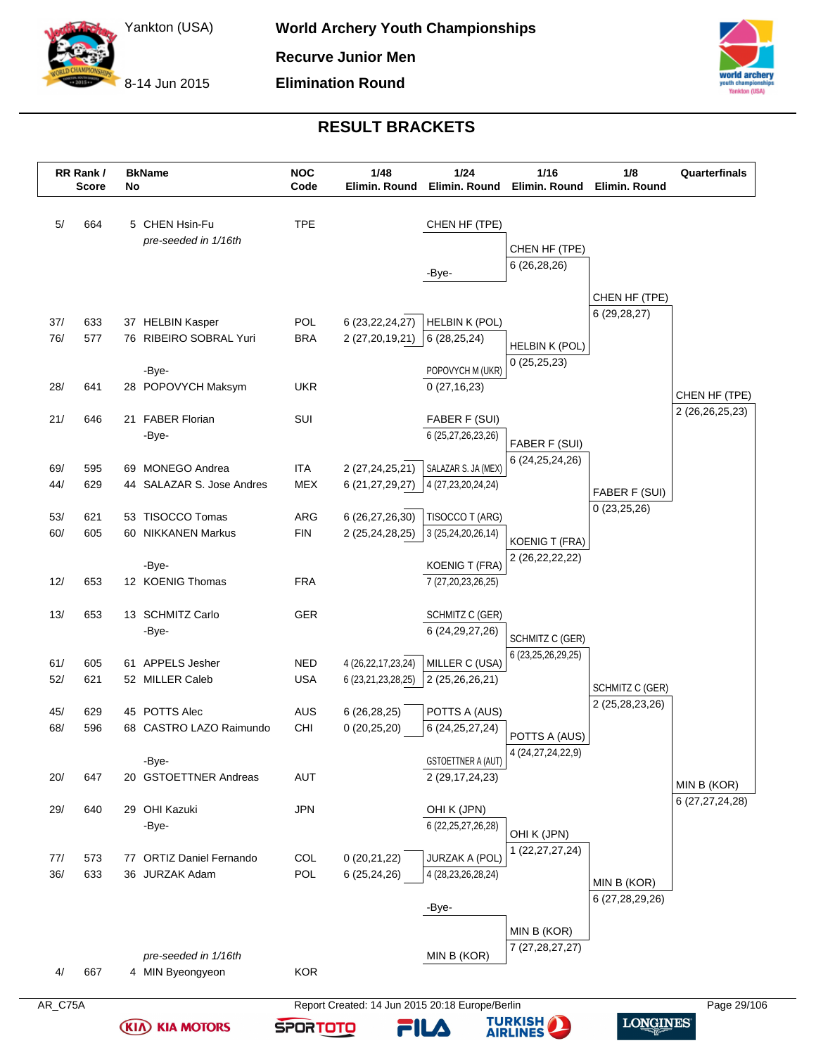8-14 Jun 2015



### **RESULT BRACKETS**

|            | RR Rank /<br><b>Score</b> | No | <b>BkName</b>                          | <b>NOC</b><br>Code       | 1/48<br>Elimin. Round                        | $1/24$<br>Elimin. Round                  | $1/16$<br>Elimin. Round              | 1/8<br>Elimin. Round | Quarterfinals      |
|------------|---------------------------|----|----------------------------------------|--------------------------|----------------------------------------------|------------------------------------------|--------------------------------------|----------------------|--------------------|
| 5/         | 664                       |    | 5 CHEN Hsin-Fu<br>pre-seeded in 1/16th | <b>TPE</b>               |                                              | CHEN HF (TPE)                            |                                      |                      |                    |
|            |                           |    |                                        |                          |                                              |                                          | CHEN HF (TPE)                        |                      |                    |
|            |                           |    |                                        |                          |                                              | -Bye-                                    | 6(26, 28, 26)                        |                      |                    |
|            |                           |    |                                        |                          |                                              |                                          |                                      | CHEN HF (TPE)        |                    |
| 37/        | 633                       |    | 37 HELBIN Kasper                       | POL                      | 6 (23, 22, 24, 27)                           | <b>HELBIN K (POL)</b>                    |                                      | 6(29, 28, 27)        |                    |
| 76/        | 577                       |    | 76 RIBEIRO SOBRAL Yuri                 | <b>BRA</b>               | 2 (27,20,19,21)                              | 6(28, 25, 24)                            |                                      |                      |                    |
|            |                           |    |                                        |                          |                                              |                                          | <b>HELBIN K (POL)</b><br>0(25,25,23) |                      |                    |
|            |                           |    | -Bye-                                  |                          |                                              | POPOVYCH M (UKR)                         |                                      |                      |                    |
| 28/        | 641                       |    | 28 POPOVYCH Maksym                     | <b>UKR</b>               |                                              | 0(27, 16, 23)                            |                                      |                      | CHEN HF (TPE)      |
| 21/        | 646                       |    | 21 FABER Florian                       | SUI                      |                                              | FABER F (SUI)                            |                                      |                      | 2 (26, 26, 25, 23) |
|            |                           |    | -Bye-                                  |                          |                                              | 6 (25,27,26,23,26)                       | FABER F (SUI)                        |                      |                    |
|            |                           |    |                                        |                          |                                              |                                          | 6 (24,25,24,26)                      |                      |                    |
| 69/        | 595                       |    | 69 MONEGO Andrea                       | <b>ITA</b>               | 2 (27,24,25,21)                              | SALAZAR S. JA (MEX)                      |                                      |                      |                    |
| 44/        | 629                       |    | 44 SALAZAR S. Jose Andres              | <b>MEX</b>               | 6 (21,27,29,27)                              | 4 (27,23,20,24,24)                       |                                      | FABER F (SUI)        |                    |
| 53/        | 621                       |    | 53 TISOCCO Tomas                       | ARG                      | 6 (26,27,26,30)                              | TISOCCO T (ARG)                          |                                      | 0(23,25,26)          |                    |
| 60/        | 605                       |    | 60 NIKKANEN Markus                     | <b>FIN</b>               | 2 (25,24,28,25)                              | 3 (25,24,20,26,14)                       | <b>KOENIG T (FRA)</b>                |                      |                    |
|            |                           |    |                                        |                          |                                              |                                          | 2 (26,22,22,22)                      |                      |                    |
| 12/        |                           |    | -Bye-<br>12 KOENIG Thomas              |                          |                                              | <b>KOENIG T (FRA)</b>                    |                                      |                      |                    |
|            | 653                       |    |                                        | <b>FRA</b>               |                                              | 7 (27, 20, 23, 26, 25)                   |                                      |                      |                    |
| 13/        | 653                       |    | 13 SCHMITZ Carlo                       | <b>GER</b>               |                                              | SCHMITZ C (GER)                          |                                      |                      |                    |
|            |                           |    | -Bye-                                  |                          |                                              | 6 (24, 29, 27, 26)                       | SCHMITZ C (GER)                      |                      |                    |
|            |                           |    |                                        |                          |                                              |                                          | 6 (23,25,26,29,25)                   |                      |                    |
| 61/<br>52/ | 605<br>621                |    | 61 APPELS Jesher<br>52 MILLER Caleb    | <b>NED</b><br><b>USA</b> | 4 (26, 22, 17, 23, 24)<br>6 (23,21,23,28,25) | MILLER C (USA)<br>2(25, 26, 26, 21)      |                                      |                      |                    |
|            |                           |    |                                        |                          |                                              |                                          |                                      | SCHMITZ C (GER)      |                    |
| 45/        | 629                       |    | 45 POTTS Alec                          | <b>AUS</b>               | 6(26, 28, 25)                                | POTTS A (AUS)                            |                                      | 2 (25,28,23,26)      |                    |
| 68/        | 596                       |    | 68 CASTRO LAZO Raimundo                | CHI                      | 0(20, 25, 20)                                | 6 (24, 25, 27, 24)                       | POTTS A (AUS)                        |                      |                    |
|            |                           |    |                                        |                          |                                              |                                          | 4 (24, 27, 24, 22, 9)                |                      |                    |
| 20/        | 647                       |    | -Bye-<br>20 GSTOETTNER Andreas         | AUT                      |                                              | GSTOETTNER A (AUT)<br>2 (29, 17, 24, 23) |                                      |                      |                    |
|            |                           |    |                                        |                          |                                              |                                          |                                      |                      | MIN B (KOR)        |
| 29/        | 640                       |    | 29 OHI Kazuki                          | <b>JPN</b>               |                                              | OHI K (JPN)                              |                                      |                      | 6 (27,27,24,28)    |
|            |                           |    | -Bye-                                  |                          |                                              | 6 (22, 25, 27, 26, 28)                   | OHI K (JPN)                          |                      |                    |
| 77/        | 573                       | 77 | <b>ORTIZ Daniel Fernando</b>           | COL                      | 0(20,21,22)                                  | JURZAK A (POL)                           | 1 (22, 27, 27, 24)                   |                      |                    |
| 36/        | 633                       |    | 36 JURZAK Adam                         | POL                      | 6 (25,24,26)                                 | 4 (28, 23, 26, 28, 24)                   |                                      |                      |                    |
|            |                           |    |                                        |                          |                                              |                                          |                                      | MIN B (KOR)          |                    |
|            |                           |    |                                        |                          |                                              | -Bye-                                    |                                      | 6 (27,28,29,26)      |                    |
|            |                           |    |                                        |                          |                                              |                                          | MIN B (KOR)                          |                      |                    |
|            |                           |    | pre-seeded in 1/16th                   |                          |                                              | MIN B (KOR)                              | 7 (27,28,27,27)                      |                      |                    |
| 4/         | 667                       |    | 4 MIN Byeongyeon                       | <b>KOR</b>               |                                              |                                          |                                      |                      |                    |
|            |                           |    |                                        |                          |                                              |                                          |                                      |                      |                    |

**(KIA) KIA MOTORS** 



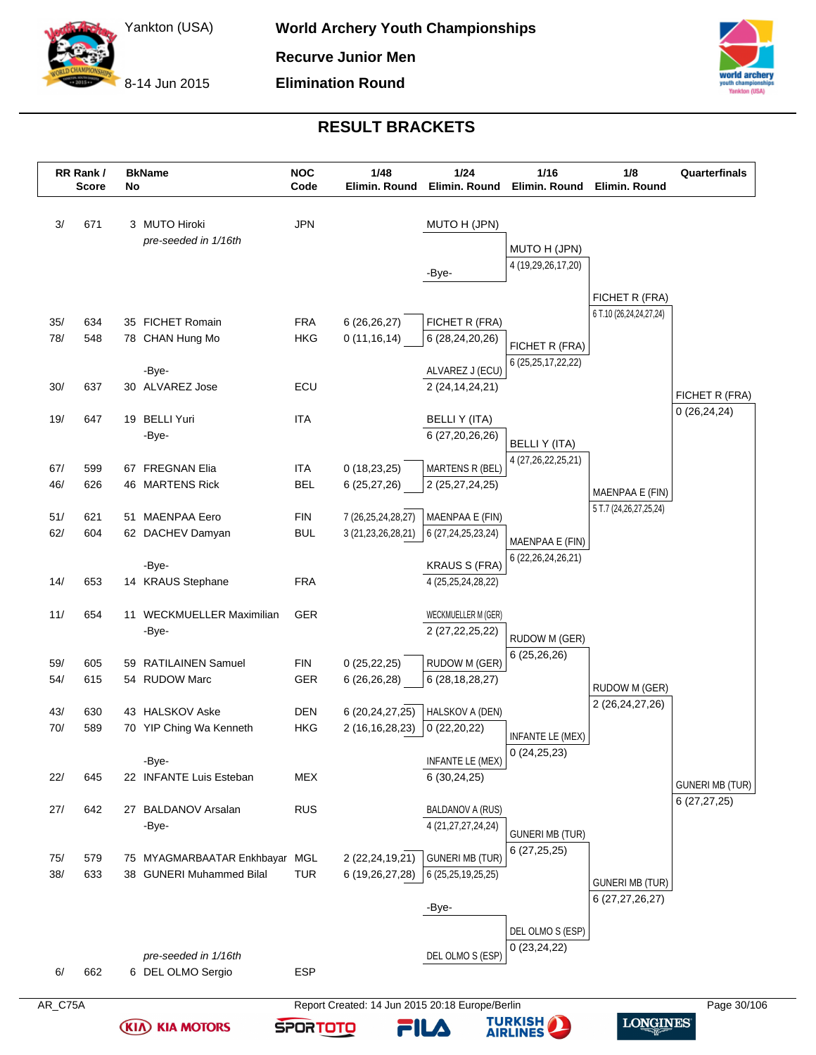8-14 Jun 2015

**(KIA) KIA MOTORS** 

**SPORTOTO** 



**LONGINES** 

**TURKISH<br>AIRLINES** 

FILA

#### **RESULT BRACKETS**

|            | RR Rank /<br><b>Score</b> | No | <b>BkName</b>                                              | <b>NOC</b><br>Code | 1/48<br>Elimin. Round              | 1/24<br>Elimin. Round                        | $1/16$<br>Elimin. Round                       | 1/8<br>Elimin. Round                         | Quarterfinals                   |
|------------|---------------------------|----|------------------------------------------------------------|--------------------|------------------------------------|----------------------------------------------|-----------------------------------------------|----------------------------------------------|---------------------------------|
| 3/         | 671                       |    | 3 MUTO Hiroki<br>pre-seeded in 1/16th                      | <b>JPN</b>         |                                    | MUTO H (JPN)                                 | MUTO H (JPN)                                  |                                              |                                 |
|            |                           |    |                                                            |                    |                                    | -Bye-                                        | 4 (19,29,26,17,20)                            |                                              |                                 |
|            |                           |    |                                                            |                    |                                    |                                              |                                               | FICHET R (FRA)                               |                                 |
| 35/        | 634                       |    | 35 FICHET Romain                                           | <b>FRA</b>         | 6(26, 26, 27)                      | FICHET R (FRA)                               |                                               | 6 T.10 (26,24,24,27,24)                      |                                 |
| 78/        | 548                       |    | 78 CHAN Hung Mo                                            | <b>HKG</b>         | 0(11, 16, 14)                      | 6 (28,24,20,26)                              | FICHET R (FRA)                                |                                              |                                 |
|            |                           |    | -Bye-                                                      |                    |                                    | ALVAREZ J (ECU)                              | 6 (25, 25, 17, 22, 22)                        |                                              |                                 |
| 30/        | 637                       |    | 30 ALVAREZ Jose                                            | ECU                |                                    | 2 (24, 14, 24, 21)                           |                                               |                                              |                                 |
|            |                           |    |                                                            |                    |                                    |                                              |                                               |                                              | FICHET R (FRA)<br>0(26, 24, 24) |
| 19/        | 647                       |    | 19 BELLI Yuri<br>-Bye-                                     | <b>ITA</b>         |                                    | <b>BELLIY (ITA)</b><br>6 (27,20,26,26)       |                                               |                                              |                                 |
|            |                           |    |                                                            |                    |                                    |                                              | <b>BELLIY (ITA)</b><br>4 (27, 26, 22, 25, 21) |                                              |                                 |
| 67/        | 599                       |    | 67 FREGNAN Elia                                            | <b>ITA</b>         | 0(18, 23, 25)                      | MARTENS R (BEL)                              |                                               |                                              |                                 |
| 46/        | 626                       |    | 46 MARTENS Rick                                            | <b>BEL</b>         | 6 (25,27,26)                       | 2 (25,27,24,25)                              |                                               | MAENPAA E (FIN)                              |                                 |
| 51/        | 621                       |    | 51 MAENPAA Eero                                            | <b>FIN</b>         | 7 (26,25,24,28,27)                 | MAENPAA E (FIN)                              |                                               | 5 T.7 (24,26,27,25,24)                       |                                 |
| 62/        | 604                       |    | 62 DACHEV Damyan                                           | <b>BUL</b>         | 3 (21, 23, 26, 28, 21)             | 6 (27, 24, 25, 23, 24)                       | MAENPAA E (FIN)                               |                                              |                                 |
|            |                           |    | -Bye-                                                      |                    |                                    | <b>KRAUS S (FRA)</b>                         | 6 (22, 26, 24, 26, 21)                        |                                              |                                 |
| 14/        | 653                       |    | 14 KRAUS Stephane                                          | <b>FRA</b>         |                                    | 4 (25, 25, 24, 28, 22)                       |                                               |                                              |                                 |
| 11/        | 654                       |    | 11 WECKMUELLER Maximilian                                  | <b>GER</b>         |                                    | WECKMUELLER M (GER)                          |                                               |                                              |                                 |
|            |                           |    | -Bye-                                                      |                    |                                    | 2 (27, 22, 25, 22)                           | RUDOW M (GER)                                 |                                              |                                 |
|            |                           |    |                                                            |                    |                                    |                                              | 6 (25,26,26)                                  |                                              |                                 |
| 59/<br>54/ | 605<br>615                |    | 59 RATILAINEN Samuel<br>54 RUDOW Marc                      | FIN<br>GER         | 0(25, 22, 25)<br>6 (26,26,28)      | RUDOW M (GER)<br>6 (28, 18, 28, 27)          |                                               |                                              |                                 |
|            |                           |    |                                                            |                    |                                    |                                              |                                               | RUDOW M (GER)<br>2 (26, 24, 27, 26)          |                                 |
| 43/        | 630                       |    | 43 HALSKOV Aske                                            | DEN                | 6 (20,24,27,25)                    | HALSKOV A (DEN)                              |                                               |                                              |                                 |
| 70/        | 589                       |    | 70 YIP Ching Wa Kenneth                                    | <b>HKG</b>         | 2 (16, 16, 28, 23)                 | 0(22,20,22)                                  | INFANTE LE (MEX)                              |                                              |                                 |
|            |                           |    | -Bye-                                                      |                    |                                    | INFANTE LE (MEX)                             | 0(24,25,23)                                   |                                              |                                 |
| 22/        | 645                       |    | 22 INFANTE Luis Esteban                                    | <b>MEX</b>         |                                    | 6(30, 24, 25)                                |                                               |                                              | <b>GUNERI MB (TUR)</b>          |
| 27/        | 642                       |    | 27 BALDANOV Arsalan                                        | <b>RUS</b>         |                                    | <b>BALDANOV A (RUS)</b>                      |                                               |                                              | 6(27, 27, 25)                   |
|            |                           |    | -Bye-                                                      |                    |                                    | 4 (21, 27, 27, 24, 24)                       | <b>GUNERI MB (TUR)</b>                        |                                              |                                 |
|            |                           |    |                                                            |                    |                                    |                                              | 6(27,25,25)                                   |                                              |                                 |
| 75/<br>38/ | 579<br>633                |    | 75 MYAGMARBAATAR Enkhbayar MGL<br>38 GUNERI Muhammed Bilal | <b>TUR</b>         | 2 (22,24,19,21)<br>6 (19,26,27,28) | <b>GUNERI MB (TUR)</b><br>6 (25,25,19,25,25) |                                               |                                              |                                 |
|            |                           |    |                                                            |                    |                                    |                                              |                                               | <b>GUNERI MB (TUR)</b><br>6 (27, 27, 26, 27) |                                 |
|            |                           |    |                                                            |                    |                                    | -Bye-                                        |                                               |                                              |                                 |
|            |                           |    |                                                            |                    |                                    |                                              | DEL OLMO S (ESP)                              |                                              |                                 |
|            |                           |    | pre-seeded in 1/16th                                       |                    |                                    | DEL OLMO S (ESP)                             | 0(23, 24, 22)                                 |                                              |                                 |
| 6/         | 662                       |    | 6 DEL OLMO Sergio                                          | <b>ESP</b>         |                                    |                                              |                                               |                                              |                                 |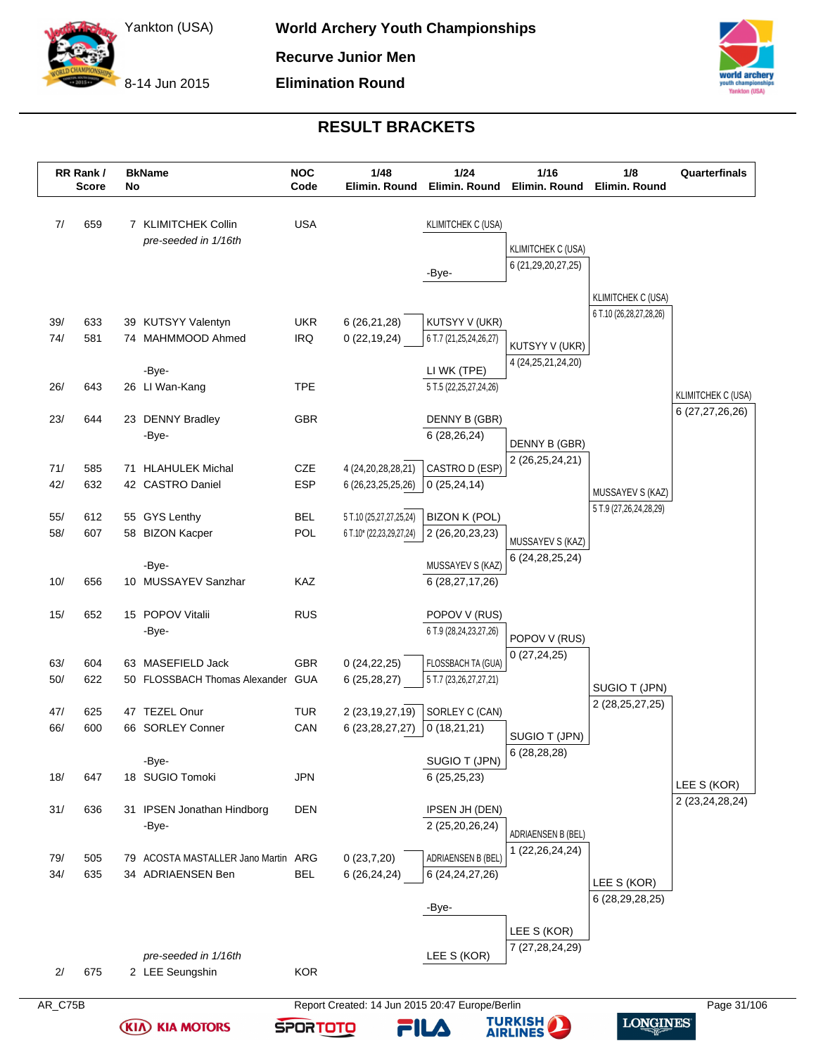8-14 Jun 2015



### **RESULT BRACKETS**

|     | RR Rank /<br><b>Score</b> | No | <b>BkName</b>                               | <b>NOC</b><br>Code | 1/48<br>Elimin. Round    | $1/24$<br>Elimin. Round                 | 1/16<br>Elimin. Round  | 1/8<br>Elimin. Round    | Quarterfinals                                |
|-----|---------------------------|----|---------------------------------------------|--------------------|--------------------------|-----------------------------------------|------------------------|-------------------------|----------------------------------------------|
| 7/  | 659                       |    | 7 KLIMITCHEK Collin<br>pre-seeded in 1/16th | <b>USA</b>         |                          | KLIMITCHEK C (USA)                      | KLIMITCHEK C (USA)     |                         |                                              |
|     |                           |    |                                             |                    |                          | -Bye-                                   | 6 (21,29,20,27,25)     |                         |                                              |
|     |                           |    |                                             |                    |                          |                                         |                        | KLIMITCHEK C (USA)      |                                              |
| 39/ | 633                       |    | 39 KUTSYY Valentyn                          | <b>UKR</b>         | 6 (26,21,28)             | KUTSYY V (UKR)                          |                        | 6 T.10 (26,28,27,28,26) |                                              |
| 74/ | 581                       |    | 74 MAHMMOOD Ahmed                           | <b>IRQ</b>         | 0(22, 19, 24)            | 6 T.7 (21,25,24,26,27)                  | KUTSYY V (UKR)         |                         |                                              |
|     |                           |    | -Bye-                                       |                    |                          | LI WK (TPE)                             | 4 (24, 25, 21, 24, 20) |                         |                                              |
| 26/ | 643                       |    | 26 LI Wan-Kang                              | <b>TPE</b>         |                          | 5 T.5 (22,25,27,24,26)                  |                        |                         |                                              |
|     |                           |    |                                             |                    |                          |                                         |                        |                         | <b>KLIMITCHEK C (USA)</b><br>6 (27,27,26,26) |
| 23/ | 644                       |    | 23 DENNY Bradley<br>-Bye-                   | <b>GBR</b>         |                          | DENNY B (GBR)<br>6(28, 26, 24)          |                        |                         |                                              |
|     |                           |    |                                             |                    |                          |                                         | DENNY B (GBR)          |                         |                                              |
| 71/ | 585                       |    | 71 HLAHULEK Michal                          | CZE                | 4 (24, 20, 28, 28, 21)   | CASTRO D (ESP)                          | 2 (26,25,24,21)        |                         |                                              |
| 42/ | 632                       |    | 42 CASTRO Daniel                            | <b>ESP</b>         | 6 (26, 23, 25, 25, 26)   | 0(25, 24, 14)                           |                        | MUSSAYEV S (KAZ)        |                                              |
| 55/ | 612                       |    | 55 GYS Lenthy                               | <b>BEL</b>         | 5 T.10 (25,27,27,25,24)  | <b>BIZON K (POL)</b>                    |                        | 5 T.9 (27,26,24,28,29)  |                                              |
| 58/ | 607                       |    | 58 BIZON Kacper                             | POL                | 6 T.10* (22,23,29,27,24) | 2 (26,20,23,23)                         | MUSSAYEV S (KAZ)       |                         |                                              |
|     |                           |    | -Bye-                                       |                    |                          | MUSSAYEV S (KAZ)                        | 6 (24, 28, 25, 24)     |                         |                                              |
| 10/ | 656                       |    | 10 MUSSAYEV Sanzhar                         | KAZ                |                          | 6 (28,27,17,26)                         |                        |                         |                                              |
|     |                           |    |                                             |                    |                          |                                         |                        |                         |                                              |
| 15/ | 652                       |    | 15 POPOV Vitalii<br>-Bye-                   | <b>RUS</b>         |                          | POPOV V (RUS)<br>6 T.9 (28,24,23,27,26) |                        |                         |                                              |
|     |                           |    |                                             |                    |                          |                                         | POPOV V (RUS)          |                         |                                              |
| 63/ | 604                       |    | 63 MASEFIELD Jack                           | <b>GBR</b>         | 0(24,22,25)              | FLOSSBACH TA (GUA)                      | 0(27, 24, 25)          |                         |                                              |
| 50/ | 622                       |    | 50 FLOSSBACH Thomas Alexander GUA           |                    | 6(25, 28, 27)            | 5 T.7 (23,26,27,27,21)                  |                        | SUGIO T (JPN)           |                                              |
| 47/ | 625                       |    | 47 TEZEL Onur                               | <b>TUR</b>         | 2 (23, 19, 27, 19)       | SORLEY C (CAN)                          |                        | 2 (28,25,27,25)         |                                              |
| 66/ | 600                       |    | 66 SORLEY Conner                            | CAN                | 6 (23, 28, 27, 27)       | 0(18,21,21)                             | SUGIO T (JPN)          |                         |                                              |
|     |                           |    | -Bye-                                       |                    |                          | SUGIO T (JPN)                           | 6 (28,28,28)           |                         |                                              |
| 18/ | 647                       |    | 18 SUGIO Tomoki                             | <b>JPN</b>         |                          | 6(25,25,23)                             |                        |                         |                                              |
|     |                           |    |                                             |                    |                          |                                         |                        |                         | LEE S (KOR)<br>2 (23,24,28,24)               |
| 31/ | 636                       |    | 31 IPSEN Jonathan Hindborg                  | <b>DEN</b>         |                          | IPSEN JH (DEN)<br>2 (25,20,26,24)       |                        |                         |                                              |
|     |                           |    | -Bye-                                       |                    |                          |                                         | ADRIAENSEN B (BEL)     |                         |                                              |
| 79/ | 505                       |    | 79 ACOSTA MASTALLER Jano Martin ARG         |                    | 0(23,7,20)               | ADRIAENSEN B (BEL)                      | 1 (22,26,24,24)        |                         |                                              |
| 34/ | 635                       |    | 34 ADRIAENSEN Ben                           | <b>BEL</b>         | 6 (26,24,24)             | 6 (24, 24, 27, 26)                      |                        | LEE S (KOR)             |                                              |
|     |                           |    |                                             |                    |                          | -Bye-                                   |                        | 6 (28,29,28,25)         |                                              |
|     |                           |    |                                             |                    |                          |                                         | LEE S (KOR)            |                         |                                              |
|     |                           |    |                                             |                    |                          |                                         | 7 (27,28,24,29)        |                         |                                              |
| 2/  | 675                       |    | pre-seeded in 1/16th<br>2 LEE Seungshin     | <b>KOR</b>         |                          | LEE S (KOR)                             |                        |                         |                                              |
|     |                           |    |                                             |                    |                          |                                         |                        |                         |                                              |

**(KIA) KIA MOTORS** 



FILA



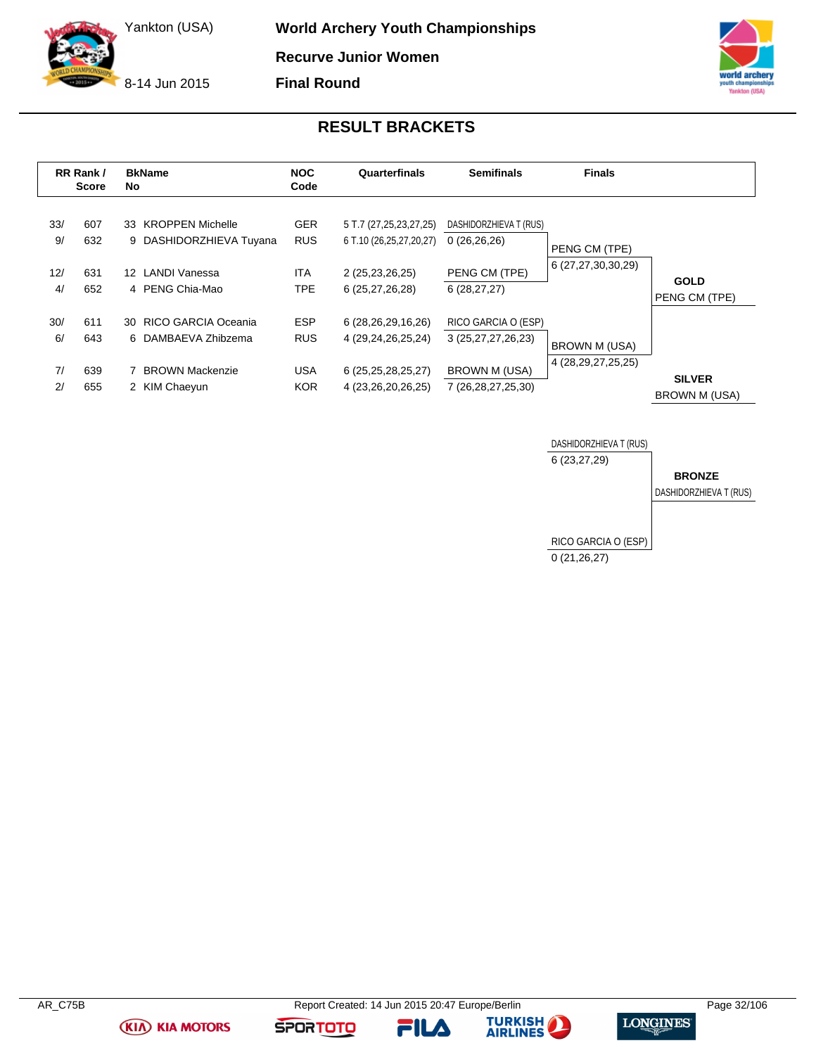8-14 Jun 2015

**World Archery Youth Championships Recurve Junior Women**

**Final Round**



### **RESULT BRACKETS**

<span id="page-32-0"></span>

|           | RR Rank /<br><b>Score</b> | No.             | <b>BkName</b>                                  | <b>NOC</b><br>Code       | Quarterfinals                                     | <b>Semifinals</b>                         | <b>Finals</b>          |                                       |
|-----------|---------------------------|-----------------|------------------------------------------------|--------------------------|---------------------------------------------------|-------------------------------------------|------------------------|---------------------------------------|
| 33/<br>9/ | 607<br>632                |                 | 33 KROPPEN Michelle<br>9 DASHIDORZHIEVA Tuyana | <b>GER</b><br><b>RUS</b> | 5 T.7 (27,25,23,27,25)<br>6 T.10 (26,25,27,20,27) | DASHIDORZHIEVA T (RUS)<br>0(26,26,26)     | PENG CM (TPE)          |                                       |
| 12/<br>4/ | 631<br>652                | 12 <sup>7</sup> | LANDI Vanessa<br>4 PENG Chia-Mao               | <b>ITA</b><br><b>TPE</b> | 2 (25,23,26,25)<br>6 (25,27,26,28)                | PENG CM (TPE)<br>6(28, 27, 27)            | 6 (27,27,30,30,29)     | <b>GOLD</b><br>PENG CM (TPE)          |
| 30/<br>6/ | 611<br>643                |                 | 30 RICO GARCIA Oceania<br>6 DAMBAEVA Zhibzema  | <b>ESP</b><br><b>RUS</b> | 6 (28,26,29,16,26)<br>4 (29,24,26,25,24)          | RICO GARCIA O (ESP)<br>3 (25,27,27,26,23) | <b>BROWN M (USA)</b>   |                                       |
| 7/<br>2/  | 639<br>655                |                 | 7 BROWN Mackenzie<br>2 KIM Chaeyun             | <b>USA</b><br><b>KOR</b> | 6 (25,25,28,25,27)<br>4 (23,26,20,26,25)          | BROWN M (USA)<br>7 (26,28,27,25,30)       | 4 (28, 29, 27, 25, 25) | <b>SILVER</b><br><b>BROWN M (USA)</b> |



**(KIA) KIA MOTORS** 

**FILA** 



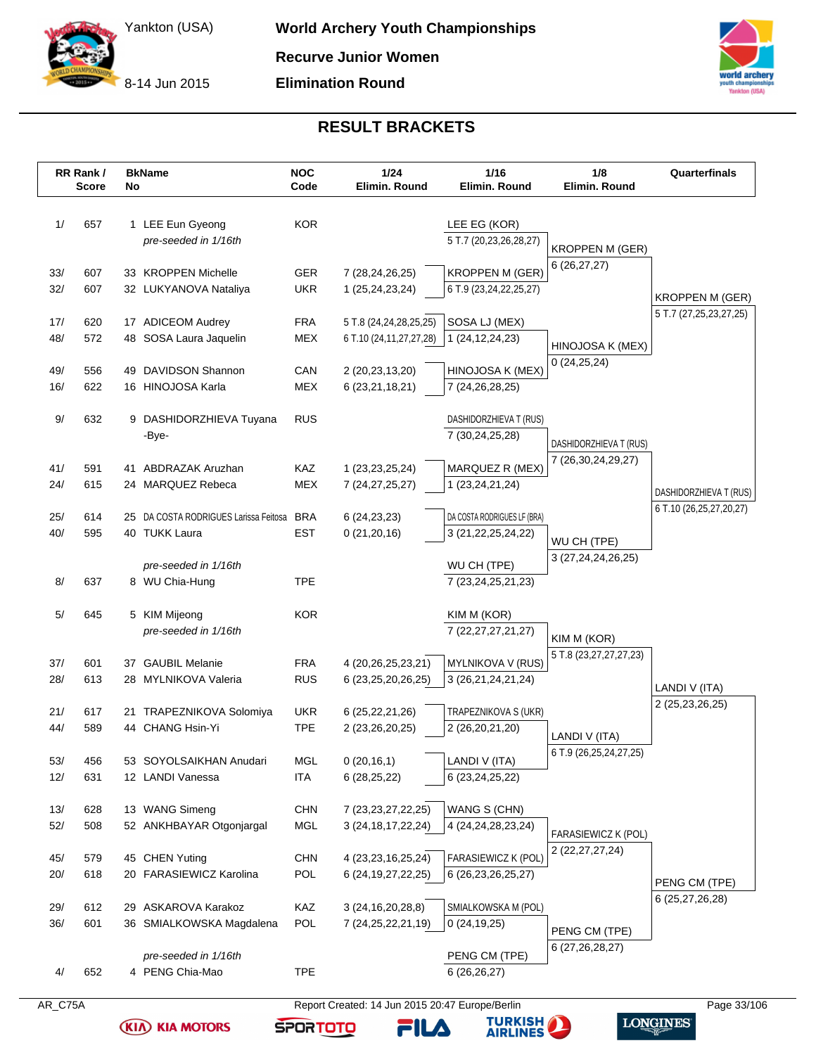8-14 Jun 2015

**Elimination Round**



### **RESULT BRACKETS**

|            | RR Rank /<br><b>Score</b> | No | <b>BkName</b>                                   | <b>NOC</b><br>Code       | $1/24$<br>Elimin. Round                          | 1/16<br>Elimin. Round                   | 1/8<br>Elimin. Round       | Quarterfinals                                    |
|------------|---------------------------|----|-------------------------------------------------|--------------------------|--------------------------------------------------|-----------------------------------------|----------------------------|--------------------------------------------------|
| 1/         | 657                       |    | 1 LEE Eun Gyeong<br>pre-seeded in 1/16th        | <b>KOR</b>               |                                                  | LEE EG (KOR)<br>5 T.7 (20,23,26,28,27)  | <b>KROPPEN M (GER)</b>     |                                                  |
| 33/        | 607                       |    | 33 KROPPEN Michelle                             | <b>GER</b>               | 7 (28,24,26,25)                                  | <b>KROPPEN M (GER)</b>                  | 6(26, 27, 27)              |                                                  |
| 32/        | 607                       |    | 32 LUKYANOVA Nataliya                           | <b>UKR</b>               | 1 (25,24,23,24)                                  | 6 T.9 (23,24,22,25,27)                  |                            |                                                  |
|            |                           |    |                                                 |                          |                                                  |                                         |                            | <b>KROPPEN M (GER)</b><br>5 T.7 (27,25,23,27,25) |
| 17/        | 620                       |    | 17 ADICEOM Audrey                               | <b>FRA</b>               | 5 T.8 (24,24,28,25,25)                           | SOSA LJ (MEX)                           |                            |                                                  |
| 48/        | 572                       |    | 48 SOSA Laura Jaquelin                          | <b>MEX</b>               | 6 T.10 (24,11,27,27,28)                          | 1 (24, 12, 24, 23)                      | HINOJOSA K (MEX)           |                                                  |
| 49/        | 556                       |    | 49 DAVIDSON Shannon                             | CAN                      | 2 (20,23,13,20)                                  | HINOJOSA K (MEX)                        | 0(24,25,24)                |                                                  |
| 16/        | 622                       |    | 16 HINOJOSA Karla                               | <b>MEX</b>               | 6 (23,21,18,21)                                  | 7 (24,26,28,25)                         |                            |                                                  |
|            |                           |    |                                                 |                          |                                                  |                                         |                            |                                                  |
| 9/         | 632                       |    | 9 DASHIDORZHIEVA Tuyana                         | <b>RUS</b>               |                                                  | DASHIDORZHIEVA T (RUS)                  |                            |                                                  |
|            |                           |    | -Bye-                                           |                          |                                                  | 7 (30,24,25,28)                         | DASHIDORZHIEVA T (RUS)     |                                                  |
| 41/        | 591                       |    | 41 ABDRAZAK Aruzhan                             | <b>KAZ</b>               | 1 (23, 23, 25, 24)                               | MARQUEZ R (MEX)                         | 7 (26,30,24,29,27)         |                                                  |
| 24/        | 615                       |    | 24 MARQUEZ Rebeca                               | <b>MEX</b>               | 7 (24, 27, 25, 27)                               | 1 (23, 24, 21, 24)                      |                            | DASHIDORZHIEVA T (RUS)                           |
|            |                           |    |                                                 |                          |                                                  |                                         |                            | 6 T.10 (26,25,27,20,27)                          |
| 25/        | 614                       |    | 25 DA COSTA RODRIGUES Larissa Feitosa           | <b>BRA</b>               | 6(24, 23, 23)                                    | DA COSTA RODRIGUES LF (BRA)             |                            |                                                  |
| 40/        | 595                       |    | 40 TUKK Laura                                   | <b>EST</b>               | 0(21, 20, 16)                                    | 3 (21, 22, 25, 24, 22)                  | WU CH (TPE)                |                                                  |
|            |                           |    | pre-seeded in 1/16th                            |                          |                                                  | WU CH (TPE)                             | 3 (27, 24, 24, 26, 25)     |                                                  |
| 8/         | 637                       |    | 8 WU Chia-Hung                                  | <b>TPE</b>               |                                                  | 7 (23, 24, 25, 21, 23)                  |                            |                                                  |
|            |                           |    |                                                 |                          |                                                  |                                         |                            |                                                  |
| 5/         | 645                       |    | 5 KIM Mijeong<br>pre-seeded in 1/16th           | <b>KOR</b>               |                                                  | KIM M (KOR)<br>7 (22, 27, 27, 21, 27)   |                            |                                                  |
|            |                           |    |                                                 |                          |                                                  |                                         | KIM M (KOR)                |                                                  |
| 37/        | 601                       |    | 37 GAUBIL Melanie                               | <b>FRA</b>               | 4 (20, 26, 25, 23, 21)                           | MYLNIKOVA V (RUS)                       | 5 T.8 (23,27,27,27,23)     |                                                  |
| 28/        | 613                       |    | 28 MYLNIKOVA Valeria                            | <b>RUS</b>               | 6 (23, 25, 20, 26, 25)                           | 3 (26,21,24,21,24)                      |                            | LANDI V (ITA)                                    |
|            |                           |    |                                                 |                          |                                                  |                                         |                            | 2 (25, 23, 26, 25)                               |
| 21/<br>44/ | 617<br>589                |    | 21 TRAPEZNIKOVA Solomiya<br>44 CHANG Hsin-Yi    | <b>UKR</b><br><b>TPE</b> | 6 (25, 22, 21, 26)<br>2 (23,26,20,25)            | TRAPEZNIKOVA S (UKR)<br>2 (26,20,21,20) |                            |                                                  |
|            |                           |    |                                                 |                          |                                                  |                                         | LANDI V (ITA)              |                                                  |
| 53/        | 456                       |    | 53 SOYOLSAIKHAN Anudari                         | MGL                      | 0(20,16,1)                                       | LANDI V (ITA)                           | 6 T.9 (26,25,24,27,25)     |                                                  |
| 12/        | 631                       |    | 12 LANDI Vanessa                                | <b>ITA</b>               | 6(28, 25, 22)                                    | 6 (23, 24, 25, 22)                      |                            |                                                  |
|            |                           |    |                                                 |                          |                                                  |                                         |                            |                                                  |
| 13/<br>52/ | 628<br>508                |    | 13 WANG Simeng<br>52 ANKHBAYAR Otgonjargal      | <b>CHN</b><br><b>MGL</b> | 7 (23, 23, 27, 22, 25)<br>3 (24, 18, 17, 22, 24) | WANG S (CHN)<br>4 (24, 24, 28, 23, 24)  |                            |                                                  |
|            |                           |    |                                                 |                          |                                                  |                                         | <b>FARASIEWICZ K (POL)</b> |                                                  |
| 45/        | 579                       |    | 45 CHEN Yuting                                  | <b>CHN</b>               | 4 (23, 23, 16, 25, 24)                           | FARASIEWICZ K (POL)                     | 2 (22, 27, 27, 24)         |                                                  |
| 20/        | 618                       |    | 20 FARASIEWICZ Karolina                         | POL                      | 6 (24, 19, 27, 22, 25)                           | 6 (26, 23, 26, 25, 27)                  |                            | PENG CM (TPE)                                    |
|            |                           |    |                                                 |                          |                                                  |                                         |                            | 6 (25,27,26,28)                                  |
| 29/<br>36/ | 612<br>601                |    | 29 ASKAROVA Karakoz<br>36 SMIALKOWSKA Magdalena | KAZ<br>POL               | 3(24, 16, 20, 28, 8)<br>7 (24, 25, 22, 21, 19)   | SMIALKOWSKA M (POL)<br>0(24, 19, 25)    |                            |                                                  |
|            |                           |    |                                                 |                          |                                                  |                                         | PENG CM (TPE)              |                                                  |
|            |                           |    | pre-seeded in 1/16th                            |                          |                                                  | PENG CM (TPE)                           | 6 (27, 26, 28, 27)         |                                                  |
|            | 652                       |    | 4 PENG Chia-Mao                                 | <b>TPE</b>               |                                                  | 6(26,26,27)                             |                            |                                                  |

**(KIA) KIA MOTORS** 



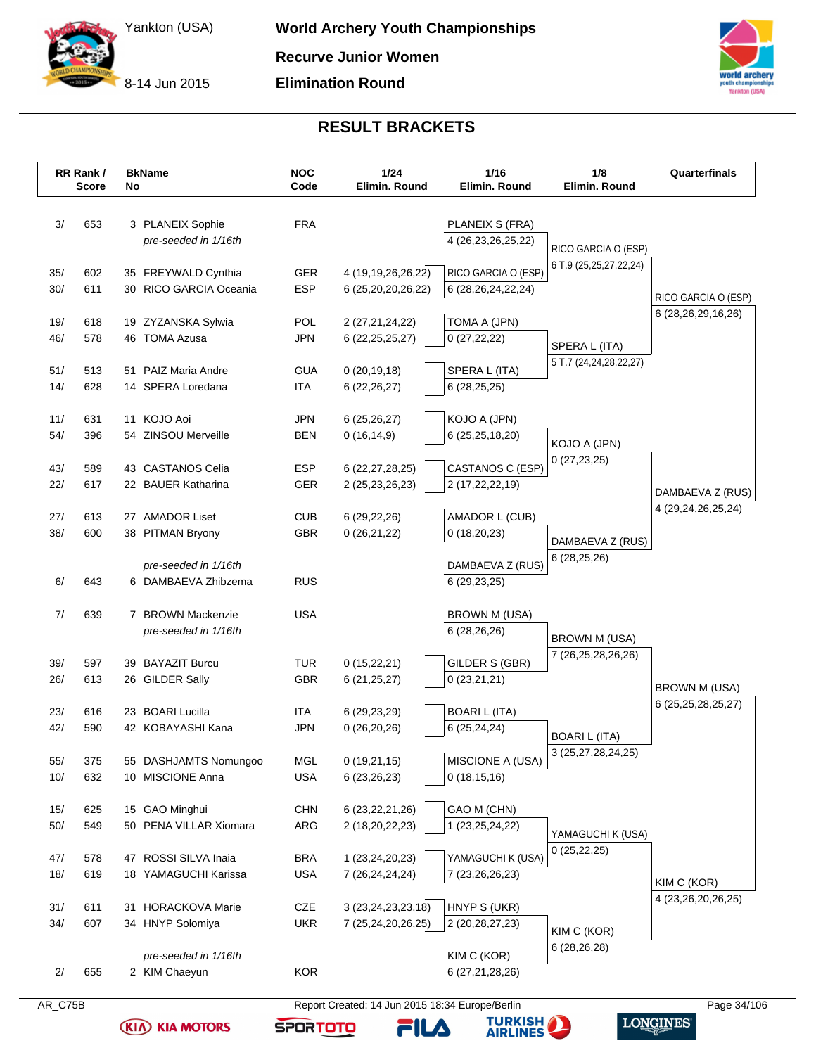

8-14 Jun 2015

### **RESULT BRACKETS**

|              | RR Rank /<br><b>Score</b> | No | <b>BkName</b>                                 | <b>NOC</b><br>Code       | 1/24<br>Elimin. Round                        | 1/16<br>Elimin. Round                         | 1/8<br>Elimin. Round                | Quarterfinals                              |
|--------------|---------------------------|----|-----------------------------------------------|--------------------------|----------------------------------------------|-----------------------------------------------|-------------------------------------|--------------------------------------------|
| 3/           | 653                       |    | 3 PLANEIX Sophie<br>pre-seeded in 1/16th      | <b>FRA</b>               |                                              | PLANEIX S (FRA)<br>4 (26,23,26,25,22)         | RICO GARCIA O (ESP)                 |                                            |
| 35/<br>30/   | 602<br>611                |    | 35 FREYWALD Cynthia<br>30 RICO GARCIA Oceania | <b>GER</b><br><b>ESP</b> | 4 (19, 19, 26, 26, 22)<br>6 (25,20,20,26,22) | RICO GARCIA O (ESP)<br>6 (28, 26, 24, 22, 24) | 6 T.9 (25,25,27,22,24)              | RICO GARCIA O (ESP)                        |
| 19/<br>46/   | 618<br>578                |    | 19 ZYZANSKA Sylwia<br>46 TOMA Azusa           | POL<br><b>JPN</b>        | 2 (27,21,24,22)<br>6 (22, 25, 25, 27)        | TOMA A (JPN)<br>0(27,22,22)                   | SPERA L (ITA)                       | 6 (28, 26, 29, 16, 26)                     |
| 51/<br>14/   | 513<br>628                |    | 51 PAIZ Maria Andre<br>14 SPERA Loredana      | <b>GUA</b><br><b>ITA</b> | 0(20, 19, 18)<br>6 (22, 26, 27)              | SPERA L (ITA)<br>6(28, 25, 25)                | 5 T.7 (24,24,28,22,27)              |                                            |
| 11/<br>54/   | 631<br>396                |    | 11 KOJO Aoi<br>54 ZINSOU Merveille            | <b>JPN</b><br><b>BEN</b> | 6(25, 26, 27)<br>0(16, 14, 9)                | KOJO A (JPN)<br>6 (25,25,18,20)               |                                     |                                            |
| 43/<br>22/   | 589<br>617                |    | 43 CASTANOS Celia<br>22 BAUER Katharina       | <b>ESP</b><br>GER        | 6 (22, 27, 28, 25)<br>2 (25, 23, 26, 23)     | CASTANOS C (ESP)<br>2 (17,22,22,19)           | KOJO A (JPN)<br>0(27, 23, 25)       |                                            |
| 27/          | 613                       |    | 27 AMADOR Liset                               | <b>CUB</b>               | 6(29, 22, 26)                                | AMADOR L (CUB)                                |                                     | DAMBAEVA Z (RUS)<br>4 (29, 24, 26, 25, 24) |
| 38/          | 600                       |    | 38 PITMAN Bryony<br>pre-seeded in 1/16th      | <b>GBR</b>               | 0(26,21,22)                                  | 0(18,20,23)<br>DAMBAEVA Z (RUS)               | DAMBAEVA Z (RUS)<br>6(28, 25, 26)   |                                            |
| 6/<br>7/     | 643<br>639                |    | 6 DAMBAEVA Zhibzema<br>7 BROWN Mackenzie      | <b>RUS</b><br><b>USA</b> |                                              | 6 (29, 23, 25)<br>BROWN M (USA)               |                                     |                                            |
| 39/          | 597                       |    | pre-seeded in 1/16th<br>39 BAYAZIT Burcu      | TUR                      | 0(15,22,21)                                  | 6 (28,26,26)<br>GILDER S (GBR)                | BROWN M (USA)<br>7 (26,25,28,26,26) |                                            |
| 26/          | 613                       |    | 26 GILDER Sally                               | GBR                      | 6(21, 25, 27)                                | 0(23,21,21)                                   |                                     | <b>BROWN M (USA)</b><br>6 (25,25,28,25,27) |
| 23/<br>42/   | 616<br>590                |    | 23 BOARI Lucilla<br>42 KOBAYASHI Kana         | ITA<br><b>JPN</b>        | 6 (29, 23, 29)<br>0(26,20,26)                | <b>BOARI L (ITA)</b><br>6(25, 24, 24)         | <b>BOARI L (ITA)</b>                |                                            |
| 55/<br>10/   | 375<br>632                |    | 55 DASHJAMTS Nomungoo<br>10 MISCIONE Anna     | MGL<br><b>USA</b>        | 0(19,21,15)<br>6 (23, 26, 23)                | MISCIONE A (USA)<br>0(18, 15, 16)             | 3 (25,27,28,24,25)                  |                                            |
| 15/<br>$50/$ | 625<br>549                |    | 15 GAO Minghui<br>50 PENA VILLAR Xiomara      | <b>CHN</b><br>ARG        | 6 (23, 22, 21, 26)<br>2 (18,20,22,23)        | GAO M (CHN)<br>1 (23,25,24,22)                | YAMAGUCHI K (USA)                   |                                            |
| 47/<br>18/   | 578<br>619                |    | 47 ROSSI SILVA Inaia<br>18 YAMAGUCHI Karissa  | <b>BRA</b><br><b>USA</b> | 1 (23,24,20,23)<br>7 (26,24,24,24)           | YAMAGUCHI K (USA)<br>7 (23, 26, 26, 23)       | 0(25, 22, 25)                       | KIM C (KOR)                                |
| 31/<br>34/   | 611<br>607                |    | 31 HORACKOVA Marie<br>34 HNYP Solomiya        | CZE<br><b>UKR</b>        | 3 (23, 24, 23, 23, 18)<br>7 (25,24,20,26,25) | HNYP S (UKR)<br>2 (20, 28, 27, 23)            | KIM C (KOR)                         | 4 (23, 26, 20, 26, 25)                     |
| 2/           | 655                       |    | pre-seeded in 1/16th<br>2 KIM Chaeyun         | <b>KOR</b>               |                                              | KIM C (KOR)<br>6 (27,21,28,26)                | 6 (28,26,28)                        |                                            |

**(KIA) KIA MOTORS** 

AR\_C75B Report Created: 14 Jun 2015 18:34 Europe/Berlin Page 34/106

**FILA** 



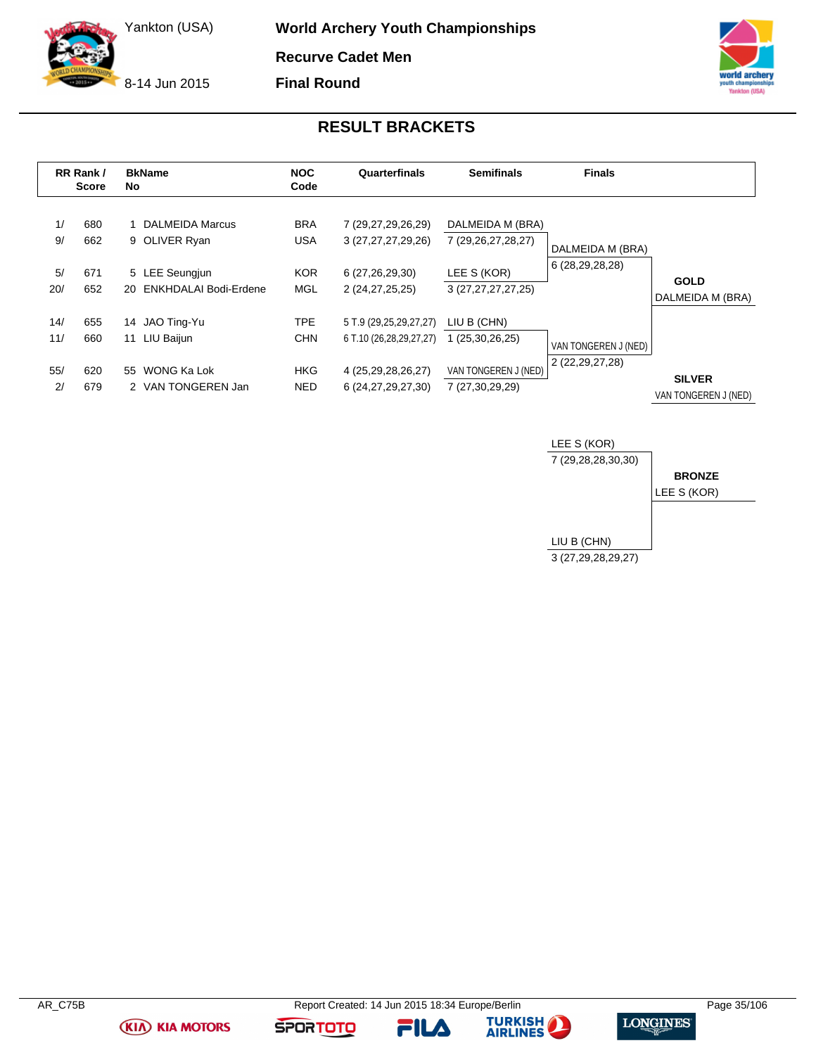8-14 Jun 2015

**World Archery Youth Championships Recurve Cadet Men**

**Final Round**



### **RESULT BRACKETS**

<span id="page-35-0"></span>

|          | RR Rank /<br><b>Score</b> | <b>BkName</b><br>No                | <b>NOC</b><br>Code       | Quarterfinals                                | <b>Semifinals</b>                      | <b>Finals</b>                       |                      |
|----------|---------------------------|------------------------------------|--------------------------|----------------------------------------------|----------------------------------------|-------------------------------------|----------------------|
| 1/<br>9/ | 680<br>662                | 1 DALMEIDA Marcus<br>9 OLIVER Ryan | <b>BRA</b><br><b>USA</b> | 7 (29,27,29,26,29)<br>3 (27, 27, 27, 29, 26) | DALMEIDA M (BRA)<br>7 (29,26,27,28,27) |                                     |                      |
|          |                           |                                    |                          |                                              |                                        | DALMEIDA M (BRA)<br>6 (28,29,28,28) |                      |
| 5/       | 671                       | 5 LEE Seungjun                     | <b>KOR</b>               | 6 (27,26,29,30)                              | LEE S (KOR)                            |                                     | <b>GOLD</b>          |
| 20/      | 652                       | ENKHDALAI Bodi-Erdene<br>20        | <b>MGL</b>               | 2 (24, 27, 25, 25)                           | 3 (27,27,27,27,25)                     |                                     | DALMEIDA M (BRA)     |
| 14/      | 655                       | JAO Ting-Yu<br>14                  | TPE.                     | 5 T.9 (29,25,29,27,27)                       | LIU B (CHN)                            |                                     |                      |
| 11/      | 660                       | 11 LIU Baijun                      | <b>CHN</b>               | 6 T.10 (26,28,29,27,27)                      | 1 (25,30,26,25)                        | VAN TONGEREN J (NED)                |                      |
| 55/      | 620                       | WONG Ka Lok<br>55                  | <b>HKG</b>               | 4 (25,29,28,26,27)                           | VAN TONGEREN J (NED)                   | 2 (22, 29, 27, 28)                  | <b>SILVER</b>        |
| 2/       | 679                       | 2 VAN TONGEREN Jan                 | <b>NED</b>               | 6 (24, 27, 29, 27, 30)                       | 7 (27,30,29,29)                        |                                     | VAN TONGEREN J (NED) |









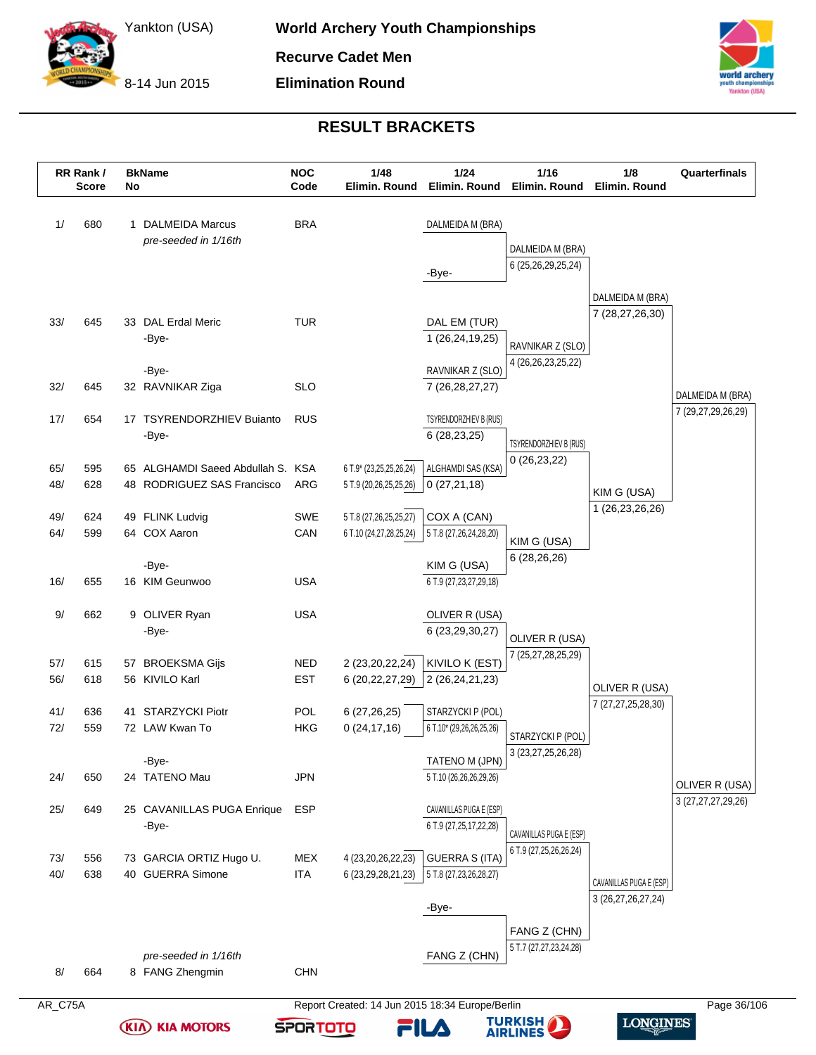8-14 Jun 2015



# **RESULT BRACKETS**

| 680<br>645<br>645<br>654<br>595<br>628<br>624 | 1 DALMEIDA Marcus<br>pre-seeded in 1/16th<br>33 DAL Erdal Meric<br>-Bye-<br>-Bye-<br>32 RAVNIKAR Ziga<br>17 TSYRENDORZHIEV Bujanto<br>-Bye-<br>65 ALGHAMDI Saeed Abdullah S. KSA | <b>BRA</b><br><b>TUR</b><br><b>SLO</b><br><b>RUS</b>                                                |                                 | DALMEIDA M (BRA)<br>-Bye-<br>DAL EM (TUR)<br>1 (26,24,19,25)<br>RAVNIKAR Z (SLO)<br>7 (26, 28, 27, 27) | DALMEIDA M (BRA)<br>6 (25,26,29,25,24)<br>RAVNIKAR Z (SLO)<br>4 (26, 26, 23, 25, 22) | DALMEIDA M (BRA)<br>7 (28,27,26,30)                                                       |                                                                              |
|-----------------------------------------------|----------------------------------------------------------------------------------------------------------------------------------------------------------------------------------|-----------------------------------------------------------------------------------------------------|---------------------------------|--------------------------------------------------------------------------------------------------------|--------------------------------------------------------------------------------------|-------------------------------------------------------------------------------------------|------------------------------------------------------------------------------|
|                                               |                                                                                                                                                                                  |                                                                                                     |                                 |                                                                                                        |                                                                                      |                                                                                           |                                                                              |
|                                               |                                                                                                                                                                                  |                                                                                                     |                                 |                                                                                                        |                                                                                      |                                                                                           |                                                                              |
|                                               |                                                                                                                                                                                  |                                                                                                     |                                 |                                                                                                        |                                                                                      |                                                                                           |                                                                              |
|                                               |                                                                                                                                                                                  |                                                                                                     |                                 |                                                                                                        |                                                                                      |                                                                                           |                                                                              |
|                                               |                                                                                                                                                                                  |                                                                                                     |                                 |                                                                                                        |                                                                                      |                                                                                           |                                                                              |
|                                               |                                                                                                                                                                                  |                                                                                                     |                                 |                                                                                                        |                                                                                      |                                                                                           |                                                                              |
|                                               |                                                                                                                                                                                  |                                                                                                     |                                 |                                                                                                        |                                                                                      |                                                                                           |                                                                              |
|                                               |                                                                                                                                                                                  |                                                                                                     |                                 |                                                                                                        |                                                                                      |                                                                                           |                                                                              |
|                                               |                                                                                                                                                                                  |                                                                                                     |                                 |                                                                                                        |                                                                                      |                                                                                           |                                                                              |
|                                               |                                                                                                                                                                                  |                                                                                                     |                                 |                                                                                                        |                                                                                      |                                                                                           | DALMEIDA M (BRA)                                                             |
|                                               |                                                                                                                                                                                  |                                                                                                     |                                 | TSYRENDORZHIEV B (RUS)                                                                                 |                                                                                      |                                                                                           | 7 (29,27,29,26,29)                                                           |
|                                               |                                                                                                                                                                                  |                                                                                                     |                                 | 6 (28,23,25)                                                                                           |                                                                                      |                                                                                           |                                                                              |
|                                               |                                                                                                                                                                                  |                                                                                                     |                                 |                                                                                                        | TSYRENDORZHIEV B (RUS)                                                               |                                                                                           |                                                                              |
|                                               |                                                                                                                                                                                  |                                                                                                     | 6 T.9* (23,25,25,26,24)         | ALGHAMDI SAS (KSA)                                                                                     | 0(26, 23, 22)                                                                        |                                                                                           |                                                                              |
|                                               | 48 RODRIGUEZ SAS Francisco                                                                                                                                                       | ARG                                                                                                 | 5 T.9 (20,26,25,25,26)          | 0(27,21,18)                                                                                            |                                                                                      | KIM G (USA)                                                                               |                                                                              |
|                                               |                                                                                                                                                                                  |                                                                                                     |                                 |                                                                                                        |                                                                                      | 1 (26,23,26,26)                                                                           |                                                                              |
|                                               | 49 FLINK Ludvig                                                                                                                                                                  | <b>SWE</b>                                                                                          | 5 T.8 (27,26,25,25,27)          | COX A (CAN)                                                                                            |                                                                                      |                                                                                           |                                                                              |
| 599                                           | 64 COX Aaron                                                                                                                                                                     | CAN                                                                                                 | 6 T.10 (24,27,28,25,24)         | 5 T.8 (27,26,24,28,20)                                                                                 | KIM G (USA)                                                                          |                                                                                           |                                                                              |
|                                               | -Bye-                                                                                                                                                                            |                                                                                                     |                                 | KIM G (USA)                                                                                            | 6 (28,26,26)                                                                         |                                                                                           |                                                                              |
| 655                                           | 16 KIM Geunwoo                                                                                                                                                                   | <b>USA</b>                                                                                          |                                 | 6 T.9 (27,23,27,29,18)                                                                                 |                                                                                      |                                                                                           |                                                                              |
|                                               |                                                                                                                                                                                  |                                                                                                     |                                 |                                                                                                        |                                                                                      |                                                                                           |                                                                              |
| 662                                           | 9 OLIVER Ryan                                                                                                                                                                    | <b>USA</b>                                                                                          |                                 | OLIVER R (USA)                                                                                         |                                                                                      |                                                                                           |                                                                              |
|                                               | -Bye-                                                                                                                                                                            |                                                                                                     |                                 | 6 (23,29,30,27)                                                                                        | OLIVER R (USA)                                                                       |                                                                                           |                                                                              |
|                                               |                                                                                                                                                                                  |                                                                                                     |                                 |                                                                                                        | 7 (25,27,28,25,29)                                                                   |                                                                                           |                                                                              |
| 615                                           | 57 BROEKSMA Gijs                                                                                                                                                                 | NED                                                                                                 | 2 (23, 20, 22, 24)              | KIVILO K (EST)                                                                                         |                                                                                      |                                                                                           |                                                                              |
| 618                                           | 56 KIVILO Karl                                                                                                                                                                   | <b>EST</b>                                                                                          | 6 (20, 22, 27, 29)              | 2 (26, 24, 21, 23)                                                                                     |                                                                                      | OLIVER R (USA)                                                                            |                                                                              |
| 636                                           | 41 STARZYCKI Piotr                                                                                                                                                               | POL                                                                                                 | 6(27,26,25)                     | STARZYCKI P (POL)                                                                                      |                                                                                      | 7 (27,27,25,28,30)                                                                        |                                                                              |
| 559                                           | 72 LAW Kwan To                                                                                                                                                                   | <b>HKG</b>                                                                                          | 0(24, 17, 16)                   | 6 T.10* (29,26,26,25,26)                                                                               |                                                                                      |                                                                                           |                                                                              |
|                                               |                                                                                                                                                                                  |                                                                                                     |                                 |                                                                                                        | STARZYCKI P (POL)                                                                    |                                                                                           |                                                                              |
|                                               | -Bye-                                                                                                                                                                            |                                                                                                     |                                 | TATENO M (JPN)                                                                                         | 3 (23, 27, 25, 26, 28)                                                               |                                                                                           |                                                                              |
| 650                                           | 24 TATENO Mau                                                                                                                                                                    | <b>JPN</b>                                                                                          |                                 | 5 T.10 (26,26,26,29,26)                                                                                |                                                                                      |                                                                                           | OLIVER R (USA)                                                               |
|                                               |                                                                                                                                                                                  |                                                                                                     |                                 |                                                                                                        |                                                                                      |                                                                                           | 3 (27,27,27,29,26)                                                           |
| 649                                           | 25 CAVANILLAS PUGA Enrique                                                                                                                                                       | <b>ESP</b>                                                                                          |                                 | CAVANILLAS PUGA E (ESP)                                                                                |                                                                                      |                                                                                           |                                                                              |
|                                               | -Bye-                                                                                                                                                                            |                                                                                                     |                                 | 6 T.9 (27,25,17,22,28)                                                                                 | CAVANILLAS PUGA E (ESP)                                                              |                                                                                           |                                                                              |
|                                               |                                                                                                                                                                                  |                                                                                                     |                                 |                                                                                                        | 6 T.9 (27,25,26,26,24)                                                               |                                                                                           |                                                                              |
|                                               |                                                                                                                                                                                  |                                                                                                     |                                 |                                                                                                        |                                                                                      |                                                                                           |                                                                              |
|                                               |                                                                                                                                                                                  |                                                                                                     |                                 |                                                                                                        |                                                                                      | CAVANILLAS PUGA E (ESP)                                                                   |                                                                              |
|                                               |                                                                                                                                                                                  |                                                                                                     |                                 | -Bye-                                                                                                  |                                                                                      |                                                                                           |                                                                              |
|                                               |                                                                                                                                                                                  |                                                                                                     |                                 |                                                                                                        |                                                                                      |                                                                                           |                                                                              |
|                                               |                                                                                                                                                                                  |                                                                                                     |                                 |                                                                                                        |                                                                                      |                                                                                           |                                                                              |
|                                               | pre-seeded in 1/16th                                                                                                                                                             |                                                                                                     |                                 | FANG Z (CHN)                                                                                           |                                                                                      |                                                                                           |                                                                              |
|                                               |                                                                                                                                                                                  |                                                                                                     |                                 |                                                                                                        |                                                                                      |                                                                                           |                                                                              |
| 664                                           |                                                                                                                                                                                  |                                                                                                     |                                 |                                                                                                        |                                                                                      |                                                                                           | Page 36/106                                                                  |
| 556<br>638                                    |                                                                                                                                                                                  | 73 GARCIA ORTIZ Hugo U.<br>40 GUERRA Simone<br>8 FANG Zhengmin<br><b>KIA MOTORS</b><br><b>(KIA)</b> | MEX<br><b>ITA</b><br><b>CHN</b> | 4 (23, 20, 26, 22, 23)<br>6 (23, 29, 28, 21, 23)<br><b>SPORTOTO</b>                                    | <b>GUERRA S (ITA)</b><br>5 T.8 (27,23,26,28,27)                                      | FANG Z (CHN)<br>5 T.7 (27,27,23,24,28)<br>Report Created: 14 Jun 2015 18:34 Europe/Berlin | 3 (26,27,26,27,24)<br><b>LONGINES</b><br><b>TURKISH<br/>AIRLINES</b><br>FILA |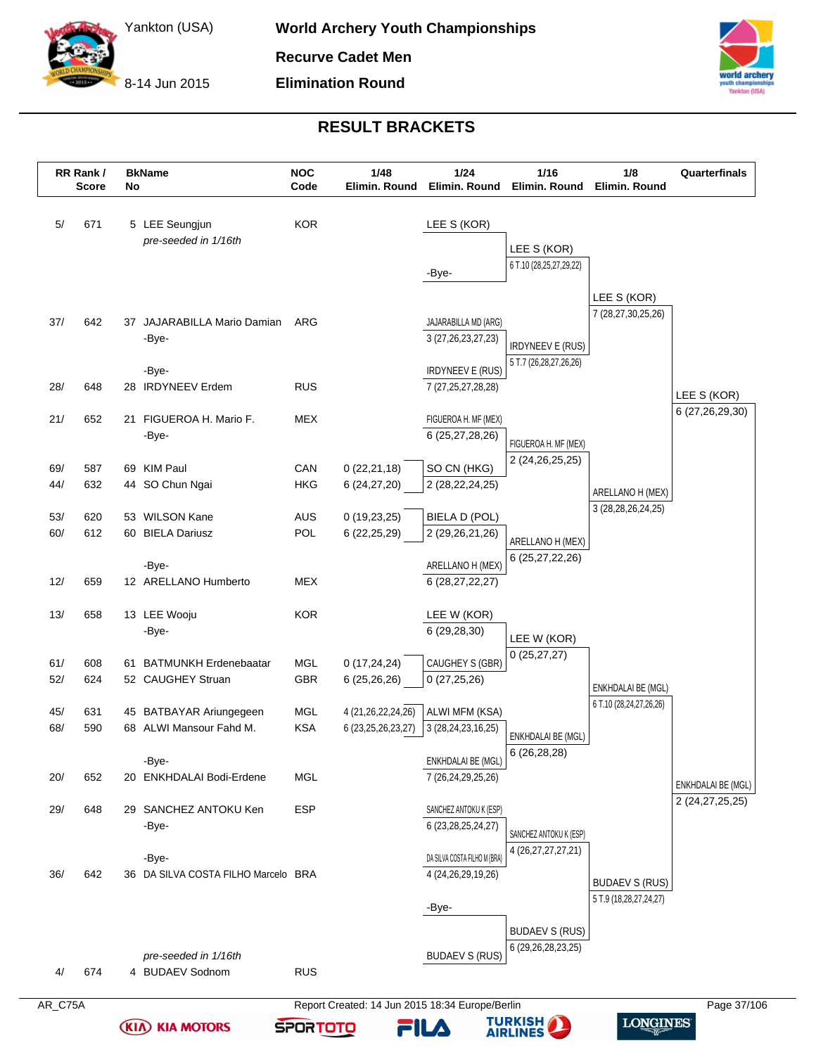



# **RESULT BRACKETS**

|            | RR Rank /<br><b>Score</b> | No | <b>BkName</b>                          | <b>NOC</b><br>Code | 1/48<br>Elimin. Round        | 1/24<br>Elimin. Round                            | $1/16$<br>Elimin. Round                           | 1/8<br>Elimin. Round                          | Quarterfinals      |
|------------|---------------------------|----|----------------------------------------|--------------------|------------------------------|--------------------------------------------------|---------------------------------------------------|-----------------------------------------------|--------------------|
| 5/         | 671                       |    | 5 LEE Seungjun<br>pre-seeded in 1/16th | <b>KOR</b>         |                              | LEE S (KOR)                                      |                                                   |                                               |                    |
|            |                           |    |                                        |                    |                              |                                                  | LEE S (KOR)                                       |                                               |                    |
|            |                           |    |                                        |                    |                              | -Bye-                                            | 6 T.10 (28,25,27,29,22)                           |                                               |                    |
|            |                           |    |                                        |                    |                              |                                                  |                                                   | LEE S (KOR)                                   |                    |
| 37/        | 642                       |    | 37 JAJARABILLA Mario Damian            | ARG                |                              | JAJARABILLA MD (ARG)                             |                                                   | 7 (28,27,30,25,26)                            |                    |
|            |                           |    | -Bye-                                  |                    |                              | 3 (27, 26, 23, 27, 23)                           |                                                   |                                               |                    |
|            |                           |    |                                        |                    |                              |                                                  | <b>IRDYNEEV E (RUS)</b><br>5 T.7 (26,28,27,26,26) |                                               |                    |
|            |                           |    | -Bye-                                  |                    |                              | <b>IRDYNEEV E (RUS)</b>                          |                                                   |                                               |                    |
| 28/        | 648                       |    | 28 IRDYNEEV Erdem                      | <b>RUS</b>         |                              | 7 (27, 25, 27, 28, 28)                           |                                                   |                                               | LEE S (KOR)        |
| 21/        | 652                       |    | 21 FIGUEROA H. Mario F.                | <b>MEX</b>         |                              | FIGUEROA H. MF (MEX)                             |                                                   |                                               | 6 (27,26,29,30)    |
|            |                           |    | -Bye-                                  |                    |                              | 6 (25,27,28,26)                                  | FIGUEROA H. MF (MEX)                              |                                               |                    |
|            |                           |    |                                        |                    |                              |                                                  | 2 (24, 26, 25, 25)                                |                                               |                    |
| 69/<br>44/ | 587<br>632                |    | 69 KIM Paul<br>44 SO Chun Ngai         | CAN<br><b>HKG</b>  | 0(22,21,18)<br>6(24, 27, 20) | SO CN (HKG)<br>2 (28, 22, 24, 25)                |                                                   |                                               |                    |
|            |                           |    |                                        |                    |                              |                                                  |                                                   | ARELLANO H (MEX)                              |                    |
| 53/        | 620                       |    | 53 WILSON Kane                         | AUS                | 0(19,23,25)                  | BIELA D (POL)                                    |                                                   | 3 (28, 28, 26, 24, 25)                        |                    |
| 60/        | 612                       |    | 60 BIELA Dariusz                       | POL                | 6 (22, 25, 29)               | 2 (29,26,21,26)                                  | ARELLANO H (MEX)                                  |                                               |                    |
|            |                           |    |                                        |                    |                              |                                                  | 6 (25,27,22,26)                                   |                                               |                    |
| 12/        | 659                       |    | -Bye-<br>12 ARELLANO Humberto          | <b>MEX</b>         |                              | ARELLANO H (MEX)<br>6 (28,27,22,27)              |                                                   |                                               |                    |
|            |                           |    |                                        |                    |                              |                                                  |                                                   |                                               |                    |
| 13/        | 658                       |    | 13 LEE Wooju                           | <b>KOR</b>         |                              | LEE W (KOR)                                      |                                                   |                                               |                    |
|            |                           |    | -Bye-                                  |                    |                              | 6 (29,28,30)                                     | LEE W (KOR)                                       |                                               |                    |
| 61/        | 608                       |    | 61 BATMUNKH Erdenebaatar               | <b>MGL</b>         | 0(17, 24, 24)                | CAUGHEY S (GBR)                                  | 0(25, 27, 27)                                     |                                               |                    |
| 52/        | 624                       |    | 52 CAUGHEY Struan                      | GBR                | 6 (25,26,26)                 | 0(27, 25, 26)                                    |                                                   |                                               |                    |
|            |                           |    |                                        |                    |                              |                                                  |                                                   | ENKHDALAI BE (MGL)<br>6 T.10 (28,24,27,26,26) |                    |
| 45/        | 631                       |    | 45 BATBAYAR Ariungegeen                | MGL                | 4 (21, 26, 22, 24, 26)       | ALWI MFM (KSA)                                   |                                                   |                                               |                    |
| 68/        | 590                       |    | 68 ALWI Mansour Fahd M.                | <b>KSA</b>         | 6 (23, 25, 26, 23, 27)       | 3 (28,24,23,16,25)                               | ENKHDALAI BE (MGL)                                |                                               |                    |
|            |                           |    | -Bye-                                  |                    |                              | ENKHDALAI BE (MGL)                               | 6 (26,28,28)                                      |                                               |                    |
| 20/        | 652                       |    | 20 ENKHDALAI Bodi-Erdene               | MGL                |                              | 7 (26,24,29,25,26)                               |                                                   |                                               | ENKHDALAI BE (MGL) |
|            |                           |    |                                        |                    |                              |                                                  |                                                   |                                               | 2 (24,27,25,25)    |
| 29/        | 648                       |    | 29 SANCHEZ ANTOKU Ken<br>-Bye-         | <b>ESP</b>         |                              | SANCHEZ ANTOKU K (ESP)<br>6 (23, 28, 25, 24, 27) |                                                   |                                               |                    |
|            |                           |    |                                        |                    |                              |                                                  | SANCHEZ ANTOKU K (ESP)                            |                                               |                    |
|            |                           |    | -Bye-                                  |                    |                              | DA SILVA COSTA FILHO M (BRA)                     | 4 (26,27,27,27,21)                                |                                               |                    |
| 36/        | 642                       |    | 36 DA SILVA COSTA FILHO Marcelo BRA    |                    |                              | 4 (24, 26, 29, 19, 26)                           |                                                   | <b>BUDAEV S (RUS)</b>                         |                    |
|            |                           |    |                                        |                    |                              |                                                  |                                                   | 5 T.9 (18,28,27,24,27)                        |                    |
|            |                           |    |                                        |                    |                              | -Bye-                                            |                                                   |                                               |                    |
|            |                           |    |                                        |                    |                              |                                                  | <b>BUDAEV S (RUS)</b>                             |                                               |                    |
|            |                           |    | pre-seeded in 1/16th                   |                    |                              | <b>BUDAEV S (RUS)</b>                            | 6 (29, 26, 28, 23, 25)                            |                                               |                    |
| 4/         | 674                       |    | 4 BUDAEV Sodnom                        | <b>RUS</b>         |                              |                                                  |                                                   |                                               |                    |

**(KIA) KIA MOTORS** 

**TURKISH<br>AIRLINES** 

FILA

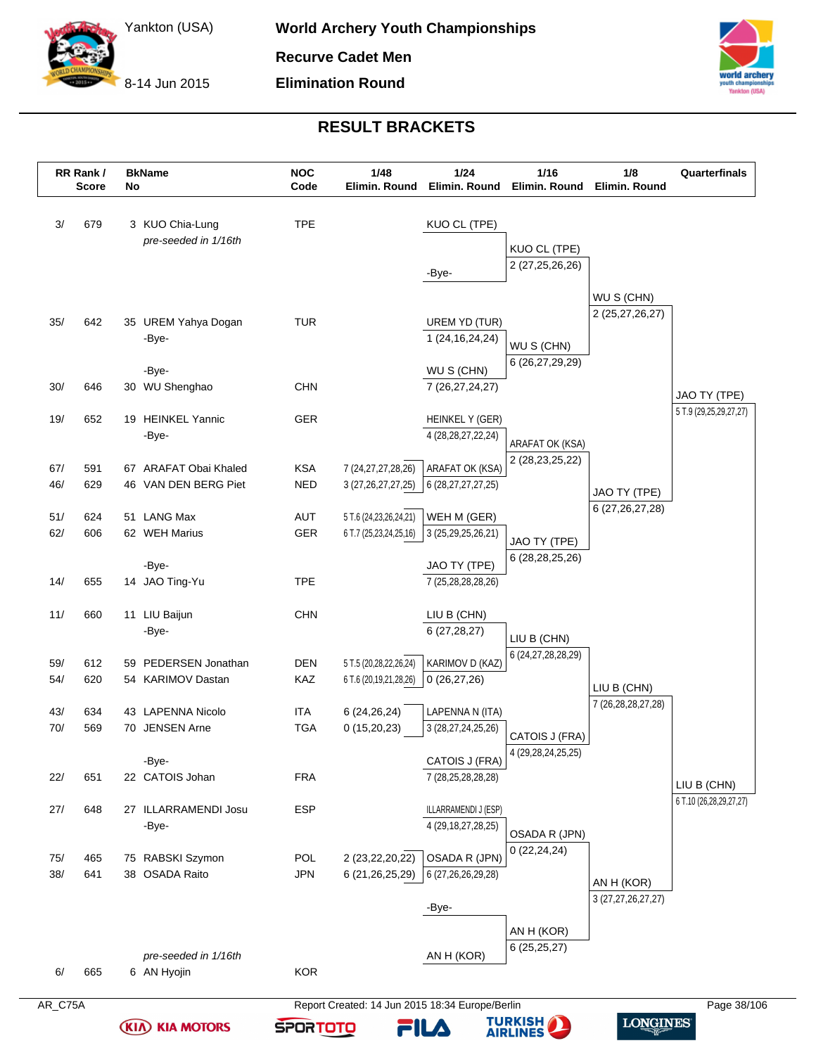8-14 Jun 2015



# **RESULT BRACKETS**

|            | RR Rank /<br><b>Score</b> | No | <b>BkName</b>                           | <b>NOC</b><br>Code | 1/48<br>Elimin. Round                                | 1/24<br>Elimin. Round                | $1/16$<br>Elimin. Round               | 1/8<br>Elimin. Round               | Quarterfinals                          |
|------------|---------------------------|----|-----------------------------------------|--------------------|------------------------------------------------------|--------------------------------------|---------------------------------------|------------------------------------|----------------------------------------|
| 3/         | 679                       |    | 3 KUO Chia-Lung<br>pre-seeded in 1/16th | <b>TPE</b>         |                                                      | KUO CL (TPE)                         | KUO CL (TPE)                          |                                    |                                        |
|            |                           |    |                                         |                    |                                                      | -Bye-                                | 2 (27,25,26,26)                       |                                    |                                        |
|            |                           |    |                                         |                    |                                                      |                                      |                                       | WU S (CHN)                         |                                        |
| 35/        | 642                       |    | 35 UREM Yahya Dogan                     | <b>TUR</b>         |                                                      | UREM YD (TUR)                        |                                       | 2 (25,27,26,27)                    |                                        |
|            |                           |    | -Bye-                                   |                    |                                                      | 1 (24, 16, 24, 24)                   | WU S (CHN)                            |                                    |                                        |
|            |                           |    |                                         |                    |                                                      |                                      | 6 (26,27,29,29)                       |                                    |                                        |
| 30/        | 646                       |    | -Bye-<br>30 WU Shenghao                 | <b>CHN</b>         |                                                      | WU S (CHN)<br>7 (26,27,24,27)        |                                       |                                    |                                        |
|            |                           |    |                                         |                    |                                                      |                                      |                                       |                                    | JAO TY (TPE)                           |
| 19/        | 652                       |    | 19 HEINKEL Yannic                       | <b>GER</b>         |                                                      | HEINKEL Y (GER)                      |                                       |                                    | 5 T.9 (29,25,29,27,27)                 |
|            |                           |    | -Bye-                                   |                    |                                                      | 4 (28, 28, 27, 22, 24)               | ARAFAT OK (KSA)                       |                                    |                                        |
| 67/        | 591                       |    | 67 ARAFAT Obai Khaled                   | <b>KSA</b>         | 7 (24, 27, 27, 28, 26)                               | ARAFAT OK (KSA)                      | 2 (28,23,25,22)                       |                                    |                                        |
| 46/        | 629                       |    | 46 VAN DEN BERG Piet                    | <b>NED</b>         | 3 (27, 26, 27, 27, 25)                               | 6 (28,27,27,27,25)                   |                                       |                                    |                                        |
|            |                           |    |                                         |                    |                                                      |                                      |                                       | JAO TY (TPE)<br>6 (27, 26, 27, 28) |                                        |
| 51/<br>62/ | 624<br>606                |    | 51 LANG Max<br>62 WEH Marius            | AUT<br><b>GER</b>  | 5 T.6 (24, 23, 26, 24, 21)<br>6 T.7 (25,23,24,25,16) | WEH M (GER)                          |                                       |                                    |                                        |
|            |                           |    |                                         |                    |                                                      | 3 (25,29,25,26,21)                   | JAO TY (TPE)                          |                                    |                                        |
|            |                           |    | -Bye-                                   |                    |                                                      | JAO TY (TPE)                         | 6 (28,28,25,26)                       |                                    |                                        |
| 14/        | 655                       |    | 14 JAO Ting-Yu                          | <b>TPE</b>         |                                                      | 7 (25,28,28,28,26)                   |                                       |                                    |                                        |
| 11/        | 660                       |    | 11 LIU Baijun                           | <b>CHN</b>         |                                                      | LIU B (CHN)                          |                                       |                                    |                                        |
|            |                           |    | -Bye-                                   |                    |                                                      | 6(27, 28, 27)                        |                                       |                                    |                                        |
|            |                           |    |                                         |                    |                                                      |                                      | LIU B (CHN)<br>6 (24, 27, 28, 28, 29) |                                    |                                        |
| 59/        | 612                       |    | 59 PEDERSEN Jonathan                    | <b>DEN</b>         | 5 T.5 (20,28,22,26,24)                               | KARIMOV D (KAZ)                      |                                       |                                    |                                        |
| 54/        | 620                       |    | 54 KARIMOV Dastan                       | KAZ                | 6 T.6 (20,19,21,28,26)                               | 0(26, 27, 26)                        |                                       | LIU B (CHN)                        |                                        |
| 43/        | 634                       |    | 43 LAPENNA Nicolo                       | ITA                | 6 (24, 26, 24)                                       | LAPENNA N (ITA)                      |                                       | 7 (26, 28, 28, 27, 28)             |                                        |
| 70/        | 569                       |    | 70 JENSEN Arne                          | <b>TGA</b>         | 0(15,20,23)                                          | 3 (28,27,24,25,26)                   | CATOIS J (FRA)                        |                                    |                                        |
|            |                           |    |                                         |                    |                                                      |                                      | 4 (29, 28, 24, 25, 25)                |                                    |                                        |
| 22/        | 651                       |    | -Bye-<br>22 CATOIS Johan                | <b>FRA</b>         |                                                      | CATOIS J (FRA)<br>7 (28,25,28,28,28) |                                       |                                    |                                        |
|            |                           |    |                                         |                    |                                                      |                                      |                                       |                                    | LIU B (CHN)<br>6 T.10 (26,28,29,27,27) |
| 27/        | 648                       |    | 27 ILLARRAMENDI Josu                    | <b>ESP</b>         |                                                      | ILLARRAMENDI J (ESP)                 |                                       |                                    |                                        |
|            |                           |    | -Bye-                                   |                    |                                                      | 4 (29, 18, 27, 28, 25)               | OSADA R (JPN)                         |                                    |                                        |
| 75/        | 465                       |    | 75 RABSKI Szymon                        | POL                | 2 (23, 22, 20, 22)                                   | OSADA R (JPN)                        | 0(22, 24, 24)                         |                                    |                                        |
| 38/        | 641                       |    | 38 OSADA Raito                          | <b>JPN</b>         | 6 (21, 26, 25, 29)                                   | 6 (27,26,26,29,28)                   |                                       | AN H (KOR)                         |                                        |
|            |                           |    |                                         |                    |                                                      |                                      |                                       | 3 (27,27,26,27,27)                 |                                        |
|            |                           |    |                                         |                    |                                                      | -Bye-                                |                                       |                                    |                                        |
|            |                           |    |                                         |                    |                                                      |                                      | AN H (KOR)                            |                                    |                                        |
|            |                           |    |                                         |                    |                                                      |                                      | 6(25,25,27)                           |                                    |                                        |
|            |                           |    | pre-seeded in 1/16th                    |                    |                                                      | AN H (KOR)                           |                                       |                                    |                                        |

**(KIA) KIA MOTORS** 



**TURKISH<br>AIRLINES** 

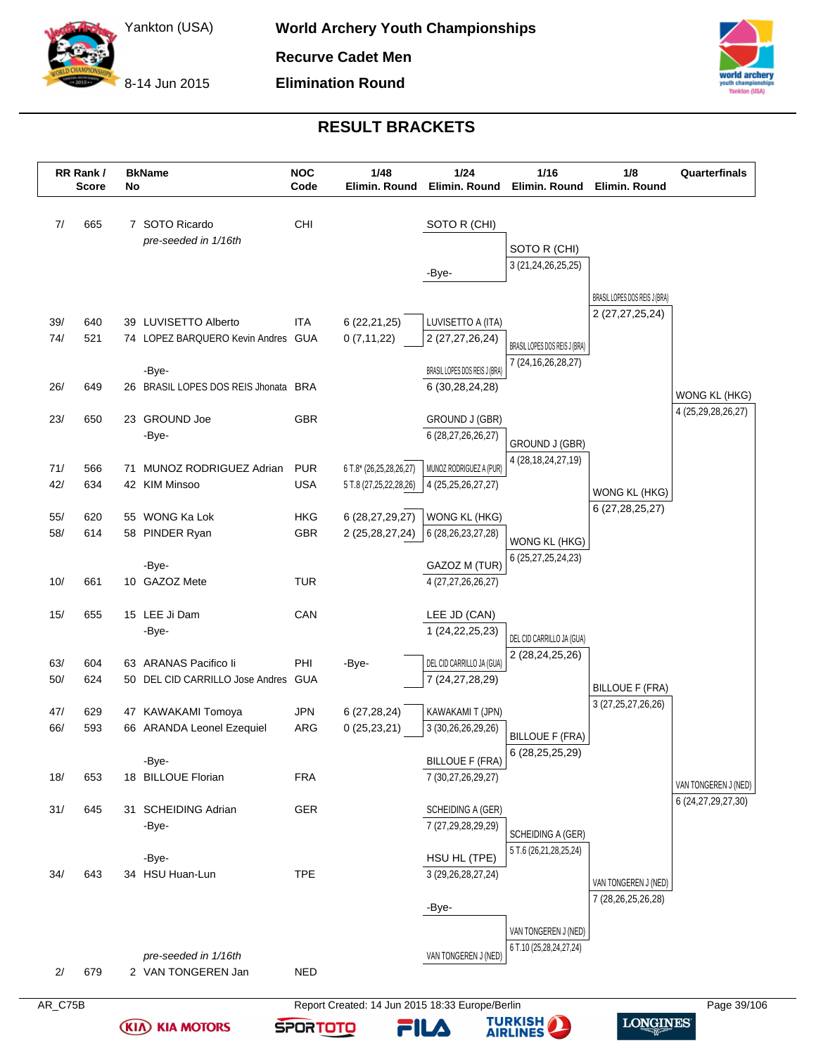8-14 Jun 2015

**(KIA) KIA MOTORS** 

**SPORTOTO** 



**LONGINES** 

**TURKISH<br>AIRLINES** 

FILA

# **RESULT BRACKETS**

|            |            |    | No                                              | Code                     | Elimin. Round                                   | 1/24<br>Elimin. Round                  | Elimin. Round                       | Elimin. Round                 |                                     |
|------------|------------|----|-------------------------------------------------|--------------------------|-------------------------------------------------|----------------------------------------|-------------------------------------|-------------------------------|-------------------------------------|
| 7/         | 665        |    | 7 SOTO Ricardo<br>pre-seeded in 1/16th          | CHI                      |                                                 | SOTO R (CHI)                           |                                     |                               |                                     |
|            |            |    |                                                 |                          |                                                 |                                        | SOTO R (CHI)                        |                               |                                     |
|            |            |    |                                                 |                          |                                                 | -Bye-                                  | 3 (21, 24, 26, 25, 25)              |                               |                                     |
|            |            |    |                                                 |                          |                                                 |                                        |                                     | BRASIL LOPES DOS REIS J (BRA) |                                     |
| 39/        | 640        |    | 39 LUVISETTO Alberto                            | ITA                      | 6(22,21,25)                                     | LUVISETTO A (ITA)                      |                                     | 2 (27, 27, 25, 24)            |                                     |
| 74/        | 521        |    | 74 LOPEZ BARQUERO Kevin Andres GUA              |                          | 0(7, 11, 22)                                    | 2 (27,27,26,24)                        | BRASIL LOPES DOS REIS J (BRA)       |                               |                                     |
|            |            |    | -Bye-                                           |                          |                                                 | BRASIL LOPES DOS REIS J (BRA)          | 7 (24, 16, 26, 28, 27)              |                               |                                     |
| 26/        | 649        |    | 26 BRASIL LOPES DOS REIS Jhonata BRA            |                          |                                                 | 6 (30,28,24,28)                        |                                     |                               |                                     |
|            |            |    |                                                 |                          |                                                 |                                        |                                     |                               | WONG KL (HKG)<br>4 (25,29,28,26,27) |
| 23/        | 650        |    | 23 GROUND Joe                                   | <b>GBR</b>               |                                                 | GROUND J (GBR)                         |                                     |                               |                                     |
|            |            |    | -Bye-                                           |                          |                                                 | 6 (28,27,26,26,27)                     | GROUND J (GBR)                      |                               |                                     |
| 71/        | 566        | 71 | MUNOZ RODRIGUEZ Adrian                          | <b>PUR</b>               | 6 T.8* (26,25,28,26,27)                         | MUNOZ RODRIGUEZ A (PUR)                | 4 (28, 18, 24, 27, 19)              |                               |                                     |
| 42/        | 634        |    | 42 KIM Minsoo                                   | <b>USA</b>               | 5 T.8 (27,25,22,28,26)                          | 4 (25, 25, 26, 27, 27)                 |                                     | WONG KL (HKG)                 |                                     |
| 55/        | 620        |    | 55 WONG Ka Lok                                  | <b>HKG</b>               | 6 (28,27,29,27)                                 | WONG KL (HKG)                          |                                     | 6 (27, 28, 25, 27)            |                                     |
| 58/        | 614        |    | 58 PINDER Ryan                                  | <b>GBR</b>               | 2 (25, 28, 27, 24)                              | 6 (28, 26, 23, 27, 28)                 |                                     |                               |                                     |
|            |            |    |                                                 |                          |                                                 |                                        | WONG KL (HKG)<br>6 (25,27,25,24,23) |                               |                                     |
|            | 661        |    | -Bye-                                           | <b>TUR</b>               |                                                 | GAZOZ M (TUR)                          |                                     |                               |                                     |
| 10/        |            |    | 10 GAZOZ Mete                                   |                          |                                                 | 4 (27,27,26,26,27)                     |                                     |                               |                                     |
| 15/        | 655        |    | 15 LEE Ji Dam                                   | CAN                      |                                                 | LEE JD (CAN)                           |                                     |                               |                                     |
|            |            |    | -Bye-                                           |                          |                                                 | 1 (24, 22, 25, 23)                     | DEL CID CARRILLO JA (GUA)           |                               |                                     |
| 63/        | 604        |    | 63 ARANAS Pacifico li                           | PHI                      | -Bye-                                           | DEL CID CARRILLO JA (GUA)              | 2 (28,24,25,26)                     |                               |                                     |
| 50/        | 624        |    | 50 DEL CID CARRILLO Jose Andres                 | GUA                      |                                                 | 7 (24, 27, 28, 29)                     |                                     | <b>BILLOUE F (FRA)</b>        |                                     |
|            |            |    |                                                 |                          |                                                 |                                        |                                     | 3 (27, 25, 27, 26, 26)        |                                     |
| 47/<br>66/ | 629<br>593 |    | 47 KAWAKAMI Tomoya<br>66 ARANDA Leonel Ezequiel | <b>JPN</b><br><b>ARG</b> | 6(27, 28, 24)<br>0(25, 23, 21)                  | KAWAKAMI T (JPN)<br>3 (30,26,26,29,26) |                                     |                               |                                     |
|            |            |    |                                                 |                          |                                                 |                                        | <b>BILLOUE F (FRA)</b>              |                               |                                     |
|            |            |    | -Bye-                                           |                          |                                                 | <b>BILLOUE F (FRA)</b>                 | 6 (28, 25, 25, 29)                  |                               |                                     |
| 18/        | 653        |    | 18 BILLOUE Florian                              | <b>FRA</b>               |                                                 | 7 (30,27,26,29,27)                     |                                     |                               | VAN TONGEREN J (NED)                |
| 31/        | 645        |    | 31 SCHEIDING Adrian                             | <b>GER</b>               |                                                 | SCHEIDING A (GER)                      |                                     |                               | 6 (24, 27, 29, 27, 30)              |
|            |            |    | -Bye-                                           |                          |                                                 | 7 (27,29,28,29,29)                     | SCHEIDING A (GER)                   |                               |                                     |
|            |            |    |                                                 |                          |                                                 |                                        | 5 T.6 (26,21,28,25,24)              |                               |                                     |
| 34/        | 643        |    | -Bye-<br>34 HSU Huan-Lun                        | <b>TPE</b>               |                                                 | HSU HL (TPE)<br>3 (29, 26, 28, 27, 24) |                                     |                               |                                     |
|            |            |    |                                                 |                          |                                                 |                                        |                                     | VAN TONGEREN J (NED)          |                                     |
|            |            |    |                                                 |                          |                                                 | -Bye-                                  |                                     | 7 (28,26,25,26,28)            |                                     |
|            |            |    |                                                 |                          |                                                 |                                        | VAN TONGEREN J (NED)                |                               |                                     |
|            |            |    | pre-seeded in 1/16th                            |                          |                                                 | VAN TONGEREN J (NED)                   | 6 T.10 (25,28,24,27,24)             |                               |                                     |
| 2/         | 679        |    | 2 VAN TONGEREN Jan                              | <b>NED</b>               |                                                 |                                        |                                     |                               |                                     |
| AR_C75B    |            |    |                                                 |                          | Report Created: 14 Jun 2015 18:33 Europe/Berlin |                                        |                                     |                               | Page 39/106                         |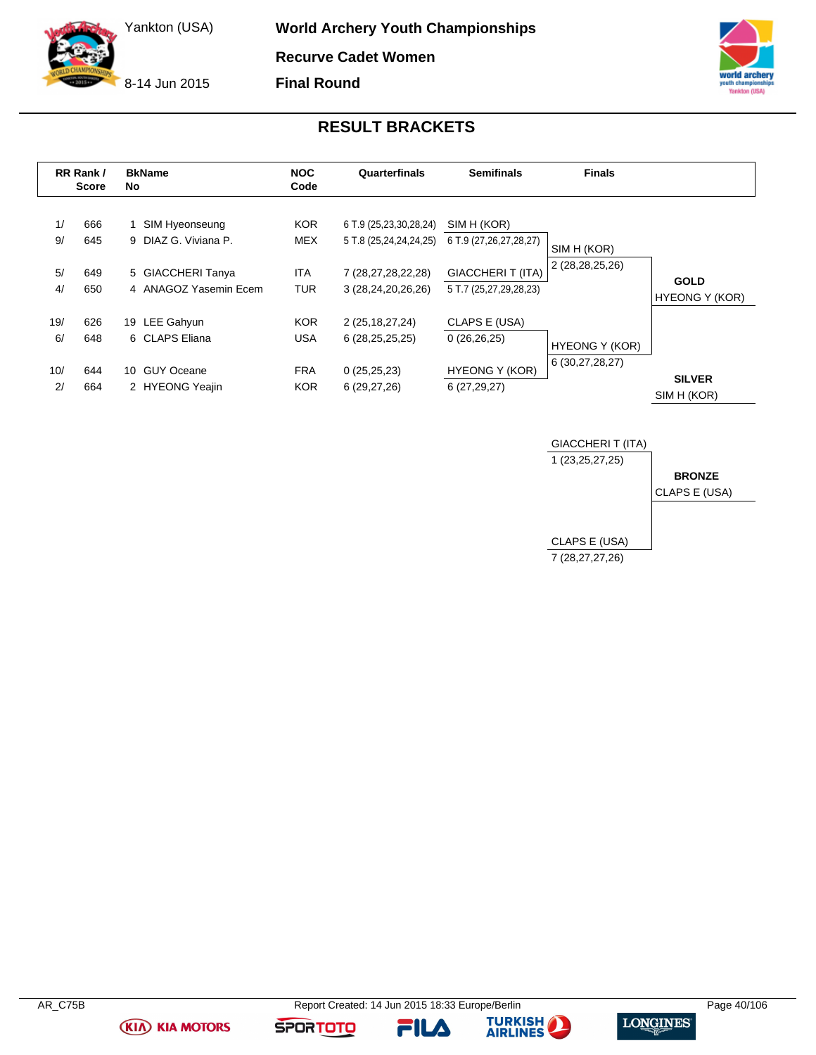8-14 Jun 2015

**World Archery Youth Championships Recurve Cadet Women**

**Final Round**



### **RESULT BRACKETS**

|           | RR Rank /<br><b>Score</b> | <b>BkName</b><br>No.                       | <b>NOC</b><br>Code       | Quarterfinals                                    | <b>Semifinals</b>                                 | <b>Finals</b>         |                                      |
|-----------|---------------------------|--------------------------------------------|--------------------------|--------------------------------------------------|---------------------------------------------------|-----------------------|--------------------------------------|
| 1/<br>9/  | 666<br>645                | 1 SIM Hyeonseung<br>9 DIAZ G. Viviana P.   | <b>KOR</b><br><b>MEX</b> | 6 T.9 (25,23,30,28,24)<br>5 T.8 (25,24,24,24,25) | SIM H (KOR)<br>6 T.9 (27,26,27,28,27)             | SIM H (KOR)           |                                      |
| 5/<br>4/  | 649<br>650                | 5 GIACCHERI Tanya<br>4 ANAGOZ Yasemin Ecem | <b>ITA</b><br><b>TUR</b> | 7 (28,27,28,22,28)<br>3 (28,24,20,26,26)         | <b>GIACCHERIT (ITA)</b><br>5 T.7 (25,27,29,28,23) | 2 (28,28,25,26)       | <b>GOLD</b><br><b>HYEONG Y (KOR)</b> |
| 19/<br>6/ | 626<br>648                | 19 LEE Gahyun<br>6 CLAPS Eliana            | <b>KOR</b><br><b>USA</b> | 2 (25, 18, 27, 24)<br>6(28, 25, 25, 25)          | CLAPS E (USA)<br>0(26,26,25)                      | <b>HYEONG Y (KOR)</b> |                                      |
| 10/<br>2/ | 644<br>664                | 10 GUY Oceane<br>2 HYEONG Yeajin           | <b>FRA</b><br><b>KOR</b> | 0(25,25,23)<br>6(29,27,26)                       | <b>HYEONG Y (KOR)</b><br>6(27, 29, 27)            | 6 (30,27,28,27)       | <b>SILVER</b><br>SIM H (KOR)         |



**(KIA) KIA MOTORS** 

**FILA** 



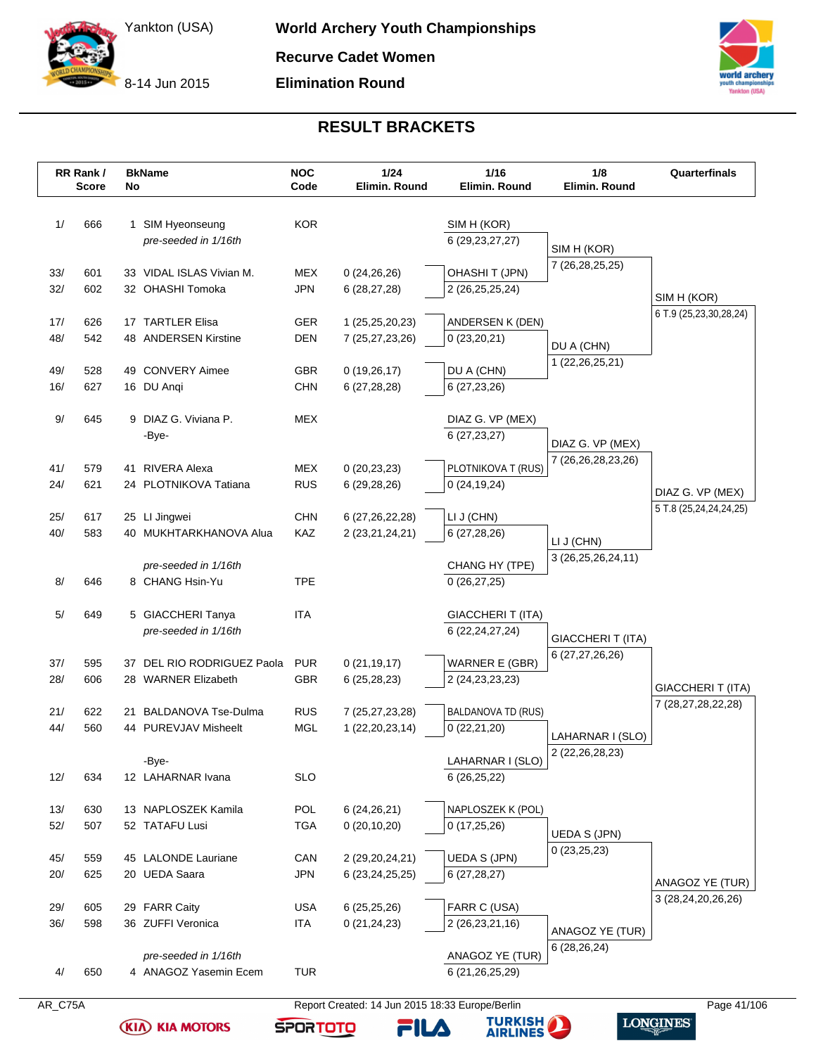8-14 Jun 2015

**Elimination Round**



# **RESULT BRACKETS**

|            | RR Rank /<br><b>Score</b> | No | <b>BkName</b>              | <b>NOC</b><br>Code | 1/24<br>Elimin. Round                 | $1/16$<br>Elimin. Round     | 1/8<br>Elimin. Round     | Quarterfinals            |
|------------|---------------------------|----|----------------------------|--------------------|---------------------------------------|-----------------------------|--------------------------|--------------------------|
| 1/         | 666                       |    | 1 SIM Hyeonseung           | <b>KOR</b>         |                                       | SIM H (KOR)                 |                          |                          |
|            |                           |    | pre-seeded in 1/16th       |                    |                                       | 6 (29, 23, 27, 27)          |                          |                          |
|            |                           |    |                            |                    |                                       |                             | SIM H (KOR)              |                          |
| 33/        | 601                       |    | 33 VIDAL ISLAS Vivian M.   | MEX                | 0(24,26,26)                           | <b>OHASHIT (JPN)</b>        | 7 (26, 28, 25, 25)       |                          |
| 32/        | 602                       |    | 32 OHASHI Tomoka           | <b>JPN</b>         | 6(28, 27, 28)                         | 2 (26,25,25,24)             |                          |                          |
|            |                           |    |                            |                    |                                       |                             |                          | SIM H (KOR)              |
| 17/        | 626                       |    | 17 TARTLER Elisa           | <b>GER</b>         | 1 (25,25,20,23)                       | ANDERSEN K (DEN)            |                          | 6 T.9 (25,23,30,28,24)   |
| 48/        | 542                       |    | 48 ANDERSEN Kirstine       | <b>DEN</b>         | 7 (25,27,23,26)                       | 0(23,20,21)                 | DU A (CHN)               |                          |
|            |                           |    |                            |                    |                                       |                             | 1 (22, 26, 25, 21)       |                          |
| 49/        | 528                       |    | 49 CONVERY Aimee           | <b>GBR</b>         | 0(19,26,17)                           | DU A (CHN)                  |                          |                          |
| 16/        | 627                       |    | 16 DU Angi                 | <b>CHN</b>         | 6(27, 28, 28)                         | 6(27,23,26)                 |                          |                          |
| 9/         | 645                       |    | 9 DIAZ G. Viviana P.       | <b>MEX</b>         |                                       | DIAZ G. VP (MEX)            |                          |                          |
|            |                           |    | -Bye-                      |                    |                                       | 6(27, 23, 27)               | DIAZ G. VP (MEX)         |                          |
|            |                           |    |                            |                    |                                       |                             | 7 (26,26,28,23,26)       |                          |
| 41/        | 579                       |    | 41 RIVERA Alexa            | MEX                | 0(20, 23, 23)                         | PLOTNIKOVA T (RUS)          |                          |                          |
| 24/        | 621                       |    | 24 PLOTNIKOVA Tatiana      | <b>RUS</b>         | 6 (29,28,26)                          | 0(24, 19, 24)               |                          | DIAZ G. VP (MEX)         |
|            |                           |    | 25 LI Jingwei              | <b>CHN</b>         |                                       |                             |                          | 5 T.8 (25,24,24,24,25)   |
| 25/<br>40/ | 617<br>583                |    | 40 MUKHTARKHANOVA Alua     | KAZ                | 6 (27, 26, 22, 28)<br>2 (23,21,24,21) | LI J (CHN)<br>6(27, 28, 26) |                          |                          |
|            |                           |    |                            |                    |                                       |                             | LI J (CHN)               |                          |
|            |                           |    | pre-seeded in 1/16th       |                    |                                       | CHANG HY (TPE)              | 3 (26,25,26,24,11)       |                          |
| 8/         | 646                       |    | 8 CHANG Hsin-Yu            | <b>TPE</b>         |                                       | 0(26,27,25)                 |                          |                          |
|            |                           |    |                            |                    |                                       |                             |                          |                          |
| 5/         | 649                       |    | 5 GIACCHERI Tanya          | ITA                |                                       | GIACCHERIT (ITA)            |                          |                          |
|            |                           |    | pre-seeded in 1/16th       |                    |                                       | 6 (22, 24, 27, 24)          | <b>GIACCHERI T (ITA)</b> |                          |
|            |                           |    |                            |                    |                                       |                             | 6 (27,27,26,26)          |                          |
| 37/        | 595                       |    | 37 DEL RIO RODRIGUEZ Paola | <b>PUR</b>         | 0(21, 19, 17)                         | <b>WARNER E (GBR)</b>       |                          |                          |
| 28/        | 606                       |    | 28 WARNER Elizabeth        | <b>GBR</b>         | 6(25, 28, 23)                         | 2 (24, 23, 23, 23)          |                          | <b>GIACCHERI T (ITA)</b> |
| 21/        | 622                       |    | 21 BALDANOVA Tse-Dulma     | <b>RUS</b>         | 7 (25,27,23,28)                       | <b>BALDANOVA TD (RUS)</b>   |                          | 7 (28,27,28,22,28)       |
| 44/        | 560                       |    | 44 PUREVJAV Misheelt       | <b>MGL</b>         | 1 (22, 20, 23, 14)                    | 0(22,21,20)                 |                          |                          |
|            |                           |    |                            |                    |                                       |                             | LAHARNAR I (SLO)         |                          |
|            |                           |    | -Bye-                      |                    |                                       | LAHARNAR I (SLO)            | 2 (22, 26, 28, 23)       |                          |
| 12/        | 634                       |    | 12 LAHARNAR Ivana          | <b>SLO</b>         |                                       | 6(26,25,22)                 |                          |                          |
| 13/        | 630                       |    | 13 NAPLOSZEK Kamila        | POL                | 6(24,26,21)                           | NAPLOSZEK K (POL)           |                          |                          |
| 52/        | 507                       |    | 52 TATAFU Lusi             | <b>TGA</b>         | 0(20,10,20)                           | 0(17,25,26)                 | <b>UEDA S (JPN)</b>      |                          |
|            |                           |    |                            |                    |                                       |                             | 0(23,25,23)              |                          |
| 45/        | 559                       |    | 45 LALONDE Lauriane        | CAN                | 2 (29, 20, 24, 21)                    | UEDA S (JPN)                |                          |                          |
| 20/        | 625                       |    | 20 UEDA Saara              | <b>JPN</b>         | 6 (23, 24, 25, 25)                    | 6(27, 28, 27)               |                          | ANAGOZ YE (TUR)          |
|            |                           |    |                            |                    |                                       |                             |                          | 3 (28,24,20,26,26)       |
| 29/        | 605                       |    | 29 FARR Caity              | USA                | 6(25, 25, 26)                         | FARR C (USA)                |                          |                          |
| 36/        | 598                       |    | 36 ZUFFI Veronica          | <b>ITA</b>         | 0(21, 24, 23)                         | 2 (26, 23, 21, 16)          | ANAGOZ YE (TUR)          |                          |
|            |                           |    | pre-seeded in 1/16th       |                    |                                       | ANAGOZ YE (TUR)             | 6(28, 26, 24)            |                          |
|            | 650                       |    | 4 ANAGOZ Yasemin Ecem      | <b>TUR</b>         |                                       | 6 (21, 26, 25, 29)          |                          |                          |

**(KIA) KIA MOTORS** 

**TURKISH** 

**FILA** 

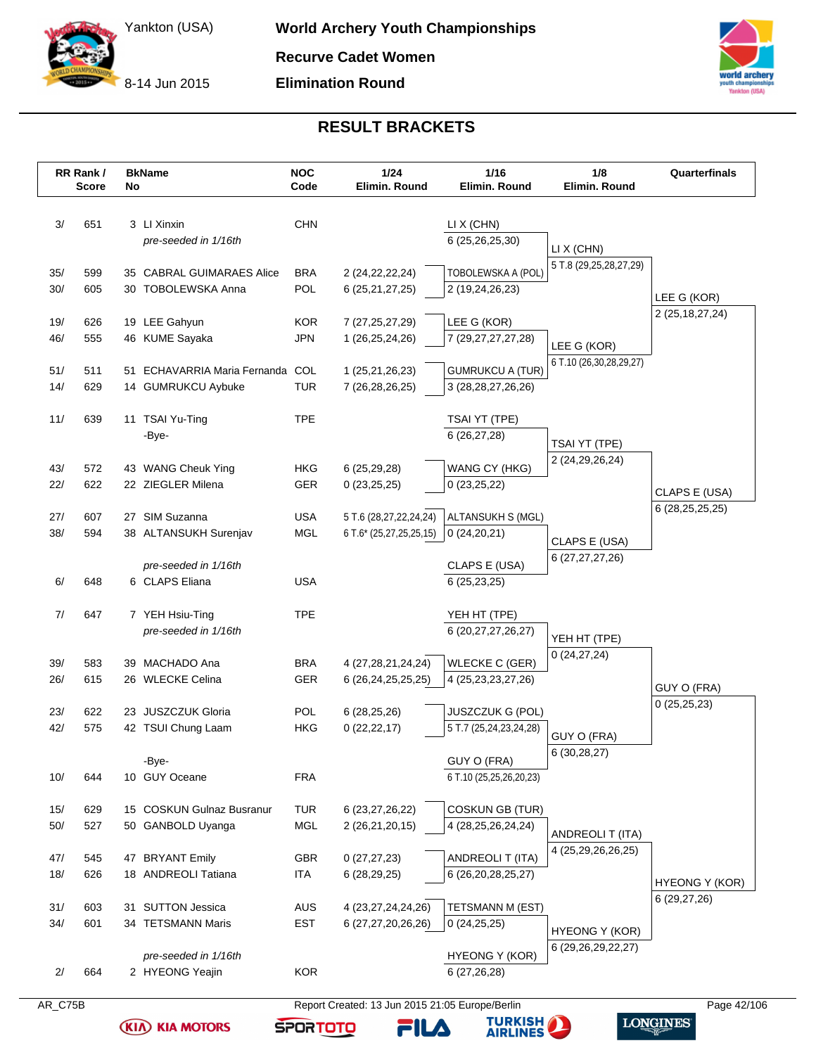8-14 Jun 2015

**Elimination Round**



## **RESULT BRACKETS**

|            | RR Rank /<br><b>Score</b> | No | <b>BkName</b>                    | <b>NOC</b><br>Code | 1/24<br>Elimin. Round                             | $1/16$<br>Elimin. Round          | 1/8<br>Elimin. Round    | Quarterfinals      |
|------------|---------------------------|----|----------------------------------|--------------------|---------------------------------------------------|----------------------------------|-------------------------|--------------------|
| 3/         | 651                       |    | 3 LI Xinxin                      | <b>CHN</b>         |                                                   |                                  |                         |                    |
|            |                           |    | pre-seeded in 1/16th             |                    |                                                   | LI X (CHN)<br>6 (25,26,25,30)    |                         |                    |
|            |                           |    |                                  |                    |                                                   |                                  | LI X (CHN)              |                    |
| 35/        | 599                       |    | 35 CABRAL GUIMARAES Alice        | <b>BRA</b>         | 2 (24, 22, 22, 24)                                | TOBOLEWSKA A (POL)               | 5 T.8 (29,25,28,27,29)  |                    |
| 30/        | 605                       |    | 30 TOBOLEWSKA Anna               | <b>POL</b>         | 6 (25, 21, 27, 25)                                | 2 (19,24,26,23)                  |                         |                    |
|            |                           |    |                                  |                    |                                                   |                                  |                         | LEE G (KOR)        |
| 19/        | 626                       |    | 19 LEE Gahyun                    | <b>KOR</b>         | 7 (27, 25, 27, 29)                                | LEE G (KOR)                      |                         | 2 (25, 18, 27, 24) |
| 46/        | 555                       |    | 46 KUME Sayaka                   | <b>JPN</b>         | 1 (26,25,24,26)                                   | 7 (29,27,27,27,28)               |                         |                    |
|            |                           |    |                                  |                    |                                                   |                                  | LEE G (KOR)             |                    |
| 51/        | 511                       | 51 | <b>ECHAVARRIA Maria Fernanda</b> | COL                | 1 (25,21,26,23)                                   | <b>GUMRUKCU A (TUR)</b>          | 6 T.10 (26,30,28,29,27) |                    |
| 14/        | 629                       |    | 14 GUMRUKCU Aybuke               | <b>TUR</b>         | 7 (26,28,26,25)                                   | 3 (28, 28, 27, 26, 26)           |                         |                    |
|            |                           |    |                                  |                    |                                                   |                                  |                         |                    |
| 11/        | 639                       |    | 11 TSAI Yu-Ting                  | <b>TPE</b>         |                                                   | TSAI YT (TPE)                    |                         |                    |
|            |                           |    | -Bye-                            |                    |                                                   | 6 (26,27,28)                     | TSAI YT (TPE)           |                    |
|            |                           |    |                                  |                    |                                                   |                                  | 2 (24, 29, 26, 24)      |                    |
| 43/        | 572                       |    | 43 WANG Cheuk Ying               | <b>HKG</b>         | 6(25,29,28)                                       | WANG CY (HKG)                    |                         |                    |
| 22/        | 622                       |    | 22 ZIEGLER Milena                | <b>GER</b>         | 0(23,25,25)                                       | 0(23,25,22)                      |                         | CLAPS E (USA)      |
|            |                           |    |                                  |                    |                                                   |                                  |                         | 6 (28, 25, 25, 25) |
| 27/<br>38/ | 607<br>594                |    | 27 SIM Suzanna                   | <b>USA</b><br>MGL  | 5 T.6 (28,27,22,24,24)<br>6 T.6* (25,27,25,25,15) | ALTANSUKH S (MGL)<br>0(24,20,21) |                         |                    |
|            |                           |    | 38 ALTANSUKH Surenjav            |                    |                                                   |                                  | CLAPS E (USA)           |                    |
|            |                           |    | pre-seeded in 1/16th             |                    |                                                   | CLAPS E (USA)                    | 6 (27,27,27,26)         |                    |
| 6/         | 648                       |    | 6 CLAPS Eliana                   | <b>USA</b>         |                                                   | 6 (25,23,25)                     |                         |                    |
|            |                           |    |                                  |                    |                                                   |                                  |                         |                    |
| 7/         | 647                       |    | 7 YEH Hsiu-Ting                  | <b>TPE</b>         |                                                   | YEH HT (TPE)                     |                         |                    |
|            |                           |    | pre-seeded in 1/16th             |                    |                                                   | 6 (20, 27, 27, 26, 27)           |                         |                    |
|            |                           |    |                                  |                    |                                                   |                                  | YEH HT (TPE)            |                    |
| 39/        | 583                       |    | 39 MACHADO Ana                   | <b>BRA</b>         | 4 (27,28,21,24,24)                                | <b>WLECKE C (GER)</b>            | 0(24, 27, 24)           |                    |
| 26/        | 615                       |    | 26 WLECKE Celina                 | GER                | 6 (26, 24, 25, 25, 25)                            | 4 (25, 23, 23, 27, 26)           |                         | GUY O (FRA)        |
|            |                           |    |                                  |                    |                                                   |                                  |                         | 0(25,25,23)        |
| 23/        | 622                       |    | 23 JUSZCZUK Gloria               | <b>POL</b>         | 6(28, 25, 26)                                     | <b>JUSZCZUK G (POL)</b>          |                         |                    |
| 42/        | 575                       |    | 42 TSUI Chung Laam               | <b>HKG</b>         | 0(22, 22, 17)                                     | 5 T.7 (25,24,23,24,28)           | GUY O (FRA)             |                    |
|            |                           |    |                                  |                    |                                                   |                                  | 6 (30,28,27)            |                    |
|            |                           |    | -Bye-                            |                    |                                                   | GUY O (FRA)                      |                         |                    |
| 10/        | 644                       |    | 10 GUY Oceane                    | <b>FRA</b>         |                                                   | 6 T.10 (25,25,26,20,23)          |                         |                    |
| 15/        | 629                       |    | 15 COSKUN Gulnaz Busranur        | <b>TUR</b>         | 6 (23, 27, 26, 22)                                | <b>COSKUN GB (TUR)</b>           |                         |                    |
| $50/$      | 527                       |    | 50 GANBOLD Uyanga                | MGL                | 2 (26,21,20,15)                                   | 4 (28,25,26,24,24)               |                         |                    |
|            |                           |    |                                  |                    |                                                   |                                  | ANDREOLI T (ITA)        |                    |
| 47/        | 545                       |    | 47 BRYANT Emily                  | <b>GBR</b>         | 0(27, 27, 23)                                     | ANDREOLI T (ITA)                 | 4 (25,29,26,26,25)      |                    |
| 18/        | 626                       |    | 18 ANDREOLI Tatiana              | <b>ITA</b>         | 6(28, 29, 25)                                     | 6 (26,20,28,25,27)               |                         |                    |
|            |                           |    |                                  |                    |                                                   |                                  |                         | HYEONG Y (KOR)     |
| 31/        | 603                       |    | 31 SUTTON Jessica                | <b>AUS</b>         | 4 (23, 27, 24, 24, 26)                            | TETSMANN M (EST)                 |                         | 6(29, 27, 26)      |
| 34/        | 601                       |    | 34 TETSMANN Maris                | <b>EST</b>         | 6 (27,27,20,26,26)                                | 0(24,25,25)                      |                         |                    |
|            |                           |    |                                  |                    |                                                   |                                  | <b>HYEONG Y (KOR)</b>   |                    |
|            |                           |    |                                  |                    |                                                   | <b>HYEONG Y (KOR)</b>            | 6 (29,26,29,22,27)      |                    |
|            |                           |    | pre-seeded in 1/16th             |                    |                                                   |                                  |                         |                    |

**(KIA) KIA MOTORS** 



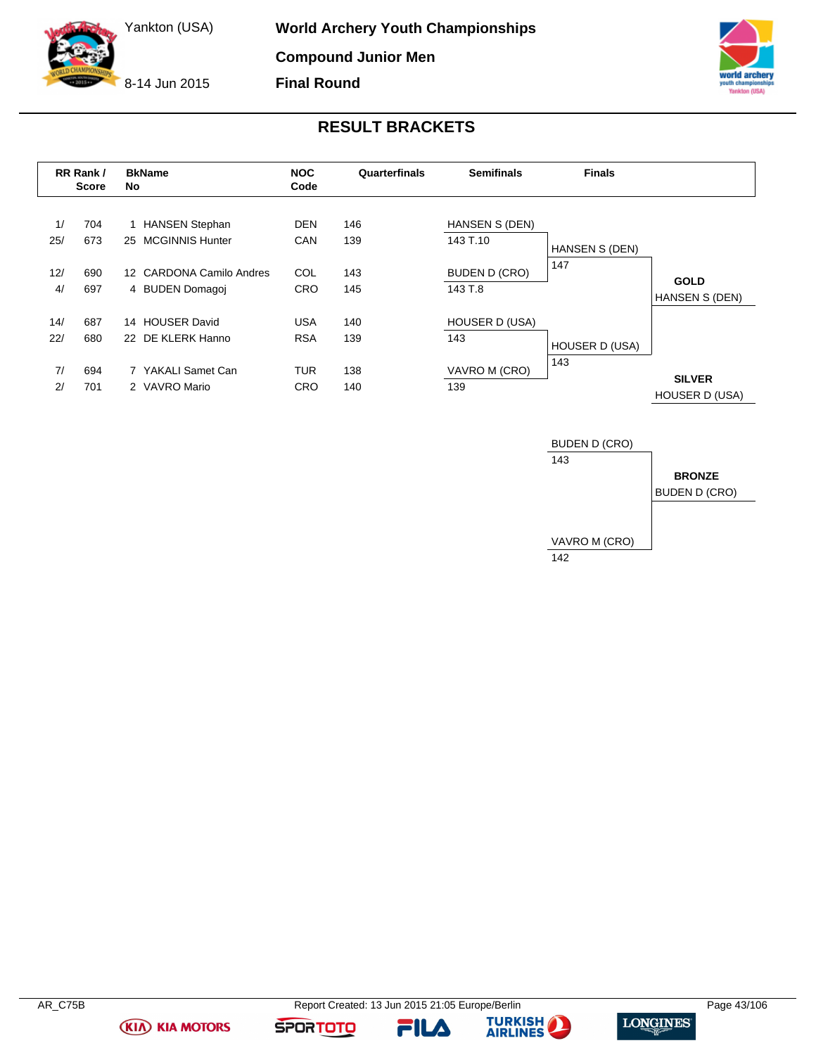8-14 Jun 2015



# **RESULT BRACKETS**

|     | RR Rank /<br><b>Score</b> | No | <b>BkName</b>            | <b>NOC</b><br>Code | Quarterfinals | <b>Semifinals</b>     | <b>Finals</b>         |                                        |
|-----|---------------------------|----|--------------------------|--------------------|---------------|-----------------------|-----------------------|----------------------------------------|
| 1/  | 704                       |    | 1 HANSEN Stephan         | <b>DEN</b>         | 146           | HANSEN S (DEN)        |                       |                                        |
| 25/ | 673                       | 25 | <b>MCGINNIS Hunter</b>   | <b>CAN</b>         | 139           | 143 T.10              | <b>HANSEN S (DEN)</b> |                                        |
| 12/ | 690                       |    | 12 CARDONA Camilo Andres | COL                | 143           | <b>BUDEN D (CRO)</b>  | 147                   |                                        |
| 4/  | 697                       |    | 4 BUDEN Domagoi          | <b>CRO</b>         | 145           | 143 T.8               |                       | <b>GOLD</b><br>HANSEN S (DEN)          |
| 14/ | 687                       |    | 14 HOUSER David          | <b>USA</b>         | 140           | <b>HOUSER D (USA)</b> |                       |                                        |
| 22/ | 680                       |    | 22 DE KLERK Hanno        | <b>RSA</b>         | 139           | 143                   | HOUSER D (USA)        |                                        |
| 7/  | 694                       |    | 7 YAKALI Samet Can       | <b>TUR</b>         | 138           | VAVRO M (CRO)         | 143                   |                                        |
| 2/  | 701                       |    | 2 VAVRO Mario            | <b>CRO</b>         | 140           | 139                   |                       | <b>SILVER</b><br><b>HOUSER D (USA)</b> |



**FILA** 





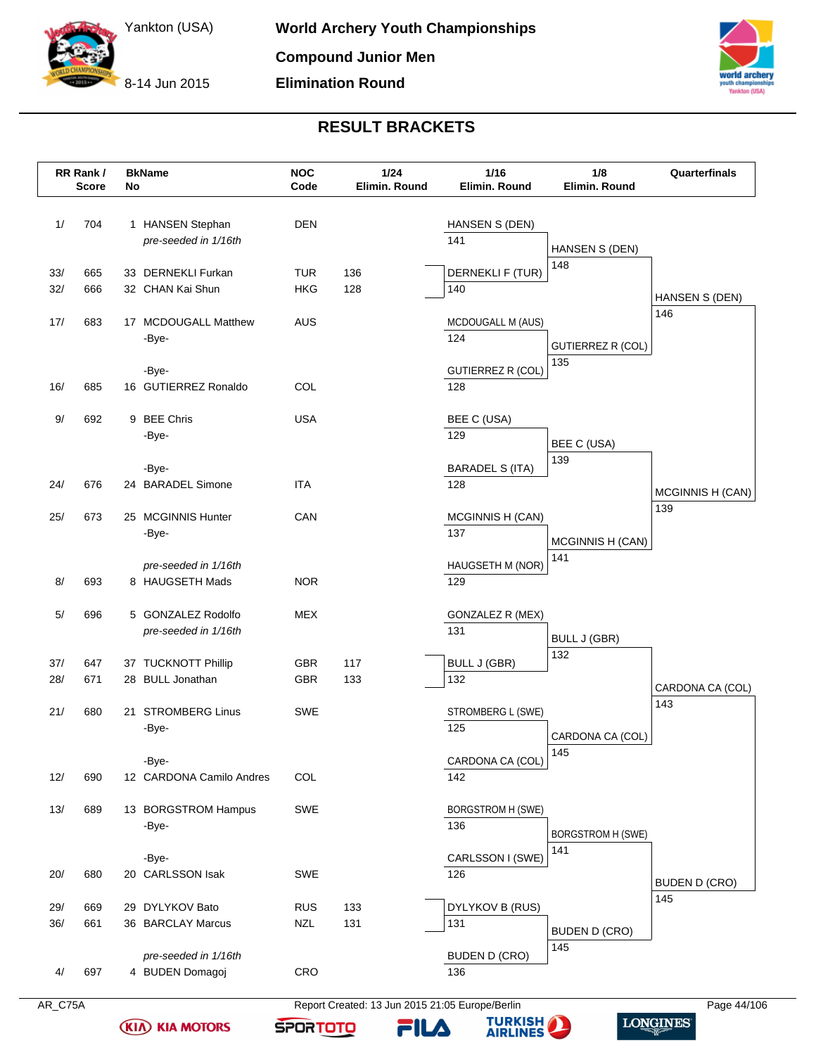8-14 Jun 2015



# **RESULT BRACKETS**

|     | RR Rank /<br><b>Score</b> | No | <b>BkName</b>                              | <b>NOC</b><br>Code | 1/24<br>Elimin. Round | 1/16<br>Elimin. Round           | 1/8<br>Elimin, Round            | Quarterfinals        |
|-----|---------------------------|----|--------------------------------------------|--------------------|-----------------------|---------------------------------|---------------------------------|----------------------|
| 1/  | 704                       |    | 1 HANSEN Stephan<br>pre-seeded in 1/16th   | <b>DEN</b>         |                       | HANSEN S (DEN)<br>141           | HANSEN S (DEN)                  |                      |
| 33/ | 665                       |    | 33 DERNEKLI Furkan                         | TUR                | 136                   | DERNEKLI F (TUR)                | 148                             |                      |
| 32/ | 666                       |    | 32 CHAN Kai Shun                           | <b>HKG</b>         | 128                   | 140                             |                                 | HANSEN S (DEN)       |
| 17/ | 683                       |    | 17 MCDOUGALL Matthew                       | AUS                |                       | MCDOUGALL M (AUS)               |                                 | 146                  |
|     |                           |    | -Bye-                                      |                    |                       | 124                             | <b>GUTIERREZ R (COL)</b>        |                      |
|     |                           |    |                                            |                    |                       |                                 | 135                             |                      |
| 16/ | 685                       |    | -Bye-<br>16 GUTIERREZ Ronaldo              | COL                |                       | <b>GUTIERREZ R (COL)</b><br>128 |                                 |                      |
|     |                           |    |                                            |                    |                       |                                 |                                 |                      |
| 9/  | 692                       |    | 9 BEE Chris                                | <b>USA</b>         |                       | BEE C (USA)                     |                                 |                      |
|     |                           |    | -Bye-                                      |                    |                       | 129                             | BEE C (USA)                     |                      |
|     |                           |    | -Bye-                                      |                    |                       | <b>BARADEL S (ITA)</b>          | 139                             |                      |
| 24/ | 676                       |    | 24 BARADEL Simone                          | <b>ITA</b>         |                       | 128                             |                                 | MCGINNIS H (CAN)     |
| 25/ | 673                       |    | 25 MCGINNIS Hunter                         | CAN                |                       | MCGINNIS H (CAN)                |                                 | 139                  |
|     |                           |    | -Bye-                                      |                    |                       | 137                             | MCGINNIS H (CAN)                |                      |
|     |                           |    | pre-seeded in 1/16th                       |                    |                       | HAUGSETH M (NOR)                | 141                             |                      |
| 8/  | 693                       |    | 8 HAUGSETH Mads                            | <b>NOR</b>         |                       | 129                             |                                 |                      |
|     |                           |    |                                            |                    |                       |                                 |                                 |                      |
| 5/  | 696                       |    | 5 GONZALEZ Rodolfo<br>pre-seeded in 1/16th | <b>MEX</b>         |                       | GONZALEZ R (MEX)<br>131         |                                 |                      |
|     |                           |    |                                            |                    |                       |                                 | <b>BULL J (GBR)</b><br>132      |                      |
| 37/ | 647                       |    | 37 TUCKNOTT Phillip                        | <b>GBR</b>         | 117                   | <b>BULL J (GBR)</b>             |                                 |                      |
| 28/ | 671                       |    | 28 BULL Jonathan                           | <b>GBR</b>         | 133                   | 132                             |                                 | CARDONA CA (COL)     |
| 21/ | 680                       |    | 21 STROMBERG Linus                         | SWE                |                       | STROMBERG L (SWE)               |                                 | 143                  |
|     |                           |    | -Bye-                                      |                    |                       | 125                             | CARDONA CA (COL)                |                      |
|     |                           |    | -Bye-                                      |                    |                       | CARDONA CA (COL)                | 145                             |                      |
| 12/ | 690                       |    | 12 CARDONA Camilo Andres                   | COL                |                       | 142                             |                                 |                      |
|     |                           |    |                                            |                    |                       |                                 |                                 |                      |
| 13/ | 689                       |    | 13 BORGSTROM Hampus<br>-Bye-               | <b>SWE</b>         |                       | <b>BORGSTROM H (SWE)</b><br>136 |                                 |                      |
|     |                           |    |                                            |                    |                       |                                 | <b>BORGSTROM H (SWE)</b><br>141 |                      |
|     |                           |    | -Bye-                                      |                    |                       | CARLSSON I (SWE)                |                                 |                      |
| 20/ | 680                       |    | 20 CARLSSON Isak                           | <b>SWE</b>         |                       | 126                             |                                 | <b>BUDEN D (CRO)</b> |
| 29/ | 669                       |    | 29 DYLYKOV Bato                            | <b>RUS</b>         | 133                   | DYLYKOV B (RUS)                 |                                 | 145                  |
| 36/ | 661                       |    | 36 BARCLAY Marcus                          | <b>NZL</b>         | 131                   | 131                             | <b>BUDEN D (CRO)</b>            |                      |
|     |                           |    | pre-seeded in 1/16th                       |                    |                       | <b>BUDEN D (CRO)</b>            | 145                             |                      |
| 4/  | 697                       |    | 4 BUDEN Domagoj                            | CRO                |                       | 136                             |                                 |                      |

**(KIA) KIA MOTORS** 

**TURKISH** 

**FILA** 

**SPORTOTO** 

**LONGINES**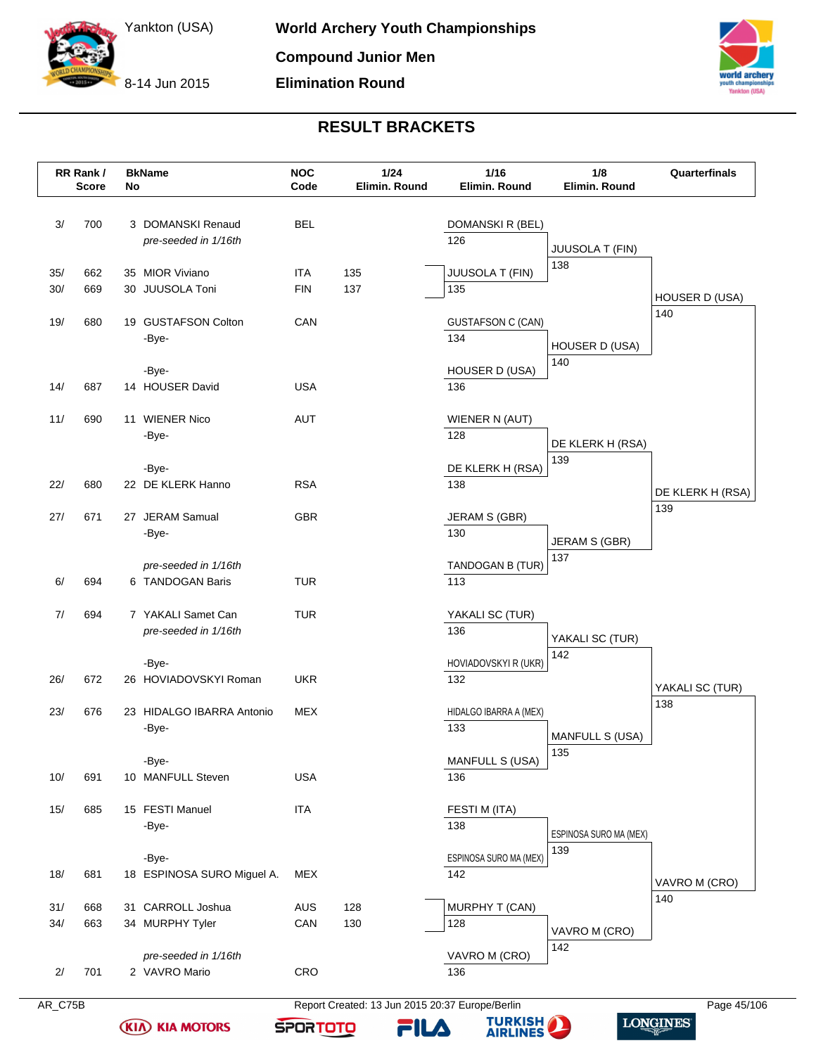8-14 Jun 2015



# **RESULT BRACKETS**

|            | RR Rank /<br><b>Score</b> | No | <b>BkName</b>                              | <b>NOC</b><br>Code | 1/24<br>Elimin. Round | 1/16<br>Elimin. Round           | 1/8<br>Elimin. Round   | Quarterfinals    |
|------------|---------------------------|----|--------------------------------------------|--------------------|-----------------------|---------------------------------|------------------------|------------------|
| 3/         | 700                       |    | 3 DOMANSKI Renaud<br>pre-seeded in 1/16th  | <b>BEL</b>         |                       | DOMANSKI R (BEL)<br>126         | JUUSOLA T (FIN)        |                  |
| 35/<br>30/ | 662<br>669                |    | 35 MIOR Viviano<br>30 JUUSOLA Toni         | ITA<br><b>FIN</b>  | 135<br>137            | JUUSOLA T (FIN)<br>135          | 138                    | HOUSER D (USA)   |
| 19/        | 680                       |    | 19 GUSTAFSON Colton<br>-Bye-               | CAN                |                       | <b>GUSTAFSON C (CAN)</b><br>134 | HOUSER D (USA)         | 140              |
| 14/        | 687                       |    | -Bye-<br>14 HOUSER David                   | <b>USA</b>         |                       | HOUSER D (USA)<br>136           | 140                    |                  |
| 11/        | 690                       |    | 11 WIENER Nico<br>-Bye-                    | AUT                |                       | WIENER N (AUT)<br>128           | DE KLERK H (RSA)       |                  |
| 22/        | 680                       |    | -Bye-<br>22 DE KLERK Hanno                 | <b>RSA</b>         |                       | DE KLERK H (RSA)<br>138         | 139                    | DE KLERK H (RSA) |
| 27/        | 671                       |    | 27 JERAM Samual<br>-Bye-                   | <b>GBR</b>         |                       | JERAM S (GBR)<br>130            | JERAM S (GBR)          | 139              |
| 6/         | 694                       |    | pre-seeded in 1/16th<br>6 TANDOGAN Baris   | <b>TUR</b>         |                       | TANDOGAN B (TUR)<br>113         | 137                    |                  |
| 7/         | 694                       |    | 7 YAKALI Samet Can<br>pre-seeded in 1/16th | <b>TUR</b>         |                       | YAKALI SC (TUR)<br>136          | YAKALI SC (TUR)        |                  |
| 26/        | 672                       |    | -Bye-<br>26 HOVIADOVSKYI Roman             | <b>UKR</b>         |                       | HOVIADOVSKYI R (UKR)<br>132     | 142                    | YAKALI SC (TUR)  |
| 23/        | 676                       |    | 23 HIDALGO IBARRA Antonio<br>-Bye-         | MEX                |                       | HIDALGO IBARRA A (MEX)<br>133   | <b>MANFULL S (USA)</b> | 138              |
| 10/        | 691                       |    | -Bye-<br>10 MANFULL Steven                 | <b>USA</b>         |                       | MANFULL S (USA)<br>136          | 135                    |                  |
| 15/        | 685                       |    | 15 FESTI Manuel<br>-Bye-                   | <b>ITA</b>         |                       | FESTI M (ITA)<br>138            | ESPINOSA SURO MA (MEX) |                  |
| 18/        | 681                       |    | -Bye-<br>18 ESPINOSA SURO Miguel A.        | <b>MEX</b>         |                       | ESPINOSA SURO MA (MEX)<br>142   | 139                    | VAVRO M (CRO)    |
| 31/<br>34/ | 668<br>663                |    | 31 CARROLL Joshua<br>34 MURPHY Tyler       | <b>AUS</b><br>CAN  | 128<br>130            | MURPHY T (CAN)<br>128           | VAVRO M (CRO)          | 140              |
| 2/         | 701                       |    | pre-seeded in 1/16th<br>2 VAVRO Mario      | CRO                |                       | VAVRO M (CRO)<br>136            | 142                    |                  |

**KIA KIA MOTORS** 

AR\_C75B Report Created: 13 Jun 2015 20:37 Europe/Berlin Page 45/106

FILA

**SPORTOTO** 

**TURKISH** 

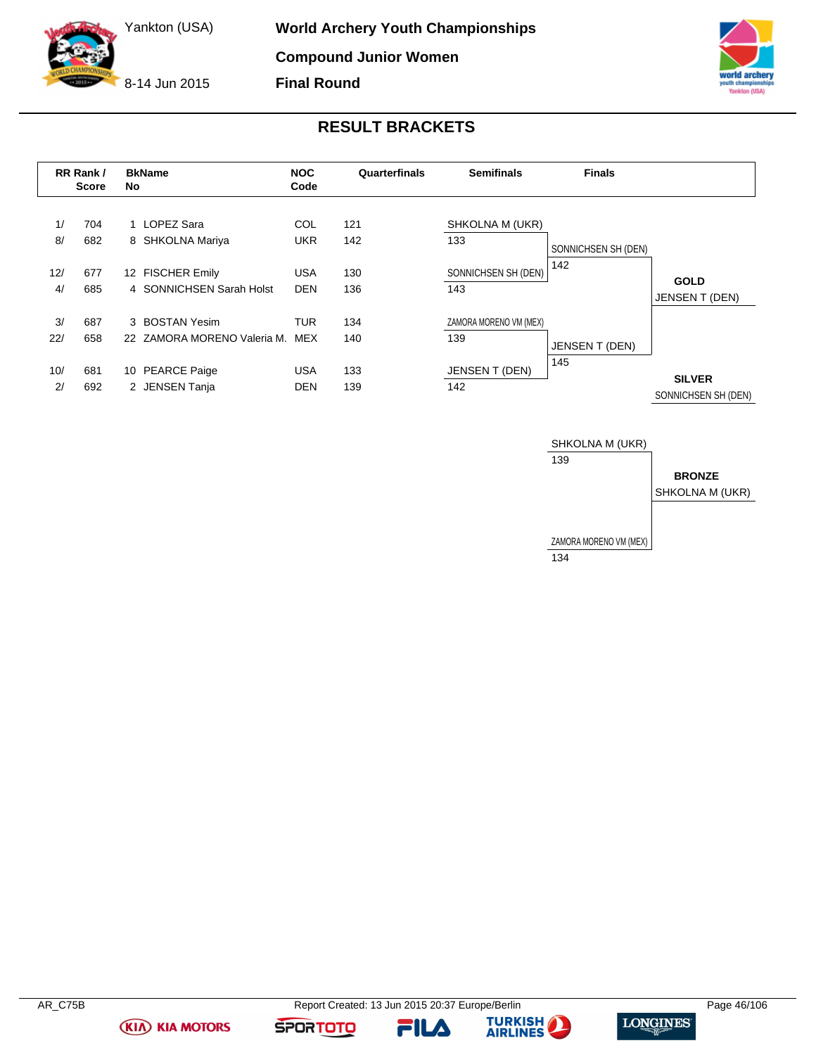8-14 Jun 2015



# **RESULT BRACKETS**

|           | RR Rank /<br><b>Score</b> | <b>BkName</b><br>No                           | <b>NOC</b><br>Code       | Quarterfinals | <b>Semifinals</b>             | <b>Finals</b>       |                                      |
|-----------|---------------------------|-----------------------------------------------|--------------------------|---------------|-------------------------------|---------------------|--------------------------------------|
| 1/<br>8/  | 704<br>682                | 1 LOPEZ Sara<br>8 SHKOLNA Mariya              | COL<br><b>UKR</b>        | 121<br>142    | SHKOLNA M (UKR)<br>133        | SONNICHSEN SH (DEN) |                                      |
| 12/<br>4/ | 677<br>685                | 12 FISCHER Emily<br>4 SONNICHSEN Sarah Holst  | <b>USA</b><br><b>DEN</b> | 130<br>136    | SONNICHSEN SH (DEN)<br>143    | 142                 | <b>GOLD</b><br>JENSEN T (DEN)        |
| 3/<br>22/ | 687<br>658                | 3 BOSTAN Yesim<br>22 ZAMORA MORENO Valeria M. | TUR<br>MEX               | 134<br>140    | ZAMORA MORENO VM (MEX)<br>139 | JENSEN T (DEN)      |                                      |
| 10/<br>2/ | 681<br>692                | <b>PEARCE Paige</b><br>10<br>2 JENSEN Tanja   | <b>USA</b><br><b>DEN</b> | 133<br>139    | JENSEN T (DEN)<br>142         | 145                 | <b>SILVER</b><br>SONNICHSEN SH (DEN) |



**FILA** 



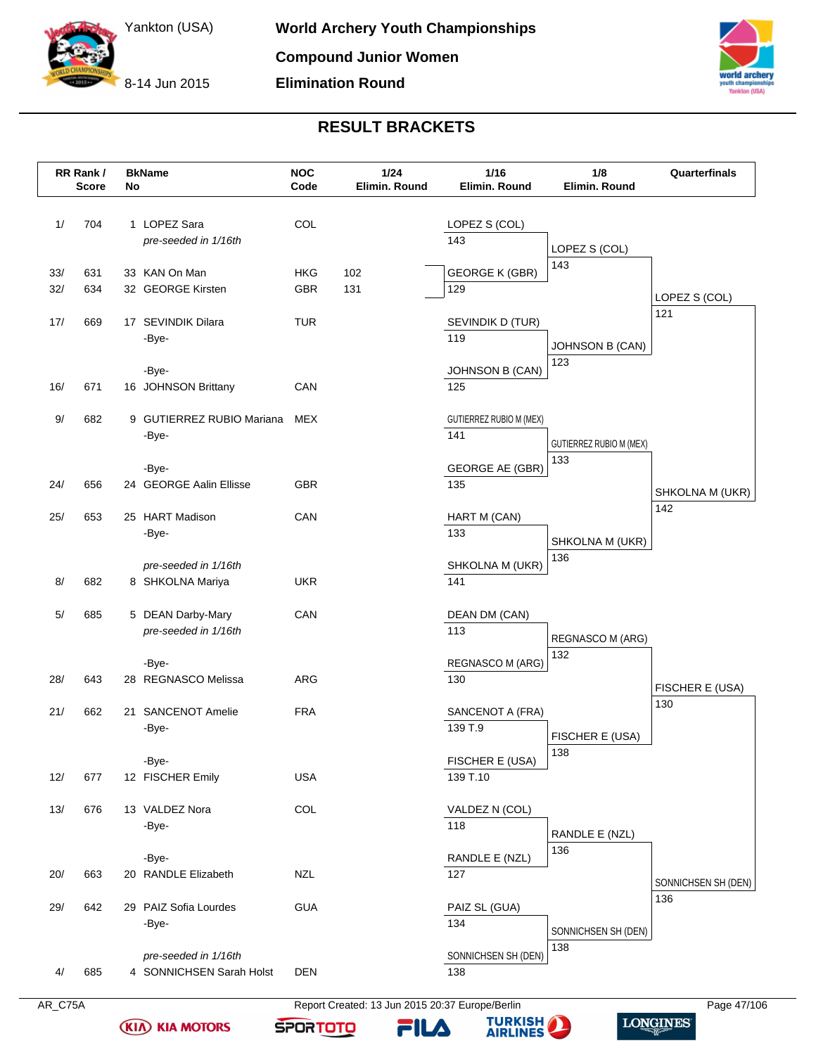8-14 Jun 2015



# **RESULT BRACKETS**

|            | RR Rank /<br><b>Score</b> | No | <b>BkName</b>                                    | <b>NOC</b><br>Code | 1/24<br>Elimin. Round | 1/16<br>Elimin. Round                 | 1/8<br>Elimin. Round                  | Quarterfinals       |
|------------|---------------------------|----|--------------------------------------------------|--------------------|-----------------------|---------------------------------------|---------------------------------------|---------------------|
| 1/         | 704                       |    | 1 LOPEZ Sara<br>pre-seeded in 1/16th             | COL                |                       | LOPEZ S (COL)<br>143                  | LOPEZ S (COL)                         |                     |
| 33/<br>32/ | 631<br>634                |    | 33 KAN On Man<br>32 GEORGE Kirsten               | HKG<br><b>GBR</b>  | 102<br>131            | <b>GEORGE K (GBR)</b><br>129          | 143                                   | LOPEZ S (COL)       |
| 17/        | 669                       |    | 17 SEVINDIK Dilara<br>-Bye-                      | <b>TUR</b>         |                       | SEVINDIK D (TUR)<br>119               | JOHNSON B (CAN)                       | 121                 |
| 16/        | 671                       |    | -Bye-<br>16 JOHNSON Brittany                     | CAN                |                       | JOHNSON B (CAN)<br>125                | 123                                   |                     |
| 9/         | 682                       |    | 9 GUTIERREZ RUBIO Mariana<br>-Bye-               | MEX                |                       | <b>GUTIERREZ RUBIO M (MEX)</b><br>141 | <b>GUTIERREZ RUBIO M (MEX)</b><br>133 |                     |
| 24/        | 656                       |    | -Bye-<br>24 GEORGE Aalin Ellisse                 | <b>GBR</b>         |                       | <b>GEORGE AE (GBR)</b><br>135         |                                       | SHKOLNA M (UKR)     |
| 25/        | 653                       |    | 25 HART Madison<br>-Bye-                         | CAN                |                       | HART M (CAN)<br>133                   | SHKOLNA M (UKR)                       | 142                 |
| 8/         | 682                       |    | pre-seeded in 1/16th<br>8 SHKOLNA Mariya         | <b>UKR</b>         |                       | SHKOLNA M (UKR)<br>141                | 136                                   |                     |
| 5/         | 685                       |    | 5 DEAN Darby-Mary<br>pre-seeded in 1/16th        | CAN                |                       | DEAN DM (CAN)<br>113                  | REGNASCO M (ARG)                      |                     |
| 28/        | 643                       |    | -Bye-<br>28 REGNASCO Melissa                     | ARG                |                       | REGNASCO M (ARG)<br>130               | 132                                   | FISCHER E (USA)     |
| 21/        | 662                       |    | 21 SANCENOT Amelie<br>-Bye-                      | <b>FRA</b>         |                       | SANCENOT A (FRA)<br>139 T.9           | FISCHER E (USA)<br>138                | 130                 |
| 12/        | 677                       |    | -Bye-<br>12 FISCHER Emily                        | <b>USA</b>         |                       | FISCHER E (USA)<br>139 T.10           |                                       |                     |
| 13/        | 676                       |    | 13 VALDEZ Nora<br>-Bye-                          | COL                |                       | VALDEZ N (COL)<br>118                 | RANDLE E (NZL)                        |                     |
| 20/        | 663                       |    | -Bye-<br>20 RANDLE Elizabeth                     | <b>NZL</b>         |                       | RANDLE E (NZL)<br>127                 | 136                                   | SONNICHSEN SH (DEN) |
| 29/        | 642                       |    | 29 PAIZ Sofia Lourdes<br>-Bye-                   | <b>GUA</b>         |                       | PAIZ SL (GUA)<br>134                  | SONNICHSEN SH (DEN)                   | 136                 |
| 4/         | 685                       |    | pre-seeded in 1/16th<br>4 SONNICHSEN Sarah Holst | <b>DEN</b>         |                       | SONNICHSEN SH (DEN)<br>138            | 138                                   |                     |

**KIA KIA MOTORS** 

AR\_C75A Report Created: 13 Jun 2015 20:37 Europe/Berlin Page 47/106 **TURKISH** 

FILA

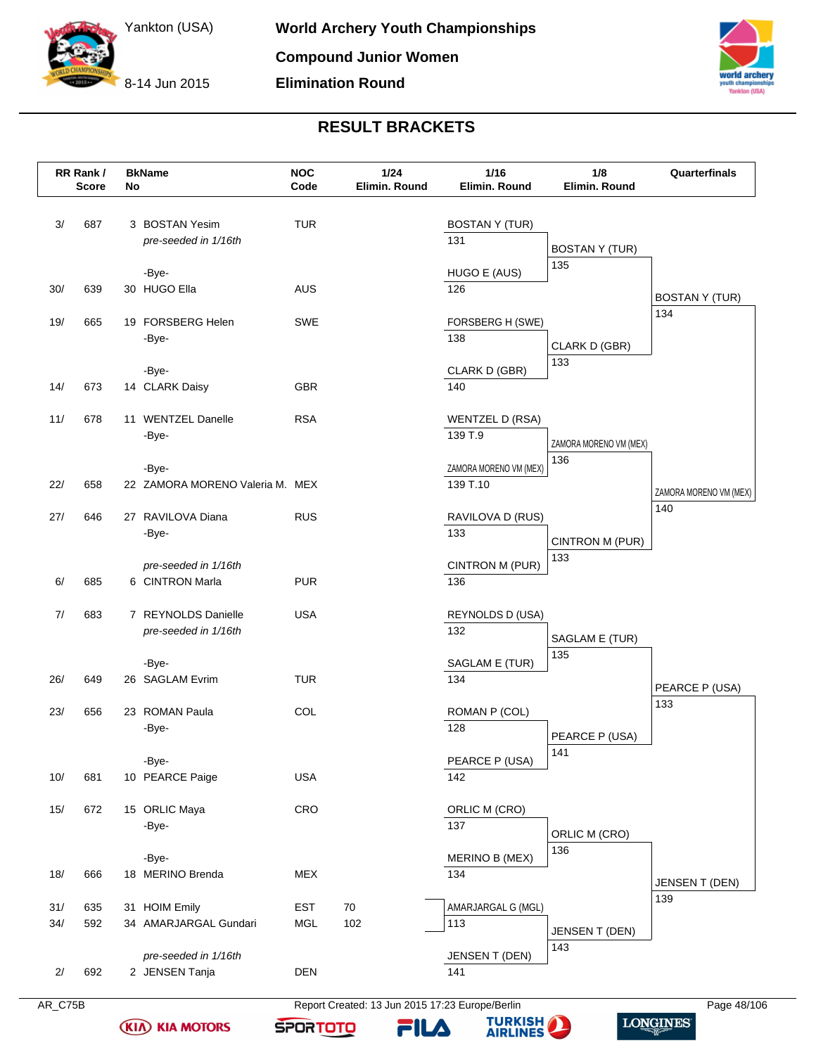8-14 Jun 2015



# **RESULT BRACKETS**

|            | RR Rank /<br><b>Score</b> | No | <b>BkName</b>                               | <b>NOC</b><br>Code       | 1/24<br>Elimin. Round | 1/16<br>Elimin. Round              | 1/8<br>Elimin. Round   | Quarterfinals          |
|------------|---------------------------|----|---------------------------------------------|--------------------------|-----------------------|------------------------------------|------------------------|------------------------|
| 3/         | 687                       |    | 3 BOSTAN Yesim<br>pre-seeded in 1/16th      | <b>TUR</b>               |                       | <b>BOSTAN Y (TUR)</b><br>131       | <b>BOSTAN Y (TUR)</b>  |                        |
| 30/        | 639                       |    | -Bye-<br>30 HUGO Ella                       | AUS                      |                       | HUGO E (AUS)<br>126                | 135                    | <b>BOSTAN Y (TUR)</b>  |
| 19/        | 665                       |    | 19 FORSBERG Helen<br>-Bye-                  | SWE                      |                       | FORSBERG H (SWE)<br>138            | CLARK D (GBR)          | 134                    |
| 14/        | 673                       |    | -Bye-<br>14 CLARK Daisy                     | GBR                      |                       | CLARK D (GBR)<br>140               | 133                    |                        |
| 11/        | 678                       |    | 11 WENTZEL Danelle<br>-Bye-                 | <b>RSA</b>               |                       | WENTZEL D (RSA)<br>139 T.9         | ZAMORA MORENO VM (MEX) |                        |
| 22/        | 658                       |    | -Bye-<br>22 ZAMORA MORENO Valeria M. MEX    |                          |                       | ZAMORA MORENO VM (MEX)<br>139 T.10 | 136                    | ZAMORA MORENO VM (MEX) |
| 27/        | 646                       |    | 27 RAVILOVA Diana<br>-Bye-                  | <b>RUS</b>               |                       | RAVILOVA D (RUS)<br>133            | CINTRON M (PUR)        | 140                    |
| 6/         | 685                       |    | pre-seeded in 1/16th<br>6 CINTRON Marla     | <b>PUR</b>               |                       | CINTRON M (PUR)<br>136             | 133                    |                        |
| 7/         | 683                       |    | 7 REYNOLDS Danielle<br>pre-seeded in 1/16th | <b>USA</b>               |                       | REYNOLDS D (USA)<br>132            | SAGLAM E (TUR)         |                        |
| 26/        | 649                       |    | -Bye-<br>26 SAGLAM Evrim                    | <b>TUR</b>               |                       | SAGLAM E (TUR)<br>134              | 135                    | PEARCE P (USA)         |
| 23/        | 656                       |    | 23 ROMAN Paula<br>-Bye-                     | COL                      |                       | ROMAN P (COL)<br>128               | PEARCE P (USA)         | 133                    |
| 10/        | 681                       |    | -Bye-<br>10 PEARCE Paige                    | <b>USA</b>               |                       | PEARCE P (USA)<br>142              | 141                    |                        |
| 15/        | 672                       |    | 15 ORLIC Maya<br>-Bye-                      | CRO                      |                       | ORLIC M (CRO)<br>137               | ORLIC M (CRO)          |                        |
| 18/        | 666                       |    | -Bye-<br>18 MERINO Brenda                   | <b>MEX</b>               |                       | MERINO B (MEX)<br>134              | 136                    | JENSEN T (DEN)         |
| 31/<br>34/ | 635<br>592                |    | 31 HOIM Emily<br>34 AMARJARGAL Gundari      | <b>EST</b><br><b>MGL</b> | 70<br>102             | AMARJARGAL G (MGL)<br>113          | <b>JENSEN T (DEN)</b>  | 139                    |
| 2/         | 692                       |    | pre-seeded in 1/16th<br>2 JENSEN Tanja      | <b>DEN</b>               |                       | JENSEN T (DEN)<br>141              | 143                    |                        |

**KIA KIA MOTORS** 

AR\_C75B Report Created: 13 Jun 2015 17:23 Europe/Berlin Page 48/106

FILA

**SPORTOTO** 

**TURKISH** 

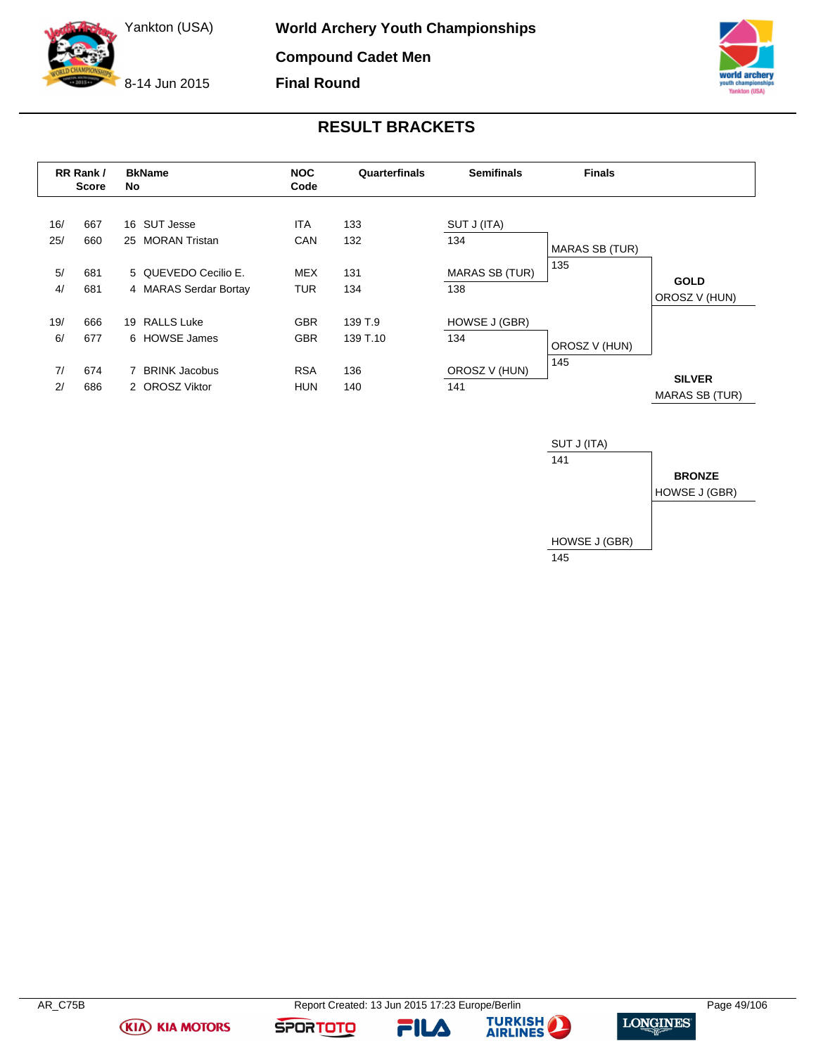8-14 Jun 2015



**Final Round**

# **RESULT BRACKETS**

|     | RR Rank /<br><b>Score</b> | No | <b>BkName</b>         | <b>NOC</b><br>Code | Quarterfinals | <b>Semifinals</b>     | <b>Finals</b>         |                                        |
|-----|---------------------------|----|-----------------------|--------------------|---------------|-----------------------|-----------------------|----------------------------------------|
| 16/ | 667                       |    | 16 SUT Jesse          | <b>ITA</b>         | 133           | SUT J (ITA)           |                       |                                        |
| 25/ | 660                       | 25 | <b>MORAN Tristan</b>  | CAN                | 132           | 134                   | <b>MARAS SB (TUR)</b> |                                        |
| 5/  | 681                       |    | 5 QUEVEDO Cecilio E.  | <b>MEX</b>         | 131           | <b>MARAS SB (TUR)</b> | 135                   |                                        |
| 4/  | 681                       |    | 4 MARAS Serdar Bortay | <b>TUR</b>         | 134           | 138                   |                       | <b>GOLD</b><br>OROSZ V (HUN)           |
| 19/ | 666                       |    | 19 RALLS Luke         | <b>GBR</b>         | 139 T.9       | HOWSE J (GBR)         |                       |                                        |
| 6/  | 677                       |    | 6 HOWSE James         | <b>GBR</b>         | 139 T.10      | 134                   | OROSZ V (HUN)         |                                        |
| 7/  | 674                       |    | 7 BRINK Jacobus       | <b>RSA</b>         | 136           | OROSZ V (HUN)         | 145                   |                                        |
| 2/  | 686                       |    | 2 OROSZ Viktor        | <b>HUN</b>         | 140           | 141                   |                       | <b>SILVER</b><br><b>MARAS SB (TUR)</b> |



**(KIA) KIA MOTORS** 

**FILA** 



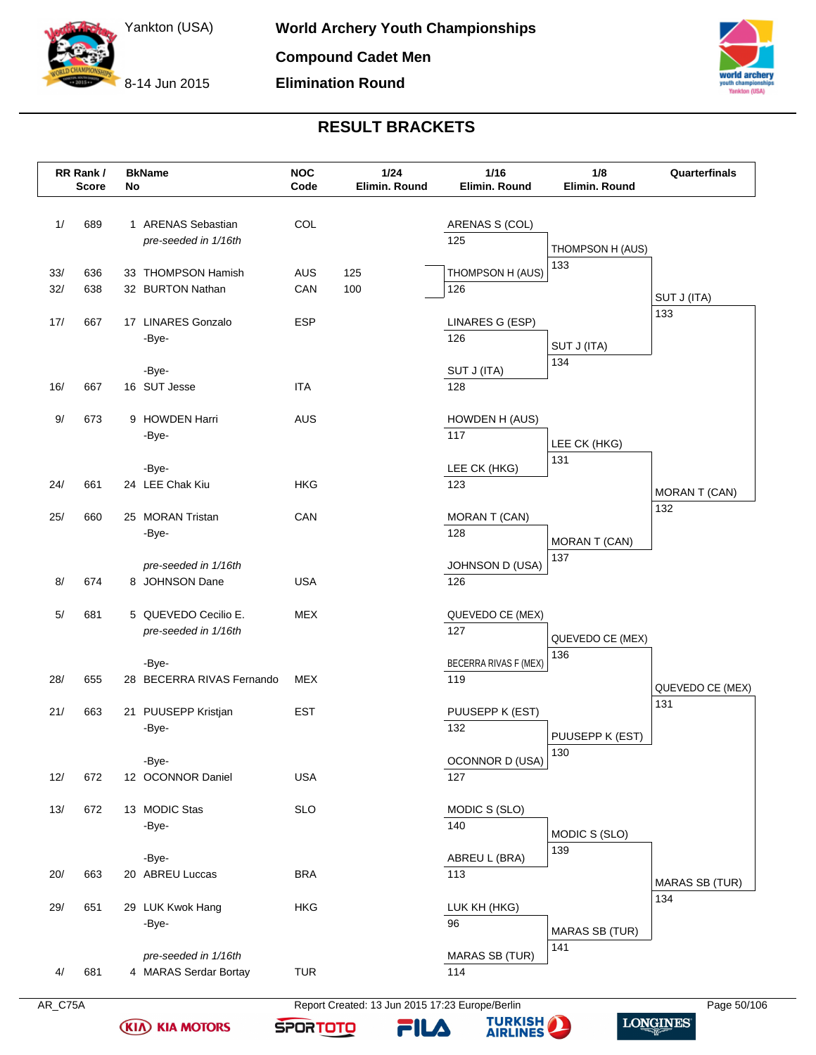8-14 Jun 2015



# **RESULT BRACKETS**

|            | RR Rank /<br><b>Score</b> | No | <b>BkName</b>                                 | <b>NOC</b><br>Code | 1/24<br>Elimin. Round | $1/16$<br>Elimin. Round       | 1/8<br>Elimin. Round  | Quarterfinals         |
|------------|---------------------------|----|-----------------------------------------------|--------------------|-----------------------|-------------------------------|-----------------------|-----------------------|
| 1/         | 689                       |    | 1 ARENAS Sebastian<br>pre-seeded in 1/16th    | COL                |                       | ARENAS S (COL)<br>125         | THOMPSON H (AUS)      |                       |
| 33/<br>32/ | 636<br>638                |    | 33 THOMPSON Hamish<br>32 BURTON Nathan        | <b>AUS</b><br>CAN  | 125<br>100            | THOMPSON H (AUS)<br>126       | 133                   | SUT J (ITA)           |
| 17/        | 667                       |    | 17 LINARES Gonzalo<br>-Bye-                   | <b>ESP</b>         |                       | LINARES G (ESP)<br>126        | SUT J (ITA)           | 133                   |
| 16/        | 667                       |    | -Bye-<br>16 SUT Jesse                         | <b>ITA</b>         |                       | SUT J (ITA)<br>128            | 134                   |                       |
| 9/         | 673                       |    | 9 HOWDEN Harri<br>-Bye-                       | <b>AUS</b>         |                       | HOWDEN H (AUS)<br>117         | LEE CK (HKG)          |                       |
| 24/        | 661                       |    | -Bye-<br>24 LEE Chak Kiu                      | HKG                |                       | LEE CK (HKG)<br>123           | 131                   | <b>MORAN T (CAN)</b>  |
| 25/        | 660                       |    | 25 MORAN Tristan<br>-Bye-                     | CAN                |                       | MORAN T (CAN)<br>128          | MORAN T (CAN)         | 132                   |
| 8/         | 674                       |    | pre-seeded in 1/16th<br>8 JOHNSON Dane        | <b>USA</b>         |                       | <b>JOHNSON D (USA)</b><br>126 | 137                   |                       |
| 5/         | 681                       |    | 5 QUEVEDO Cecilio E.<br>pre-seeded in 1/16th  | <b>MEX</b>         |                       | QUEVEDO CE (MEX)<br>127       | QUEVEDO CE (MEX)      |                       |
| 28/        | 655                       |    | -Bye-<br>28 BECERRA RIVAS Fernando            | MEX                |                       | BECERRA RIVAS F (MEX)<br>119  | 136                   | QUEVEDO CE (MEX)      |
| 21/        | 663                       |    | 21 PUUSEPP Kristjan<br>-Bye-                  | <b>EST</b>         |                       | PUUSEPP K (EST)<br>132        | PUUSEPP K (EST)       | 131                   |
| 12/        | 672                       |    | -Bye-<br>12 OCONNOR Daniel                    | <b>USA</b>         |                       | OCONNOR D (USA)<br>127        | 130                   |                       |
| 13/        | 672                       |    | 13 MODIC Stas<br>-Bye-                        | <b>SLO</b>         |                       | MODIC S (SLO)<br>140          | MODIC S (SLO)         |                       |
| 20/        | 663                       |    | -Bye-<br>20 ABREU Luccas                      | <b>BRA</b>         |                       | ABREU L (BRA)<br>113          | 139                   | <b>MARAS SB (TUR)</b> |
| 29/        | 651                       |    | 29 LUK Kwok Hang<br>-Bye-                     | <b>HKG</b>         |                       | LUK KH (HKG)<br>96            | <b>MARAS SB (TUR)</b> | 134                   |
| 4/         | 681                       |    | pre-seeded in 1/16th<br>4 MARAS Serdar Bortay | <b>TUR</b>         |                       | <b>MARAS SB (TUR)</b><br>114  | 141                   |                       |

**KIA KIA MOTORS** 

AR\_C75A Report Created: 13 Jun 2015 17:23 Europe/Berlin Page 50/106

FILA

**SPORTOTO** 

**TURKISH LONGINES** 

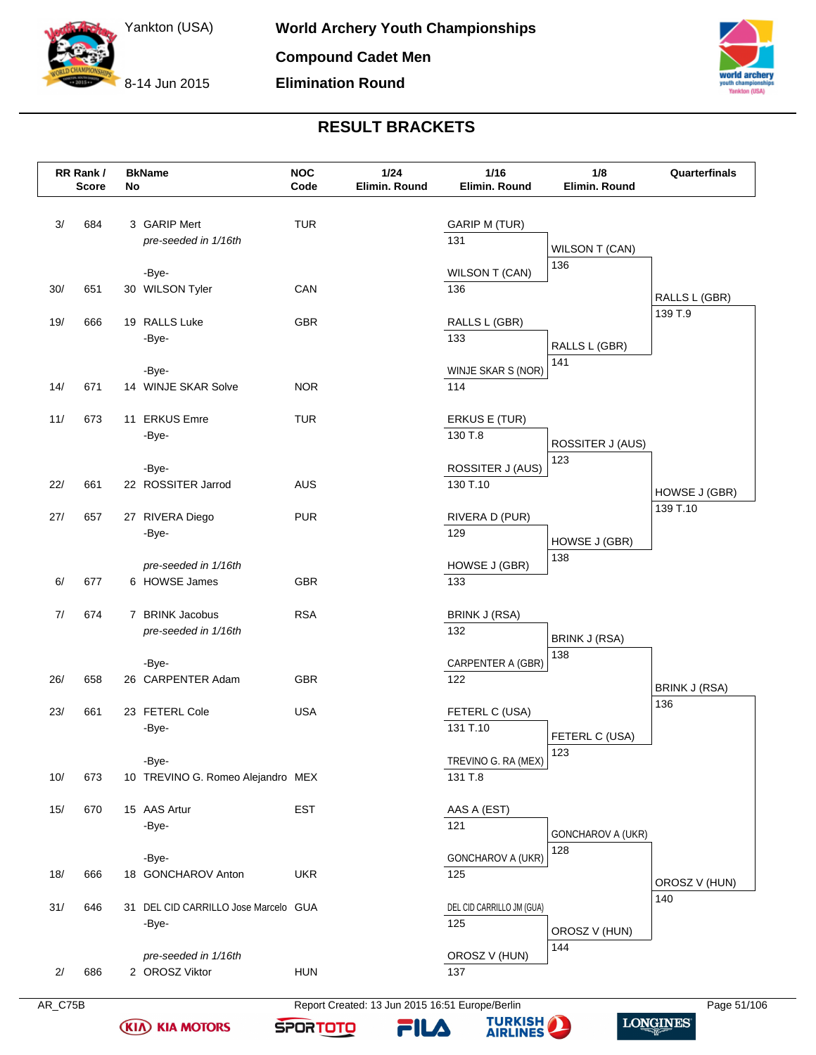8-14 Jun 2015



# **RESULT BRACKETS**

|     | RR Rank /<br><b>Score</b> | No | <b>BkName</b>                        | <b>NOC</b><br>Code | 1/24<br>Elimin. Round | 1/16<br>Elimin. Round       | 1/8<br>Elimin. Round  | Quarterfinals |
|-----|---------------------------|----|--------------------------------------|--------------------|-----------------------|-----------------------------|-----------------------|---------------|
| 3/  | 684                       |    | 3 GARIP Mert<br>pre-seeded in 1/16th | <b>TUR</b>         |                       | <b>GARIP M (TUR)</b><br>131 | <b>WILSON T (CAN)</b> |               |
|     |                           |    | -Bye-                                |                    |                       | <b>WILSON T (CAN)</b>       | 136                   |               |
| 30/ | 651                       |    | 30 WILSON Tyler                      | CAN                |                       | 136                         |                       | RALLS L (GBR) |
| 19/ | 666                       |    | 19 RALLS Luke                        | <b>GBR</b>         |                       | RALLS L (GBR)               |                       | 139 T.9       |
|     |                           |    | -Bye-                                |                    |                       | 133                         | RALLS L (GBR)         |               |
|     |                           |    | -Bye-                                |                    |                       | WINJE SKAR S (NOR)          | 141                   |               |
| 14/ | 671                       |    | 14 WINJE SKAR Solve                  | <b>NOR</b>         |                       | 114                         |                       |               |
| 11/ | 673                       |    | 11 ERKUS Emre                        | <b>TUR</b>         |                       | ERKUS E (TUR)               |                       |               |
|     |                           |    | -Bye-                                |                    |                       | 130 T.8                     | ROSSITER J (AUS)      |               |
|     |                           |    | -Bye-                                |                    |                       | ROSSITER J (AUS)            | 123                   |               |
| 22/ | 661                       |    | 22 ROSSITER Jarrod                   | <b>AUS</b>         |                       | 130 T.10                    |                       | HOWSE J (GBR) |
| 27/ | 657                       |    | 27 RIVERA Diego                      | <b>PUR</b>         |                       | RIVERA D (PUR)              |                       | 139 T.10      |
|     |                           |    | -Bye-                                |                    |                       | 129                         | HOWSE J (GBR)         |               |
|     |                           |    | pre-seeded in 1/16th                 |                    |                       | HOWSE J (GBR)               | 138                   |               |
| 6/  | 677                       |    | 6 HOWSE James                        | GBR                |                       | 133                         |                       |               |
| 7/  | 674                       |    | 7 BRINK Jacobus                      | <b>RSA</b>         |                       | <b>BRINK J (RSA)</b>        |                       |               |
|     |                           |    | pre-seeded in 1/16th                 |                    |                       | 132                         | <b>BRINK J (RSA)</b>  |               |
|     |                           |    | -Bye-                                |                    |                       | CARPENTER A (GBR)           | 138                   |               |
| 26/ | 658                       |    | 26 CARPENTER Adam                    | <b>GBR</b>         |                       | 122                         |                       | BRINK J (RSA) |
| 23/ | 661                       |    | 23 FETERL Cole                       | <b>USA</b>         |                       | FETERL C (USA)              |                       | 136           |
|     |                           |    | -Bye-                                |                    |                       | 131 T.10                    | FETERL C (USA)        |               |
|     |                           |    | -Bye-                                |                    |                       | TREVINO G. RA (MEX)         | 123                   |               |
| 10/ | 673                       |    | 10 TREVINO G. Romeo Alejandro MEX    |                    |                       | 131 T.8                     |                       |               |
| 15/ | 670                       |    | 15 AAS Artur                         | EST                |                       | AAS A (EST)                 |                       |               |
|     |                           |    | -Bye-                                |                    |                       | 121                         | GONCHAROV A (UKR)     |               |
|     |                           |    | -Bye-                                |                    |                       | <b>GONCHAROV A (UKR)</b>    | 128                   |               |
| 18/ | 666                       |    | 18 GONCHAROV Anton                   | <b>UKR</b>         |                       | 125                         |                       | OROSZ V (HUN) |
| 31/ | 646                       |    | 31 DEL CID CARRILLO Jose Marcelo GUA |                    |                       | DEL CID CARRILLO JM (GUA)   |                       | 140           |
|     |                           |    | -Bye-                                |                    |                       | 125                         | OROSZ V (HUN)         |               |
|     |                           |    | pre-seeded in 1/16th                 |                    |                       | OROSZ V (HUN)               | 144                   |               |
| 2/  | 686                       |    | 2 OROSZ Viktor                       | <b>HUN</b>         |                       | 137                         |                       |               |

AR\_C75B Report Created: 13 Jun 2015 16:51 Europe/Berlin Page 51/106

**LONGINES** 



**KIA KIA MOTORS** 



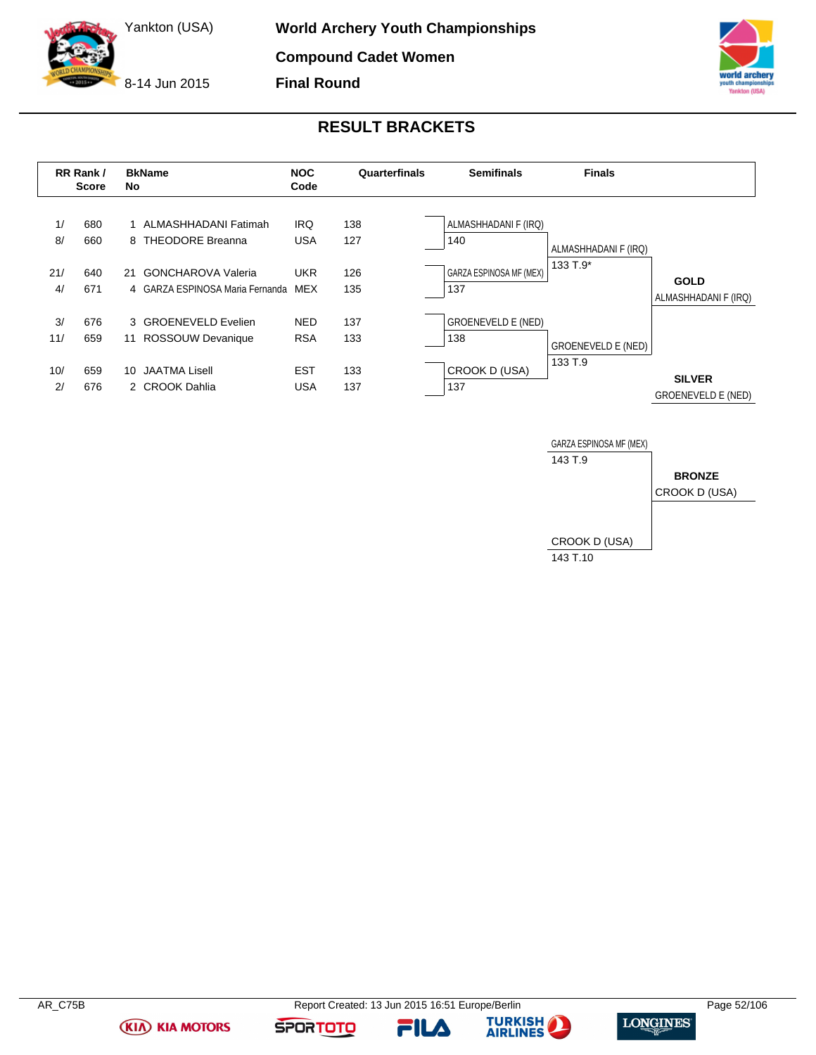8-14 Jun 2015



### **RESULT BRACKETS**





**(KIA) KIA MOTORS** 

FILA



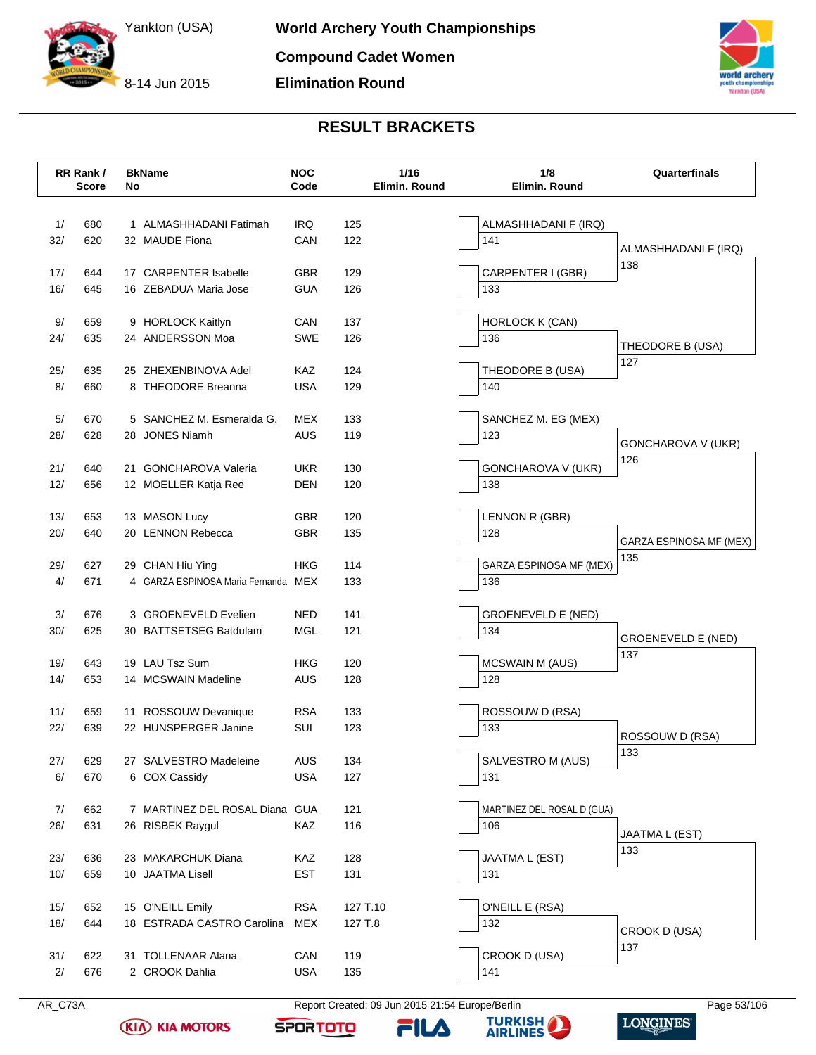8-14 Jun 2015



# **RESULT BRACKETS**

|     | RR Rank /<br><b>Score</b> | No | <b>BkName</b>                       | <b>NOC</b><br>Code |          | 1/16<br>Elimin. Round | 1/8<br>Elimin. Round       | Quarterfinals                  |
|-----|---------------------------|----|-------------------------------------|--------------------|----------|-----------------------|----------------------------|--------------------------------|
| 1/  | 680                       |    | 1 ALMASHHADANI Fatimah              | <b>IRQ</b>         | 125      |                       | ALMASHHADANI F (IRQ)       |                                |
| 32/ | 620                       |    | 32 MAUDE Fiona                      | CAN                | 122      |                       | 141                        |                                |
|     |                           |    |                                     |                    |          |                       |                            | ALMASHHADANI F (IRQ)<br>138    |
| 17/ | 644                       |    | 17 CARPENTER Isabelle               | <b>GBR</b>         | 129      |                       | CARPENTER I (GBR)          |                                |
| 16/ | 645                       |    | 16 ZEBADUA Maria Jose               | <b>GUA</b>         | 126      |                       | 133                        |                                |
| 9/  | 659                       |    | 9 HORLOCK Kaitlyn                   | CAN                | 137      |                       | HORLOCK K (CAN)            |                                |
| 24/ | 635                       |    | 24 ANDERSSON Moa                    | <b>SWE</b>         | 126      |                       | 136                        | THEODORE B (USA)               |
|     |                           |    |                                     |                    |          |                       |                            | 127                            |
| 25/ | 635                       |    | 25 ZHEXENBINOVA Adel                | <b>KAZ</b>         | 124      |                       | THEODORE B (USA)           |                                |
| 8/  | 660                       |    | 8 THEODORE Breanna                  | <b>USA</b>         | 129      |                       | 140                        |                                |
| 5/  | 670                       |    | 5 SANCHEZ M. Esmeralda G.           | <b>MEX</b>         | 133      |                       | SANCHEZ M. EG (MEX)        |                                |
| 28/ | 628                       |    | 28 JONES Niamh                      | <b>AUS</b>         | 119      |                       | 123                        | GONCHAROVA V (UKR)             |
|     |                           |    |                                     |                    |          |                       |                            | 126                            |
| 21/ | 640                       |    | 21 GONCHAROVA Valeria               | <b>UKR</b>         | 130      |                       | GONCHAROVA V (UKR)         |                                |
| 12/ | 656                       |    | 12 MOELLER Katja Ree                | DEN                | 120      |                       | 138                        |                                |
| 13/ | 653                       |    | 13 MASON Lucy                       | <b>GBR</b>         | 120      |                       | LENNON R (GBR)             |                                |
| 20/ | 640                       |    | 20 LENNON Rebecca                   | <b>GBR</b>         | 135      |                       | 128                        | <b>GARZA ESPINOSA MF (MEX)</b> |
|     |                           |    |                                     |                    |          |                       |                            | 135                            |
| 29/ | 627                       |    | 29 CHAN Hiu Ying                    | <b>HKG</b>         | 114      |                       | GARZA ESPINOSA MF (MEX)    |                                |
| 4/  | 671                       |    | 4 GARZA ESPINOSA Maria Fernanda MEX |                    | 133      |                       | 136                        |                                |
| 3/  | 676                       |    | 3 GROENEVELD Evelien                | <b>NED</b>         | 141      |                       | <b>GROENEVELD E (NED)</b>  |                                |
| 30/ | 625                       |    | 30 BATTSETSEG Batdulam              | MGL                | 121      |                       | 134                        | <b>GROENEVELD E (NED)</b>      |
| 19/ | 643                       |    | 19 LAU Tsz Sum                      | <b>HKG</b>         | 120      |                       | <b>MCSWAIN M (AUS)</b>     | 137                            |
| 14/ | 653                       |    | 14 MCSWAIN Madeline                 | AUS                | 128      |                       | 128                        |                                |
|     |                           |    |                                     |                    |          |                       |                            |                                |
| 11/ | 659                       |    | 11 ROSSOUW Devanique                | <b>RSA</b>         | 133      |                       | ROSSOUW D (RSA)            |                                |
| 22/ | 639                       |    | 22 HUNSPERGER Janine                | <b>SUI</b>         | 123      |                       | 133                        | ROSSOUW D (RSA)                |
| 27/ | 629                       |    | 27 SALVESTRO Madeleine              | <b>AUS</b>         | 134      |                       | SALVESTRO M (AUS)          | 133                            |
| 6/  | 670                       |    | 6 COX Cassidy                       | <b>USA</b>         | 127      |                       | 131                        |                                |
|     |                           |    |                                     |                    |          |                       |                            |                                |
| 7/  | 662                       |    | 7 MARTINEZ DEL ROSAL Diana          | GUA                | 121      |                       | MARTINEZ DEL ROSAL D (GUA) |                                |
| 26/ | 631                       |    | 26 RISBEK Raygul                    | KAZ                | 116      |                       | 106                        | JAATMA L (EST)                 |
|     |                           |    |                                     |                    |          |                       |                            | 133                            |
| 23/ | 636                       |    | 23 MAKARCHUK Diana                  | KAZ                | 128      |                       | JAATMA L (EST)             |                                |
| 10/ | 659                       |    | 10 JAATMA Lisell                    | <b>EST</b>         | 131      |                       | 131                        |                                |
| 15/ | 652                       |    | 15 O'NEILL Emily                    | <b>RSA</b>         | 127 T.10 |                       | O'NEILL E (RSA)            |                                |
| 18/ | 644                       |    | 18 ESTRADA CASTRO Carolina          | MEX                | 127 T.8  |                       | 132                        |                                |
|     |                           |    |                                     |                    |          |                       |                            | CROOK D (USA)<br>137           |
| 31/ | 622                       |    | 31 TOLLENAAR Alana                  | CAN                | 119      |                       | CROOK D (USA)              |                                |
| 2/  | 676                       |    | 2 CROOK Dahlia                      | <b>USA</b>         | 135      |                       | 141                        |                                |

**KIA KIA MOTORS** 

AR\_C73A Report Created: 09 Jun 2015 21:54 Europe/Berlin Page 53/106

FILA



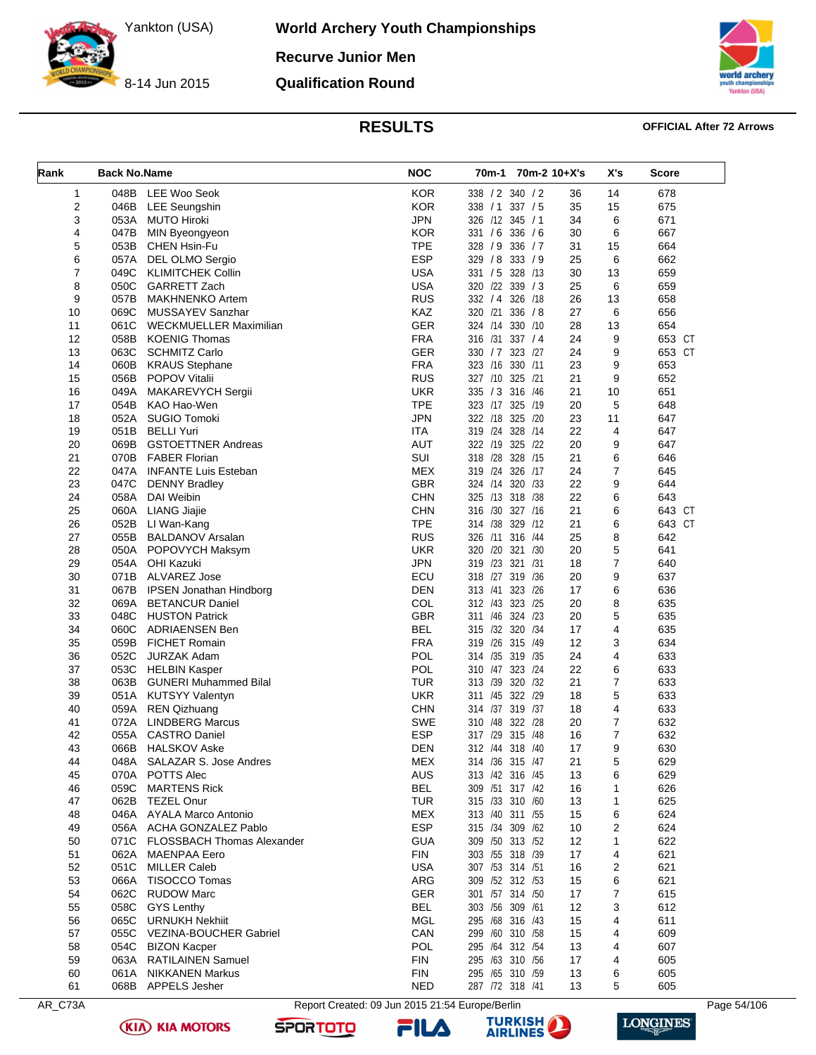**Recurve Junior Men**

8-14 Jun 2015

**Qualification Round**



**World Archery Youth Championships**

### **RESULTS OFFICIAL After 72 Arrows**

| Rank           | <b>Back No.Name</b> |                                 | <b>NOC</b> | 70m-1 70m-2 10+X's |    | X's            | Score  |
|----------------|---------------------|---------------------------------|------------|--------------------|----|----------------|--------|
| 1              | 048B                | LEE Woo Seok                    | <b>KOR</b> | 338 / 2 340 / 2    | 36 | 14             | 678    |
| $\overline{c}$ | 046B                | <b>LEE Seungshin</b>            | <b>KOR</b> | 338 / 1 337 / 5    | 35 | 15             | 675    |
| 3              | 053A                | <b>MUTO Hiroki</b>              | <b>JPN</b> | 326 /12 345 / 1    | 34 | 6              | 671    |
| 4              | 047B                | MIN Byeongyeon                  | <b>KOR</b> | 331 / 6 336 / 6    | 30 | 6              | 667    |
| 5              | 053B                | CHEN Hsin-Fu                    | <b>TPE</b> | 328 / 9 336 / 7    | 31 | 15             | 664    |
| 6              |                     | 057A DEL OLMO Sergio            | <b>ESP</b> | 329 / 8 333 / 9    | 25 | 6              | 662    |
| 7              | 049C                | <b>KLIMITCHEK Collin</b>        | <b>USA</b> | 331 / 5 328 /13    | 30 | 13             | 659    |
| 8              | 050C                | GARRETT Zach                    | <b>USA</b> | 320 /22 339 / 3    | 25 | 6              | 659    |
| 9              | 057B                | <b>MAKHNENKO Artem</b>          | <b>RUS</b> | 332 / 4 326 / 18   | 26 | 13             | 658    |
| 10             | 069C                | <b>MUSSAYEV Sanzhar</b>         | KAZ        | 320 /21 336 /8     | 27 | 6              | 656    |
| 11             | 061C                | WECKMUELLER Maximilian          | <b>GER</b> | 324 /14 330 /10    | 28 | 13             | 654    |
| 12             | 058B                | <b>KOENIG Thomas</b>            | <b>FRA</b> | 316 /31 337 / 4    | 24 | 9              | 653 CT |
| 13             | 063C                | <b>SCHMITZ Carlo</b>            | <b>GER</b> | 330 / 7 323 / 27   | 24 | 9              | 653 CT |
| 14             | 060B                | <b>KRAUS Stephane</b>           | <b>FRA</b> | 323 /16<br>330 /11 | 23 | 9              | 653    |
| 15             | 056B                | POPOV Vitalii                   | <b>RUS</b> | 327 /10 325 /21    | 21 | 9              | 652    |
| 16             | 049A                | MAKAREVYCH Sergii               | <b>UKR</b> | 335 / 3 316 / 46   | 21 | 10             | 651    |
| 17             | 054B                | KAO Hao-Wen                     | <b>TPE</b> | 323 /17 325 /19    | 20 | 5              | 648    |
| 18             | 052A                | <b>SUGIO Tomoki</b>             | <b>JPN</b> | 322 /18 325 /20    | 23 | 11             | 647    |
| 19             | 051B                | <b>BELLI Yuri</b>               | <b>ITA</b> | 319 /24 328 /14    | 22 | 4              | 647    |
| 20             | 069B                | <b>GSTOETTNER Andreas</b>       | <b>AUT</b> | 322 /19 325 /22    | 20 | 9              | 647    |
| 21             | 070B                | <b>FABER Florian</b>            | SUI        | 318 /28 328 /15    | 21 | 6              | 646    |
| 22             | 047A                | <b>INFANTE Luis Esteban</b>     | <b>MEX</b> | 319 /24 326 /17    | 24 | $\overline{7}$ | 645    |
| 23             | 047C                | <b>DENNY Bradley</b>            | <b>GBR</b> | 320 /33<br>324 /14 | 22 | 9              | 644    |
| 24             | 058A                | DAI Weibin                      | <b>CHN</b> | 325 /13 318 /38    | 22 | 6              | 643    |
| 25             | 060A                | LIANG Jiajie                    | <b>CHN</b> | 316 /30 327 /16    | 21 | 6              | 643 CT |
| 26             | 052B                | LI Wan-Kang                     | <b>TPE</b> | 314 /38<br>329 /12 | 21 | 6              | 643 CT |
| 27             | 055B                | <b>BALDANOV Arsalan</b>         | <b>RUS</b> | 326 /11 316 /44    | 25 | 8              | 642    |
| 28             | 050A                | POPOVYCH Maksym                 | <b>UKR</b> | 320 /20 321 /30    | 20 | 5              | 641    |
| 29             |                     | 054A OHI Kazuki                 | <b>JPN</b> | 319 /23 321 /31    | 18 | $\overline{7}$ | 640    |
| 30             |                     | 071B ALVAREZ Jose               | ECU        | 318 /27 319 /36    | 20 | 9              | 637    |
| 31             |                     | 067B IPSEN Jonathan Hindborg    | <b>DEN</b> | 313 /41 323 /26    | 17 | 6              | 636    |
| 32             | 069A                | <b>BETANCUR Daniel</b>          | COL        | 312 /43 323 /25    | 20 | 8              | 635    |
| 33             | 048C                | <b>HUSTON Patrick</b>           | <b>GBR</b> | 311 /46 324 /23    | 20 | 5              | 635    |
| 34             | 060C                | ADRIAENSEN Ben                  | <b>BEL</b> | 315 /32 320 /34    | 17 | 4              | 635    |
| 35             |                     | 059B FICHET Romain              | <b>FRA</b> | 319 /26 315 /49    | 12 | 3              | 634    |
| 36             | 052C                | <b>JURZAK Adam</b>              | <b>POL</b> | 314 / 35 319 / 35  | 24 | 4              | 633    |
| 37             |                     | 053C HELBIN Kasper              | POL        | 310 /47 323 /24    | 22 | 6              | 633    |
| 38             |                     | 063B GUNERI Muhammed Bilal      | <b>TUR</b> | 313 /39 320 /32    | 21 | $\overline{7}$ | 633    |
| 39             |                     | 051A KUTSYY Valentyn            | <b>UKR</b> | 311 /45 322 /29    | 18 | 5              | 633    |
| 40             |                     | 059A REN Qizhuang               | <b>CHN</b> | 314 /37 319 /37    | 18 | 4              | 633    |
| 41             | 072A                | <b>LINDBERG Marcus</b>          | <b>SWE</b> | 310 /48 322 /28    | 20 | 7              | 632    |
| 42             | 055A                | <b>CASTRO Daniel</b>            | ESP        | 317 /29 315 /48    | 16 | $\overline{7}$ | 632    |
| 43             | 066B                | <b>HALSKOV Aske</b>             | <b>DEN</b> | 312 /44 318 /40    | 17 | 9              | 630    |
| 44             | 048A                | SALAZAR S. Jose Andres          | <b>MEX</b> | 314 / 36 315 / 47  | 21 | 5              | 629    |
| 45             |                     | 070A POTTS Alec                 | <b>AUS</b> | 313 /42 316 /45    | 13 | 6              | 629    |
| 46             | 059C                | <b>MARTENS Rick</b>             | <b>BEL</b> | 309 /51 317 /42    | 16 | 1              | 626    |
| 47             | 062B                | TEZEL Onur                      | <b>TUR</b> | 315 /33 310 /60    | 13 | 1              | 625    |
| 48             |                     | 046A AYALA Marco Antonio        | MEX        | 313 /40 311 /55    | 15 | 6              | 624    |
| 49             |                     | 056A ACHA GONZALEZ Pablo        | <b>ESP</b> | 315 /34 309 /62    | 10 | 2              | 624    |
| 50             |                     | 071C FLOSSBACH Thomas Alexander | <b>GUA</b> | 309 /50 313 /52    | 12 | 1              | 622    |
| 51             | 062A                | MAENPAA Eero                    | <b>FIN</b> | 303 /55 318 /39    | 17 | 4              | 621    |
| 52             | 051C                | <b>MILLER Caleb</b>             | <b>USA</b> | 307 /53 314 /51    | 16 | 2              | 621    |
| 53             | 066A                | <b>TISOCCO Tomas</b>            | ARG        | 309 /52 312 /53    | 15 | 6              | 621    |
| 54             |                     | 062C RUDOW Marc                 | GER        | 301 /57 314 /50    | 17 | 7              | 615    |
| 55             | 058C                | <b>GYS Lenthy</b>               | <b>BEL</b> | 303 /56 309 /61    | 12 | 3              | 612    |
| 56             |                     | 065C URNUKH Nekhiit             | MGL        | 295 /68 316 /43    | 15 | 4              | 611    |
| 57             |                     | 055C VEZINA-BOUCHER Gabriel     | CAN        | 299 /60 310 /58    | 15 | 4              | 609    |
| 58             | 054C                | <b>BIZON Kacper</b>             | POL        | 295 /64 312 /54    | 13 | 4              | 607    |
| 59             |                     | 063A RATILAINEN Samuel          | <b>FIN</b> | 295 /63 310 /56    | 17 | 4              | 605    |
| 60             | 061A                | <b>NIKKANEN Markus</b>          | <b>FIN</b> | 295 /65 310 /59    | 13 | 6              | 605    |
| 61             |                     | 068B APPELS Jesher              | <b>NED</b> | 287 /72 318 /41    | 13 | 5              | 605    |



AR\_C73A Report Created: 09 Jun 2015 21:54 Europe/Berlin Page 54/106

**SPORTOTO** 

**(KIA) KIA MOTORS** 



**TURKISH**<br>AIRLINES

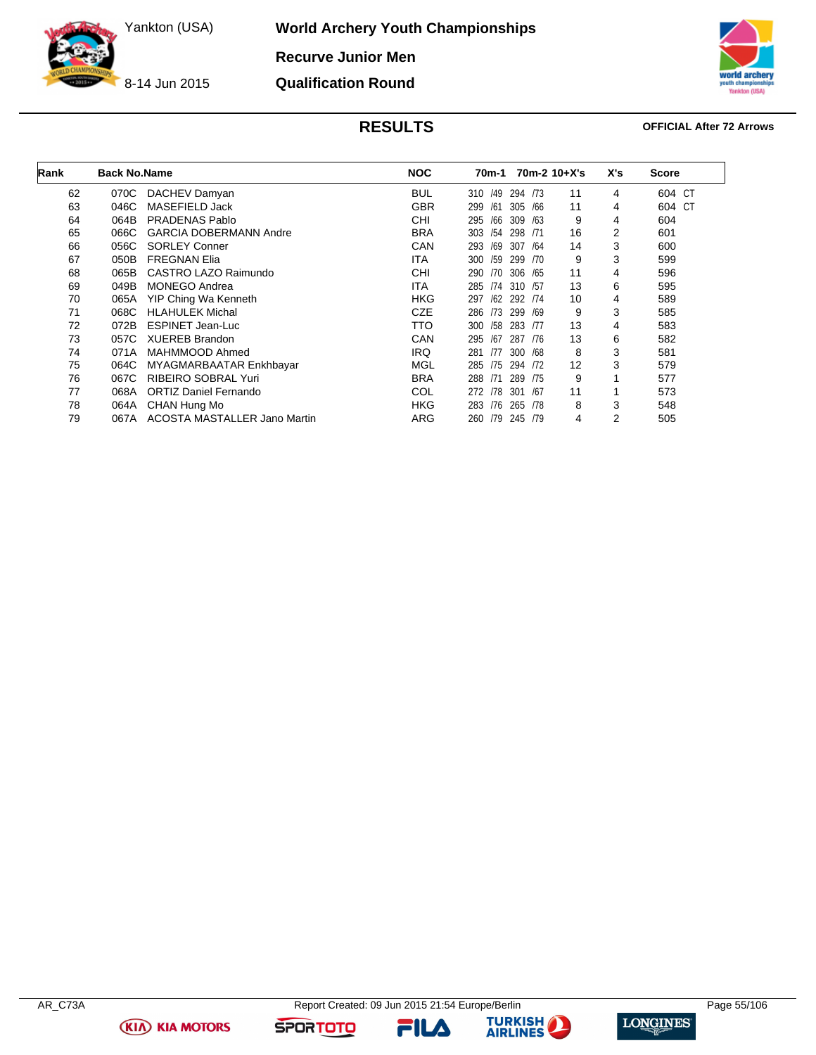**World Archery Youth Championships**

**Recurve Junior Men Qualification Round**



**TISA)** 

### **RESULTS OFFICIAL After 72 Arrows**

| Rank | <b>Back No.Name</b>                   | <b>NOC</b> | 70m-2 10+X's<br>70m-1          | X's | Score            |
|------|---------------------------------------|------------|--------------------------------|-----|------------------|
| 62   | DACHEV Damyan<br>070C                 | <b>BUL</b> | 294<br>11<br>/49<br>/73<br>310 | 4   | <b>CT</b><br>604 |
| 63   | 046C<br>MASEFIELD Jack                | <b>GBR</b> | 11<br>305<br>/66<br>299<br>/61 | 4   | 604<br>CT        |
| 64   | <b>PRADENAS Pablo</b><br>064B         | <b>CHI</b> | 309<br>9<br>295<br>/66<br>/63  | 4   | 604              |
| 65   | 066C<br><b>GARCIA DOBERMANN Andre</b> | <b>BRA</b> | /54<br>298<br>16<br>303<br>/71 | 2   | 601              |
| 66   | <b>SORLEY Conner</b><br>056C          | CAN        | 14<br>293<br>/69<br>307<br>/64 | 3   | 600              |
| 67   | 050B<br><b>FREGNAN Elia</b>           | <b>ITA</b> | /59<br>9<br>299<br>300<br>/70  | 3   | 599              |
| 68   | CASTRO LAZO Raimundo<br>065B          | CHI        | 11<br>/70<br>306<br>/65<br>290 | 4   | 596              |
| 69   | <b>MONEGO Andrea</b><br>049B          | <b>ITA</b> | 13<br>310<br>285<br>/74<br>/57 | 6   | 595              |
| 70   | YIP Ching Wa Kenneth<br>065A          | <b>HKG</b> | 10<br>297<br>/62<br>292 /74    | 4   | 589              |
| 71   | 068C<br><b>HLAHULEK Michal</b>        | <b>CZE</b> | 9<br>299<br>286<br>/73<br>/69  | 3   | 585              |
| 72   | <b>ESPINET Jean-Luc</b><br>072B       | TTO        | 13<br>300<br>/58<br>283<br>/77 | 4   | 583              |
| 73   | <b>XUEREB Brandon</b><br>057C         | CAN        | /67<br>13<br>287<br>295<br>/76 | 6   | 582              |
| 74   | MAHMMOOD Ahmed<br>071A                | <b>IRQ</b> | 8<br>300<br>/77<br>/68<br>281  | 3   | 581              |
| 75   | 064C<br>MYAGMARBAATAR Enkhbayar       | MGL        | 294<br>12<br>172<br>285<br>/75 | 3   | 579              |
| 76   | RIBEIRO SOBRAL Yuri<br>067C           | <b>BRA</b> | 9<br>/71<br>289<br>288<br>/75  |     | 577              |
| 77   | <b>ORTIZ Daniel Fernando</b><br>068A  | COL        | 11<br>272<br>/78<br>301<br>/67 |     | 573              |
| 78   | CHAN Hung Mo<br>064A                  | <b>HKG</b> | 8<br>283<br>/76<br>265<br>/78  | 3   | 548              |
| 79   | ACOSTA MASTALLER Jano Martin<br>067A  | ARG        | /79<br>245 /79<br>260<br>4     | 2   | 505              |

**(KIA) KIA MOTORS** 



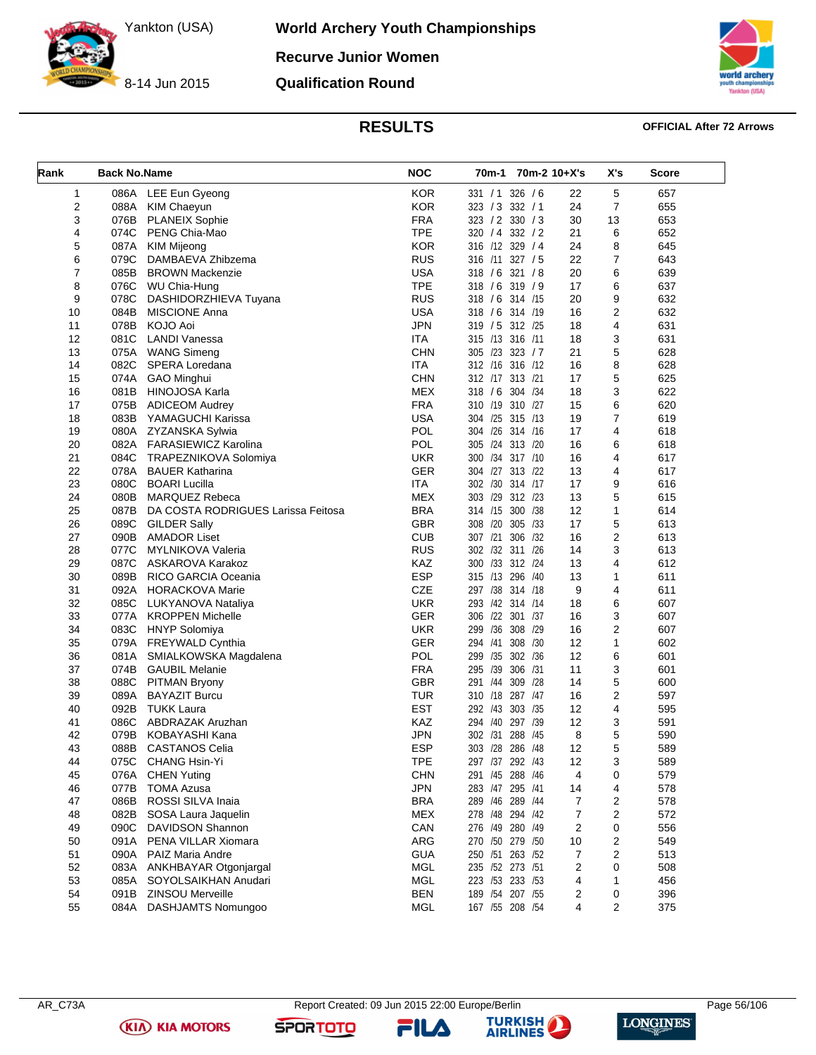8-14 Jun 2015

**World Archery Youth Championships**

**Recurve Junior Women**

**Qualification Round**



### **RESULTS OFFICIAL After 72 Arrows**

| Rank | <b>Back No.Name</b> |                                    | <b>NOC</b> | 70m-1 70m-2 10+X's       |    | X's            | <b>Score</b> |
|------|---------------------|------------------------------------|------------|--------------------------|----|----------------|--------------|
| 1    | 086A                | LEE Eun Gyeong                     | <b>KOR</b> | 331 / 1 326 / 6          | 22 | 5              | 657          |
| 2    | 088A                | <b>KIM Chaeyun</b>                 | <b>KOR</b> | 323 / 3 332 / 1          | 24 | $\overline{7}$ | 655          |
| 3    | 076B                | <b>PLANEIX Sophie</b>              | FRA        | 323 / 2 330 / 3          | 30 | 13             | 653          |
| 4    | 074C                | PENG Chia-Mao                      | <b>TPE</b> | 320 / 4 332 / 2          | 21 | 6              | 652          |
| 5    | 087A                | <b>KIM Mijeong</b>                 | <b>KOR</b> | 316 /12 329 / 4          | 24 | 8              | 645          |
| 6    | 079C                | DAMBAEVA Zhibzema                  | <b>RUS</b> | 316 /11 327 / 5          | 22 | 7              | 643          |
| 7    | 085B                | <b>BROWN Mackenzie</b>             | <b>USA</b> | 318 / 6 321 / 8          | 20 | 6              | 639          |
| 8    | 076C                | WU Chia-Hung                       | <b>TPE</b> | 318 / 6 319 / 9          | 17 | 6              | 637          |
| 9    | 078C                | DASHIDORZHIEVA Tuyana              | <b>RUS</b> | 318 / 6 314 / 15         | 20 | 9              | 632          |
| 10   | 084B                | <b>MISCIONE Anna</b>               | <b>USA</b> | 318 / 6 314 /19          | 16 | 2              | 632          |
| 11   | 078B                | KOJO Aoi                           | <b>JPN</b> | 319 / 5 312 /25          | 18 | 4              | 631          |
| 12   | 081C                | <b>LANDI Vanessa</b>               | <b>ITA</b> | 315 /13 316 /11          | 18 | 3              | 631          |
| 13   | 075A                | <b>WANG Simeng</b>                 | <b>CHN</b> | 305 /23 323 / 7          | 21 | 5              | 628          |
| 14   | 082C                | SPERA Loredana                     | <b>ITA</b> | 312 /16 316 /12          | 16 | 8              | 628          |
| 15   | 074A                | <b>GAO Minghui</b>                 | <b>CHN</b> | 312 /17 313 /21          | 17 | 5              | 625          |
| 16   | 081B                | HINOJOSA Karla                     | <b>MEX</b> | 318 / 6 304 / 34         | 18 | 3              | 622          |
| 17   | 075B                | <b>ADICEOM Audrey</b>              | <b>FRA</b> | 310 /19 310 /27          | 15 | 6              | 620          |
|      |                     |                                    | <b>USA</b> | 304 /25 315 /13          | 19 | $\overline{7}$ |              |
| 18   | 083B                | YAMAGUCHI Karissa                  | <b>POL</b> | 304 /26 314 /16          |    |                | 619          |
| 19   | 080A                | ZYZANSKA Sylwia                    |            |                          | 17 | 4              | 618          |
| 20   | 082A                | FARASIEWICZ Karolina               | POL        | 305 /24 313 /20          | 16 | 6              | 618          |
| 21   | 084C                | TRAPEZNIKOVA Solomiya              | <b>UKR</b> | 300 /34 317 /10          | 16 | 4              | 617          |
| 22   | 078A                | <b>BAUER Katharina</b>             | <b>GER</b> | 304 /27 313 /22          | 13 | 4              | 617          |
| 23   | 080C                | <b>BOARI Lucilla</b>               | <b>ITA</b> | 302 /30 314 /17          | 17 | 9              | 616          |
| 24   | 080B                | <b>MARQUEZ Rebeca</b>              | <b>MEX</b> | 303 /29 312 /23          | 13 | 5              | 615          |
| 25   | 087B                | DA COSTA RODRIGUES Larissa Feitosa | <b>BRA</b> | 314 /15 300 /38          | 12 | 1              | 614          |
| 26   | 089C                | <b>GILDER Sally</b>                | <b>GBR</b> | 308 /20 305<br>/33       | 17 | 5              | 613          |
| 27   | 090B                | <b>AMADOR Liset</b>                | <b>CUB</b> | 307 /21<br>306<br>/32    | 16 | 2              | 613          |
| 28   | 077C                | <b>MYLNIKOVA Valeria</b>           | <b>RUS</b> | 302 /32 311 /26          | 14 | 3              | 613          |
| 29   | 087C                | ASKAROVA Karakoz                   | <b>KAZ</b> | 300 /33 312 /24          | 13 | 4              | 612          |
| 30   | 089B                | RICO GARCIA Oceania                | <b>ESP</b> | 315 /13 296 /40          | 13 | 1              | 611          |
| 31   | 092A                | HORACKOVA Marie                    | <b>CZE</b> | 297 /38 314 /18          | 9  | 4              | 611          |
| 32   | 085C                | LUKYANOVA Nataliya                 | <b>UKR</b> | 293 /42 314 /14          | 18 | 6              | 607          |
| 33   | 077A                | <b>KROPPEN Michelle</b>            | <b>GER</b> | 306 /22 301 /37          | 16 | 3              | 607          |
| 34   | 083C                | <b>HNYP Solomiya</b>               | <b>UKR</b> | 299 /36 308 /29          | 16 | 2              | 607          |
| 35   | 079A                | <b>FREYWALD Cynthia</b>            | <b>GER</b> | 294 /41<br>308<br>/30    | 12 | $\mathbf{1}$   | 602          |
| 36   | 081A                | SMIALKOWSKA Magdalena              | <b>POL</b> | /35 302 /36<br>299       | 12 | 6              | 601          |
| 37   | 074B                | <b>GAUBIL Melanie</b>              | <b>FRA</b> | 306<br>295 /39<br>/31    | 11 | 3              | 601          |
| 38   | 088C                | <b>PITMAN Bryony</b>               | <b>GBR</b> | 309<br>291<br>/44<br>/28 | 14 | 5              | 600          |
| 39   | 089A                | <b>BAYAZIT Burcu</b>               | <b>TUR</b> | 310 /18 287 /47          | 16 | 2              | 597          |
| 40   | 092B                | <b>TUKK Laura</b>                  | <b>EST</b> | 292 /43 303 /35          | 12 | 4              | 595          |
| 41   | 086C                | ABDRAZAK Aruzhan                   | KAZ        | 294 /40<br>297 /39       | 12 | 3              | 591          |
| 42   | 079B                | KOBAYASHI Kana                     | <b>JPN</b> | 302 /31 288<br>/45       | 8  | 5              | 590          |
| 43   | 088B                | <b>CASTANOS Celia</b>              | <b>ESP</b> | 303 /28 286 /48          | 12 | 5              | 589          |
| 44   | 075C                | CHANG Hsin-Yi                      | <b>TPE</b> | 297 /37 292 /43          | 12 | 3              | 589          |
| 45   | 076A                | <b>CHEN Yuting</b>                 | <b>CHN</b> | 291 /45 288 /46          | 4  | 0              | 579          |
| 46   | 077B                | <b>TOMA Azusa</b>                  | <b>JPN</b> | 283 /47 295 /41          | 14 | 4              | 578          |
| 47   | 086B                | ROSSI SILVA Inaia                  | <b>BRA</b> | 289 /46 289 /44          | 7  | 2              | 578          |
| 48   | 082B                | SOSA Laura Jaquelin                | <b>MEX</b> | 278 /48 294 /42          | 7  | 2              | 572          |
| 49   | 090C                | DAVIDSON Shannon                   | CAN        | 276 /49 280 /49          | 2  | 0              | 556          |
| 50   | 091A                | PENA VILLAR Xiomara                | ARG        | 270 /50 279 /50          | 10 | 2              | 549          |
| 51   | 090A                | PAIZ Maria Andre                   | <b>GUA</b> | 250 /51 263 /52          | 7  | 2              | 513          |
| 52   | 083A                | ANKHBAYAR Otgonjargal              | <b>MGL</b> | 235 /52 273 /51          | 2  | 0              | 508          |
| 53   | 085A                | SOYOLSAIKHAN Anudari               | <b>MGL</b> | 223 /53 233 /53          | 4  | 1              | 456          |
| 54   | 091B                | ZINSOU Merveille                   | <b>BEN</b> | 189 / 54 207 / 55        | 2  | 0              | 396          |
|      |                     | <b>DASHJAMTS Nomungoo</b>          |            |                          | 4  |                |              |
| 55   | 084A                |                                    | <b>MGL</b> | 167 / 55 208 / 54        |    | 2              | 375          |

**(KIA) KIA MOTORS** 

FILA



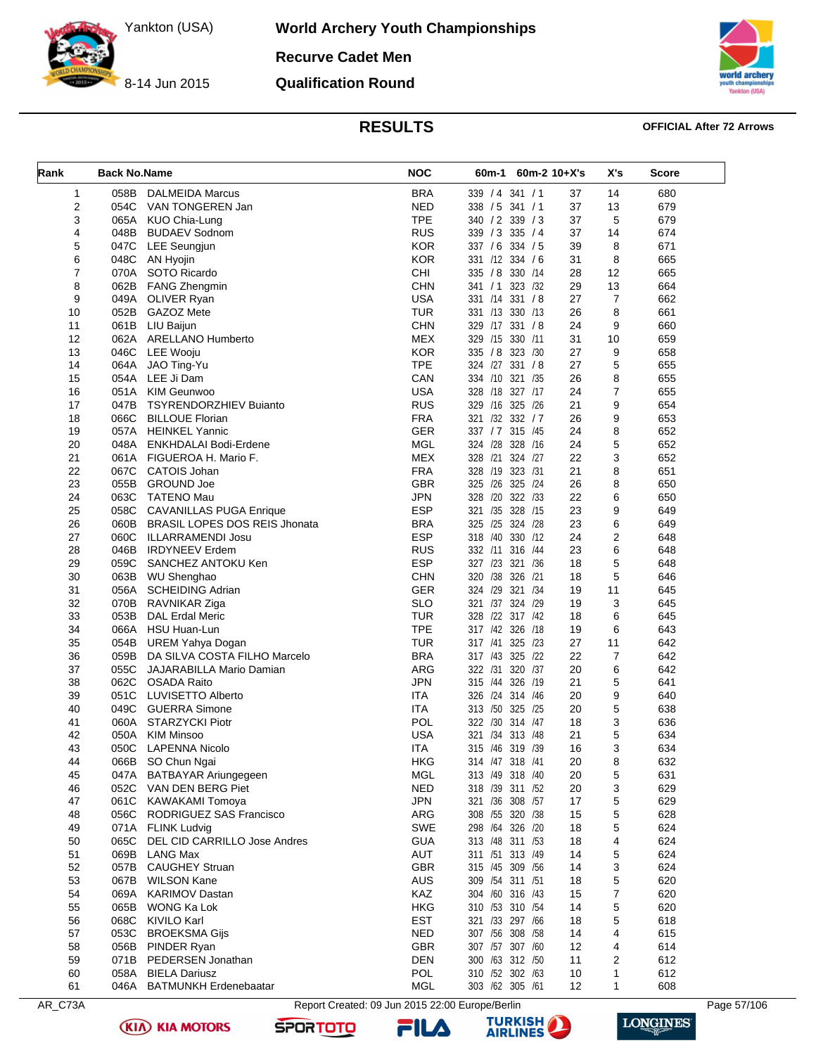8-14 Jun 2015

**World Archery Youth Championships**

**Recurve Cadet Men**

**Qualification Round**



### **RESULTS OFFICIAL After 72 Arrows**

| Rank           | <b>Back No.Name</b> |                                        | <b>NOC</b> | 60m-1       |                                    | $60m-2$ 10+X's | X's            | <b>Score</b> |
|----------------|---------------------|----------------------------------------|------------|-------------|------------------------------------|----------------|----------------|--------------|
| 1              | 058B                | <b>DALMEIDA Marcus</b>                 | <b>BRA</b> |             | 339 / 4 341 / 1                    | 37             | 14             | 680          |
| $\overline{2}$ | 054C                | VAN TONGEREN Jan                       | <b>NED</b> |             | 338 / 5 341 / 1                    | 37             | 13             | 679          |
| 3              | 065A                | KUO Chia-Lung                          | <b>TPE</b> |             | 340 / 2 339 / 3                    | 37             | 5              | 679          |
| 4              | 048B                | <b>BUDAEV Sodnom</b>                   | <b>RUS</b> |             | 339 / 3 335 / 4                    | 37             | 14             | 674          |
| 5              | 047C                | <b>LEE Seungjun</b>                    | <b>KOR</b> |             | 337 / 6 334 / 5                    | 39             | 8              | 671          |
| 6              | 048C                | AN Hyojin                              | <b>KOR</b> |             | 331 /12 334 / 6                    | 31             | 8              | 665          |
| 7              |                     | 070A SOTO Ricardo                      | <b>CHI</b> |             | 335 / 8 330 / 14                   | 28             | 12             | 665          |
| 8              | 062B                | <b>FANG Zhengmin</b>                   | <b>CHN</b> |             | 341 / 1 323 / 32                   | 29             | 13             | 664          |
| 9              |                     | 049A OLIVER Ryan                       | <b>USA</b> | 331 /14     | 331 / 8                            | 27             | $\overline{7}$ | 662          |
| 10             | 052B                | <b>GAZOZ Mete</b>                      | <b>TUR</b> |             | 331 /13 330 /13                    | 26             | 8              | 661          |
| 11             | 061B                | LIU Baijun                             | <b>CHN</b> |             | 329 /17 331 /8                     | 24             | 9              | 660          |
| 12             |                     | 062A ARELLANO Humberto                 | <b>MEX</b> |             | 329 /15 330 /11                    | 31             | 10             | 659          |
| 13             | 046C                | LEE Wooju                              | <b>KOR</b> |             | 335 / 8 323 / 30                   | 27             | 9              | 658          |
| 14             | 064A                | JAO Ting-Yu                            | <b>TPE</b> |             | 324 /27 331 / 8                    | 27             | 5              | 655          |
| 15             | 054A                | LEE Ji Dam                             | CAN        |             | 334 /10 321 /35                    | 26             | 8              | 655          |
| 16             | 051A                | <b>KIM Geunwoo</b>                     | <b>USA</b> |             | 328 /18 327 /17                    | 24             | $\overline{7}$ | 655          |
| 17             | 047B                | <b>TSYRENDORZHIEV Buianto</b>          | <b>RUS</b> |             | 329 /16 325 /26                    | 21             | 9              | 654          |
| 18             | 066C                | <b>BILLOUE Florian</b>                 | <b>FRA</b> |             | 321 /32 332 / 7                    | 26             | 9              | 653          |
| 19             | 057A                | <b>HEINKEL Yannic</b>                  | <b>GER</b> |             | 337 / 7 315 / 45                   | 24             | 8              | 652          |
| 20             | 048A                | ENKHDALAI Bodi-Erdene                  | <b>MGL</b> |             | 324 /28 328 /16                    | 24             | 5              | 652          |
| 21             | 061A                | FIGUEROA H. Mario F.                   | <b>MEX</b> | 328 /21     | 324 /27                            | 22             | 3              | 652          |
| 22             | 067C                | <b>CATOIS Johan</b>                    | <b>FRA</b> |             | 328 /19 323 /31                    | 21             | 8              | 651          |
| 23             | 055B                | <b>GROUND Joe</b>                      | <b>GBR</b> |             | 325 /26 325 /24                    | 26             | 8              | 650          |
| 24             |                     | 063C TATENO Mau                        | <b>JPN</b> | 328 /20     | 322 /33                            | 22             | 6              | 650          |
| 25             |                     | 058C CAVANILLAS PUGA Enrique           | <b>ESP</b> | 321 /35     | 328 /15                            | 23             | 9              | 649          |
| 26             |                     | 060B BRASIL LOPES DOS REIS Jhonata     | <b>BRA</b> | 325 /25     | 324 /28                            | 23             | 6              | 649          |
| 27             | 060C                | <b>ILLARRAMENDI Josu</b>               | <b>ESP</b> |             | 318 /40 330 /12                    | 24             | $\overline{c}$ | 648          |
| 28             | 046B                | <b>IRDYNEEV Erdem</b>                  | <b>RUS</b> |             | 332 /11 316 /44                    | 23             | 6              | 648          |
| 29             | 059C                | SANCHEZ ANTOKU Ken                     | <b>ESP</b> | 327 /23 321 | /36                                | 18             | $\mathbf 5$    | 648          |
| 30             | 063B                | WU Shenghao                            | <b>CHN</b> |             | 320 /38 326 /21                    | 18             | 5              | 646          |
| 31             |                     | 056A SCHEIDING Adrian                  | <b>GER</b> | 324 /29     | 321 /34                            | 19             | 11             | 645          |
| 32             | 070B                | RAVNIKAR Ziga                          | <b>SLO</b> |             | 321 /37 324 /29                    | 19             | 3              | 645          |
| 33             | 053B                | <b>DAL Erdal Meric</b>                 | <b>TUR</b> |             | 328 /22 317 /42                    | 18             | 6              | 645          |
| 34             | 066A                | HSU Huan-Lun                           | <b>TPE</b> |             | 317 /42 326 /18                    | 19             | 6              | 643          |
| 35             | 054B                | <b>UREM Yahya Dogan</b>                | <b>TUR</b> | 317 /41     | 325 /23                            | 27             | 11             | 642          |
| 36             | 059B                | DA SILVA COSTA FILHO Marcelo           | <b>BRA</b> |             | 317 /43 325 /22                    | 22             | $\overline{7}$ | 642          |
| 37             | 055C                | JAJARABILLA Mario Damian               | ARG        | 322 /31     | 320<br>/37                         | 20             | 6              | 642          |
| 38             | 062C                | OSADA Raito                            | <b>JPN</b> | 315 /44     | 326 /19                            | 21             | 5              | 641          |
| 39             | 051C                | LUVISETTO Alberto                      | <b>ITA</b> |             | 326 /24 314 /46                    | 20             | 9              | 640          |
| 40             | 049C                | <b>GUERRA Simone</b>                   | ITA        |             | 313 /50 325 /25                    | 20             | 5              | 638          |
| 41             |                     | 060A STARZYCKI Piotr                   | POL        |             | 322 /30 314 /47                    | 18             | 3              | 636          |
| 42             | 050A                | <b>KIM Minsoo</b>                      | <b>USA</b> |             | 321 /34 313 /48                    | 21             | 5              | 634          |
| 43             | 050C                | <b>LAPENNA Nicolo</b>                  | ITA        |             | 315 /46 319 /39                    | 16             | 3              | 634          |
| 44             |                     | 066B SO Chun Ngai                      | <b>HKG</b> |             | 314 /47 318 /41                    | 20             | 8              | 632          |
| 45             | 047A                | BATBAYAR Ariungegeen                   | MGL        |             | 313 /49 318 /40                    | 20             | 5              | 631          |
|                |                     | 052C VAN DEN BERG Piet                 | <b>NED</b> |             | 318 /39 311 /52                    |                |                | 629          |
| 46<br>47       | 061C                | KAWAKAMI Tomoya                        | <b>JPN</b> |             | 321 /36 308 /57                    | 20<br>17       | 3<br>5         | 629          |
|                | 056C                | RODRIGUEZ SAS Francisco                | ARG        |             | 308 /55 320 /38                    |                |                | 628          |
| 48             |                     | 071A FLINK Ludvig                      | <b>SWE</b> |             | 298 /64 326 /20                    | 15             | 5<br>5         | 624          |
| 49             | 065C                | DEL CID CARRILLO Jose Andres           | <b>GUA</b> |             | 313 /48 311 /53                    | 18<br>18       | 4              | 624          |
| 50             |                     |                                        |            |             |                                    |                |                |              |
| 51<br>52       | 069B                | <b>LANG Max</b><br>057B CAUGHEY Struan | AUT<br>GBR |             | 311 /51 313 /49<br>315 /45 309 /56 | 14<br>14       | 5<br>3         | 624<br>624   |
|                |                     |                                        |            |             |                                    |                |                |              |
| 53             | 067B                | <b>WILSON Kane</b>                     | AUS        |             | 309 /54 311 /51                    | 18             | 5              | 620          |
| 54             | 069A                | <b>KARIMOV Dastan</b>                  | KAZ        |             | 304 /60 316 /43                    | 15             | 7              | 620          |
| 55             | 065B                | WONG Ka Lok                            | <b>HKG</b> |             | 310 /53 310 /54                    | 14             | 5              | 620          |
| 56             | 068C                | <b>KIVILO Karl</b>                     | <b>EST</b> |             | 321 /33 297 /66                    | 18             | 5              | 618          |
| 57             | 053C                | <b>BROEKSMA Gijs</b>                   | <b>NED</b> |             | 307 / 56 308 / 58                  | 14             | 4              | 615          |
| 58             | 056B                | PINDER Ryan                            | GBR        |             | 307 /57 307 /60                    | 12             | 4              | 614          |
| 59             | 071B                | PEDERSEN Jonathan                      | <b>DEN</b> |             | 300 /63 312 /50                    | 11             | 2              | 612          |
| 60             | 058A                | <b>BIELA Dariusz</b>                   | POL        |             | 310 /52 302 /63                    | 10             | 1              | 612          |
| 61             |                     | 046A BATMUNKH Erdenebaatar             | MGL        |             | 303 /62 305 /61                    | 12             | 1              | 608          |

AR\_C73A Report Created: 09 Jun 2015 22:00 Europe/Berlin Page 57/106

**(KIA) KIA MOTORS SPORTOTO** 





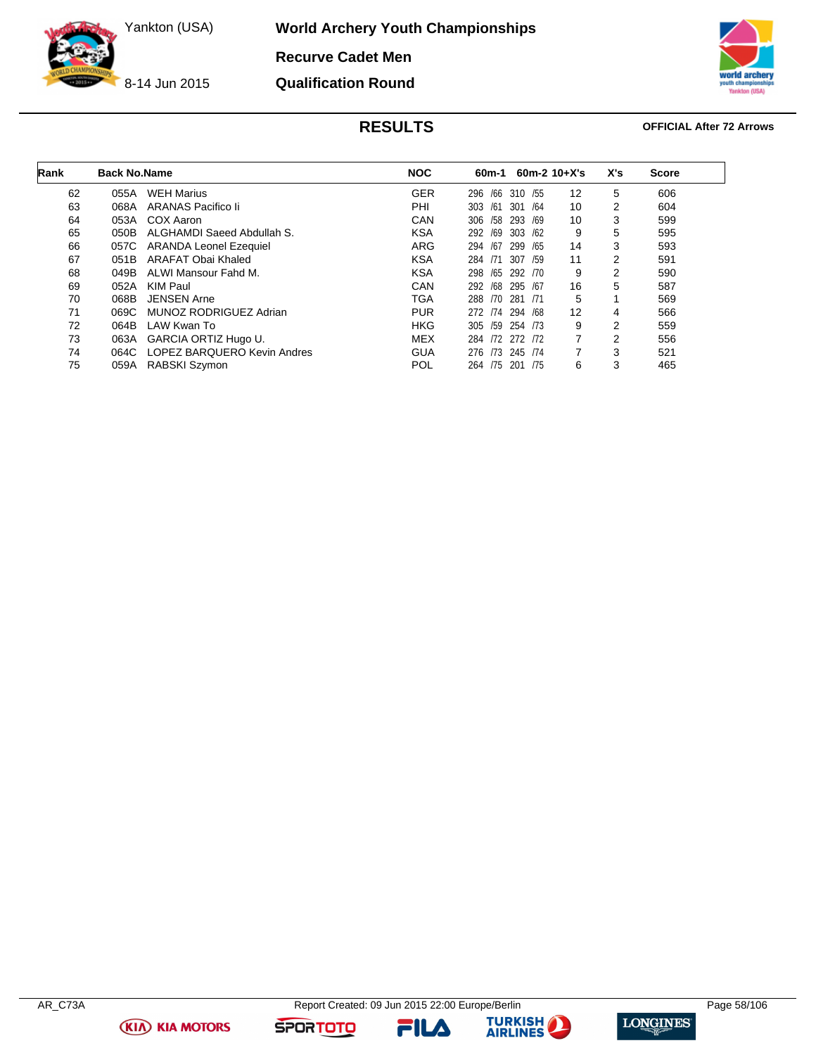**World Archery Youth Championships**

**Recurve Cadet Men Qualification Round**

8-14 Jun 2015



### **RESULTS OFFICIAL After 72 Arrows**

| Rank | <b>Back No.Name</b> |                             | <b>NOC</b> | 60m-1           | $60m-2$ 10+X's |                   | X's | <b>Score</b> |
|------|---------------------|-----------------------------|------------|-----------------|----------------|-------------------|-----|--------------|
| 62   | 055A                | <b>WEH Marius</b>           | <b>GER</b> | /66<br>296      | 310 / 55       | $12 \overline{ }$ | 5   | 606          |
| 63   | 068A                | ARANAS Pacifico li          | PHI        | /61<br>303      | 301 /64        | 10                | 2   | 604          |
| 64   | 053A                | COX Aaron                   | CAN        | /58<br>306      | 293 /69        | 10                | 3   | 599          |
| 65   | 050B                | ALGHAMDI Saeed Abdullah S.  | <b>KSA</b> | /69<br>292      | 303 /62        | 9                 | 5   | 595          |
| 66   | 057C                | ARANDA Leonel Ezequiel      | ARG        | 294 /67         | 299 / 65       | 14                | 3   | 593          |
| 67   | 051B                | ARAFAT Obai Khaled          | <b>KSA</b> | 284<br>/71      | 307<br>/59     | 11                | 2   | 591          |
| 68   | 049B                | ALWI Mansour Fahd M.        | <b>KSA</b> | /65<br>298      | 292 /70        | 9                 | 2   | 590          |
| 69   | 052A                | KIM Paul                    | <b>CAN</b> | 292 /68 295 /67 |                | 16                | 5   | 587          |
| 70   | 068B                | <b>JENSEN Arne</b>          | <b>TGA</b> | 288             | /70 281 /71    | 5                 |     | 569          |
| 71   | 069C                | MUNOZ RODRIGUEZ Adrian      | <b>PUR</b> | 272 /74 294 /68 |                | 12                | 4   | 566          |
| 72   | 064B                | LAW Kwan To                 | <b>HKG</b> | 305 /59 254 /73 |                | 9                 | 2   | 559          |
| 73   | 063A                | GARCIA ORTIZ Hugo U.        | MEX        | 284 /72 272 /72 |                | 7                 | 2   | 556          |
| 74   | 064C                | LOPEZ BARQUERO Kevin Andres | <b>GUA</b> | /73<br>276      | 245 /74        | 7                 | 3   | 521          |
| 75   | 059A                | RABSKI Szymon               | POL        | 264 /75 201 /75 |                | 6                 | 3   | 465          |

**(KIA) KIA MOTORS** 

FILA



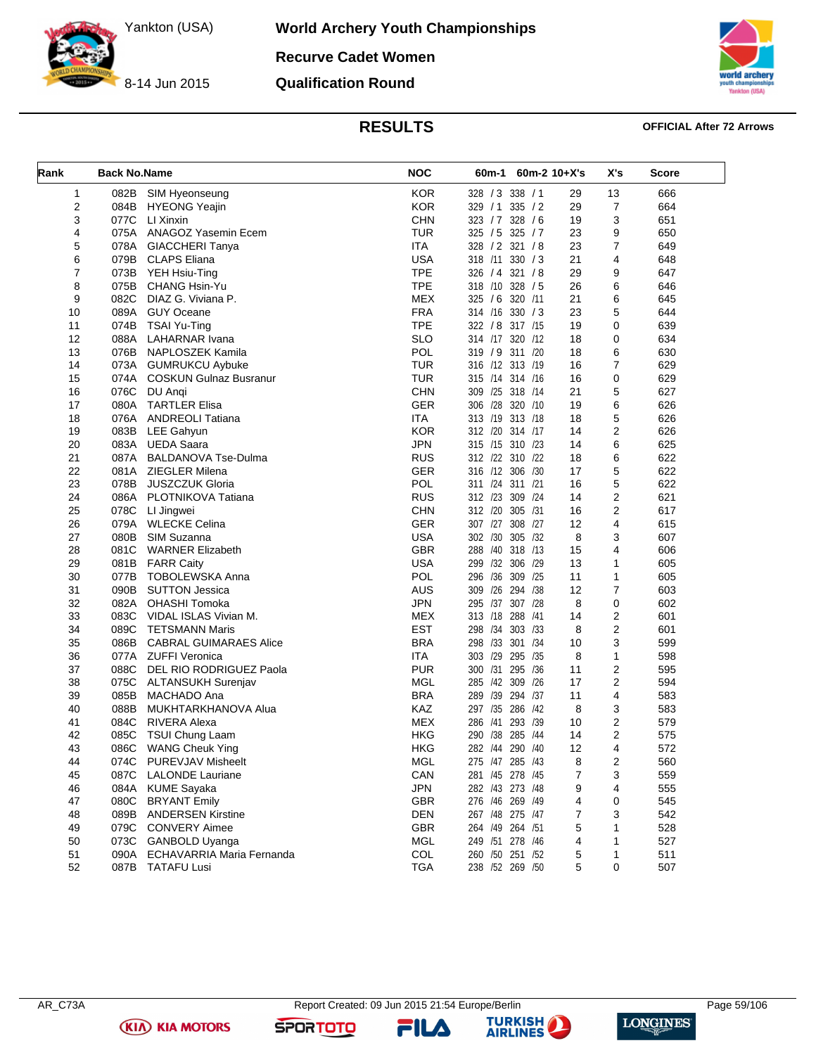8-14 Jun 2015

**World Archery Youth Championships Recurve Cadet Women**

**Qualification Round**



### **RESULTS OFFICIAL After 72 Arrows**

| Rank           | <b>Back No.Name</b> |                                | <b>NOC</b> | 60m-1<br>$60m-2$ 10+X's |    | X's | <b>Score</b> |
|----------------|---------------------|--------------------------------|------------|-------------------------|----|-----|--------------|
| 1              | 082B                | SIM Hyeonseung                 | <b>KOR</b> | 328 / 3 338 / 1         | 29 | 13  | 666          |
| $\overline{2}$ | 084B                | <b>HYEONG Yeajin</b>           | <b>KOR</b> | 329 / 1 335 / 2         | 29 | 7   | 664          |
| 3              | 077C                | LI Xinxin                      | <b>CHN</b> | 323 / 7<br>328 / 6      | 19 | 3   | 651          |
| 4              |                     | 075A ANAGOZ Yasemin Ecem       | <b>TUR</b> | 325 / 5 325 / 7         | 23 | 9   | 650          |
| 5              |                     | 078A GIACCHERI Tanya           | <b>ITA</b> | 328 / 2 321 / 8         | 23 | 7   | 649          |
| 6              |                     | 079B CLAPS Eliana              | <b>USA</b> | 318 /11<br>330 / 3      | 21 | 4   | 648          |
| $\overline{7}$ | 073B                | YEH Hsiu-Ting                  | <b>TPE</b> | 326 / 4 321 / 8         | 29 | 9   | 647          |
| 8              | 075B                | CHANG Hsin-Yu                  | <b>TPE</b> | 318 /10 328 / 5         | 26 | 6   | 646          |
| 9              | 082C                | DIAZ G. Viviana P.             | <b>MEX</b> | 320 /11<br>325 / 6      | 21 | 6   | 645          |
| 10             |                     | 089A GUY Oceane                | <b>FRA</b> | 314 /16 330 / 3         | 23 | 5   | 644          |
| 11             | 074B                | TSAI Yu-Ting                   | <b>TPE</b> | 322 / 8 317 /15         | 19 | 0   | 639          |
| 12             | 088A                | LAHARNAR Ivana                 | <b>SLO</b> | 320 /12<br>314 /17      | 18 | 0   | 634          |
| 13             | 076B                | NAPLOSZEK Kamila               | <b>POL</b> | 319 / 9 311 /20         | 18 | 6   | 630          |
| 14             |                     | 073A GUMRUKCU Aybuke           | <b>TUR</b> | 316 /12 313 /19         | 16 | 7   | 629          |
| 15             |                     | 074A COSKUN Gulnaz Busranur    | TUR        | 315 /14 314 /16         | 16 | 0   | 629          |
| 16             | 076C                | DU Angi                        | <b>CHN</b> | 309 /25 318 /14         | 21 | 5   | 627          |
| 17             | 080A                | <b>TARTLER Elisa</b>           | <b>GER</b> | 306 /28 320 /10         | 19 | 6   | 626          |
| 18             |                     | 076A ANDREOLI Tatiana          | <b>ITA</b> | 313 /19 313 /18         | 18 | 5   | 626          |
| 19             | 083B                | <b>LEE Gahyun</b>              | <b>KOR</b> | 312 /20 314 /17         | 14 | 2   | 626          |
| 20             | 083A                | UEDA Saara                     | <b>JPN</b> | 315 /15 310 /23         | 14 | 6   | 625          |
| 21             | 087A                | <b>BALDANOVA Tse-Dulma</b>     | <b>RUS</b> | 312 /22 310 /22         | 18 | 6   | 622          |
| 22             | 081A                | <b>ZIEGLER Milena</b>          | <b>GER</b> | 316 /12 306 /30         | 17 | 5   | 622          |
| 23             | 078B                | <b>JUSZCZUK Gloria</b>         | POL        | 311 /24 311 /21         | 16 | 5   | 622          |
| 24             | 086A                | PLOTNIKOVA Tatiana             | <b>RUS</b> | 312 /23 309<br>/24      | 14 | 2   | 621          |
| 25             | 078C                | LI Jingwei                     | <b>CHN</b> | 312 /20 305 /31         | 16 | 2   | 617          |
| 26             | 079A                | <b>WLECKE Celina</b>           | <b>GER</b> | 307 /27 308 /27         | 12 | 4   | 615          |
| 27             | 080B                | SIM Suzanna                    | <b>USA</b> | 302 /30 305 /32         | 8  | 3   | 607          |
| 28             | 081C                | <b>WARNER Elizabeth</b>        | <b>GBR</b> | 288 /40 318 /13         | 15 | 4   | 606          |
| 29             | 081B                | <b>FARR Caity</b>              | <b>USA</b> | 299 /32 306<br>/29      | 13 | 1   | 605          |
| 30             | 077B                | <b>TOBOLEWSKA Anna</b>         | POL        | 296 /36<br>309<br>/25   | 11 | 1   | 605          |
| 31             | 090B                | <b>SUTTON Jessica</b>          | AUS        | 309 /26 294<br>/38      | 12 | 7   | 603          |
| 32             |                     | 082A OHASHI Tomoka             | <b>JPN</b> | 295 /37<br>307 /28      | 8  | 0   | 602          |
| 33             | 083C                | VIDAL ISLAS Vivian M.          | <b>MEX</b> | 313 /18 288<br>/41      | 14 | 2   | 601          |
| 34             | 089C                | <b>TETSMANN Maris</b>          | <b>EST</b> | 298 /34 303 /33         | 8  | 2   | 601          |
| 35             | 086B                | <b>CABRAL GUIMARAES Alice</b>  | <b>BRA</b> | 298 /33<br>301<br>/34   | 10 | 3   | 599          |
| 36             |                     | 077A ZUFFI Veronica            | <b>ITA</b> | 303 /29 295<br>/35      | 8  | 1   | 598          |
| 37             | 088C                | DEL RIO RODRIGUEZ Paola        | <b>PUR</b> | 300 /31 295<br>/36      | 11 | 2   | 595          |
| 38             |                     | 075C ALTANSUKH Surenjav        | <b>MGL</b> | 285 /42<br>309<br>/26   | 17 | 2   | 594          |
| 39             | 085B                | MACHADO Ana                    | <b>BRA</b> | 289 /39 294<br>/37      | 11 | 4   | 583          |
| 40             | 088B                | MUKHTARKHANOVA Alua            | KAZ        | 297 /35 286<br>/42      | 8  | 3   | 583          |
| 41             | 084C                | <b>RIVERA Alexa</b>            | <b>MEX</b> | 286 /41<br>293 /39      | 10 | 2   | 579          |
| 42             | 085C                | <b>TSUI Chung Laam</b>         | HKG        | 290 /38 285<br>/44      | 14 | 2   | 575          |
| 43             | 086C                | <b>WANG Cheuk Ying</b>         | HKG        | 282 /44 290<br>/40      | 12 | 4   | 572          |
| 44             | 074C                | <b>PUREVJAV Misheelt</b>       | MGL        | 275 /47 285 /43         | 8  | 2   | 560          |
| 45             | 087C                | <b>LALONDE Lauriane</b>        | CAN        | 281 /45 278 /45         | 7  | 3   | 559          |
| 46             | 084A                | <b>KUME Sayaka</b>             | <b>JPN</b> | 282 /43 273 /48         | 9  | 4   | 555          |
| 47             | 080C                |                                | <b>GBR</b> | 276 /46 269 /49         |    |     | 545          |
|                |                     | <b>BRYANT Emily</b>            |            |                         | 4  | 0   |              |
| 48             | 089B                | <b>ANDERSEN Kirstine</b>       | <b>DEN</b> | 267 /48 275 /47         | 7  | 3   | 542          |
| 49             |                     | 079C CONVERY Aimee             | GBR        | 264 /49 264 /51         | 5  | 1   | 528          |
| 50             |                     | 073C GANBOLD Uyanga            | <b>MGL</b> | 249 /51 278 /46         | 4  | 1   | 527          |
| 51             |                     | 090A ECHAVARRIA Maria Fernanda | COL        | 260 /50 251 /52         | 5  | 1   | 511          |
| 52             |                     | 087B TATAFU Lusi               | <b>TGA</b> | 238 /52 269 /50         | 5  | 0   | 507          |

FILA



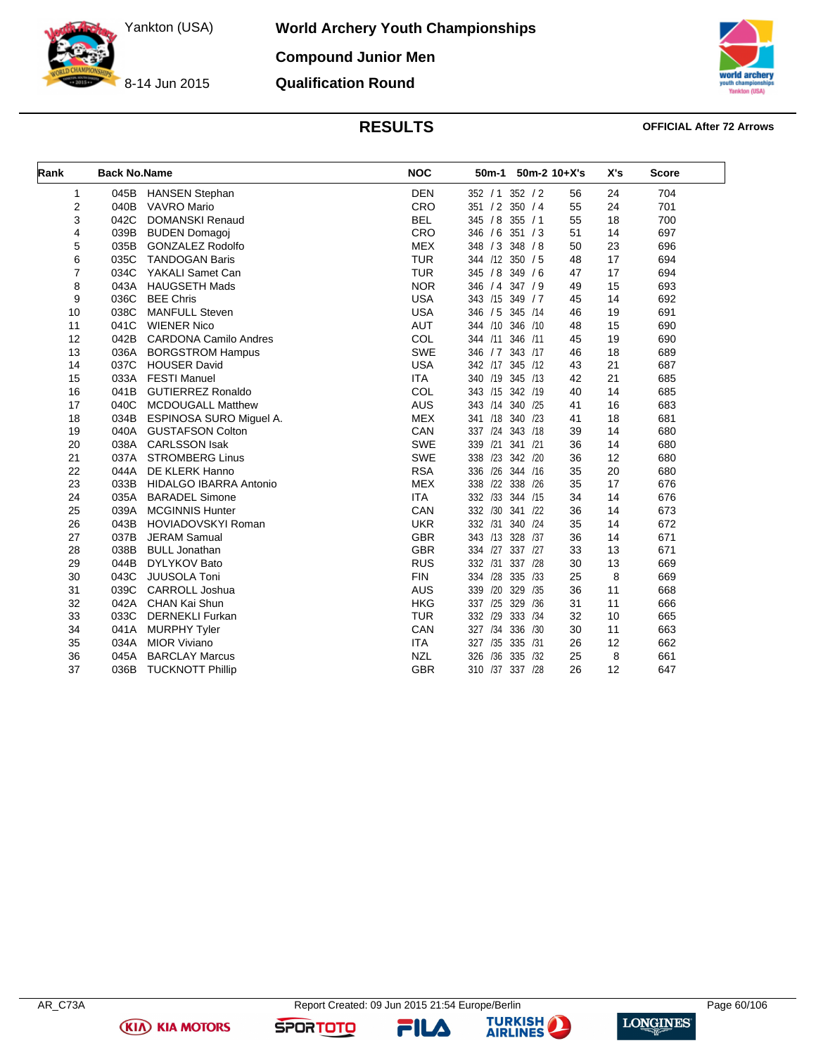**World Archery Youth Championships Compound Junior Men**

8-14 Jun 2015

**Qualification Round**



**RESULTS OFFICIAL After 72 Arrows**

| Rank           | <b>Back No.Name</b> |                                | <b>NOC</b> | 50 <sub>m</sub> -1 |         | 50m-2 10+X's | X's | <b>Score</b> |
|----------------|---------------------|--------------------------------|------------|--------------------|---------|--------------|-----|--------------|
| $\mathbf{1}$   | 045B                | <b>HANSEN Stephan</b>          | <b>DEN</b> | 352 / 1 352 / 2    |         | 56           | 24  | 704          |
| 2              | 040B                | <b>VAVRO Mario</b>             | CRO        | 351 / 2 350 / 4    |         | 55           | 24  | 701          |
| 3              | 042C                | <b>DOMANSKI Renaud</b>         | <b>BEL</b> | 345 / 8 355 / 1    |         | 55           | 18  | 700          |
| 4              | 039B                | <b>BUDEN Domagoj</b>           | CRO        | 346 / 6 351 / 3    |         | 51           | 14  | 697          |
| 5              | 035B                | <b>GONZALEZ Rodolfo</b>        | <b>MEX</b> | 348 / 3 348 / 8    |         | 50           | 23  | 696          |
| 6              | 035C                | <b>TANDOGAN Baris</b>          | <b>TUR</b> | 344 /12 350 / 5    |         | 48           | 17  | 694          |
| $\overline{7}$ | 034C                | YAKALI Samet Can               | <b>TUR</b> | 345 / 8 349 / 6    |         | 47           | 17  | 694          |
| 8              | 043A                | <b>HAUGSETH Mads</b>           | <b>NOR</b> | 346 / 4 347 / 9    |         | 49           | 15  | 693          |
| 9              | 036C                | <b>BEE Chris</b>               | <b>USA</b> | 343 /15 349 / 7    |         | 45           | 14  | 692          |
| 10             | 038C                | <b>MANFULL Steven</b>          | <b>USA</b> | 346 / 5 345 /14    |         | 46           | 19  | 691          |
| 11             | 041C                | <b>WIENER Nico</b>             | AUT        | 344 /10 346 /10    |         | 48           | 15  | 690          |
| 12             | 042B                | <b>CARDONA Camilo Andres</b>   | COL        | 344 /11            | 346 /11 | 45           | 19  | 690          |
| 13             | 036A                | <b>BORGSTROM Hampus</b>        | <b>SWE</b> | 346 / 7            | 343 /17 | 46           | 18  | 689          |
| 14             | 037C                | <b>HOUSER David</b>            | <b>USA</b> | 342 /17 345 /12    |         | 43           | 21  | 687          |
| 15             | 033A                | <b>FESTI Manuel</b>            | <b>ITA</b> | 340 /19 345 /13    |         | 42           | 21  | 685          |
| 16             | 041B                | <b>GUTIERREZ Ronaldo</b>       | COL        | 343 /15 342 /19    |         | 40           | 14  | 685          |
| 17             | 040C                | <b>MCDOUGALL Matthew</b>       | <b>AUS</b> | 343 /14 340 /25    |         | 41           | 16  | 683          |
| 18             | 034B                | <b>ESPINOSA SURO Miquel A.</b> | <b>MEX</b> | 341 /18 340 /23    |         | 41           | 18  | 681          |
| 19             | 040A                | <b>GUSTAFSON Colton</b>        | CAN        | 337 /24 343 /18    |         | 39           | 14  | 680          |
| 20             | 038A                | <b>CARLSSON Isak</b>           | SWE        | 339 /21 341 /21    |         | 36           | 14  | 680          |
| 21             | 037A                | <b>STROMBERG Linus</b>         | SWE        | 338 /23 342 /20    |         | 36           | 12  | 680          |
| 22             | 044A                | DE KLERK Hanno                 | <b>RSA</b> | 336 /26 344 /16    |         | 35           | 20  | 680          |
| 23             | 033B                | <b>HIDALGO IBARRA Antonio</b>  | <b>MEX</b> | 338 /22 338 /26    |         | 35           | 17  | 676          |
| 24             | 035A                | <b>BARADEL Simone</b>          | <b>ITA</b> | 332 /33 344 /15    |         | 34           | 14  | 676          |
| 25             | 039A                | <b>MCGINNIS Hunter</b>         | CAN        | 332 /30 341 /22    |         | 36           | 14  | 673          |
| 26             | 043B                | <b>HOVIADOVSKYI Roman</b>      | <b>UKR</b> | 332 /31            | 340 /24 | 35           | 14  | 672          |
| 27             | 037B                | <b>JERAM Samual</b>            | <b>GBR</b> | 343 /13 328 /37    |         | 36           | 14  | 671          |
| 28             | 038B                | <b>BULL Jonathan</b>           | <b>GBR</b> | 334 /27            | 337 /27 | 33           | 13  | 671          |
| 29             | 044B                | <b>DYLYKOV Bato</b>            | <b>RUS</b> | 332 /31            | 337 /28 | 30           | 13  | 669          |
| 30             | 043C                | JUUSOLA Toni                   | <b>FIN</b> | 334 /28            | 335 /33 | 25           | 8   | 669          |
| 31             | 039C                | <b>CARROLL Joshua</b>          | <b>AUS</b> | 339 /20            | 329 /35 | 36           | 11  | 668          |
| 32             | 042A                | CHAN Kai Shun                  | <b>HKG</b> | 337 /25            | 329 /36 | 31           | 11  | 666          |
| 33             | 033C                | <b>DERNEKLI Furkan</b>         | <b>TUR</b> | 332 /29            | 333 /34 | 32           | 10  | 665          |
| 34             | 041A                | <b>MURPHY Tyler</b>            | CAN        | 327 /34 336 /30    |         | 30           | 11  | 663          |
| 35             | 034A                | <b>MIOR Viviano</b>            | <b>ITA</b> | 327 /35 335 /31    |         | 26           | 12  | 662          |
| 36             | 045A                | <b>BARCLAY Marcus</b>          | <b>NZL</b> | 326 /36            | 335 /32 | 25           | 8   | 661          |
| 37             | 036B                | <b>TUCKNOTT Phillip</b>        | <b>GBR</b> | 310 /37 337 /28    |         | 26           | 12  | 647          |

**KIA KIA MOTORS** 

FILA



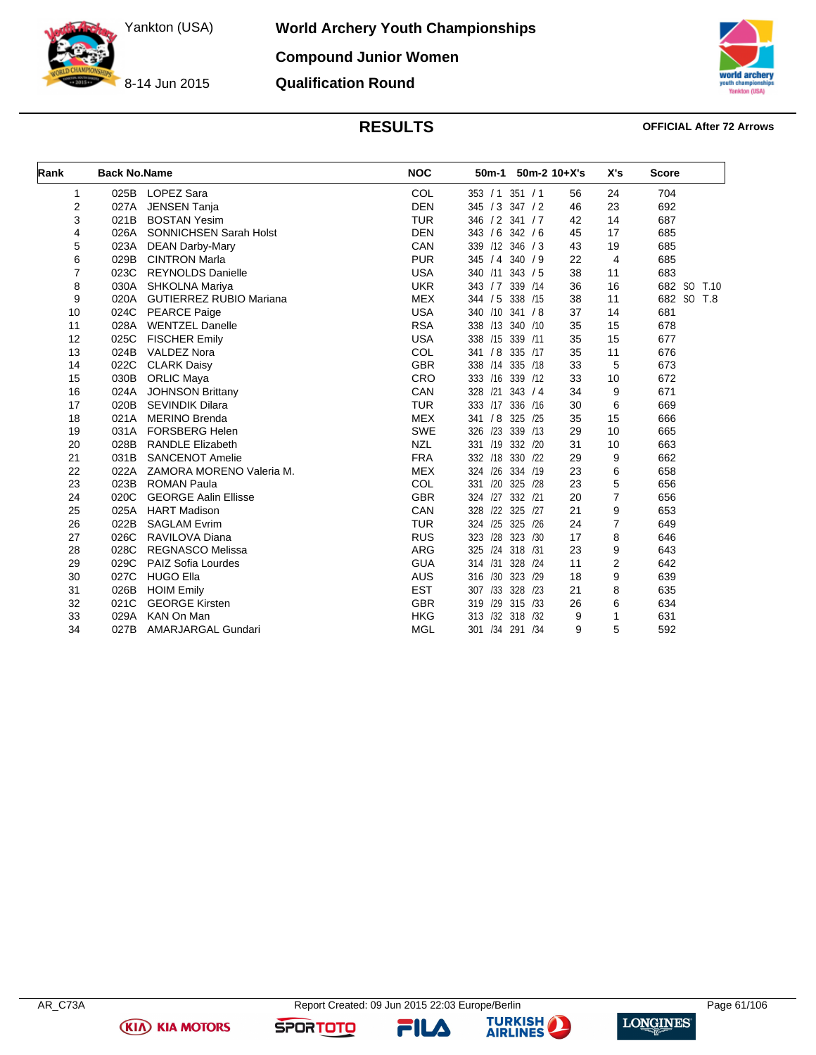**World Archery Youth Championships Compound Junior Women**

8-14 Jun 2015

# **Qualification Round**



### **RESULTS OFFICIAL After 72 Arrows**

| Rank | <b>Back No.Name</b> |                                | <b>NOC</b> | 50 <sub>m</sub> -1 |                | $50m-2$ 10+X's | X's            | <b>Score</b>  |
|------|---------------------|--------------------------------|------------|--------------------|----------------|----------------|----------------|---------------|
| 1    | 025B                | LOPEZ Sara                     | COL        | 353 / 1            | 351 / 1        | 56             | 24             | 704           |
| 2    | 027A                | <b>JENSEN Tanja</b>            | <b>DEN</b> | 345 / 3 347 / 2    |                | 46             | 23             | 692           |
| 3    | 021B                | <b>BOSTAN Yesim</b>            | <b>TUR</b> | 346 / 2 341 / 7    |                | 42             | 14             | 687           |
| 4    | 026A                | <b>SONNICHSEN Sarah Holst</b>  | <b>DEN</b> | 343 / 6 342 / 6    |                | 45             | 17             | 685           |
| 5    | 023A                | <b>DEAN Darby-Mary</b>         | CAN        | 339                | /12 346 / 3    | 43             | 19             | 685           |
| 6    | 029B                | <b>CINTRON Marla</b>           | <b>PUR</b> | 345 / 4 340 / 9    |                | 22             | 4              | 685           |
| 7    | 023C                | <b>REYNOLDS Danielle</b>       | <b>USA</b> | 340 /11            | 343 / 5        | 38             | 11             | 683           |
| 8    | 030A                | SHKOLNA Mariya                 | <b>UKR</b> | 343 / 7 339 / 14   |                | 36             | 16             | 682 SO T.10   |
| 9    | 020A                | <b>GUTIERREZ RUBIO Mariana</b> | <b>MEX</b> | 344 / 5 338 /15    |                | 38             | 11             | 682<br>SO T.8 |
| 10   | 024C                | <b>PEARCE Paige</b>            | <b>USA</b> | 340 /10 341 /8     |                | 37             | 14             | 681           |
| 11   | 028A                | <b>WENTZEL Danelle</b>         | <b>RSA</b> | 338 /13 340 /10    |                | 35             | 15             | 678           |
| 12   | 025C                | <b>FISCHER Emily</b>           | <b>USA</b> | 338 /15 339 /11    |                | 35             | 15             | 677           |
| 13   | 024B                | <b>VALDEZ Nora</b>             | COL        | 341 / 8 335 /17    |                | 35             | 11             | 676           |
| 14   | 022C                | <b>CLARK Daisy</b>             | <b>GBR</b> | 338 /14 335 /18    |                | 33             | 5              | 673           |
| 15   | 030B                | <b>ORLIC Maya</b>              | CRO        | 333 /16 339 /12    |                | 33             | 10             | 672           |
| 16   | 024A                | <b>JOHNSON Brittany</b>        | CAN        | 328                | $/21$ 343 $/4$ | 34             | 9              | 671           |
| 17   | 020B                | <b>SEVINDIK Dilara</b>         | <b>TUR</b> | 333                | /17 336 /16    | 30             | 6              | 669           |
| 18   | 021A                | <b>MERINO Brenda</b>           | <b>MEX</b> | 341                | / 8 325 /25    | 35             | 15             | 666           |
| 19   | 031A                | <b>FORSBERG Helen</b>          | SWE        | 326                | /23 339 /13    | 29             | 10             | 665           |
| 20   | 028B                | <b>RANDLE Elizabeth</b>        | <b>NZL</b> | 331 /19 332 /20    |                | 31             | 10             | 663           |
| 21   | 031B                | <b>SANCENOT Amelie</b>         | <b>FRA</b> | 332 /18 330 /22    |                | 29             | 9              | 662           |
| 22   | 022A                | ZAMORA MORENO Valeria M.       | <b>MEX</b> | 324 /26 334 /19    |                | 23             | 6              | 658           |
| 23   | 023B                | <b>ROMAN Paula</b>             | COL        | /20 325<br>331     | /28            | 23             | 5              | 656           |
| 24   | 020C                | <b>GEORGE Aalin Ellisse</b>    | <b>GBR</b> | 324 /27 332 /21    |                | 20             | $\overline{7}$ | 656           |
| 25   | 025A                | <b>HART Madison</b>            | CAN        | 328 /22 325        | /27            | 21             | 9              | 653           |
| 26   | 022B                | <b>SAGLAM Evrim</b>            | <b>TUR</b> | 324 /25 325        | /26            | 24             | $\overline{7}$ | 649           |
| 27   | 026C                | RAVILOVA Diana                 | <b>RUS</b> | 323                | /28 323 /30    | 17             | 8              | 646           |
| 28   | 028C                | <b>REGNASCO Melissa</b>        | <b>ARG</b> | 325                | /24 318 /31    | 23             | 9              | 643           |
| 29   | 029C                | PAIZ Sofia Lourdes             | <b>GUA</b> | 314 / 31           | 328 /24        | 11             | $\overline{2}$ | 642           |
| 30   | 027C                | <b>HUGO Ella</b>               | <b>AUS</b> | 316                | /30 323 /29    | 18             | 9              | 639           |
| 31   | 026B                | <b>HOIM Emily</b>              | <b>EST</b> | 307                | /33 328 /23    | 21             | 8              | 635           |
| 32   | 021C                | <b>GEORGE Kirsten</b>          | <b>GBR</b> | 319                | /29 315 /33    | 26             | 6              | 634           |
| 33   | 029A                | KAN On Man                     | <b>HKG</b> | 313                | /32 318 /32    | 9              | 1              | 631           |
| 34   | 027B                | AMARJARGAL Gundari             | <b>MGL</b> | 301 /34            | 291 /34        | 9              | 5              | 592           |

**KIA KIA MOTORS** 

**FILA** 



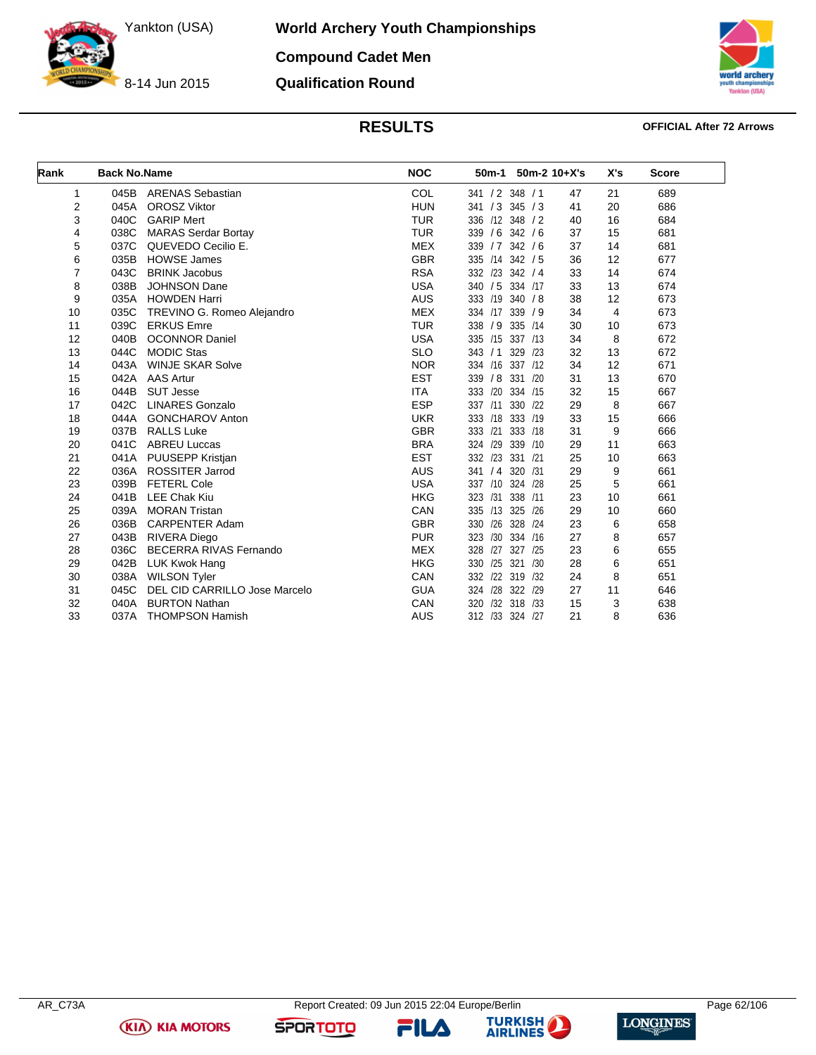8-14 Jun 2015

**World Archery Youth Championships**

**Compound Cadet Men**

**Qualification Round**



### **RESULTS OFFICIAL After 72 Arrows**

| Rank           | <b>Back No.Name</b> |                               | <b>NOC</b> | 50 <sub>m</sub> -1 |             | $50m-2$ 10+X's | X's | <b>Score</b> |
|----------------|---------------------|-------------------------------|------------|--------------------|-------------|----------------|-----|--------------|
| 1              | 045B                | <b>ARENAS Sebastian</b>       | COL        | 341 / 2 348 / 1    |             | 47             | 21  | 689          |
| 2              | 045A                | <b>OROSZ Viktor</b>           | <b>HUN</b> | 341 / 3 345 / 3    |             | 41             | 20  | 686          |
| 3              | 040C                | <b>GARIP Mert</b>             | <b>TUR</b> | 336 /12 348 / 2    |             | 40             | 16  | 684          |
| 4              | 038C                | <b>MARAS Serdar Bortay</b>    | <b>TUR</b> | 339 / 6            | 342/6       | 37             | 15  | 681          |
| 5              | 037C                | QUEVEDO Cecilio E.            | <b>MEX</b> | 339 / 7            | 342 / 6     | 37             | 14  | 681          |
| 6              | 035B                | <b>HOWSE James</b>            | <b>GBR</b> | 335 /14 342 / 5    |             | 36             | 12  | 677          |
| $\overline{7}$ | 043C                | <b>BRINK Jacobus</b>          | <b>RSA</b> | 332 /23 342 / 4    |             | 33             | 14  | 674          |
| 8              | 038B                | <b>JOHNSON Dane</b>           | <b>USA</b> | 340 / 5 334 /17    |             | 33             | 13  | 674          |
| 9              | 035A                | <b>HOWDEN Harri</b>           | <b>AUS</b> | 333 /19 340 / 8    |             | 38             | 12  | 673          |
| 10             | 035C                | TREVINO G. Romeo Alejandro    | <b>MEX</b> | /17<br>334         | 339 / 9     | 34             | 4   | 673          |
| 11             | 039C                | <b>ERKUS Emre</b>             | <b>TUR</b> | /9<br>338          | 335 /14     | 30             | 10  | 673          |
| 12             | 040B                | <b>OCONNOR Daniel</b>         | <b>USA</b> | 335<br>/15         | 337 /13     | 34             | 8   | 672          |
| 13             | 044C                | <b>MODIC Stas</b>             | <b>SLO</b> | 343 / 1            | 329<br>/23  | 32             | 13  | 672          |
| 14             | 043A                | <b>WINJE SKAR Solve</b>       | <b>NOR</b> | 334 /16            | 337 /12     | 34             | 12  | 671          |
| 15             | 042A                | <b>AAS Artur</b>              | <b>EST</b> | 339 / 8            | 331<br>/20  | 31             | 13  | 670          |
| 16             | 044B                | <b>SUT Jesse</b>              | <b>ITA</b> | 333 /20 334 /15    |             | 32             | 15  | 667          |
| 17             | 042C                | <b>LINARES Gonzalo</b>        | <b>ESP</b> | 337 /11 330 /22    |             | 29             | 8   | 667          |
| 18             | 044A                | <b>GONCHAROV Anton</b>        | <b>UKR</b> | 333 /18            | 333<br>/19  | 33             | 15  | 666          |
| 19             | 037B                | <b>RALLS Luke</b>             | <b>GBR</b> | 333 /21            | 333<br>/18  | 31             | 9   | 666          |
| 20             | 041C                | <b>ABREU Luccas</b>           | <b>BRA</b> | /29<br>324         | 339<br>/10  | 29             | 11  | 663          |
| 21             | 041A                | PUUSEPP Kristjan              | <b>EST</b> | 332 /23            | 331<br>121  | 25             | 10  | 663          |
| 22             | 036A                | <b>ROSSITER Jarrod</b>        | <b>AUS</b> | 341 / 4            | 320<br>/31  | 29             | 9   | 661          |
| 23             | 039B                | <b>FETERL Cole</b>            | <b>USA</b> | 337 /10 324        | /28         | 25             | 5   | 661          |
| 24             | 041B                | <b>LEE Chak Kiu</b>           | <b>HKG</b> | /31 338<br>323     | /11         | 23             | 10  | 661          |
| 25             | 039A                | <b>MORAN Tristan</b>          | CAN        | 335 /13            | 325<br>/26  | 29             | 10  | 660          |
| 26             | 036B                | <b>CARPENTER Adam</b>         | <b>GBR</b> | /26<br>330         | 328<br>/24  | 23             | 6   | 658          |
| 27             | 043B                | RIVERA Diego                  | <b>PUR</b> | 323                | /30 334 /16 | 27             | 8   | 657          |
| 28             | 036C                | BECERRA RIVAS Fernando        | <b>MEX</b> | 328                | /27 327 /25 | 23             | 6   | 655          |
| 29             | 042B                | <b>LUK Kwok Hang</b>          | <b>HKG</b> | /25<br>330         | 321<br>/30  | 28             | 6   | 651          |
| 30             | 038A                | <b>WILSON Tyler</b>           | CAN        | 332 /22 319        | /32         | 24             | 8   | 651          |
| 31             | 045C                | DEL CID CARRILLO Jose Marcelo | <b>GUA</b> | 324 /28            | 322 /29     | 27             | 11  | 646          |
| 32             | 040A                | <b>BURTON Nathan</b>          | CAN        | 320                | /32 318 /33 | 15             | 3   | 638          |
| 33             | 037A                | <b>THOMPSON Hamish</b>        | <b>AUS</b> | 312 /33 324 /27    |             | 21             | 8   | 636          |



FILA



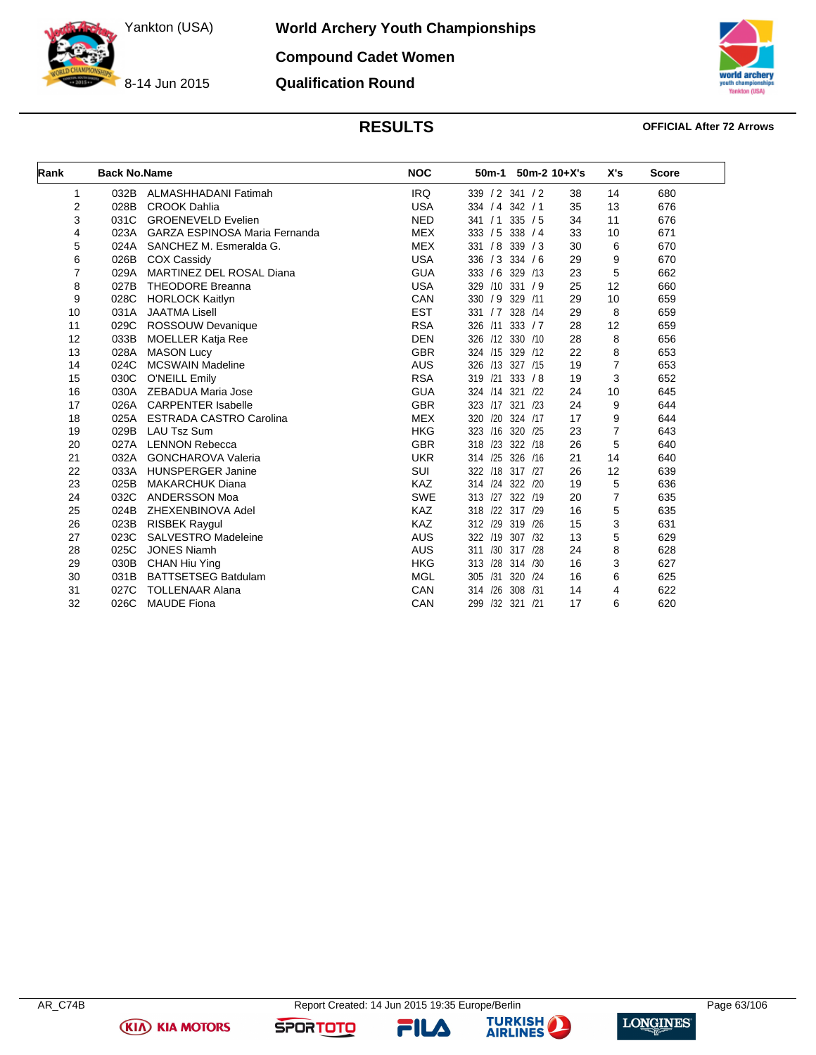**World Archery Youth Championships Compound Cadet Women**

**Qualification Round**

8-14 Jun 2015



### **RESULTS OFFICIAL After 72 Arrows**

| Rank | <b>Back No.Name</b> |                                 | <b>NOC</b> | 50 <sub>m</sub> -1<br>$50m-2$ 10+X's |    | X's            | <b>Score</b> |
|------|---------------------|---------------------------------|------------|--------------------------------------|----|----------------|--------------|
| 1    | 032B                | ALMASHHADANI Fatimah            | <b>IRQ</b> | 339 / 2 341 / 2                      | 38 | 14             | 680          |
| 2    | 028B                | <b>CROOK Dahlia</b>             | <b>USA</b> | 334 / 4 342 / 1                      | 35 | 13             | 676          |
| 3    | 031C                | <b>GROENEVELD Evelien</b>       | <b>NED</b> | 335 / 5<br>341 / 1                   | 34 | 11             | 676          |
| 4    | 023A                | GARZA ESPINOSA Maria Fernanda   | <b>MEX</b> | /5<br>338 / 4<br>333                 | 33 | 10             | 671          |
| 5    | 024A                | SANCHEZ M. Esmeralda G.         | <b>MEX</b> | 331 / 8<br>339 / 3                   | 30 | 6              | 670          |
| 6    | 026B                | <b>COX Cassidy</b>              | <b>USA</b> | 336 / 3<br>334 / 6                   | 29 | 9              | 670          |
| 7    | 029A                | <b>MARTINEZ DEL ROSAL Diana</b> | <b>GUA</b> | 333 / 6<br>329<br>/13                | 23 | 5              | 662          |
| 8    | 027B                | <b>THEODORE Breanna</b>         | <b>USA</b> | $/10$ 331 $/9$<br>329                | 25 | 12             | 660          |
| 9    | 028C                | <b>HORLOCK Kaitlyn</b>          | CAN        | 330 / 9<br>329<br>/11                | 29 | 10             | 659          |
| 10   | 031A                | <b>JAATMA Lisell</b>            | <b>EST</b> | 331 / 7 328<br>/14                   | 29 | 8              | 659          |
| 11   | 029C                | ROSSOUW Devanique               | <b>RSA</b> | 326<br>/11<br>333 / 7                | 28 | 12             | 659          |
| 12   | 033B                | <b>MOELLER Katja Ree</b>        | <b>DEN</b> | /12 330 /10<br>326                   | 28 | 8              | 656          |
| 13   | 028A                | <b>MASON Lucy</b>               | <b>GBR</b> | 324 /15<br>329<br>/12                | 22 | 8              | 653          |
| 14   | 024C                | <b>MCSWAIN Madeline</b>         | <b>AUS</b> | 326 /13 327 /15                      | 19 | 7              | 653          |
| 15   | 030C                | <b>O'NEILL Emily</b>            | <b>RSA</b> | $/21$ 333 $/8$<br>319                | 19 | 3              | 652          |
| 16   | 030A                | ZEBADUA Maria Jose              | <b>GUA</b> | 324 /14 321<br>122                   | 24 | 10             | 645          |
| 17   | 026A                | <b>CARPENTER Isabelle</b>       | <b>GBR</b> | /17<br>321<br>323<br>/23             | 24 | 9              | 644          |
| 18   | 025A                | <b>ESTRADA CASTRO Carolina</b>  | <b>MEX</b> | /20<br>324 /17<br>320                | 17 | 9              | 644          |
| 19   | 029B                | <b>LAU Tsz Sum</b>              | <b>HKG</b> | 323 /16<br>320 /25                   | 23 | $\overline{7}$ | 643          |
| 20   | 027A                | <b>LENNON Rebecca</b>           | <b>GBR</b> | 318 /23<br>322<br>/18                | 26 | 5              | 640          |
| 21   | 032A                | <b>GONCHAROVA Valeria</b>       | <b>UKR</b> | 314 /25<br>326<br>/16                | 21 | 14             | 640          |
| 22   | 033A                | <b>HUNSPERGER Janine</b>        | SUI        | 322 /18 317 /27                      | 26 | 12             | 639          |
| 23   | 025B                | <b>MAKARCHUK Diana</b>          | KAZ        | 314 /24 322<br>/20                   | 19 | 5              | 636          |
| 24   | 032C                | ANDERSSON Moa                   | <b>SWE</b> | 313<br>/27<br>322 /19                | 20 | $\overline{7}$ | 635          |
| 25   | 024B                | ZHEXENBINOVA Adel               | KAZ        | 122<br>317 /29<br>318                | 16 | 5              | 635          |
| 26   | 023B                | <b>RISBEK Raygul</b>            | KAZ        | 312 /29<br>319<br>/26                | 15 | 3              | 631          |
| 27   | 023C                | SALVESTRO Madeleine             | <b>AUS</b> | 322 /19<br>307 /32                   | 13 | 5              | 629          |
| 28   | 025C                | <b>JONES Niamh</b>              | <b>AUS</b> | /30 317 /28<br>311                   | 24 | 8              | 628          |
| 29   | 030B                | <b>CHAN Hiu Ying</b>            | <b>HKG</b> | 313<br>/28<br>314 /30                | 16 | 3              | 627          |
| 30   | 031B                | <b>BATTSETSEG Batdulam</b>      | <b>MGL</b> | 305<br>/31<br>320<br>/24             | 16 | 6              | 625          |
| 31   | 027C                | <b>TOLLENAAR Alana</b>          | CAN        | /26<br>308<br>/31<br>314             | 14 | 4              | 622          |
| 32   | 026C                | <b>MAUDE Fiona</b>              | CAN        | /32 321 /21<br>299                   | 17 | 6              | 620          |

**KIA KIA MOTORS** 

FILA



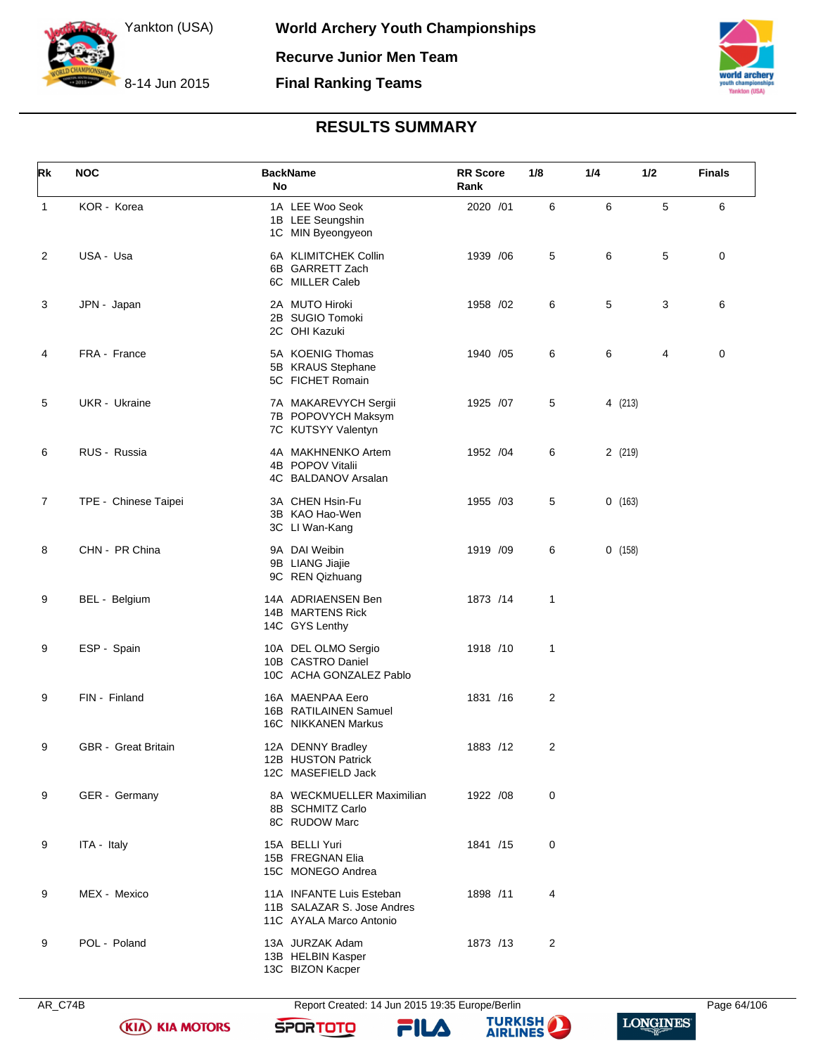



# **RESULTS SUMMARY**

| Rk             | <b>NOC</b>                 | <b>BackName</b><br>No                                                             | <b>RR</b> Score<br>Rank | 1/8            | 1/4     | 1/2 | <b>Finals</b> |
|----------------|----------------------------|-----------------------------------------------------------------------------------|-------------------------|----------------|---------|-----|---------------|
| $\mathbf{1}$   | KOR - Korea                | 1A LEE Woo Seok<br>1B LEE Seungshin<br>1C MIN Byeongyeon                          | 2020 /01                | 6              | 6       | 5   | 6             |
| $\overline{c}$ | USA - Usa                  | 6A KLIMITCHEK Collin<br>6B GARRETT Zach<br>6C MILLER Caleb                        | 1939 / 06               | 5              | 6       | 5   | 0             |
| 3              | JPN - Japan                | 2A MUTO Hiroki<br>2B SUGIO Tomoki<br>2C OHI Kazuki                                | 1958 /02                | 6              | 5       | 3   | 6             |
| 4              | FRA - France               | 5A KOENIG Thomas<br>5B KRAUS Stephane<br>5C FICHET Romain                         | 1940 /05                | 6              | 6       | 4   | 0             |
| 5              | UKR - Ukraine              | 7A MAKAREVYCH Sergii<br>7B POPOVYCH Maksym<br>7C KUTSYY Valentyn                  | 1925 /07                | 5              | 4 (213) |     |               |
| 6              | RUS - Russia               | 4A MAKHNENKO Artem<br>4B POPOV Vitalii<br>4C BALDANOV Arsalan                     | 1952 / 04               | 6              | 2 (219) |     |               |
| $\overline{7}$ | TPE - Chinese Taipei       | 3A CHEN Hsin-Fu<br>3B KAO Hao-Wen<br>3C LI Wan-Kang                               | 1955 /03                | 5              | 0(163)  |     |               |
| 8              | CHN - PR China             | 9A DAI Weibin<br>9B LIANG Jiajie<br>9C REN Qizhuang                               | 1919 /09                | 6              | 0(158)  |     |               |
| 9              | BEL - Belgium              | 14A ADRIAENSEN Ben<br>14B MARTENS Rick<br>14C GYS Lenthy                          | 1873 /14                | 1              |         |     |               |
| 9              | ESP - Spain                | 10A DEL OLMO Sergio<br>10B CASTRO Daniel<br>10C ACHA GONZALEZ Pablo               | 1918 /10                | 1              |         |     |               |
| 9              | FIN - Finland              | 16A MAENPAA Eero<br>16B RATILAINEN Samuel<br>16C NIKKANEN Markus                  | 1831 /16                | $\overline{2}$ |         |     |               |
| 9              | <b>GBR</b> - Great Britain | 12A DENNY Bradley<br>12B HUSTON Patrick<br>12C MASEFIELD Jack                     | 1883 /12                | $\overline{c}$ |         |     |               |
| 9              | GER - Germany              | 8A WECKMUELLER Maximilian<br>8B SCHMITZ Carlo<br>8C RUDOW Marc                    | 1922 /08                | 0              |         |     |               |
| 9              | ITA - Italy                | 15A BELLI Yuri<br>15B FREGNAN Elia<br>15C MONEGO Andrea                           | 1841 /15                | 0              |         |     |               |
| 9              | MEX - Mexico               | 11A INFANTE Luis Esteban<br>11B SALAZAR S. Jose Andres<br>11C AYALA Marco Antonio | 1898 /11                | 4              |         |     |               |
| 9              | POL - Poland               | 13A JURZAK Adam<br>13B HELBIN Kasper<br>13C BIZON Kacper                          | 1873 /13                | $\overline{c}$ |         |     |               |



AR\_C74B Report Created: 14 Jun 2015 19:35 Europe/Berlin Page 64/106

FILA





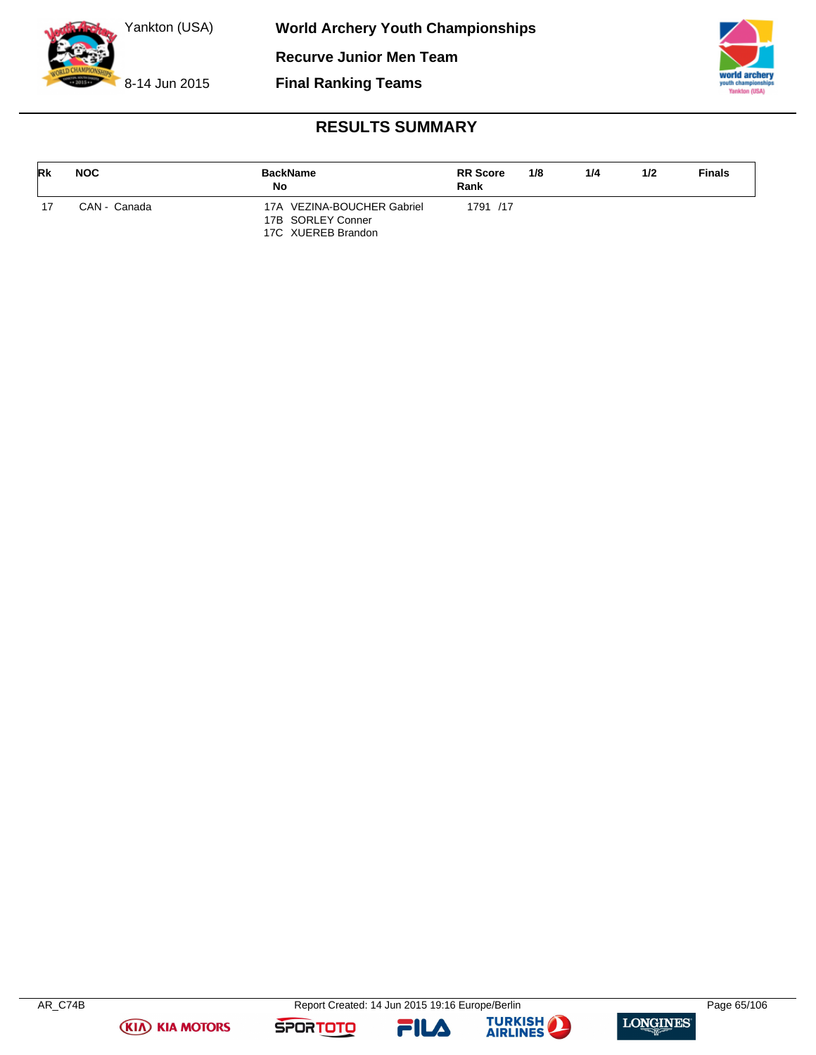

**Final Ranking Teams**



# **RESULTS SUMMARY**

| <b>Rk</b> | <b>NOC</b>   | <b>BackName</b><br>No                           | <b>RR</b> Score<br>Rank | 1/8 | 1/4 | 1/2 | <b>Finals</b> |
|-----------|--------------|-------------------------------------------------|-------------------------|-----|-----|-----|---------------|
|           | CAN - Canada | 17A VEZINA-BOUCHER Gabriel<br>17B SORLEY Conner | 1791 /17                |     |     |     |               |
|           |              | 17C XUEREB Brandon                              |                         |     |     |     |               |

**(KIA) KIA MOTORS** 

FILA



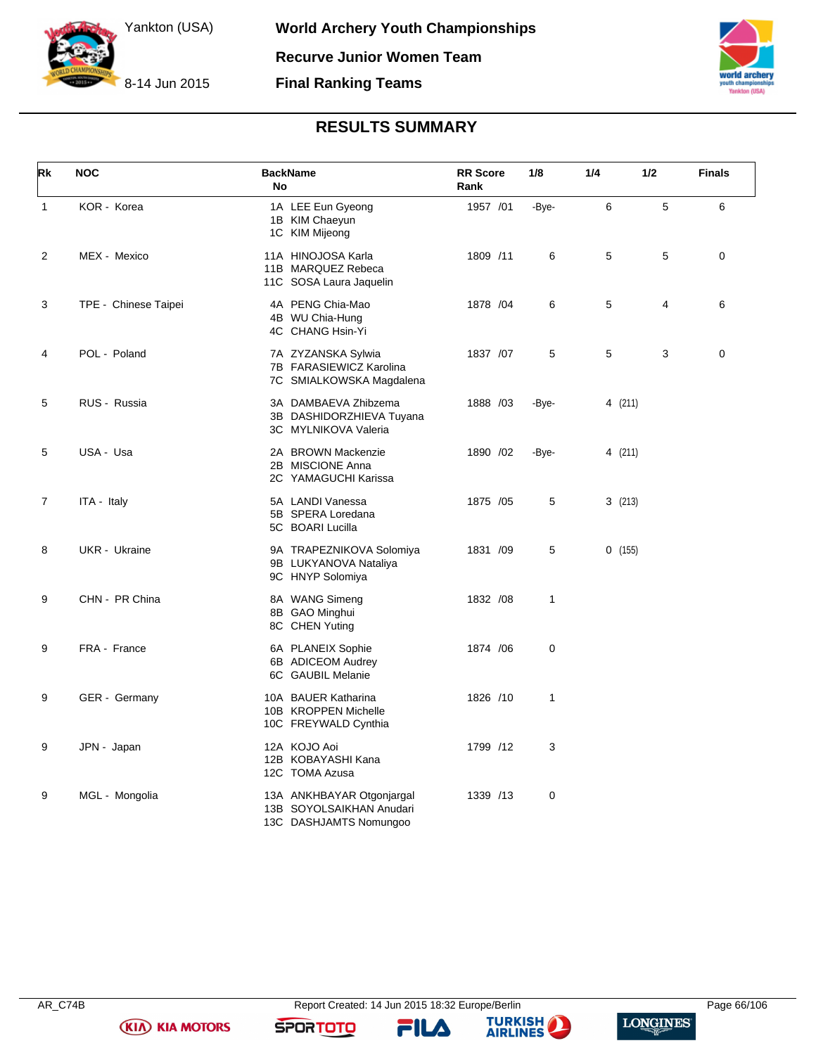



# **RESULTS SUMMARY**

| Rk             | <b>NOC</b>           | <b>BackName</b><br>No                                                           | <b>RR</b> Score<br>Rank | 1/8   | 1/4     | 1/2 | <b>Finals</b> |
|----------------|----------------------|---------------------------------------------------------------------------------|-------------------------|-------|---------|-----|---------------|
| $\mathbf{1}$   | KOR - Korea          | 1A LEE Eun Gyeong<br>1B KIM Chaeyun<br>1C KIM Mijeong                           | 1957 /01                | -Bye- | 6       | 5   | 6             |
| $\overline{2}$ | MEX - Mexico         | 11A HINOJOSA Karla<br>11B MARQUEZ Rebeca<br>11C SOSA Laura Jaquelin             | 1809 /11                | 6     | 5       | 5   | 0             |
| 3              | TPE - Chinese Taipei | 4A PENG Chia-Mao<br>4B WU Chia-Hung<br>4C CHANG Hsin-Yi                         | 1878 / 04               | 6     | 5       | 4   | 6             |
| 4              | POL - Poland         | 7A ZYZANSKA Sylwia<br>7B FARASIEWICZ Karolina<br>7C SMIALKOWSKA Magdalena       | 1837 /07                | 5     | 5       | 3   | 0             |
| 5              | RUS - Russia         | 3A DAMBAEVA Zhibzema<br>3B DASHIDORZHIEVA Tuyana<br>3C MYLNIKOVA Valeria        | 1888 / 03               | -Bye- | 4 (211) |     |               |
| 5              | USA - Usa            | 2A BROWN Mackenzie<br>2B MISCIONE Anna<br>2C YAMAGUCHI Karissa                  | 1890 / 02               | -Bye- | 4 (211) |     |               |
| $\overline{7}$ | ITA - Italy          | 5A LANDI Vanessa<br>5B SPERA Loredana<br>5C BOARI Lucilla                       | 1875 / 05               | 5     | 3(213)  |     |               |
| 8              | UKR - Ukraine        | 9A TRAPEZNIKOVA Solomiya<br>9B LUKYANOVA Nataliya<br>9C HNYP Solomiya           | 1831 /09                | 5     | 0(155)  |     |               |
| 9              | CHN - PR China       | 8A WANG Simeng<br>8B GAO Minghui<br>8C CHEN Yuting                              | 1832 / 08               | 1     |         |     |               |
| 9              | FRA - France         | 6A PLANEIX Sophie<br>6B ADICEOM Audrey<br>6C GAUBIL Melanie                     | 1874 / 06               | 0     |         |     |               |
| 9              | GER - Germany        | 10A BAUER Katharina<br>10B KROPPEN Michelle<br>10C FREYWALD Cynthia             | 1826 /10                | 1     |         |     |               |
| 9              | JPN - Japan          | 12A KOJO Aoi<br>12B KOBAYASHI Kana<br>12C TOMA Azusa                            | 1799 /12                | 3     |         |     |               |
| 9              | MGL - Mongolia       | 13A ANKHBAYAR Otgonjargal<br>13B SOYOLSAIKHAN Anudari<br>13C DASHJAMTS Nomungoo | 1339 /13                | 0     |         |     |               |

FILA



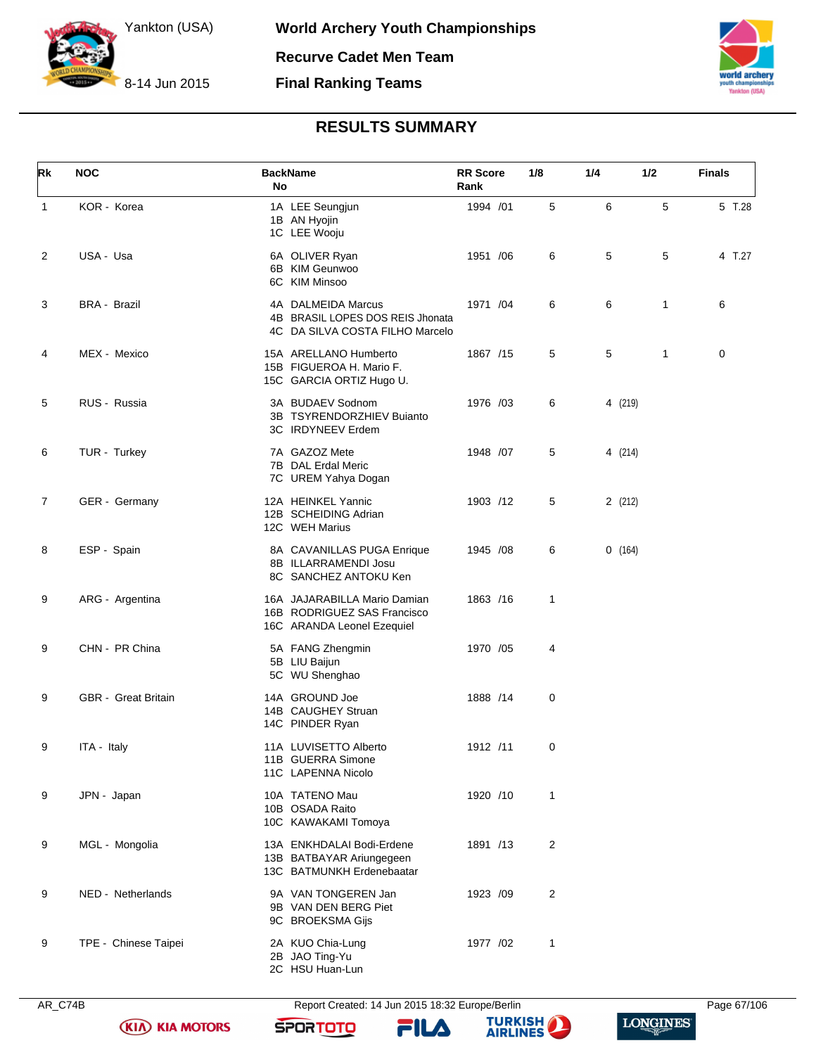



# **RESULTS SUMMARY**

| Rk             | <b>NOC</b>                 | <b>BackName</b><br><b>No</b>                                                              | <b>RR</b> Score<br>Rank | 1/8            | 1/4     | 1/2          | <b>Finals</b> |
|----------------|----------------------------|-------------------------------------------------------------------------------------------|-------------------------|----------------|---------|--------------|---------------|
| $\mathbf{1}$   | KOR - Korea                | 1A LEE Seungjun<br>1B AN Hyojin<br>1C LEE Wooju                                           | 1994 /01                | 5              | 6       | 5            | 5 T.28        |
| $\overline{c}$ | USA - Usa                  | 6A OLIVER Ryan<br>6B KIM Geunwoo<br>6C KIM Minsoo                                         | 1951 /06                | 6              | 5       | 5            | 4 T.27        |
| 3              | <b>BRA - Brazil</b>        | 4A DALMEIDA Marcus<br>4B BRASIL LOPES DOS REIS Jhonata<br>4C DA SILVA COSTA FILHO Marcelo | 1971 /04                | 6              | 6       | $\mathbf{1}$ | 6             |
| 4              | MEX - Mexico               | 15A ARELLANO Humberto<br>15B FIGUEROA H. Mario F.<br>15C GARCIA ORTIZ Hugo U.             | 1867 /15                | 5              | 5       | $\mathbf{1}$ | 0             |
| 5              | RUS - Russia               | 3A BUDAEV Sodnom<br>3B TSYRENDORZHIEV Buianto<br>3C IRDYNEEV Erdem                        | 1976 /03                | 6              | 4 (219) |              |               |
| 6              | TUR - Turkey               | 7A GAZOZ Mete<br>7B DAL Erdal Meric<br>7C UREM Yahya Dogan                                | 1948 / 07               | 5              | 4 (214) |              |               |
| $\overline{7}$ | GER - Germany              | 12A HEINKEL Yannic<br>12B SCHEIDING Adrian<br>12C WEH Marius                              | 1903 /12                | 5              | 2(212)  |              |               |
| 8              | ESP - Spain                | 8A CAVANILLAS PUGA Enrique<br>8B ILLARRAMENDI Josu<br>8C SANCHEZ ANTOKU Ken               | 1945 / 08               | 6              | 0(164)  |              |               |
| 9              | ARG - Argentina            | 16A JAJARABILLA Mario Damian<br>16B RODRIGUEZ SAS Francisco<br>16C ARANDA Leonel Ezequiel | 1863 /16                | $\mathbf{1}$   |         |              |               |
| 9              | CHN - PR China             | 5A FANG Zhengmin<br>5B LIU Baijun<br>5C WU Shenghao                                       | 1970 /05                | 4              |         |              |               |
| 9              | <b>GBR</b> - Great Britain | 14A GROUND Joe<br>14B CAUGHEY Struan<br>14C PINDER Ryan                                   | 1888 / 14               | 0              |         |              |               |
| 9              | ITA - Italy                | 11A LUVISETTO Alberto<br>11B GUERRA Simone<br>11C LAPENNA Nicolo                          | 1912 /11                | 0              |         |              |               |
| 9              | JPN - Japan                | 10A TATENO Mau<br>10B OSADA Raito<br>10C KAWAKAMI Tomoya                                  | 1920 /10                | 1              |         |              |               |
| 9              | MGL - Mongolia             | 13A ENKHDALAI Bodi-Erdene<br>13B BATBAYAR Ariungegeen<br>13C BATMUNKH Erdenebaatar        | 1891 /13                | 2              |         |              |               |
| 9              | NED - Netherlands          | 9A VAN TONGEREN Jan<br>9B VAN DEN BERG Piet<br>9C BROEKSMA Gijs                           | 1923 /09                | $\overline{c}$ |         |              |               |
| 9              | TPE - Chinese Taipei       | 2A KUO Chia-Lung<br>2B JAO Ting-Yu<br>2C HSU Huan-Lun                                     | 1977 /02                | 1              |         |              |               |

AR\_C74B Report Created: 14 Jun 2015 18:32 Europe/Berlin Page 67/106 **SPORTOTO FILA** 





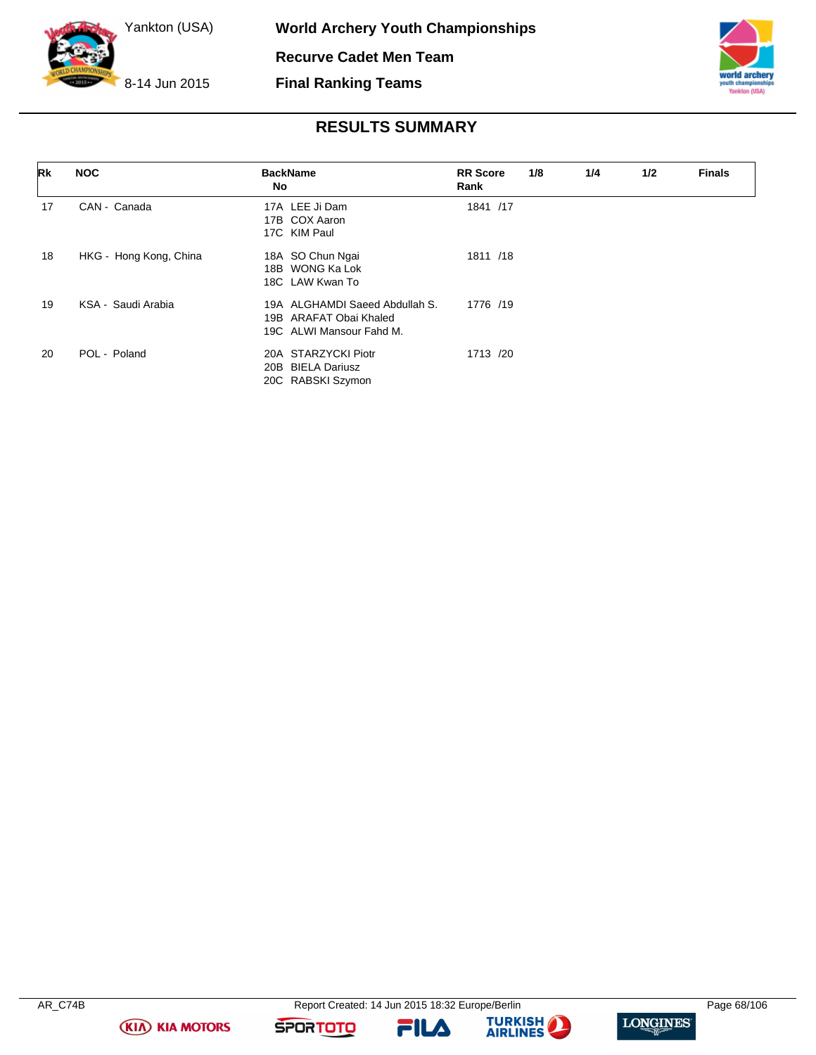

**Final Ranking Teams**



# **RESULTS SUMMARY**

| Rk | <b>NOC</b>             | <b>BackName</b><br>No.                                                               | <b>RR</b> Score<br>Rank | 1/8 | 1/4 | 1/2 | <b>Finals</b> |
|----|------------------------|--------------------------------------------------------------------------------------|-------------------------|-----|-----|-----|---------------|
| 17 | CAN - Canada           | 17A LEE Ji Dam<br>17B COX Aaron<br>17C KIM Paul                                      | 1841 /17                |     |     |     |               |
| 18 | HKG - Hong Kong, China | 18A SO Chun Ngai<br>18B WONG Ka Lok<br>18C LAW Kwan To                               | 1811 /18                |     |     |     |               |
| 19 | KSA - Saudi Arabia     | 19A ALGHAMDI Saeed Abdullah S.<br>19B ARAFAT Obai Khaled<br>19C ALWI Mansour Fahd M. | 1776 /19                |     |     |     |               |
| 20 | POL - Poland           | 20A STARZYCKI Piotr<br><b>BIELA Dariusz</b><br>20B<br>20C RABSKI Szymon              | 1713 /20                |     |     |     |               |

**(KIA) KIA MOTORS** 

FILA



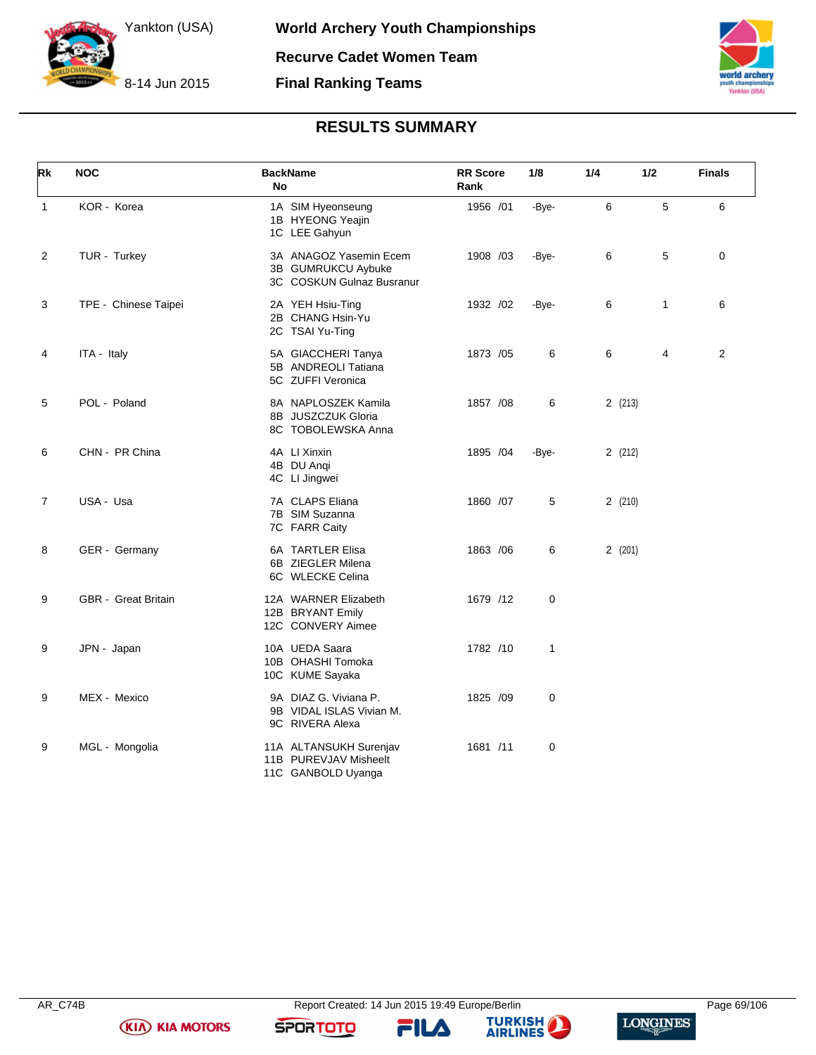



# **RESULTS SUMMARY**

| Rk             | <b>NOC</b>           | <b>BackName</b><br>No                                                     | <b>RR</b> Score<br>Rank | 1/8          | 1/4    | 1/2          | <b>Finals</b> |
|----------------|----------------------|---------------------------------------------------------------------------|-------------------------|--------------|--------|--------------|---------------|
| $\mathbf{1}$   | KOR - Korea          | 1A SIM Hyeonseung<br>1B HYEONG Yeajin<br>1C LEE Gahyun                    | 1956 /01                | -Bye-        | 6      | 5            | 6             |
| 2              | TUR - Turkey         | 3A ANAGOZ Yasemin Ecem<br>3B GUMRUKCU Aybuke<br>3C COSKUN Gulnaz Busranur | 1908 /03                | -Bye-        | 6      | 5            | $\mathbf 0$   |
| 3              | TPE - Chinese Taipei | 2A YEH Hsiu-Ting<br>2B CHANG Hsin-Yu<br>2C TSAI Yu-Ting                   | 1932 /02                | -Bye-        | 6      | $\mathbf{1}$ | 6             |
| 4              | ITA - Italy          | 5A GIACCHERI Tanya<br>5B ANDREOLI Tatiana<br>5C ZUFFI Veronica            | 1873 / 05               | 6            | 6      | 4            | 2             |
| 5              | POL - Poland         | 8A NAPLOSZEK Kamila<br>8B JUSZCZUK Gloria<br>8C TOBOLEWSKA Anna           | 1857 / 08               | 6            | 2(213) |              |               |
| 6              | CHN - PR China       | 4A LI Xinxin<br>4B DU Anqi<br>4C LI Jingwei                               | 1895 /04                | -Bye-        | 2(212) |              |               |
| $\overline{7}$ | USA - Usa            | 7A CLAPS Eliana<br>7B SIM Suzanna<br>7C FARR Caity                        | 1860 /07                | 5            | 2(210) |              |               |
| 8              | GER - Germany        | 6A TARTLER Elisa<br>6B ZIEGLER Milena<br>6C WLECKE Celina                 | 1863 / 06               | 6            | 2(201) |              |               |
| 9              | GBR - Great Britain  | 12A WARNER Elizabeth<br>12B BRYANT Emily<br>12C CONVERY Aimee             | 1679 /12                | 0            |        |              |               |
| 9              | JPN - Japan          | 10A UEDA Saara<br>10B OHASHI Tomoka<br>10C KUME Sayaka                    | 1782 /10                | $\mathbf{1}$ |        |              |               |
| 9              | MEX - Mexico         | 9A DIAZ G. Viviana P.<br>9B VIDAL ISLAS Vivian M.<br>9C RIVERA Alexa      | 1825 /09                | 0            |        |              |               |
| 9              | MGL - Mongolia       | 11A ALTANSUKH Surenjav<br>11B PUREVJAV Misheelt<br>11C GANBOLD Uyanga     | 1681 /11                | 0            |        |              |               |

**(KIA) KIA MOTORS** 

FILA



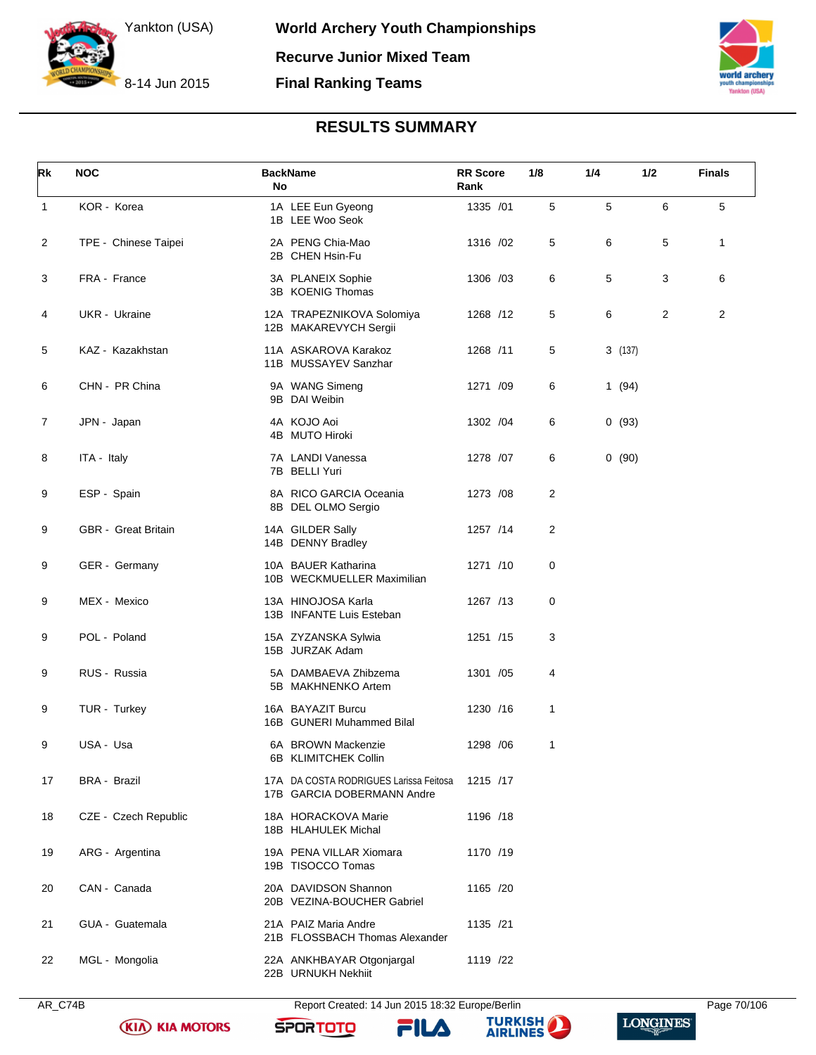



# **RESULTS SUMMARY**

| Rk           | <b>NOC</b>           | <b>BackName</b><br>No                                                | <b>RR</b> Score<br>Rank | 1/8 | 1/4    | 1/2 | <b>Finals</b>  |
|--------------|----------------------|----------------------------------------------------------------------|-------------------------|-----|--------|-----|----------------|
| $\mathbf{1}$ | KOR - Korea          | 1A LEE Eun Gyeong<br>1B LEE Woo Seok                                 | 1335 /01                | 5   | 5      | 6   | 5              |
| 2            | TPE - Chinese Taipei | 2A PENG Chia-Mao<br>2B CHEN Hsin-Fu                                  | 1316 /02                | 5   | 6      | 5   | $\mathbf{1}$   |
| 3            | FRA - France         | 3A PLANEIX Sophie<br>3B KOENIG Thomas                                | 1306 /03                | 6   | 5      | 3   | 6              |
| 4            | UKR - Ukraine        | 12A TRAPEZNIKOVA Solomiya<br>12B MAKAREVYCH Sergii                   | 1268 /12                | 5   | 6      | 2   | $\overline{2}$ |
| 5            | KAZ - Kazakhstan     | 11A ASKAROVA Karakoz<br>11B MUSSAYEV Sanzhar                         | 1268 /11                | 5   | 3(137) |     |                |
| 6            | CHN - PR China       | 9A WANG Simeng<br>9B DAI Weibin                                      | 1271 /09                | 6   | 1(94)  |     |                |
| 7            | JPN - Japan          | 4A KOJO Aoi<br>4B MUTO Hiroki                                        | 1302 / 04               | 6   | 0(93)  |     |                |
| 8            | ITA - Italy          | 7A LANDI Vanessa<br>7B BELLI Yuri                                    | 1278 / 07               | 6   | 0(90)  |     |                |
| 9            | ESP - Spain          | 8A RICO GARCIA Oceania<br>8B DEL OLMO Sergio                         | 1273 /08                | 2   |        |     |                |
| 9            | GBR - Great Britain  | 14A GILDER Sally<br>14B DENNY Bradley                                | 1257 /14                | 2   |        |     |                |
| 9            | GER - Germany        | 10A BAUER Katharina<br>10B WECKMUELLER Maximilian                    | 1271 /10                | 0   |        |     |                |
| 9            | MEX - Mexico         | 13A HINOJOSA Karla<br>13B INFANTE Luis Esteban                       | 1267 /13                | 0   |        |     |                |
| 9            | POL - Poland         | 15A ZYZANSKA Sylwia<br>15B JURZAK Adam                               | 1251 /15                | 3   |        |     |                |
| 9            | RUS - Russia         | 5A DAMBAEVA Zhibzema<br>5B MAKHNENKO Artem                           | 1301 /05                | 4   |        |     |                |
| 9            | TUR - Turkey         | 16A BAYAZIT Burcu<br>16B GUNERI Muhammed Bilal                       | 1230 /16                | 1   |        |     |                |
| 9            | USA - Usa            | 6A BROWN Mackenzie<br>6B KLIMITCHEK Collin                           | 1298 / 06               | 1   |        |     |                |
| 17           | <b>BRA - Brazil</b>  | 17A DA COSTA RODRIGUES Larissa Feitosa<br>17B GARCIA DOBERMANN Andre | 1215 /17                |     |        |     |                |
| 18           | CZE - Czech Republic | 18A HORACKOVA Marie<br>18B HLAHULEK Michal                           | 1196 /18                |     |        |     |                |
| 19           | ARG - Argentina      | 19A PENA VILLAR Xiomara<br>19B TISOCCO Tomas                         | 1170 /19                |     |        |     |                |
| 20           | CAN - Canada         | 20A DAVIDSON Shannon<br>20B VEZINA-BOUCHER Gabriel                   | 1165 /20                |     |        |     |                |
| 21           | GUA - Guatemala      | 21A PAIZ Maria Andre<br>21B FLOSSBACH Thomas Alexander               | 1135 /21                |     |        |     |                |
| 22           | MGL - Mongolia       | 22A ANKHBAYAR Otgonjargal<br>22B URNUKH Nekhiit                      | 1119 /22                |     |        |     |                |

AR\_C74B Report Created: 14 Jun 2015 18:32 Europe/Berlin Page 70/106

FILA

**SPORTOTO** 

**KIA KIA MOTORS** 



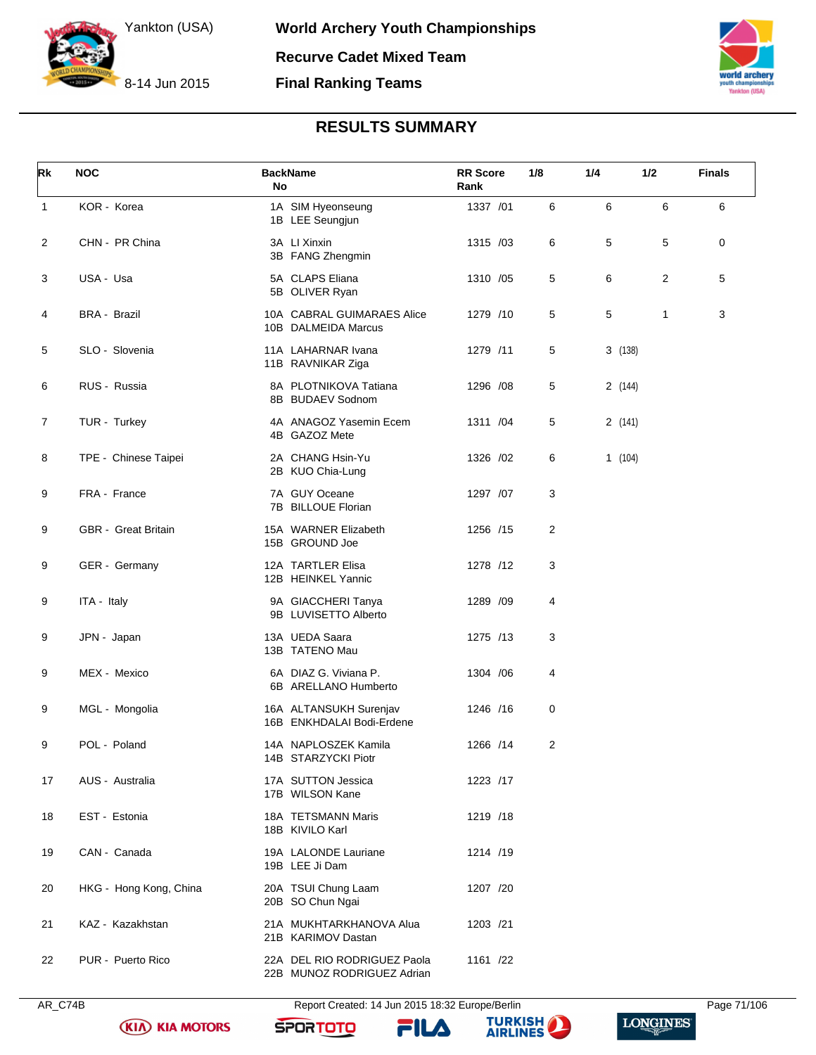



# **RESULTS SUMMARY**

| Rk             | <b>NOC</b>             | <b>BackName</b><br>No                                     | <b>RR</b> Score<br>Rank | 1/8 | 1/4     | 1/2          | <b>Finals</b> |
|----------------|------------------------|-----------------------------------------------------------|-------------------------|-----|---------|--------------|---------------|
| $\mathbf{1}$   | KOR - Korea            | 1A SIM Hyeonseung<br>1B LEE Seungjun                      | 1337 /01                | 6   | 6       | 6            | 6             |
| $\overline{c}$ | CHN - PR China         | 3A LI Xinxin<br>3B FANG Zhengmin                          | 1315 /03                | 6   | 5       | 5            | 0             |
| 3              | USA - Usa              | 5A CLAPS Eliana<br>5B OLIVER Ryan                         | 1310 /05                | 5   | 6       | 2            | 5             |
| 4              | <b>BRA - Brazil</b>    | 10A CABRAL GUIMARAES Alice<br>10B DALMEIDA Marcus         | 1279 /10                | 5   | 5       | $\mathbf{1}$ | 3             |
| 5              | SLO - Slovenia         | 11A LAHARNAR Ivana<br>11B RAVNIKAR Ziga                   | 1279 /11                | 5   | 3(138)  |              |               |
| 6              | RUS - Russia           | 8A PLOTNIKOVA Tatiana<br>8B BUDAEV Sodnom                 | 1296 /08                | 5   | 2 (144) |              |               |
| $\overline{7}$ | TUR - Turkey           | 4A ANAGOZ Yasemin Ecem<br>4B GAZOZ Mete                   | 1311 /04                | 5   | 2(141)  |              |               |
| 8              | TPE - Chinese Taipei   | 2A CHANG Hsin-Yu<br>2B KUO Chia-Lung                      | 1326 / 02               | 6   | 1(104)  |              |               |
| 9              | FRA - France           | 7A GUY Oceane<br>7B BILLOUE Florian                       | 1297 /07                | 3   |         |              |               |
| 9              | GBR - Great Britain    | 15A WARNER Elizabeth<br>15B GROUND Joe                    | 1256 /15                | 2   |         |              |               |
| 9              | GER - Germany          | 12A TARTLER Elisa<br>12B HEINKEL Yannic                   | 1278 /12                | 3   |         |              |               |
| 9              | ITA - Italy            | 9A GIACCHERI Tanya<br>9B LUVISETTO Alberto                | 1289 /09                | 4   |         |              |               |
| 9              | JPN - Japan            | 13A UEDA Saara<br>13B TATENO Mau                          | 1275 /13                | 3   |         |              |               |
| 9              | MEX - Mexico           | 6A DIAZ G. Viviana P.<br>6B ARELLANO Humberto             | 1304 / 06               | 4   |         |              |               |
| 9              | MGL - Mongolia         | 16A ALTANSUKH Surenjav<br>16B ENKHDALAI Bodi-Erdene       | 1246 /16                | 0   |         |              |               |
| 9              | POL - Poland           | 14A NAPLOSZEK Kamila<br>14B STARZYCKI Piotr               | 1266 /14                | 2   |         |              |               |
| 17             | AUS - Australia        | 17A SUTTON Jessica<br>17B WILSON Kane                     | 1223 /17                |     |         |              |               |
| 18             | EST - Estonia          | 18A TETSMANN Maris<br>18B KIVILO Karl                     | 1219 /18                |     |         |              |               |
| 19             | CAN - Canada           | 19A LALONDE Lauriane<br>19B LEE Ji Dam                    | 1214 /19                |     |         |              |               |
| 20             | HKG - Hong Kong, China | 20A TSUI Chung Laam<br>20B SO Chun Ngai                   | 1207 /20                |     |         |              |               |
| 21             | KAZ - Kazakhstan       | 21A MUKHTARKHANOVA Alua<br>21B KARIMOV Dastan             | 1203 /21                |     |         |              |               |
| 22             | PUR - Puerto Rico      | 22A DEL RIO RODRIGUEZ Paola<br>22B MUNOZ RODRIGUEZ Adrian | 1161 /22                |     |         |              |               |



AR\_C74B Report Created: 14 Jun 2015 18:32 Europe/Berlin Page 71/106

**SPORTOTO** 

**KIA KIA MOTORS** 



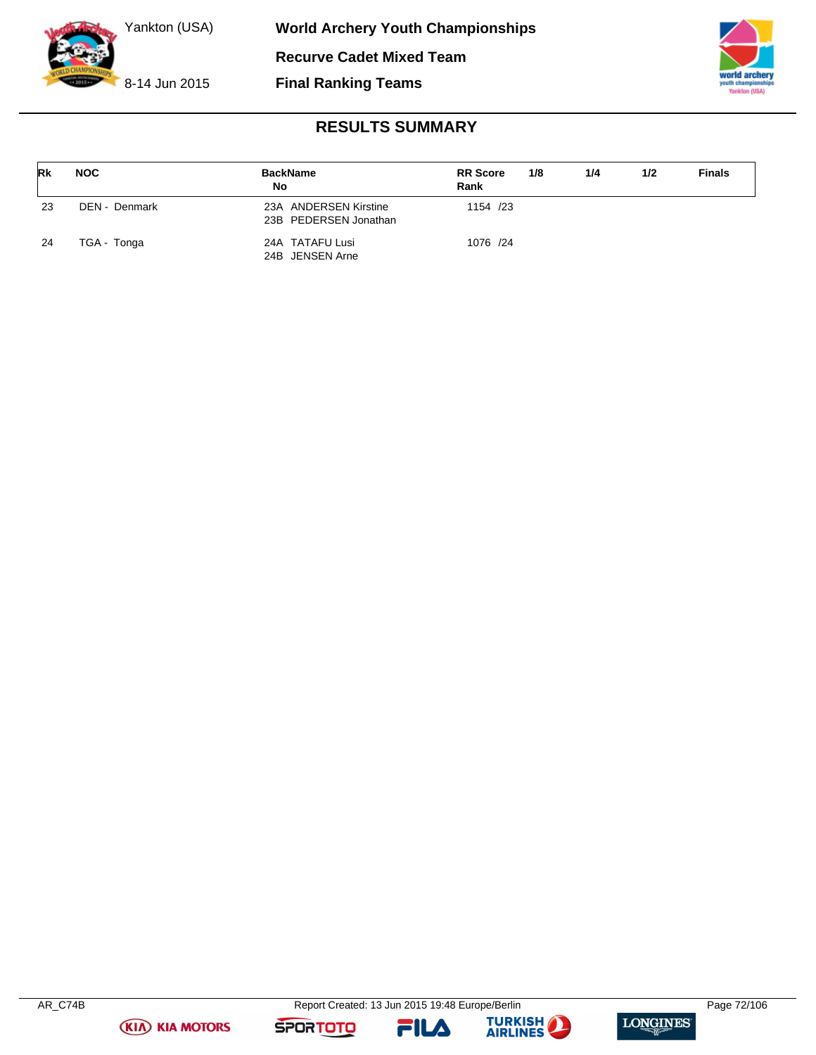



# **RESULTS SUMMARY**

| <b>Rk</b> | <b>NOC</b>    | <b>BackName</b><br>No                          | <b>RR</b> Score<br>Rank | 1/8 | 1/4 | 1/2 | <b>Finals</b> |
|-----------|---------------|------------------------------------------------|-------------------------|-----|-----|-----|---------------|
| 23        | DEN - Denmark | 23A ANDERSEN Kirstine<br>23B PEDERSEN Jonathan | 1154 /23                |     |     |     |               |
| 24        | TGA - Tonga   | 24A TATAFU Lusi<br>24B JENSEN Arne             | 1076 /24                |     |     |     |               |







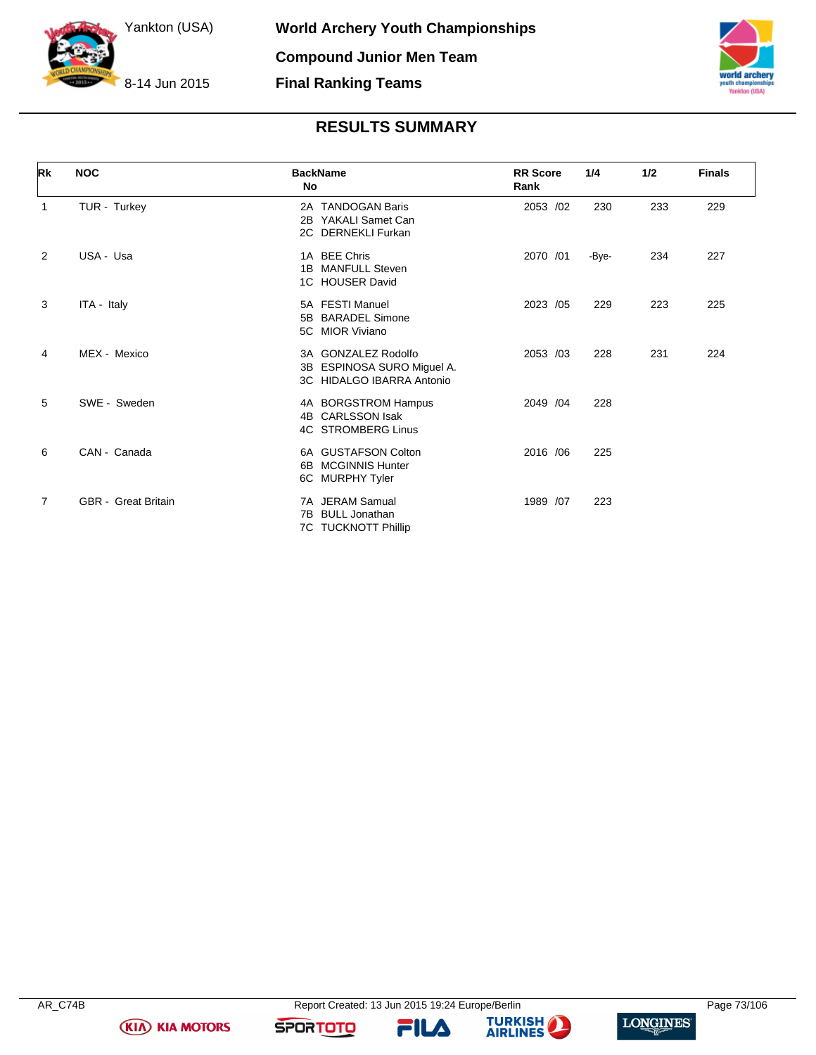



# **RESULTS SUMMARY**

| <b>Rk</b>      | <b>NOC</b>                 | <b>BackName</b><br>No                                                            | <b>RR</b> Score<br>Rank | 1/4   | 1/2 | <b>Finals</b> |
|----------------|----------------------------|----------------------------------------------------------------------------------|-------------------------|-------|-----|---------------|
| 1              | TUR - Turkey               | 2A TANDOGAN Baris<br>YAKALI Samet Can<br>2B<br>2C DERNEKLI Furkan                | 2053 /02                | 230   | 233 | 229           |
| $\overline{2}$ | USA - Usa                  | 1A BEE Chris<br><b>MANFULL Steven</b><br>1B<br>1C HOUSER David                   | 2070 /01                | -Bye- | 234 | 227           |
| 3              | ITA - Italy                | 5A FESTI Manuel<br><b>BARADEL Simone</b><br>5B<br>5C MIOR Viviano                | 2023 /05                | 229   | 223 | 225           |
| 4              | MEX - Mexico               | 3A GONZALEZ Rodolfo<br>3B ESPINOSA SURO Miguel A.<br>3C HIDALGO IBARRA Antonio   | 2053 /03                | 228   | 231 | 224           |
| 5              | SWE - Sweden               | 4A BORGSTROM Hampus<br><b>CARLSSON Isak</b><br>4B<br><b>4C STROMBERG Linus</b>   | 2049 / 04               | 228   |     |               |
| 6              | CAN - Canada               | 6A GUSTAFSON Colton<br><b>MCGINNIS Hunter</b><br>6B<br><b>MURPHY Tyler</b><br>6C | 2016 / 06               | 225   |     |               |
| 7              | <b>GBR</b> - Great Britain | 7A JERAM Samual<br><b>BULL Jonathan</b><br>7В<br><b>TUCKNOTT Phillip</b><br>7C   | 1989 /07                | 223   |     |               |



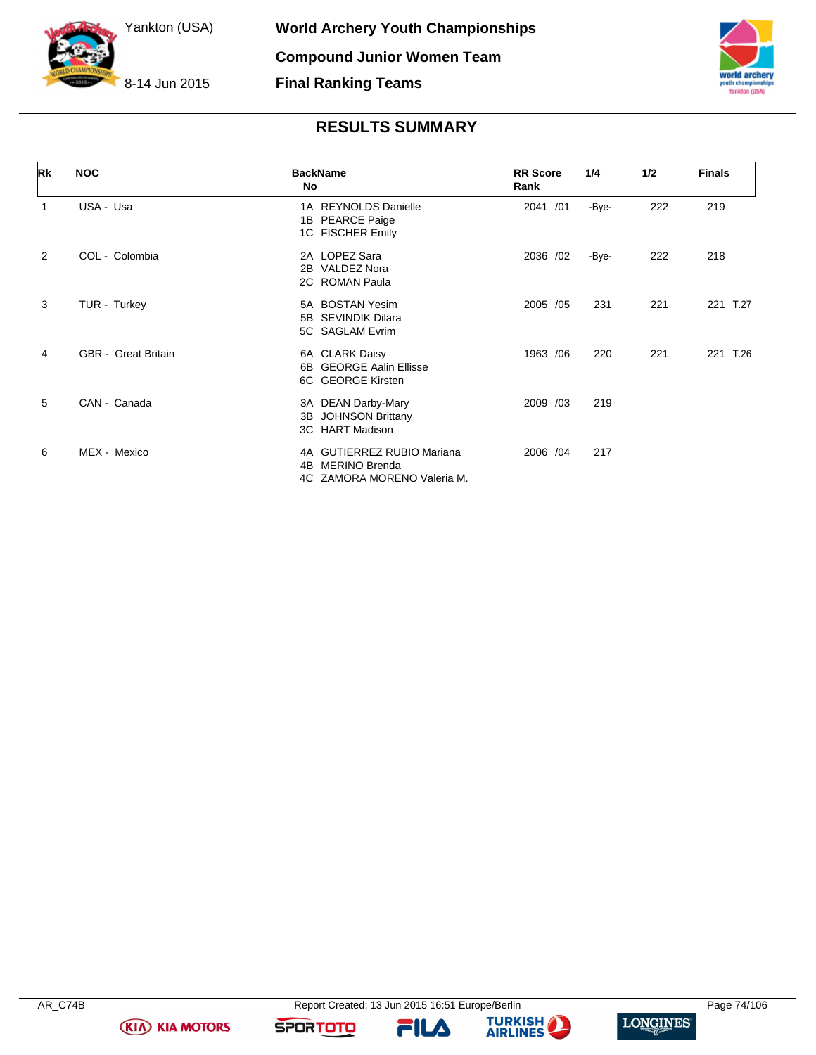

**Final Ranking Teams**



# **RESULTS SUMMARY**

| Rk             | <b>NOC</b>                 | <b>BackName</b><br>No                                                                             | <b>RR</b> Score<br>Rank | 1/4   | 1/2 | <b>Finals</b> |
|----------------|----------------------------|---------------------------------------------------------------------------------------------------|-------------------------|-------|-----|---------------|
| 1              | USA - Usa                  | <b>REYNOLDS Danielle</b><br>1 A<br><b>PEARCE Paige</b><br>1B<br>1C FISCHER Emily                  | 2041 /01                | -Bye- | 222 | 219           |
| $\overline{2}$ | COL - Colombia             | 2A LOPEZ Sara<br>2B VALDEZ Nora<br>2C ROMAN Paula                                                 | 2036 /02                | -Bye- | 222 | 218           |
| 3              | TUR - Turkey               | 5A BOSTAN Yesim<br><b>SEVINDIK Dilara</b><br>5B<br>5C SAGLAM Evrim                                | 2005 /05                | 231   | 221 | T.27<br>221   |
| 4              | <b>GBR</b> - Great Britain | 6A CLARK Daisy<br><b>GEORGE Aalin Ellisse</b><br>6B<br>6C GEORGE Kirsten                          | 1963 / 06               | 220   | 221 | T.26<br>221   |
| 5              | CAN - Canada               | 3A DEAN Darby-Mary<br><b>JOHNSON Brittany</b><br>3B<br><b>HART Madison</b><br>3C                  | 2009 /03                | 219   |     |               |
| 6              | MEX - Mexico               | <b>GUTIERREZ RUBIO Mariana</b><br>4A<br><b>MERINO Brenda</b><br>4B<br>4C ZAMORA MORENO Valeria M. | 2006 /04                | 217   |     |               |

**(KIA) KIA MOTORS** 





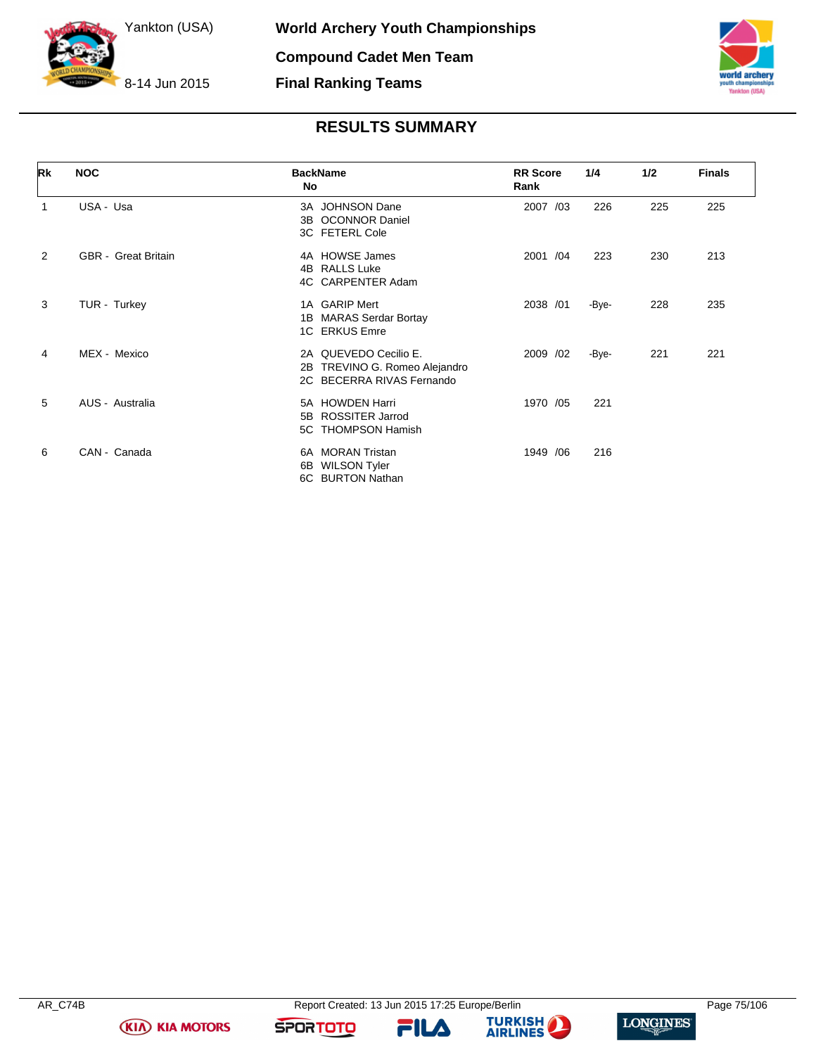



| <b>RESULTS SUMMARY</b> |  |  |  |  |  |
|------------------------|--|--|--|--|--|
|------------------------|--|--|--|--|--|

| Rk | <b>NOC</b>                 | <b>BackName</b><br>No                                                                  | <b>RR</b> Score<br>Rank | 1/4   | 1/2 | <b>Finals</b> |
|----|----------------------------|----------------------------------------------------------------------------------------|-------------------------|-------|-----|---------------|
| 1  | USA - Usa                  | 3A JOHNSON Dane<br><b>OCONNOR Daniel</b><br>3B<br>3C FETERL Cole                       | 2007 /03                | 226   | 225 | 225           |
| 2  | <b>GBR</b> - Great Britain | 4A HOWSE James<br><b>RALLS Luke</b><br>4B<br>4C CARPENTER Adam                         | 2001 /04                | 223   | 230 | 213           |
| 3  | TUR - Turkey               | 1A GARIP Mert<br><b>MARAS Serdar Bortay</b><br>1В<br>1C ERKUS Emre                     | 2038 /01                | -Bye- | 228 | 235           |
| 4  | MEX - Mexico               | 2A QUEVEDO Cecilio E.<br>TREVINO G. Romeo Alejandro<br>2B<br>2C BECERRA RIVAS Fernando | 2009 /02                | -Bye- | 221 | 221           |
| 5  | AUS - Australia            | 5A HOWDEN Harri<br><b>ROSSITER Jarrod</b><br>5B<br><b>THOMPSON Hamish</b><br>5C        | 1970 /05                | 221   |     |               |
| 6  | CAN - Canada               | <b>MORAN Tristan</b><br>6A<br><b>WILSON Tyler</b><br>6В<br>6C BURTON Nathan            | 1949 / 06               | 216   |     |               |

**KIA KIA MOTORS** 

FILA



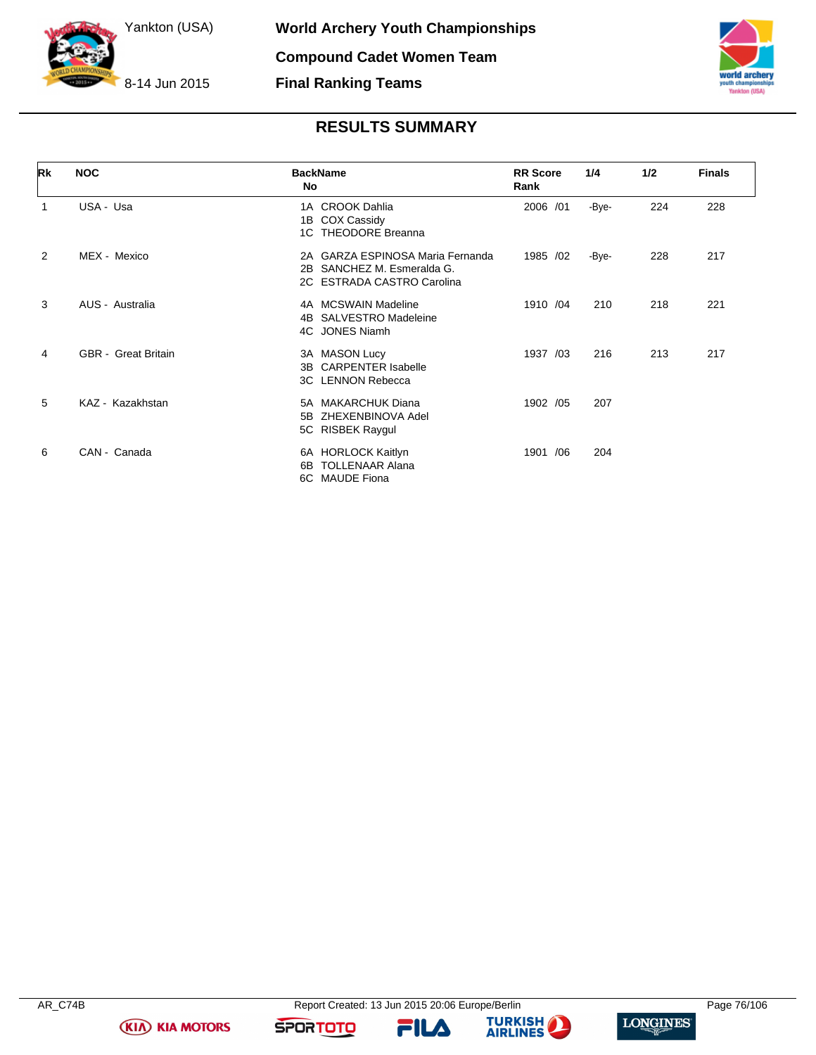



# **RESULTS SUMMARY**

| Rk             | <b>NOC</b>                 | <b>BackName</b><br><b>No</b>                                                                    | <b>RR</b> Score<br>Rank | 1/4   | 1/2 | <b>Finals</b> |
|----------------|----------------------------|-------------------------------------------------------------------------------------------------|-------------------------|-------|-----|---------------|
| 1              | USA - Usa                  | 1A CROOK Dahlia<br><b>COX Cassidy</b><br>1B<br>1C THEODORE Breanna                              | 2006 /01                | -Bye- | 224 | 228           |
| $\overline{2}$ | MEX - Mexico               | 2A GARZA ESPINOSA Maria Fernanda<br>SANCHEZ M. Esmeralda G.<br>2B<br>2C ESTRADA CASTRO Carolina | 1985 /02                | -Bye- | 228 | 217           |
| 3              | AUS - Australia            | 4A MCSWAIN Madeline<br><b>SALVESTRO Madeleine</b><br>4B<br>4C JONES Niamh                       | 1910 /04                | 210   | 218 | 221           |
| 4              | <b>GBR</b> - Great Britain | 3A MASON Lucy<br><b>CARPENTER Isabelle</b><br>3B<br>3C LENNON Rebecca                           | 1937 /03                | 216   | 213 | 217           |
| 5              | KAZ - Kazakhstan           | <b>MAKARCHUK Diana</b><br>5A<br>ZHEXENBINOVA Adel<br>5B<br>5C RISBEK Raygul                     | 1902 /05                | 207   |     |               |
| 6              | CAN - Canada               | 6A HORLOCK Kaitlyn<br><b>TOLLENAAR Alana</b><br>6B<br>6C MAUDE Fiona                            | 1901 /06                | 204   |     |               |

**(KIA) KIA MOTORS** 

FILA





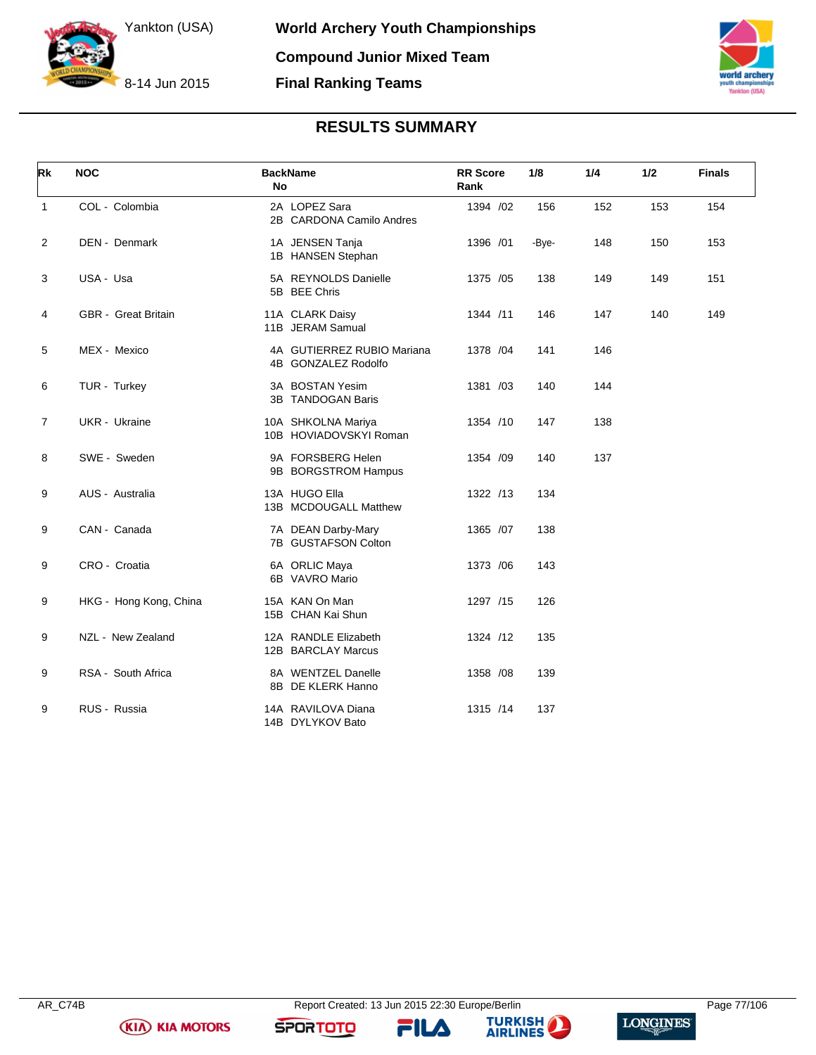



# **RESULTS SUMMARY**

| Rk             | <b>NOC</b>                 | <b>BackName</b><br><b>No</b>                      | <b>RR</b> Score<br>Rank | 1/8   | 1/4 | 1/2 | <b>Finals</b> |
|----------------|----------------------------|---------------------------------------------------|-------------------------|-------|-----|-----|---------------|
| $\mathbf{1}$   | COL - Colombia             | 2A LOPEZ Sara<br>2B CARDONA Camilo Andres         | 1394 /02                | 156   | 152 | 153 | 154           |
| $\overline{2}$ | DEN - Denmark              | 1A JENSEN Tanja<br>1B HANSEN Stephan              | 1396 /01                | -Bye- | 148 | 150 | 153           |
| 3              | USA - Usa                  | 5A REYNOLDS Danielle<br>5B BEE Chris              | 1375 /05                | 138   | 149 | 149 | 151           |
| 4              | <b>GBR</b> - Great Britain | 11A CLARK Daisy<br>11B JERAM Samual               | 1344 /11                | 146   | 147 | 140 | 149           |
| 5              | MEX - Mexico               | 4A GUTIERREZ RUBIO Mariana<br>4B GONZALEZ Rodolfo | 1378 / 04               | 141   | 146 |     |               |
| 6              | TUR - Turkey               | 3A BOSTAN Yesim<br>3B TANDOGAN Baris              | 1381 /03                | 140   | 144 |     |               |
| $\overline{7}$ | <b>UKR</b> - Ukraine       | 10A SHKOLNA Mariya<br>10B HOVIADOVSKYI Roman      | 1354 /10                | 147   | 138 |     |               |
| 8              | SWE - Sweden               | 9A FORSBERG Helen<br>9B BORGSTROM Hampus          | 1354 /09                | 140   | 137 |     |               |
| 9              | AUS - Australia            | 13A HUGO Ella<br>13B MCDOUGALL Matthew            | 1322 /13                | 134   |     |     |               |
| 9              | CAN - Canada               | 7A DEAN Darby-Mary<br>7B GUSTAFSON Colton         | 1365 /07                | 138   |     |     |               |
| 9              | CRO - Croatia              | 6A ORLIC Maya<br>6B VAVRO Mario                   | 1373 /06                | 143   |     |     |               |
| 9              | HKG - Hong Kong, China     | 15A KAN On Man<br>15B CHAN Kai Shun               | 1297 /15                | 126   |     |     |               |
| 9              | NZL - New Zealand          | 12A RANDLE Elizabeth<br>12B BARCLAY Marcus        | 1324 /12                | 135   |     |     |               |
| 9              | RSA - South Africa         | 8A WENTZEL Danelle<br>8B DE KLERK Hanno           | 1358 /08                | 139   |     |     |               |
| 9              | RUS - Russia               | 14A RAVILOVA Diana<br>14B DYLYKOV Bato            | 1315 /14                | 137   |     |     |               |

**KIA KIA MOTORS** 

**FILA** 



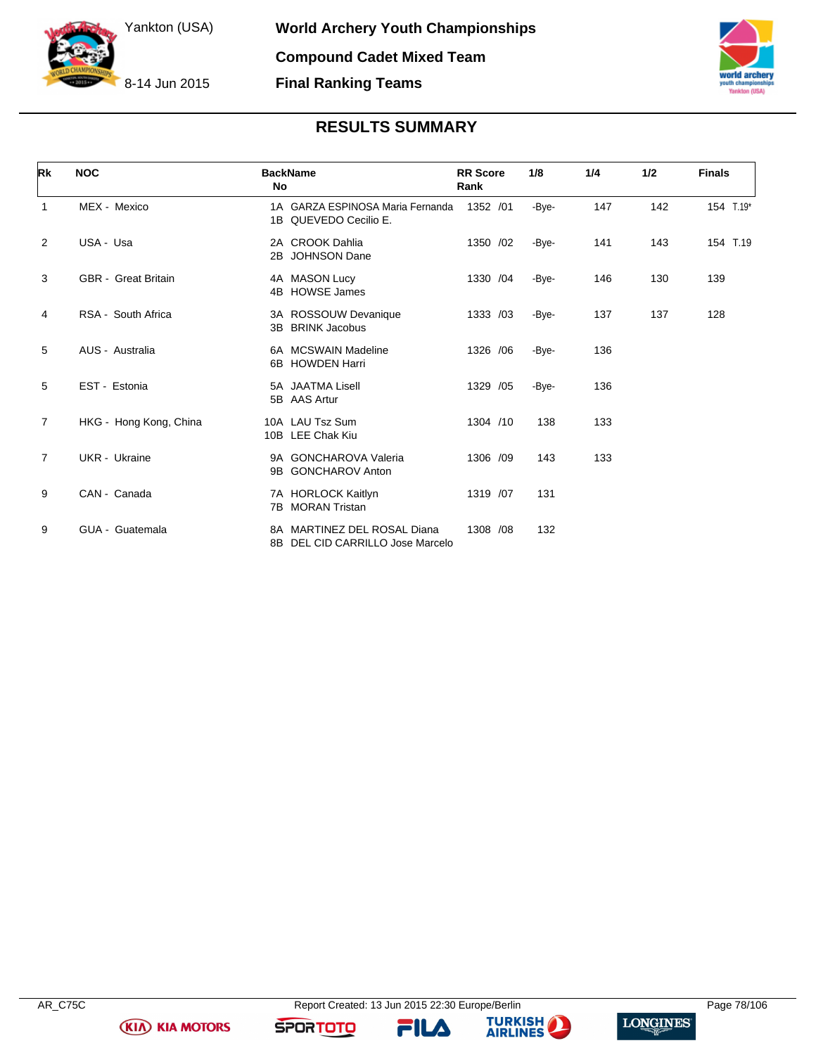



# **RESULTS SUMMARY**

| Rk | <b>NOC</b>                 | <b>BackName</b><br>No                                           | <b>RR</b> Score<br>Rank | 1/8   | 1/4 | 1/2 | <b>Finals</b> |
|----|----------------------------|-----------------------------------------------------------------|-------------------------|-------|-----|-----|---------------|
| 1  | MEX - Mexico               | 1A GARZA ESPINOSA Maria Fernanda<br>1B QUEVEDO Cecilio E.       | 1352 /01                | -Bye- | 147 | 142 | 154 T.19*     |
| 2  | USA - Usa                  | 2A CROOK Dahlia<br>2B JOHNSON Dane                              | 1350 /02                | -Bye- | 141 | 143 | 154 T.19      |
| 3  | <b>GBR</b> - Great Britain | 4A MASON Lucy<br>4B HOWSE James                                 | 1330 / 04               | -Bye- | 146 | 130 | 139           |
| 4  | RSA - South Africa         | 3A ROSSOUW Devanique<br>3B BRINK Jacobus                        | 1333 /03                | -Bye- | 137 | 137 | 128           |
| 5  | AUS - Australia            | 6A MCSWAIN Madeline<br>6B HOWDEN Harri                          | 1326 / 06               | -Bye- | 136 |     |               |
| 5  | EST Estonia                | 5A JAATMA Lisell<br>5B AAS Artur                                | 1329 /05                | -Bye- | 136 |     |               |
| 7  | HKG - Hong Kong, China     | 10A LAU Tsz Sum<br>10B LEE Chak Kiu                             | 1304 /10                | 138   | 133 |     |               |
| 7  | UKR - Ukraine              | 9A GONCHAROVA Valeria<br>9B GONCHAROV Anton                     | 1306 /09                | 143   | 133 |     |               |
| 9  | CAN - Canada               | 7A HORLOCK Kaitlyn<br>7B MORAN Tristan                          | 1319 /07                | 131   |     |     |               |
| 9  | GUA - Guatemala            | 8A MARTINEZ DEL ROSAL Diana<br>8B DEL CID CARRILLO Jose Marcelo | 1308 /08                | 132   |     |     |               |

**KIA KIA MOTORS** 

FILA



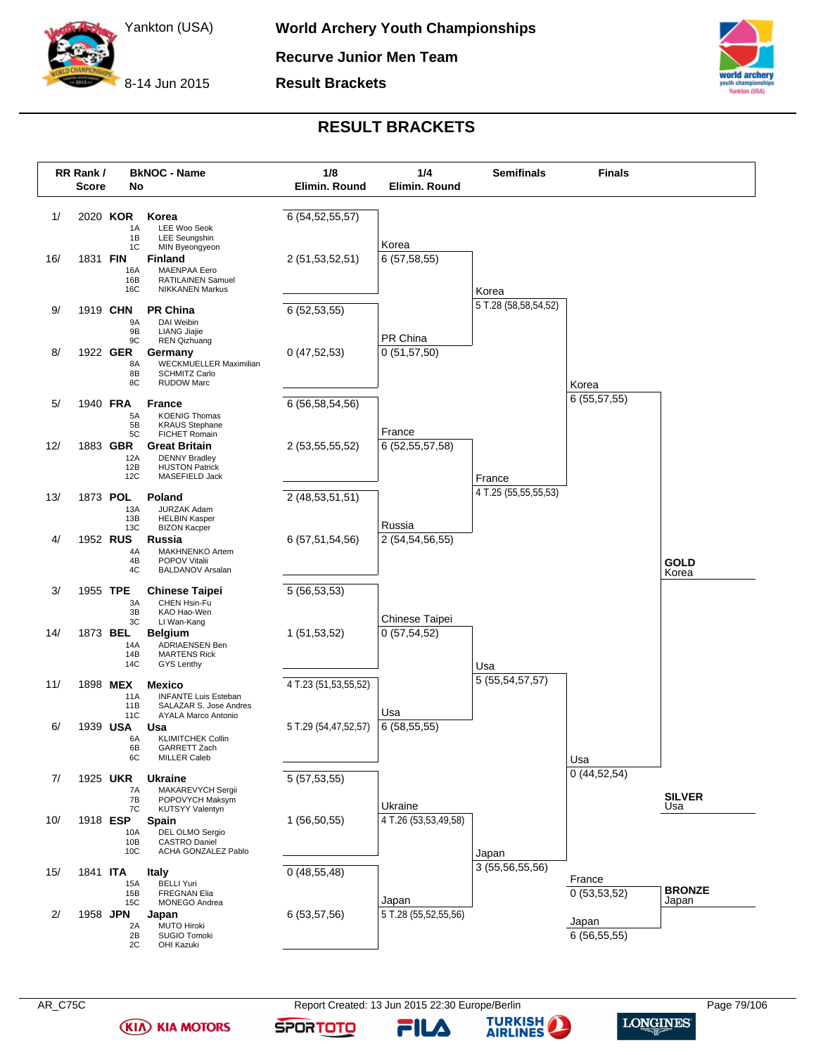

**Recurve Junior Men Team**

**Result Brackets**



# **RESULT BRACKETS**



**(KIA) KIA MOTORS** 

AR\_C75C **Report Created: 13 Jun 2015 22:30 Europe/Berlin** Page 79/106 Page 79/106

FILA

**SPORTOTO** 

**TURKISH AIRLINES** 

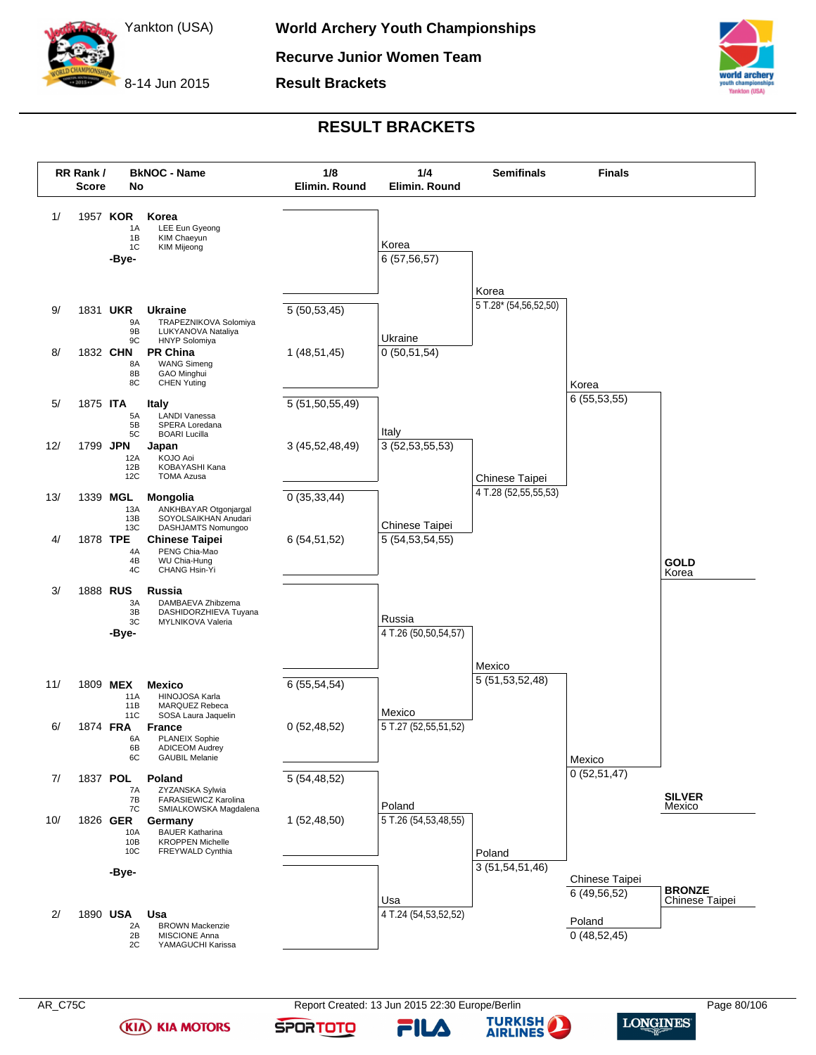

**Result Brackets**



## **RESULT BRACKETS**



**(KIA) KIA MOTORS** 

AR\_C75C **Report Created: 13 Jun 2015 22:30 Europe/Berlin** Page 80/106 Page 80/106

FILA

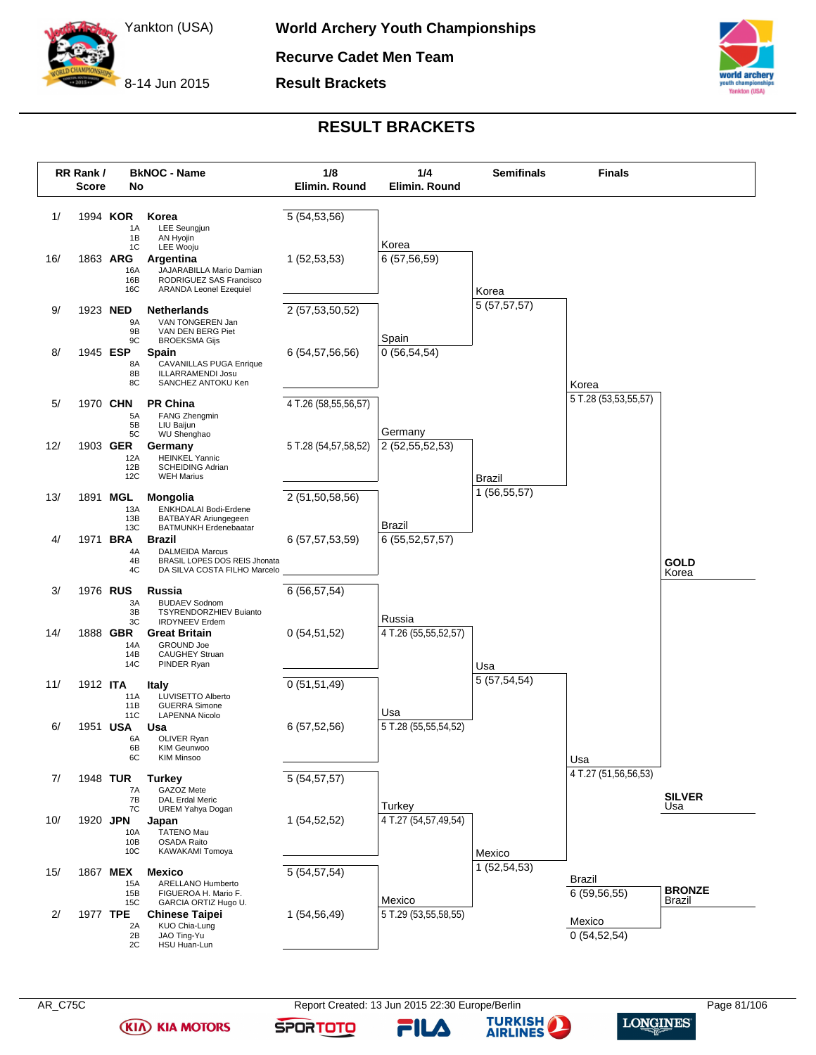

**Recurve Cadet Men Team**

**Result Brackets**



### **RESULT BRACKETS**



**(KIA) KIA MOTORS** 



FILA



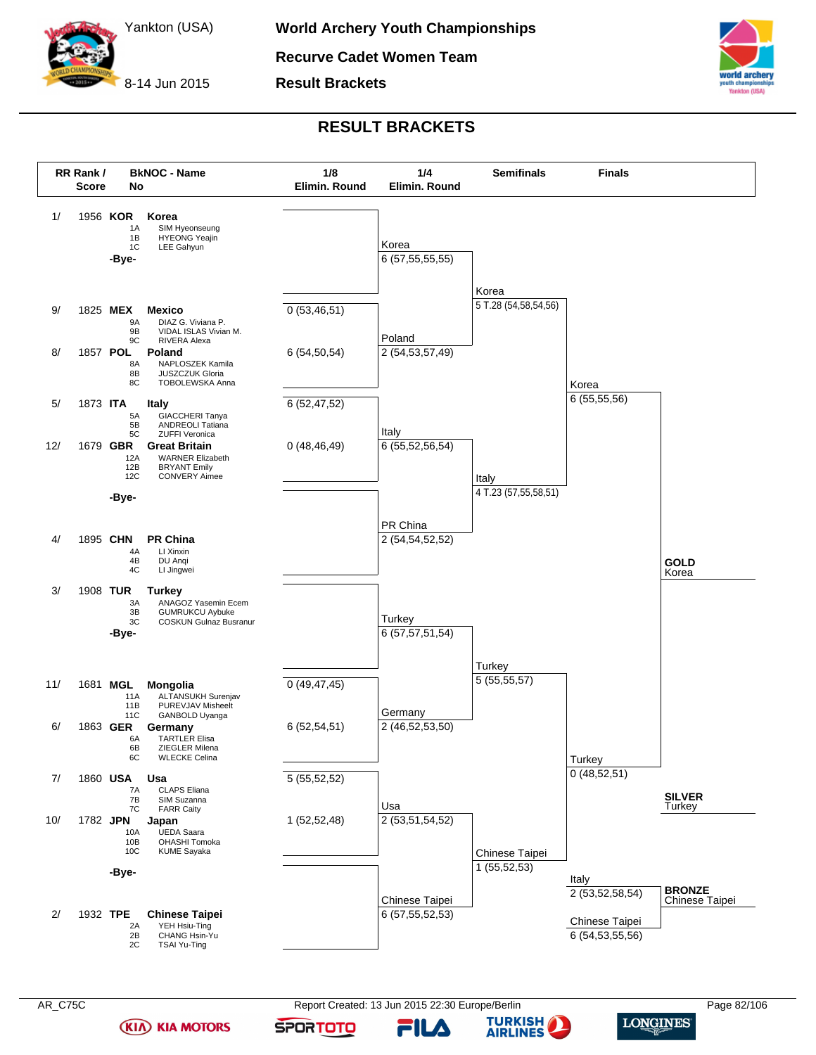

**Result Brackets**



# **RESULT BRACKETS**



**(KIA) KIA MOTORS** 

AR\_C75C **Report Created: 13 Jun 2015 22:30 Europe/Berlin** Page 82/106 Page 82/106

**SPORTOTO** 

FILA

**TURKISH AIRLINES** 

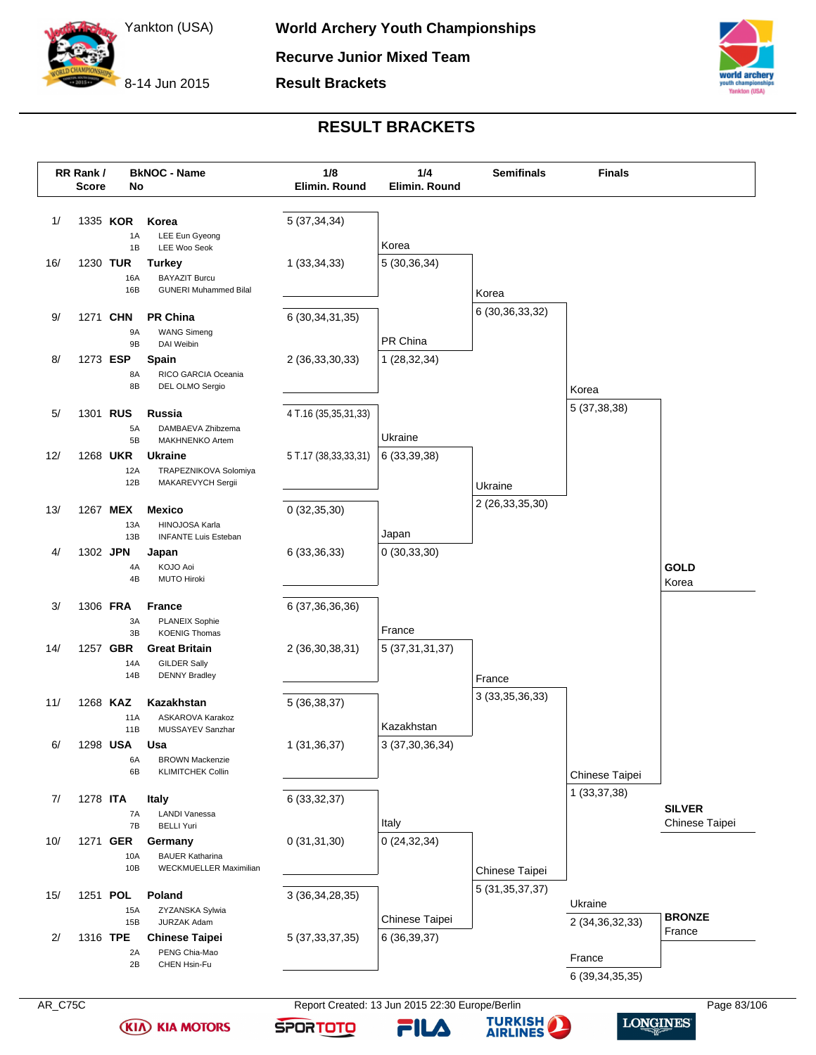

**Result Brackets**



## **RESULT BRACKETS**



**(KIA) KIA MOTORS** 

**SPORTOTO** FILA

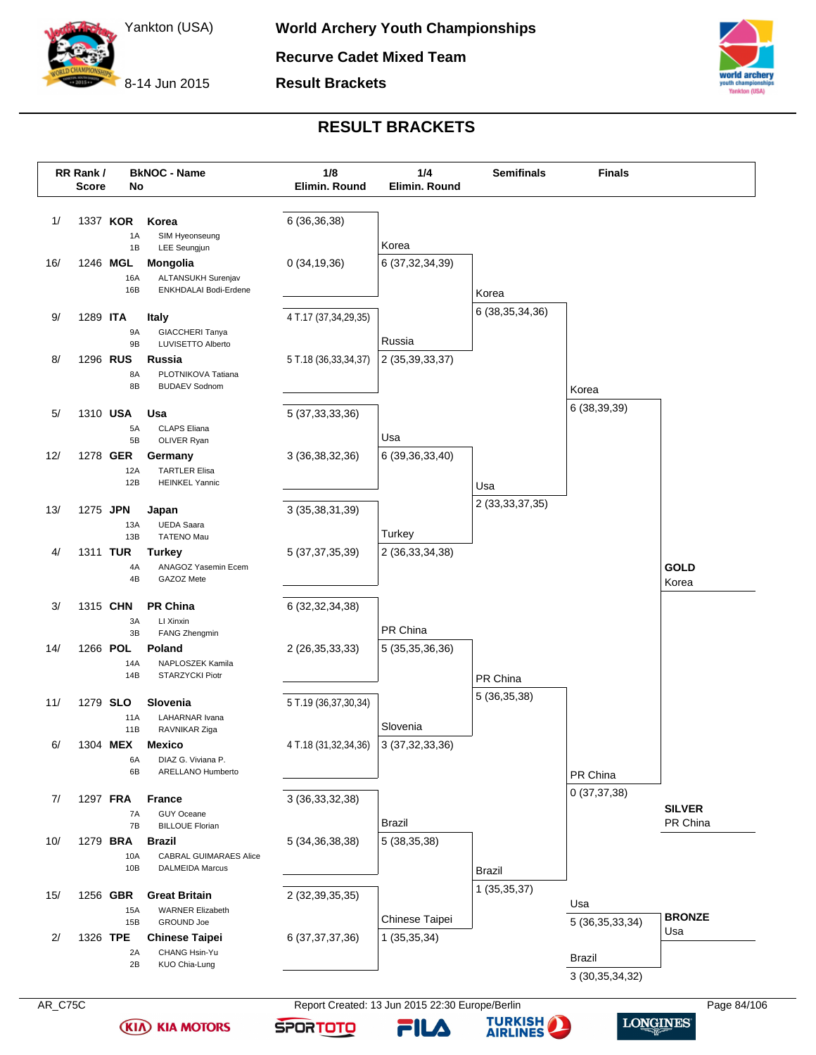

**Result Brackets**



### **RESULT BRACKETS**

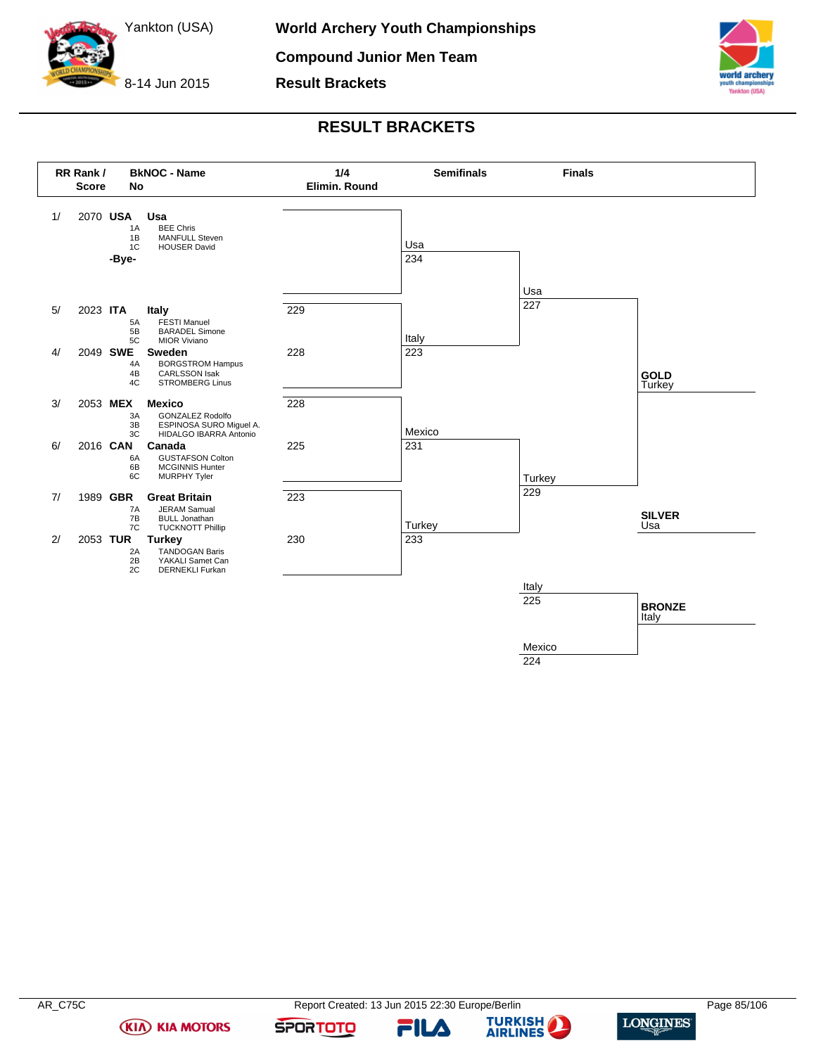

8-14 Jun 2015 **Result Brackets**



# **RESULT BRACKETS**



224

**(KIA) KIA MOTORS** 

FILA



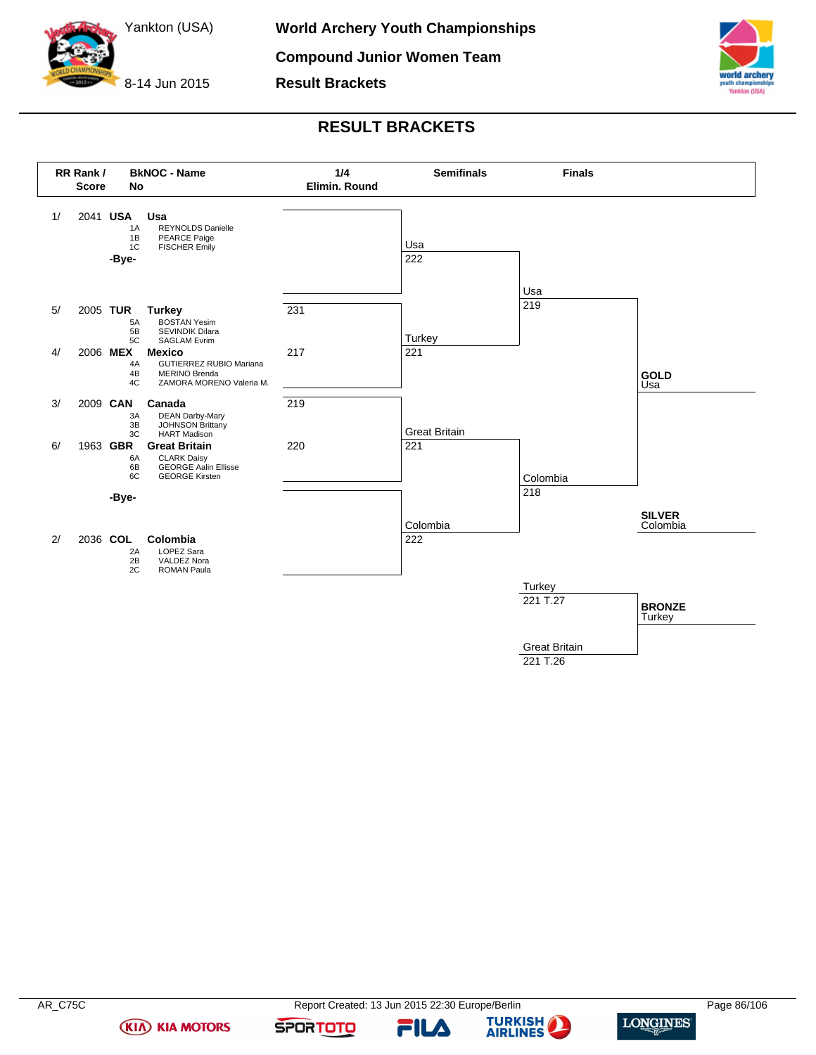

**Compound Junior Women Team**

**Result Brackets**



# **RESULT BRACKETS**



221 T.26

**(KIA) KIA MOTORS** 





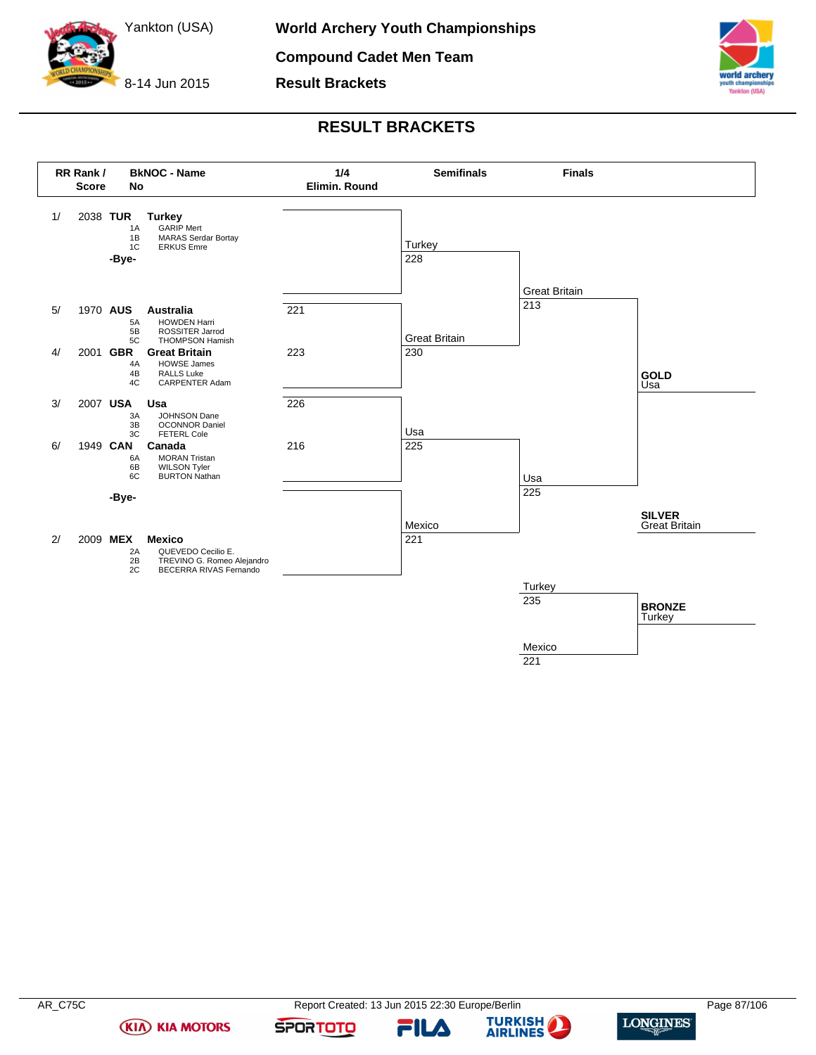

**Compound Cadet Men Team**

**Result Brackets**



# **RESULT BRACKETS**



221

**(KIA) KIA MOTORS** 

FILA



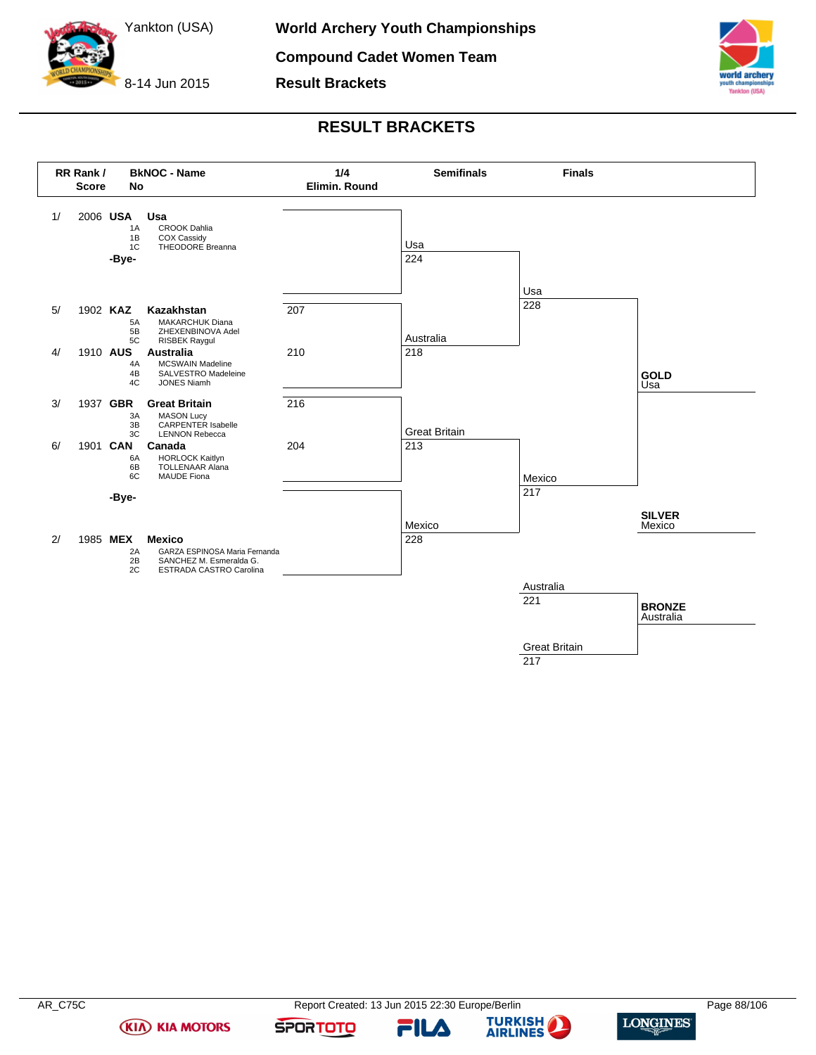

**Compound Cadet Women Team**

**Result Brackets**



# **RESULT BRACKETS**



217

**(KIA) KIA MOTORS** 

FILA



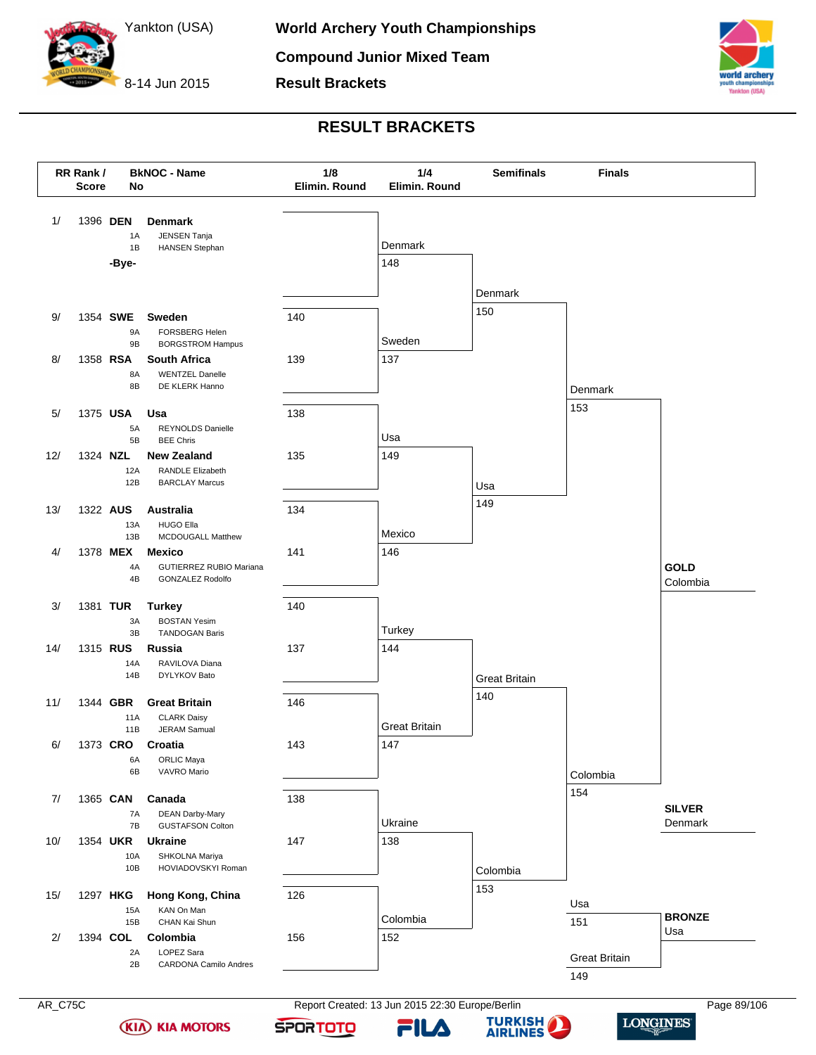



**Result Brackets**

# **RESULT BRACKETS**



FILA

**AIRLINES** 

**SPORTOTO** 

**(KIA) KIA MOTORS**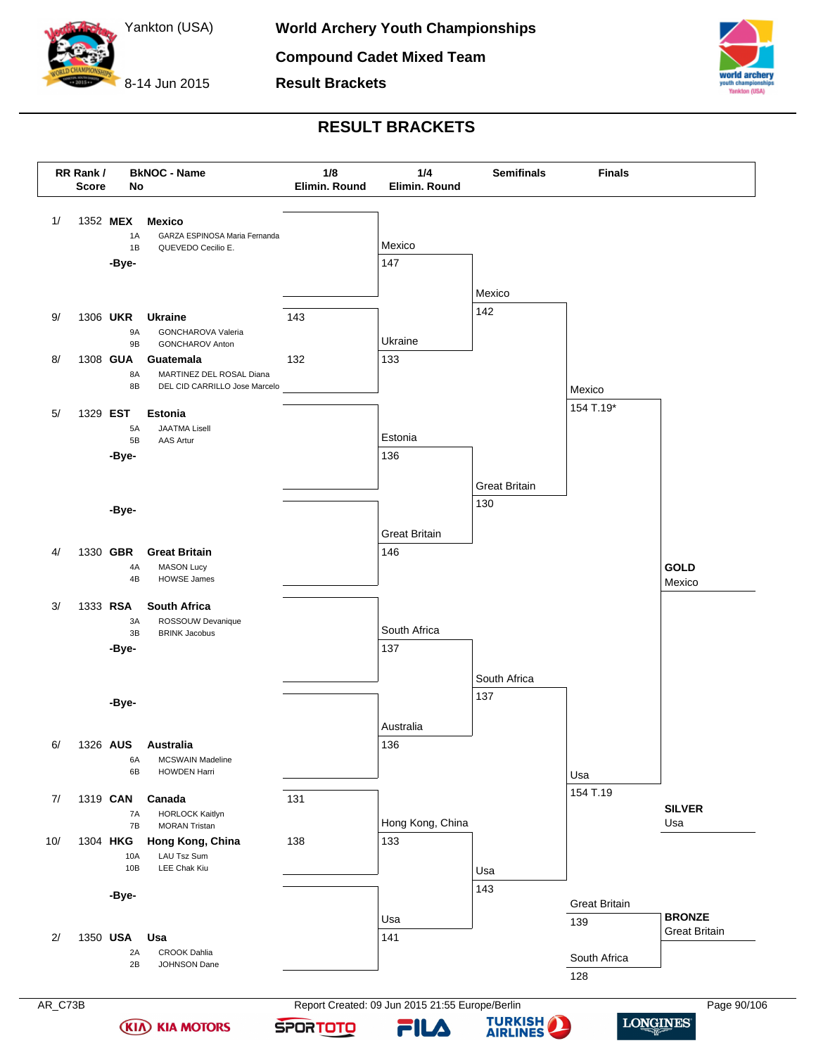

**Result Brackets**



# **RESULT BRACKETS**

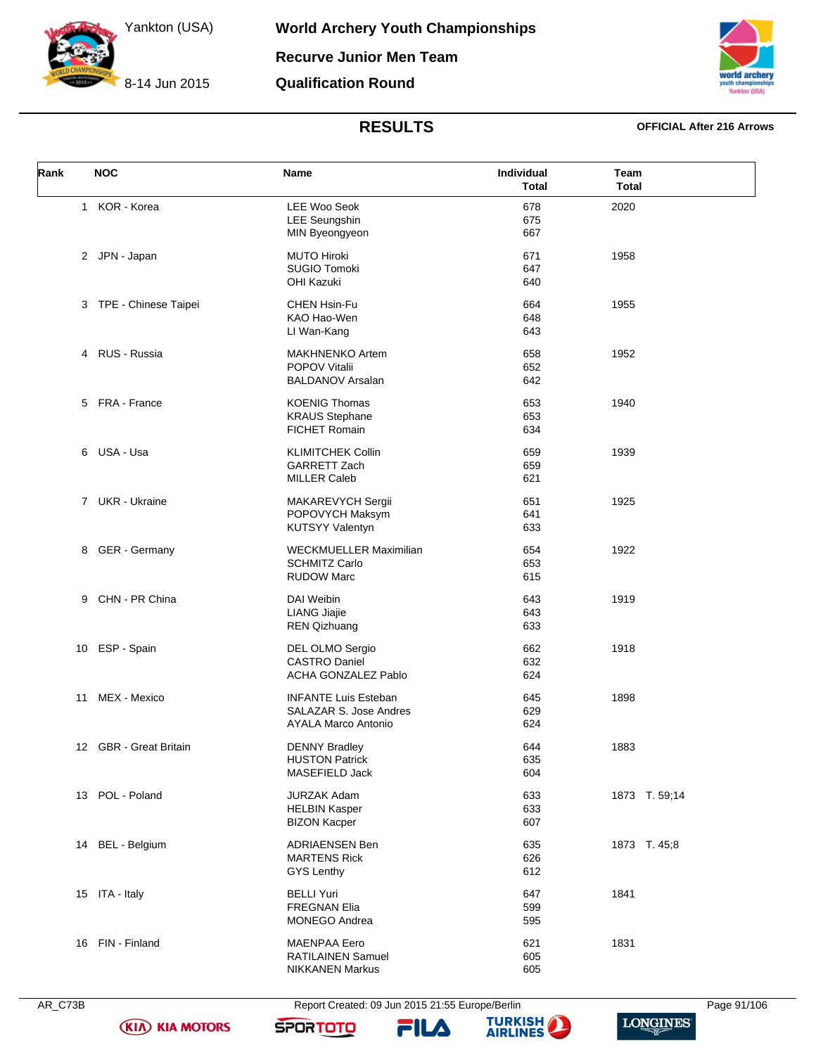8-14 Jun 2015

**World Archery Youth Championships Recurve Junior Men Team**

**Qualification Round**



## **RESULTS OFFICIAL After 216 Arrows**

| Rank | <b>NOC</b>             | Name                                                                                | <b>Individual</b><br><b>Total</b> | Team<br><b>Total</b> |
|------|------------------------|-------------------------------------------------------------------------------------|-----------------------------------|----------------------|
| 1    | KOR - Korea            | <b>LEE Woo Seok</b><br><b>LEE Seungshin</b><br>MIN Byeongyeon                       | 678<br>675<br>667                 | 2020                 |
|      | 2 JPN - Japan          | <b>MUTO Hiroki</b><br><b>SUGIO Tomoki</b><br><b>OHI Kazuki</b>                      | 671<br>647<br>640                 | 1958                 |
|      | 3 TPE - Chinese Taipei | CHEN Hsin-Fu<br>KAO Hao-Wen<br>LI Wan-Kang                                          | 664<br>648<br>643                 | 1955                 |
| 4    | RUS - Russia           | <b>MAKHNENKO Artem</b><br>POPOV Vitalii<br><b>BALDANOV Arsalan</b>                  | 658<br>652<br>642                 | 1952                 |
|      | 5 FRA - France         | <b>KOENIG Thomas</b><br><b>KRAUS Stephane</b><br><b>FICHET Romain</b>               | 653<br>653<br>634                 | 1940                 |
|      | 6 USA - Usa            | <b>KLIMITCHEK Collin</b><br>GARRETT Zach<br><b>MILLER Caleb</b>                     | 659<br>659<br>621                 | 1939                 |
|      | 7 UKR - Ukraine        | MAKAREVYCH Sergii<br>POPOVYCH Maksym<br><b>KUTSYY Valentyn</b>                      | 651<br>641<br>633                 | 1925                 |
| 8    | GER - Germany          | <b>WECKMUELLER Maximilian</b><br><b>SCHMITZ Carlo</b><br><b>RUDOW Marc</b>          | 654<br>653<br>615                 | 1922                 |
|      | 9 CHN - PR China       | DAI Weibin<br><b>LIANG Jiajie</b><br><b>REN Qizhuang</b>                            | 643<br>643<br>633                 | 1919                 |
|      | 10 ESP - Spain         | DEL OLMO Sergio<br><b>CASTRO Daniel</b><br><b>ACHA GONZALEZ Pablo</b>               | 662<br>632<br>624                 | 1918                 |
| 11   | MEX - Mexico           | <b>INFANTE Luis Esteban</b><br>SALAZAR S. Jose Andres<br><b>AYALA Marco Antonio</b> | 645<br>629<br>624                 | 1898                 |
|      | 12 GBR - Great Britain | <b>DENNY Bradley</b><br><b>HUSTON Patrick</b><br>MASEFIELD Jack                     | 644<br>635<br>604                 | 1883                 |
| 13   | POL - Poland           | <b>JURZAK Adam</b><br><b>HELBIN Kasper</b><br><b>BIZON Kacper</b>                   | 633<br>633<br>607                 | 1873 T. 59;14        |
| 14   | <b>BEL</b> - Belgium   | <b>ADRIAENSEN Ben</b><br><b>MARTENS Rick</b><br>GYS Lenthy                          | 635<br>626<br>612                 | 1873 T. 45;8         |
|      | 15 ITA - Italy         | <b>BELLI Yuri</b><br><b>FREGNAN Elia</b><br><b>MONEGO Andrea</b>                    | 647<br>599<br>595                 | 1841                 |
|      | 16 FIN - Finland       | <b>MAENPAA Eero</b><br>RATILAINEN Samuel<br><b>NIKKANEN Markus</b>                  | 621<br>605<br>605                 | 1831                 |

**(KIA) KIA MOTORS** 

AR\_C73B Report Created: 09 Jun 2015 21:55 Europe/Berlin Page 91/106

FILA



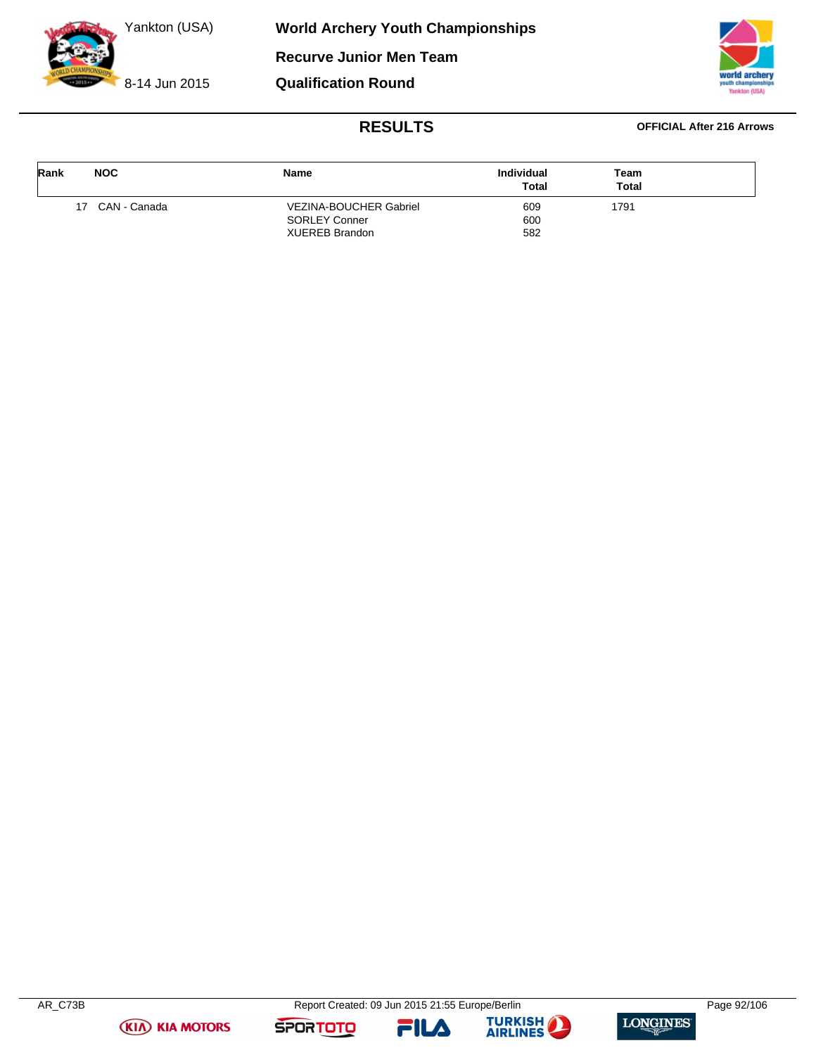8-14 Jun 2015



## **RESULTS OFFICIAL After 216 Arrows**

| Rank | <b>NOC</b>      | Name                          | Individual<br><b>Total</b> | Team<br><b>Total</b> |  |
|------|-----------------|-------------------------------|----------------------------|----------------------|--|
|      | 17 CAN - Canada | <b>VEZINA-BOUCHER Gabriel</b> | 609                        | 1791                 |  |
|      |                 | <b>SORLEY Conner</b>          | 600                        |                      |  |
|      |                 | <b>XUEREB Brandon</b>         | 582                        |                      |  |





FILA



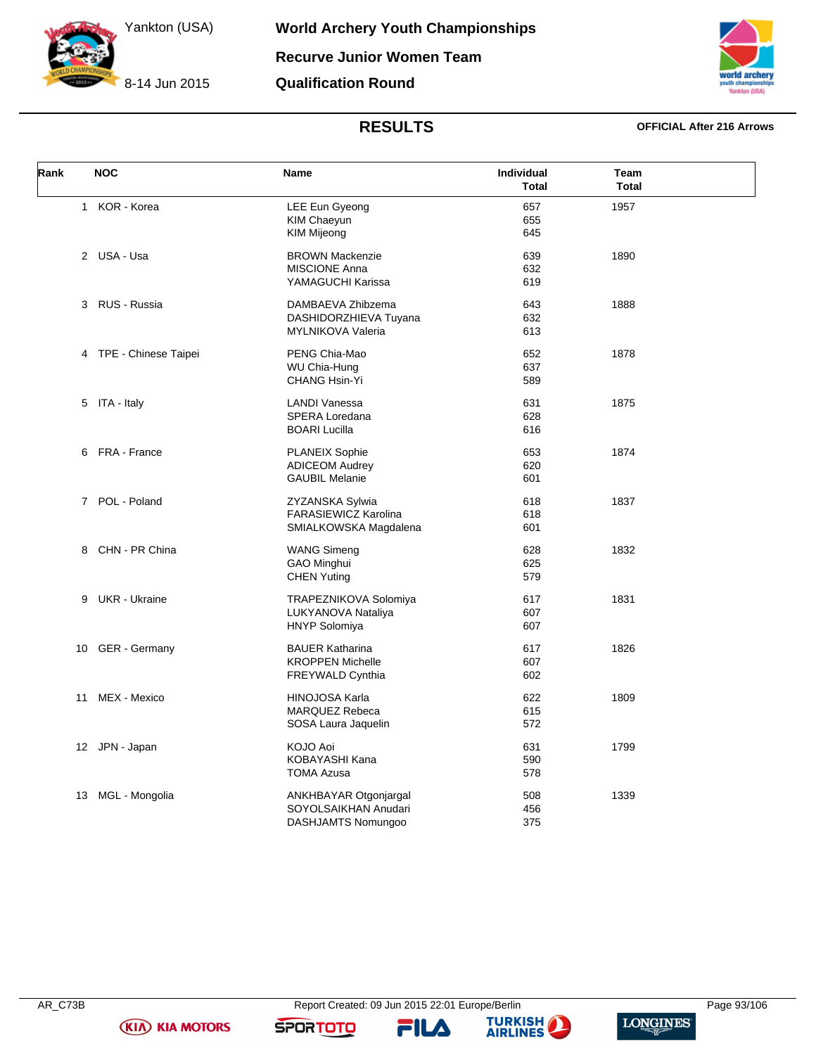8-14 Jun 2015



# **RESULTS OFFICIAL After 216 Arrows**

| Rank | <b>NOC</b>             | <b>Name</b>                 | Individual<br><b>Total</b> | Team<br><b>Total</b> |  |
|------|------------------------|-----------------------------|----------------------------|----------------------|--|
|      | 1 KOR - Korea          | LEE Eun Gyeong              | 657                        | 1957                 |  |
|      |                        | KIM Chaeyun                 | 655                        |                      |  |
|      |                        | <b>KIM Mijeong</b>          | 645                        |                      |  |
|      | 2 USA - Usa            | <b>BROWN Mackenzie</b>      | 639                        | 1890                 |  |
|      |                        | <b>MISCIONE Anna</b>        | 632                        |                      |  |
|      |                        | YAMAGUCHI Karissa           | 619                        |                      |  |
|      | 3 RUS - Russia         | DAMBAEVA Zhibzema           | 643                        | 1888                 |  |
|      |                        | DASHIDORZHIEVA Tuyana       | 632                        |                      |  |
|      |                        | MYLNIKOVA Valeria           | 613                        |                      |  |
|      | 4 TPE - Chinese Taipei | PENG Chia-Mao               | 652                        | 1878                 |  |
|      |                        | WU Chia-Hung                | 637                        |                      |  |
|      |                        | CHANG Hsin-Yi               | 589                        |                      |  |
|      |                        |                             |                            |                      |  |
|      | 5 ITA - Italy          | <b>LANDI Vanessa</b>        | 631                        | 1875                 |  |
|      |                        | SPERA Loredana              | 628                        |                      |  |
|      |                        | <b>BOARI Lucilla</b>        | 616                        |                      |  |
| 6    | FRA - France           | <b>PLANEIX Sophie</b>       | 653                        | 1874                 |  |
|      |                        | <b>ADICEOM Audrey</b>       | 620                        |                      |  |
|      |                        | <b>GAUBIL Melanie</b>       | 601                        |                      |  |
|      | 7 POL - Poland         | ZYZANSKA Sylwia             | 618                        | 1837                 |  |
|      |                        | <b>FARASIEWICZ Karolina</b> | 618                        |                      |  |
|      |                        | SMIALKOWSKA Magdalena       | 601                        |                      |  |
| 8    | CHN - PR China         | <b>WANG Simeng</b>          | 628                        | 1832                 |  |
|      |                        | GAO Minghui                 | 625                        |                      |  |
|      |                        | <b>CHEN Yuting</b>          | 579                        |                      |  |
|      |                        |                             |                            |                      |  |
| 9    | UKR - Ukraine          | TRAPEZNIKOVA Solomiya       | 617                        | 1831                 |  |
|      |                        | LUKYANOVA Nataliya          | 607                        |                      |  |
|      |                        | <b>HNYP Solomiya</b>        | 607                        |                      |  |
| 10   | <b>GER</b> - Germany   | <b>BAUER Katharina</b>      | 617                        | 1826                 |  |
|      |                        | <b>KROPPEN Michelle</b>     | 607                        |                      |  |
|      |                        | FREYWALD Cynthia            | 602                        |                      |  |
| 11   | MEX - Mexico           | <b>HINOJOSA Karla</b>       | 622                        | 1809                 |  |
|      |                        | <b>MARQUEZ Rebeca</b>       | 615                        |                      |  |
|      |                        | SOSA Laura Jaquelin         | 572                        |                      |  |
|      | 12 JPN - Japan         | KOJO Aoi                    | 631                        | 1799                 |  |
|      |                        | KOBAYASHI Kana              | 590                        |                      |  |
|      |                        | <b>TOMA Azusa</b>           | 578                        |                      |  |
| 13   | MGL - Mongolia         | ANKHBAYAR Otgonjargal       | 508                        | 1339                 |  |
|      |                        | SOYOLSAIKHAN Anudari        | 456                        |                      |  |
|      |                        | DASHJAMTS Nomungoo          | 375                        |                      |  |
|      |                        |                             |                            |                      |  |







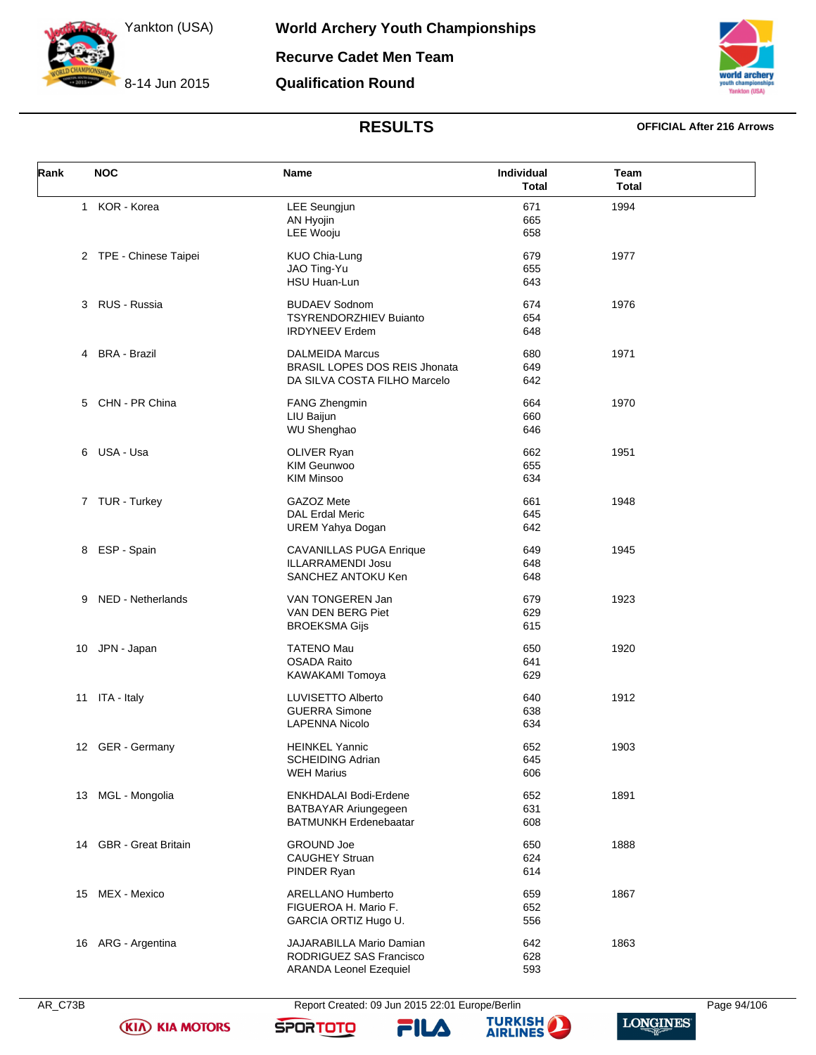8-14 Jun 2015



# **RESULTS OFFICIAL After 216 Arrows**

| Rank | <b>NOC</b>                 | Name                                 | <b>Individual</b><br><b>Total</b> | Team<br><b>Total</b> |  |
|------|----------------------------|--------------------------------------|-----------------------------------|----------------------|--|
|      | 1 KOR - Korea              | <b>LEE Seungjun</b>                  | 671                               | 1994                 |  |
|      |                            | AN Hyojin                            | 665                               |                      |  |
|      |                            | LEE Wooju                            | 658                               |                      |  |
|      | 2 TPE - Chinese Taipei     | KUO Chia-Lung                        | 679                               | 1977                 |  |
|      |                            | JAO Ting-Yu                          | 655                               |                      |  |
|      |                            | HSU Huan-Lun                         | 643                               |                      |  |
|      | 3 RUS - Russia             | <b>BUDAEV Sodnom</b>                 | 674                               | 1976                 |  |
|      |                            | <b>TSYRENDORZHIEV Buianto</b>        | 654                               |                      |  |
|      |                            | <b>IRDYNEEV Erdem</b>                | 648                               |                      |  |
| 4    | <b>BRA - Brazil</b>        | <b>DALMEIDA Marcus</b>               | 680                               | 1971                 |  |
|      |                            | <b>BRASIL LOPES DOS REIS Jhonata</b> | 649                               |                      |  |
|      |                            | DA SILVA COSTA FILHO Marcelo         | 642                               |                      |  |
|      | 5 CHN - PR China           | FANG Zhengmin                        | 664                               | 1970                 |  |
|      |                            | LIU Baijun                           | 660                               |                      |  |
|      |                            | WU Shenghao                          | 646                               |                      |  |
|      | 6 USA - Usa                | OLIVER Ryan                          | 662                               | 1951                 |  |
|      |                            | <b>KIM Geunwoo</b>                   | 655                               |                      |  |
|      |                            | <b>KIM Minsoo</b>                    | 634                               |                      |  |
|      | 7 TUR - Turkey             | GAZOZ Mete                           | 661                               | 1948                 |  |
|      |                            | <b>DAL Erdal Meric</b>               | 645                               |                      |  |
|      |                            | <b>UREM Yahya Dogan</b>              | 642                               |                      |  |
| 8    | ESP - Spain                | <b>CAVANILLAS PUGA Enrique</b>       | 649                               | 1945                 |  |
|      |                            | <b>ILLARRAMENDI Josu</b>             | 648                               |                      |  |
|      |                            | SANCHEZ ANTOKU Ken                   | 648                               |                      |  |
|      | 9 NED - Netherlands        | VAN TONGEREN Jan                     | 679                               | 1923                 |  |
|      |                            | VAN DEN BERG Piet                    | 629                               |                      |  |
|      |                            | <b>BROEKSMA Gijs</b>                 | 615                               |                      |  |
|      | 10 JPN - Japan             | <b>TATENO Mau</b>                    | 650                               | 1920                 |  |
|      |                            | <b>OSADA Raito</b>                   | 641                               |                      |  |
|      |                            | KAWAKAMI Tomoya                      | 629                               |                      |  |
|      | 11 ITA - Italy             | LUVISETTO Alberto                    | 640                               | 1912                 |  |
|      |                            | <b>GUERRA Simone</b>                 | 638                               |                      |  |
|      |                            | <b>LAPENNA Nicolo</b>                | 634                               |                      |  |
|      | 12 GER - Germany           | <b>HEINKEL Yannic</b>                | 652                               | 1903                 |  |
|      |                            | <b>SCHEIDING Adrian</b>              | 645                               |                      |  |
|      |                            | <b>WEH Marius</b>                    | 606                               |                      |  |
| 13   | MGL - Mongolia             | <b>ENKHDALAI Bodi-Erdene</b>         | 652                               | 1891                 |  |
|      |                            | BATBAYAR Ariungegeen                 | 631                               |                      |  |
|      |                            | <b>BATMUNKH Erdenebaatar</b>         | 608                               |                      |  |
| 14   | <b>GBR</b> - Great Britain | <b>GROUND Joe</b>                    | 650                               | 1888                 |  |
|      |                            | <b>CAUGHEY Struan</b>                | 624                               |                      |  |
|      |                            | PINDER Ryan                          | 614                               |                      |  |
| 15   | MEX - Mexico               | ARELLANO Humberto                    | 659                               | 1867                 |  |
|      |                            | FIGUEROA H. Mario F.                 | 652                               |                      |  |
|      |                            | GARCIA ORTIZ Hugo U.                 | 556                               |                      |  |
|      | 16 ARG - Argentina         | JAJARABILLA Mario Damian             | 642                               | 1863                 |  |
|      |                            | RODRIGUEZ SAS Francisco              | 628                               |                      |  |
|      |                            | <b>ARANDA Leonel Ezequiel</b>        | 593                               |                      |  |



AR\_C73B Report Created: 09 Jun 2015 22:01 Europe/Berlin Page 94/106

FILA

**SPORTOTO** 





**(KIA) KIA MOTORS**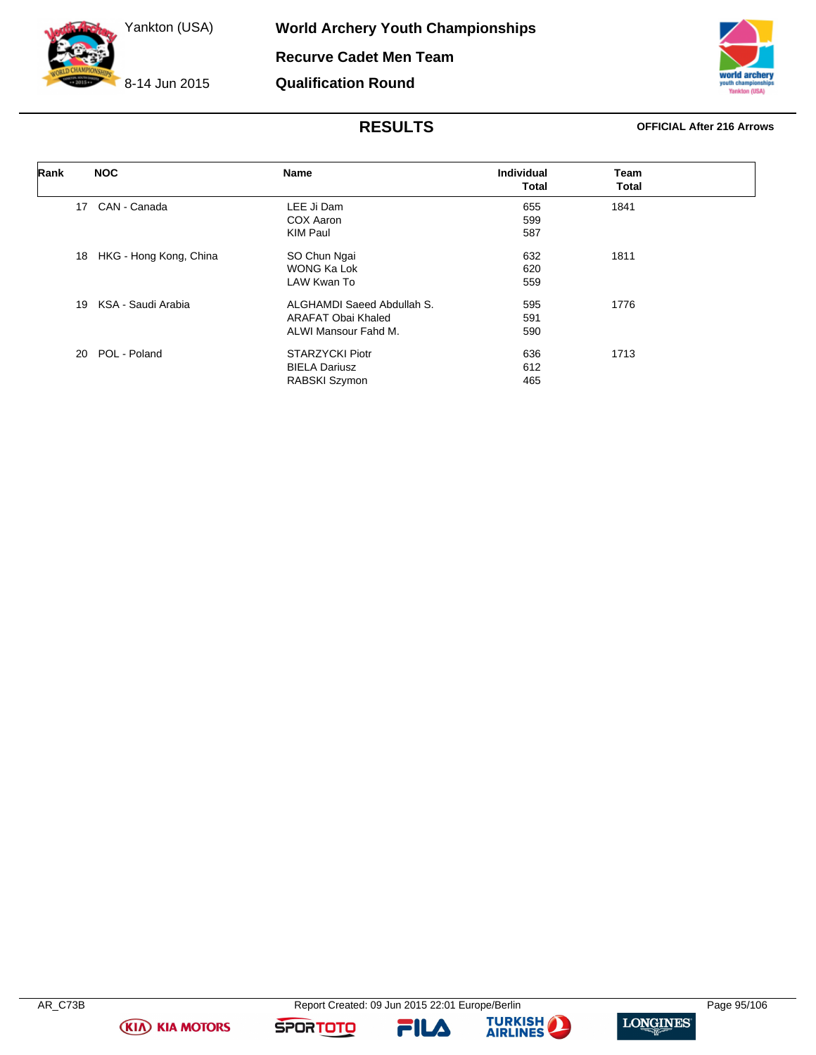8-14 Jun 2015



### **RESULTS OFFICIAL After 216 Arrows**

| Rank | <b>NOC</b>                   | Name                       | <b>Individual</b><br>Total | Team<br><b>Total</b> |  |
|------|------------------------------|----------------------------|----------------------------|----------------------|--|
|      |                              |                            |                            |                      |  |
|      | CAN - Canada<br>17           | LEE Ji Dam                 | 655                        | 1841                 |  |
|      |                              | COX Aaron                  | 599                        |                      |  |
|      |                              | <b>KIM Paul</b>            | 587                        |                      |  |
|      | HKG - Hong Kong, China<br>18 | SO Chun Ngai               | 632                        | 1811                 |  |
|      |                              | WONG Ka Lok                | 620                        |                      |  |
|      |                              | LAW Kwan To                | 559                        |                      |  |
|      | KSA - Saudi Arabia<br>19     | ALGHAMDI Saeed Abdullah S. | 595                        | 1776                 |  |
|      |                              | ARAFAT Obai Khaled         | 591                        |                      |  |
|      |                              | ALWI Mansour Fahd M.       | 590                        |                      |  |
|      | POL - Poland<br>20           | <b>STARZYCKI Piotr</b>     | 636                        | 1713                 |  |
|      |                              | <b>BIELA Dariusz</b>       | 612                        |                      |  |
|      |                              | RABSKI Szymon              | 465                        |                      |  |

**(KIA) KIA MOTORS** 

FILA



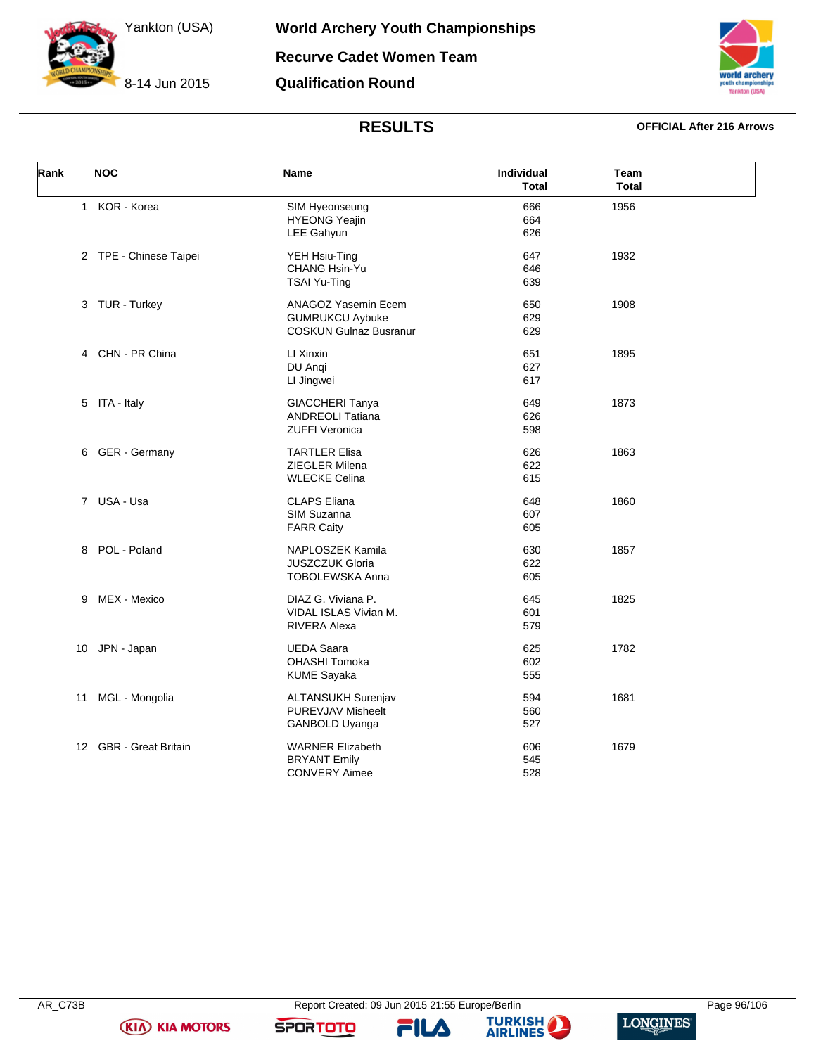8-14 Jun 2015



# **RESULTS OFFICIAL After 216 Arrows**

| Rank         | <b>NOC</b>             | <b>Name</b>                                                                    | Individual<br><b>Total</b> | Team<br><b>Total</b> |  |
|--------------|------------------------|--------------------------------------------------------------------------------|----------------------------|----------------------|--|
| $\mathbf{1}$ | KOR - Korea            | SIM Hyeonseung<br><b>HYEONG Yeajin</b><br>LEE Gahyun                           | 666<br>664<br>626          | 1956                 |  |
|              | 2 TPE - Chinese Taipei | YEH Hsiu-Ting<br>CHANG Hsin-Yu<br>TSAI Yu-Ting                                 | 647<br>646<br>639          | 1932                 |  |
|              | 3 TUR - Turkey         | ANAGOZ Yasemin Ecem<br><b>GUMRUKCU Aybuke</b><br><b>COSKUN Gulnaz Busranur</b> | 650<br>629<br>629          | 1908                 |  |
|              | 4 CHN - PR China       | LI Xinxin<br>DU Angi<br>LI Jingwei                                             | 651<br>627<br>617          | 1895                 |  |
|              | 5 ITA - Italy          | GIACCHERI Tanya<br><b>ANDREOLI Tatiana</b><br><b>ZUFFI Veronica</b>            | 649<br>626<br>598          | 1873                 |  |
|              | 6 GER - Germany        | <b>TARTLER Elisa</b><br><b>ZIEGLER Milena</b><br><b>WLECKE Celina</b>          | 626<br>622<br>615          | 1863                 |  |
|              | 7 USA - Usa            | <b>CLAPS Eliana</b><br>SIM Suzanna<br><b>FARR Caity</b>                        | 648<br>607<br>605          | 1860                 |  |
| 8            | POL - Poland           | NAPLOSZEK Kamila<br>JUSZCZUK Gloria<br>TOBOLEWSKA Anna                         | 630<br>622<br>605          | 1857                 |  |
| 9            | MEX - Mexico           | DIAZ G. Viviana P.<br>VIDAL ISLAS Vivian M.<br><b>RIVERA Alexa</b>             | 645<br>601<br>579          | 1825                 |  |
| 10           | JPN - Japan            | <b>UEDA Saara</b><br><b>OHASHI Tomoka</b><br><b>KUME Sayaka</b>                | 625<br>602<br>555          | 1782                 |  |
| 11           | MGL - Mongolia         | <b>ALTANSUKH Surenjav</b><br>PUREVJAV Misheelt<br>GANBOLD Uyanga               | 594<br>560<br>527          | 1681                 |  |
|              | 12 GBR - Great Britain | <b>WARNER Elizabeth</b><br><b>BRYANT Emily</b><br><b>CONVERY Aimee</b>         | 606<br>545<br>528          | 1679                 |  |

**(KIA) KIA MOTORS** 





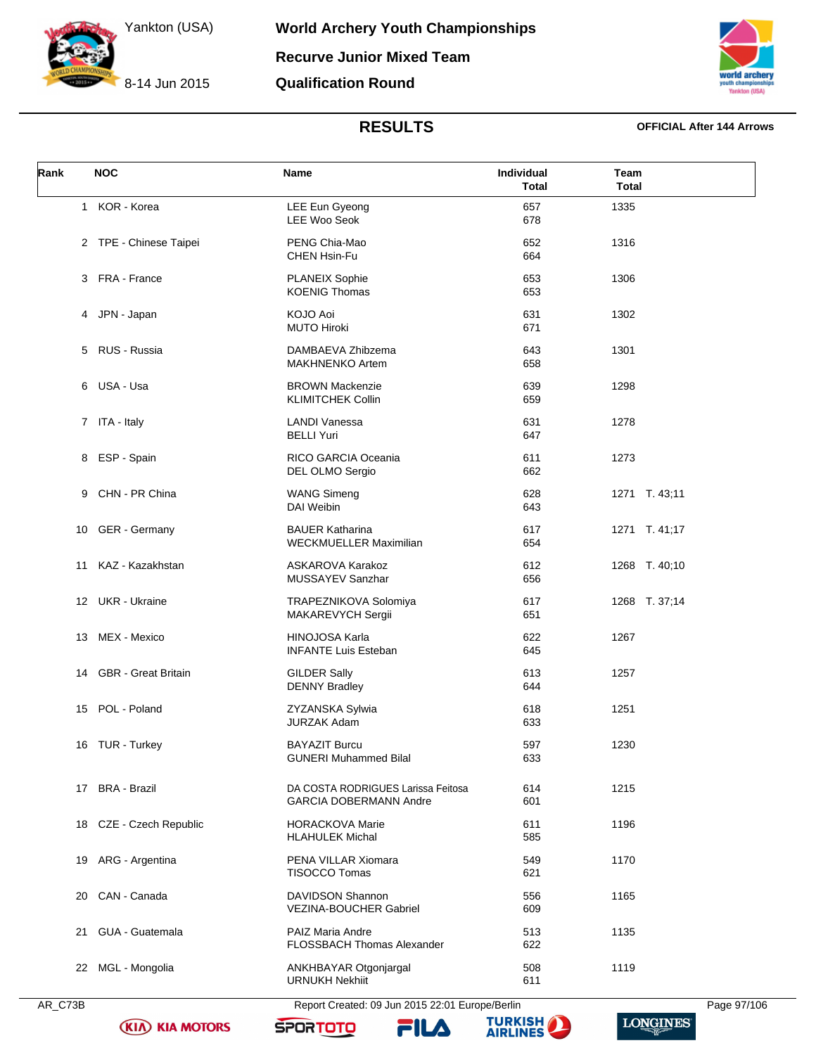8-14 Jun 2015

**World Archery Youth Championships Recurve Junior Mixed Team Qualification Round**



## **RESULTS OFFICIAL After 144 Arrows**

| Rank | <b>NOC</b>              | Name                                                                | Individual<br><b>Total</b> | Team<br><b>Total</b> |
|------|-------------------------|---------------------------------------------------------------------|----------------------------|----------------------|
|      | 1 KOR - Korea           | LEE Eun Gyeong<br><b>LEE Woo Seok</b>                               | 657<br>678                 | 1335                 |
|      | 2 TPE - Chinese Taipei  | PENG Chia-Mao<br><b>CHEN Hsin-Fu</b>                                | 652<br>664                 | 1316                 |
|      | 3 FRA - France          | PLANEIX Sophie<br><b>KOENIG Thomas</b>                              | 653<br>653                 | 1306                 |
| 4    | JPN - Japan             | KOJO Aoi<br><b>MUTO Hiroki</b>                                      | 631<br>671                 | 1302                 |
| 5    | RUS - Russia            | DAMBAEVA Zhibzema<br><b>MAKHNENKO Artem</b>                         | 643<br>658                 | 1301                 |
| 6    | USA - Usa               | <b>BROWN Mackenzie</b><br><b>KLIMITCHEK Collin</b>                  | 639<br>659                 | 1298                 |
|      | 7 ITA - Italy           | <b>LANDI Vanessa</b><br><b>BELLI Yuri</b>                           | 631<br>647                 | 1278                 |
| 8    | ESP - Spain             | RICO GARCIA Oceania<br>DEL OLMO Sergio                              | 611<br>662                 | 1273                 |
| 9    | CHN - PR China          | <b>WANG Simeng</b><br>DAI Weibin                                    | 628<br>643                 | 1271 T. 43;11        |
| 10   | GER - Germany           | <b>BAUER Katharina</b><br>WECKMUELLER Maximilian                    | 617<br>654                 | 1271 T. 41;17        |
| 11   | KAZ - Kazakhstan        | ASKAROVA Karakoz<br>MUSSAYEV Sanzhar                                | 612<br>656                 | 1268 T. 40;10        |
|      | 12 UKR - Ukraine        | TRAPEZNIKOVA Solomiya<br>MAKAREVYCH Sergii                          | 617<br>651                 | 1268 T. 37;14        |
| 13   | MEX - Mexico            | HINOJOSA Karla<br><b>INFANTE Luis Esteban</b>                       | 622<br>645                 | 1267                 |
|      | 14 GBR - Great Britain  | <b>GILDER Sally</b><br><b>DENNY Bradley</b>                         | 613<br>644                 | 1257                 |
| 15   | POL - Poland            | ZYZANSKA Sylwia<br><b>JURZAK Adam</b>                               | 618<br>633                 | 1251                 |
|      | 16 TUR - Turkey         | <b>BAYAZIT Burcu</b><br><b>GUNERI Muhammed Bilal</b>                | 597<br>633                 | 1230                 |
|      | 17 BRA - Brazil         | DA COSTA RODRIGUES Larissa Feitosa<br><b>GARCIA DOBERMANN Andre</b> | 614<br>601                 | 1215                 |
|      | 18 CZE - Czech Republic | <b>HORACKOVA Marie</b><br><b>HLAHULEK Michal</b>                    | 611<br>585                 | 1196                 |
| 19   | ARG - Argentina         | PENA VILLAR Xiomara<br><b>TISOCCO Tomas</b>                         | 549<br>621                 | 1170                 |
| 20   | CAN - Canada            | DAVIDSON Shannon<br><b>VEZINA-BOUCHER Gabriel</b>                   | 556<br>609                 | 1165                 |
| 21   | GUA - Guatemala         | PAIZ Maria Andre<br><b>FLOSSBACH Thomas Alexander</b>               | 513<br>622                 | 1135                 |
|      | 22 MGL - Mongolia       | ANKHBAYAR Otgonjargal<br><b>URNUKH Nekhiit</b>                      | 508<br>611                 | 1119                 |



AR\_C73B Report Created: 09 Jun 2015 22:01 Europe/Berlin Page 97/106

**(KIA) KIA MOTORS** 







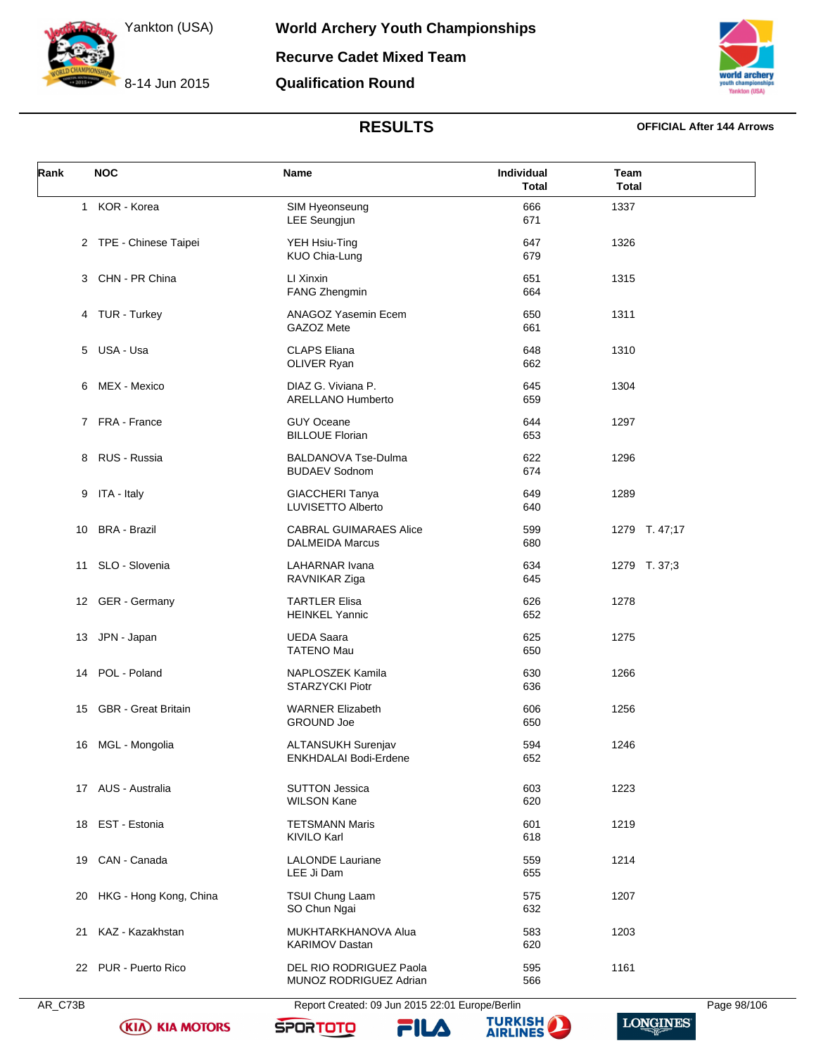8-14 Jun 2015



## **RESULTS OFFICIAL After 144 Arrows**

| Rank | <b>NOC</b>                 | Name                                                    | Individual<br><b>Total</b> | Team<br><b>Total</b> |
|------|----------------------------|---------------------------------------------------------|----------------------------|----------------------|
|      | 1 KOR - Korea              | SIM Hyeonseung<br><b>LEE Seungjun</b>                   | 666<br>671                 | 1337                 |
|      | 2 TPE - Chinese Taipei     | YEH Hsiu-Ting<br>KUO Chia-Lung                          | 647<br>679                 | 1326                 |
|      | 3 CHN - PR China           | LI Xinxin<br>FANG Zhengmin                              | 651<br>664                 | 1315                 |
|      | 4 TUR - Turkey             | ANAGOZ Yasemin Ecem<br>GAZOZ Mete                       | 650<br>661                 | 1311                 |
|      | 5 USA - Usa                | <b>CLAPS Eliana</b><br>OLIVER Ryan                      | 648<br>662                 | 1310                 |
| 6    | MEX - Mexico               | DIAZ G. Viviana P.<br><b>ARELLANO Humberto</b>          | 645<br>659                 | 1304                 |
|      | 7 FRA - France             | <b>GUY Oceane</b><br><b>BILLOUE Florian</b>             | 644<br>653                 | 1297                 |
| 8    | RUS - Russia               | <b>BALDANOVA Tse-Dulma</b><br><b>BUDAEV Sodnom</b>      | 622<br>674                 | 1296                 |
| 9    | ITA - Italy                | <b>GIACCHERI Tanya</b><br>LUVISETTO Alberto             | 649<br>640                 | 1289                 |
| 10   | <b>BRA - Brazil</b>        | <b>CABRAL GUIMARAES Alice</b><br><b>DALMEIDA Marcus</b> | 599<br>680                 | 1279 T. 47;17        |
|      | 11 SLO - Slovenia          | LAHARNAR Ivana<br>RAVNIKAR Ziga                         | 634<br>645                 | 1279 T. 37;3         |
|      | 12 GER - Germany           | <b>TARTLER Elisa</b><br><b>HEINKEL Yannic</b>           | 626<br>652                 | 1278                 |
|      | 13 JPN - Japan             | <b>UEDA Saara</b><br><b>TATENO Mau</b>                  | 625<br>650                 | 1275                 |
| 14   | POL - Poland               | NAPLOSZEK Kamila<br><b>STARZYCKI Piotr</b>              | 630<br>636                 | 1266                 |
| 15   | <b>GBR</b> - Great Britain | <b>WARNER Elizabeth</b><br><b>GROUND Joe</b>            | 606<br>650                 | 1256                 |
|      | 16 MGL - Mongolia          | <b>ALTANSUKH Surenjav</b><br>ENKHDALAI Bodi-Erdene      | 594<br>652                 | 1246                 |
|      | 17 AUS - Australia         | <b>SUTTON Jessica</b><br><b>WILSON Kane</b>             | 603<br>620                 | 1223                 |
|      | 18 EST - Estonia           | <b>TETSMANN Maris</b><br><b>KIVILO Karl</b>             | 601<br>618                 | 1219                 |
| 19   | CAN - Canada               | <b>LALONDE Lauriane</b><br>LEE Ji Dam                   | 559<br>655                 | 1214                 |
| 20   | HKG - Hong Kong, China     | TSUI Chung Laam<br>SO Chun Ngai                         | 575<br>632                 | 1207                 |
| 21   | KAZ - Kazakhstan           | MUKHTARKHANOVA Alua<br><b>KARIMOV Dastan</b>            | 583<br>620                 | 1203                 |
|      | 22 PUR - Puerto Rico       | DEL RIO RODRIGUEZ Paola<br>MUNOZ RODRIGUEZ Adrian       | 595<br>566                 | 1161                 |

AR\_C73B Report Created: 09 Jun 2015 22:01 Europe/Berlin Page 98/106

**(KIA) KIA MOTORS** 







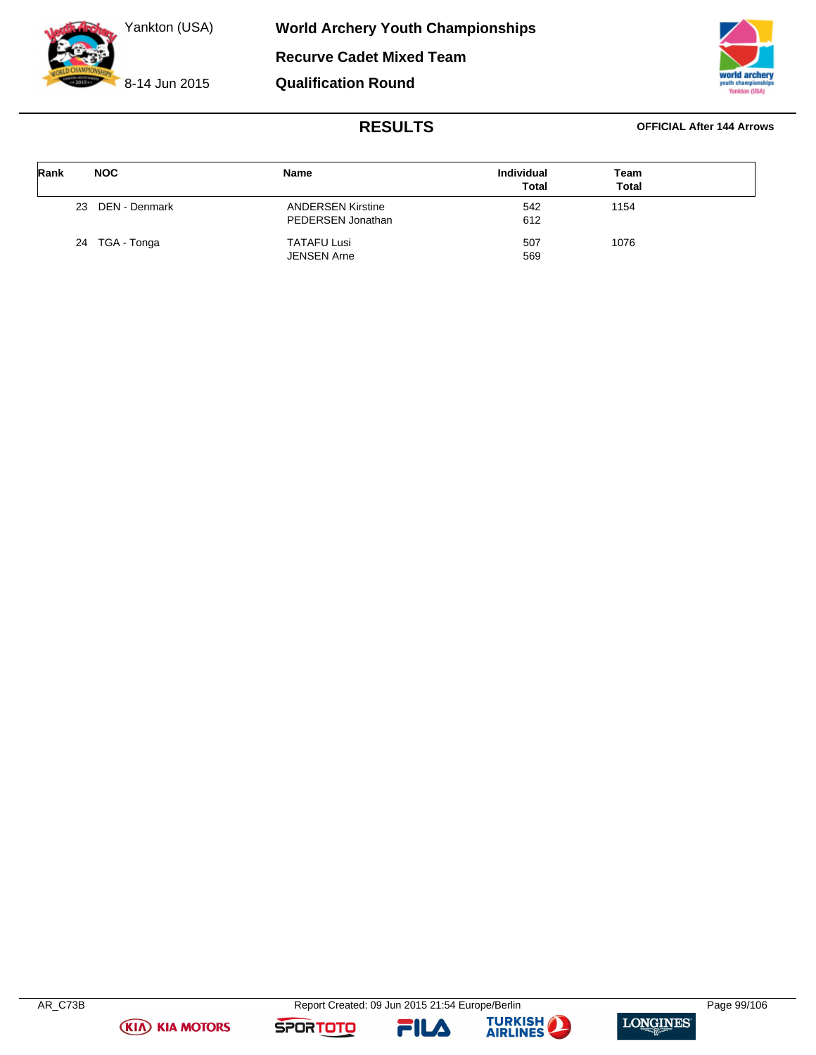



# **RESULTS OFFICIAL After 144 Arrows**

| Rank | <b>NOC</b>          | Name                                          | <b>Individual</b><br><b>Total</b> | Team<br><b>Total</b> |  |
|------|---------------------|-----------------------------------------------|-----------------------------------|----------------------|--|
|      | DEN - Denmark<br>23 | <b>ANDERSEN Kirstine</b><br>PEDERSEN Jonathan | 542<br>612                        | 1154                 |  |
|      | 24 TGA - Tonga      | <b>TATAFU Lusi</b><br>JENSEN Arne             | 507<br>569                        | 1076                 |  |





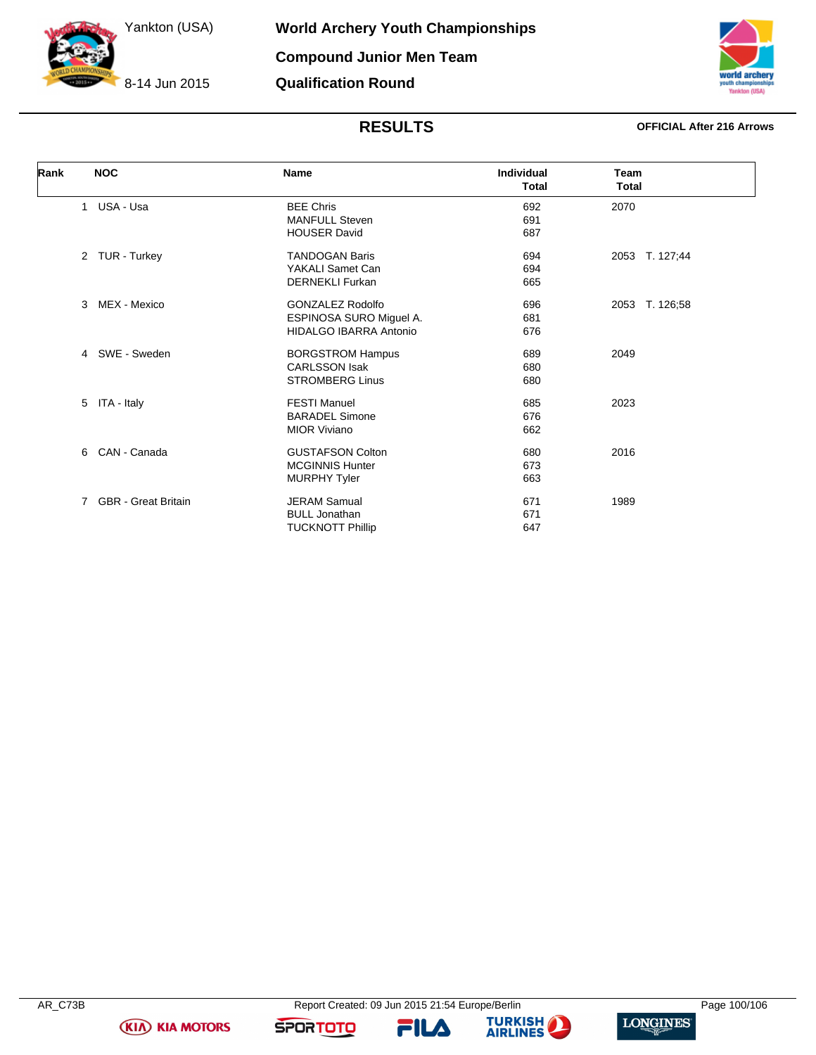8-14 Jun 2015

**World Archery Youth Championships Compound Junior Men Team Qualification Round**

# **RESULTS OFFICIAL After 216 Arrows**

| Rank<br><b>NOC</b>             |                            | <b>Name</b>                   | Individual<br><b>Total</b> | Team<br><b>Total</b> |
|--------------------------------|----------------------------|-------------------------------|----------------------------|----------------------|
| USA - Usa<br>$\mathbf{1}$      |                            | <b>BEE Chris</b>              | 692                        | 2070                 |
|                                |                            | <b>MANFULL Steven</b>         | 691                        |                      |
|                                |                            | <b>HOUSER David</b>           | 687                        |                      |
| 2 TUR - Turkey                 |                            | <b>TANDOGAN Baris</b>         | 694                        | 2053 T. 127;44       |
|                                |                            | YAKALI Samet Can              | 694                        |                      |
|                                |                            | <b>DERNEKLI Furkan</b>        | 665                        |                      |
| MEX - Mexico<br>3              |                            | <b>GONZALEZ Rodolfo</b>       | 696                        | 2053 T. 126;58       |
|                                |                            | ESPINOSA SURO Miguel A.       | 681                        |                      |
|                                |                            | <b>HIDALGO IBARRA Antonio</b> | 676                        |                      |
| SWE - Sweden<br>$\overline{4}$ |                            | <b>BORGSTROM Hampus</b>       | 689                        | 2049                 |
|                                |                            | <b>CARLSSON Isak</b>          | 680                        |                      |
|                                |                            | <b>STROMBERG Linus</b>        | 680                        |                      |
| ITA - Italy<br>5               |                            | <b>FESTI Manuel</b>           | 685                        | 2023                 |
|                                |                            | <b>BARADEL Simone</b>         | 676                        |                      |
|                                |                            | <b>MIOR Viviano</b>           | 662                        |                      |
| CAN - Canada<br>6              |                            | <b>GUSTAFSON Colton</b>       | 680                        | 2016                 |
|                                |                            | <b>MCGINNIS Hunter</b>        | 673                        |                      |
|                                |                            | <b>MURPHY Tyler</b>           | 663                        |                      |
| 7                              | <b>GBR</b> - Great Britain | <b>JERAM Samual</b>           | 671                        | 1989                 |
|                                |                            | <b>BULL Jonathan</b>          | 671                        |                      |
|                                |                            | <b>TUCKNOTT Phillip</b>       | 647                        |                      |





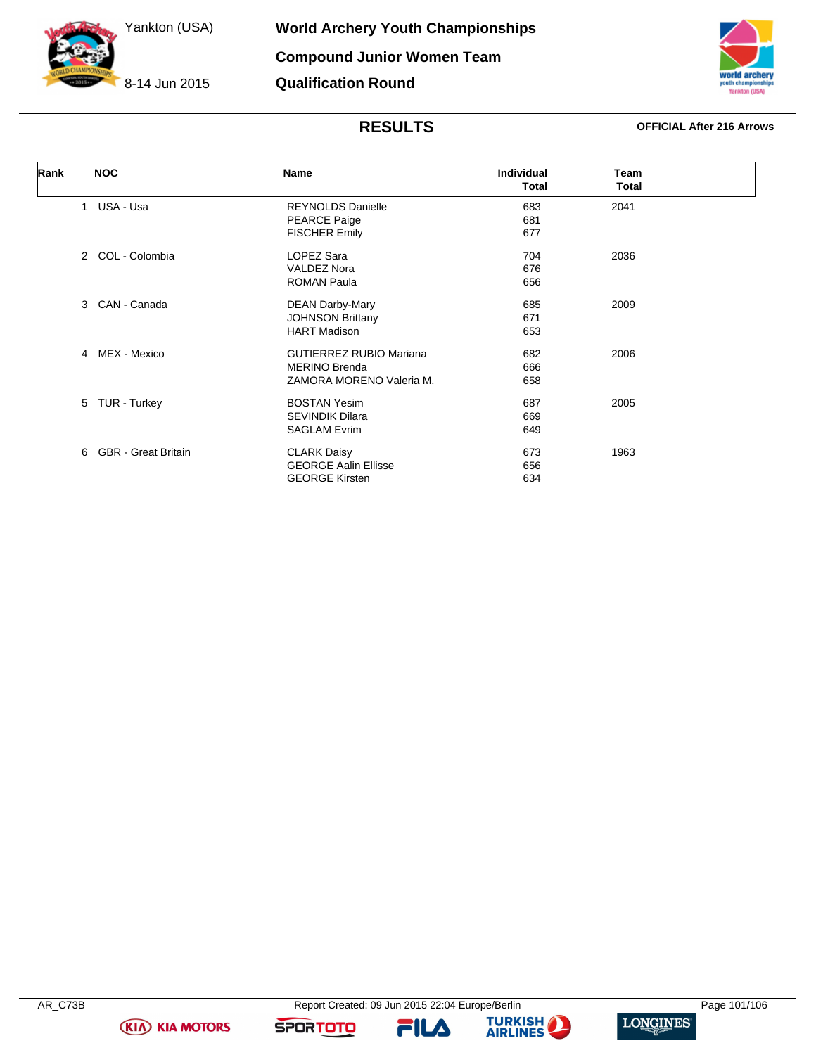8-14 Jun 2015



# **RESULTS OFFICIAL After 216 Arrows**

| Rank | <b>NOC</b>                      | Name                           | <b>Individual</b><br>Total | <b>Team</b><br><b>Total</b> |
|------|---------------------------------|--------------------------------|----------------------------|-----------------------------|
|      | USA - Usa<br>$\mathbf{1}$       | <b>REYNOLDS Danielle</b>       | 683                        | 2041                        |
|      |                                 | <b>PEARCE Paige</b>            | 681                        |                             |
|      |                                 | <b>FISCHER Emily</b>           | 677                        |                             |
|      | COL - Colombia<br>$\mathcal{P}$ | LOPEZ Sara                     | 704                        | 2036                        |
|      |                                 | <b>VALDEZ Nora</b>             | 676                        |                             |
|      |                                 | <b>ROMAN Paula</b>             | 656                        |                             |
|      | CAN - Canada<br>3               | <b>DEAN Darby-Mary</b>         | 685                        | 2009                        |
|      |                                 | <b>JOHNSON Brittany</b>        | 671                        |                             |
|      |                                 | <b>HART Madison</b>            | 653                        |                             |
|      | MEX - Mexico<br>4               | <b>GUTIERREZ RUBIO Mariana</b> | 682                        | 2006                        |
|      |                                 | <b>MERINO Brenda</b>           | 666                        |                             |
|      |                                 | ZAMORA MORENO Valeria M.       | 658                        |                             |
|      | TUR - Turkey<br>5               | <b>BOSTAN Yesim</b>            | 687                        | 2005                        |
|      |                                 | <b>SEVINDIK Dilara</b>         | 669                        |                             |
|      |                                 | <b>SAGLAM Evrim</b>            | 649                        |                             |
|      | <b>GBR</b> - Great Britain<br>6 | <b>CLARK Daisy</b>             | 673                        | 1963                        |
|      |                                 | <b>GEORGE Aalin Ellisse</b>    | 656                        |                             |
|      |                                 | <b>GEORGE Kirsten</b>          | 634                        |                             |



**FILA** 



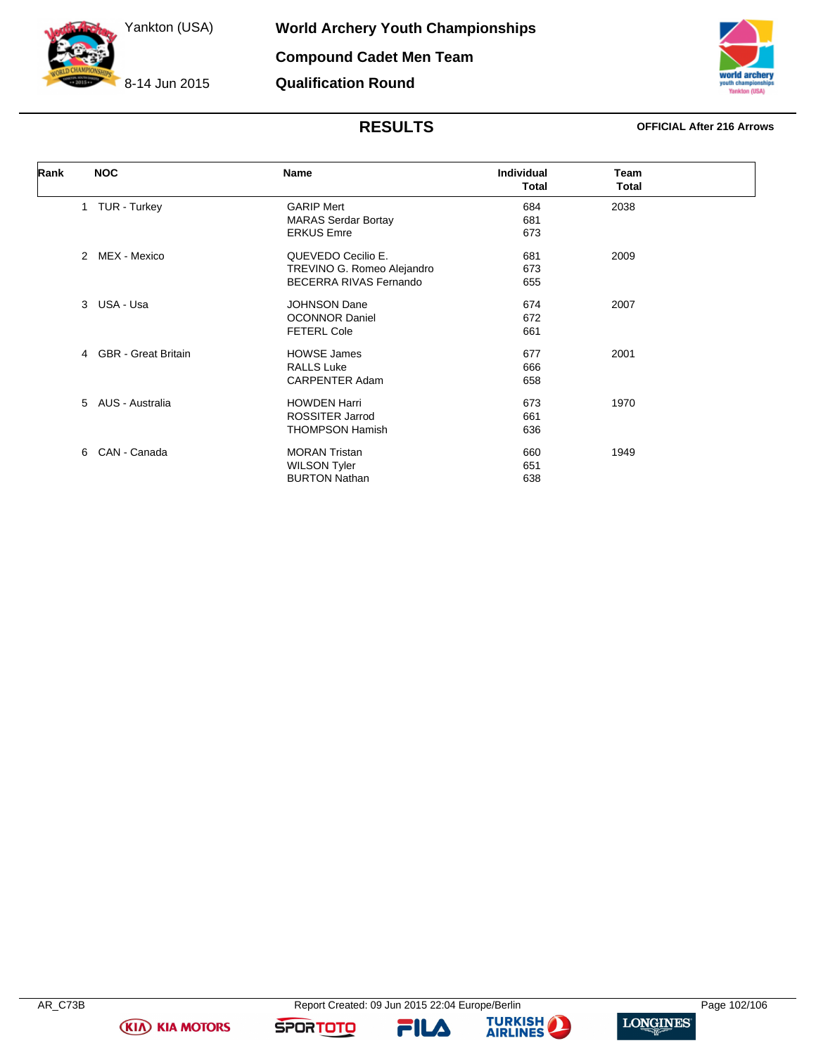8-14 Jun 2015



# **RESULTS OFFICIAL After 216 Arrows**

| Rank |                | <b>NOC</b>                 | <b>Name</b>                   | <b>Individual</b><br><b>Total</b> | <b>Team</b><br>Total |  |
|------|----------------|----------------------------|-------------------------------|-----------------------------------|----------------------|--|
|      |                | 1 TUR - Turkey             | <b>GARIP Mert</b>             | 684                               | 2038                 |  |
|      |                |                            | <b>MARAS Serdar Bortay</b>    | 681                               |                      |  |
|      |                |                            | <b>ERKUS Emre</b>             | 673                               |                      |  |
|      | $\mathcal{P}$  | MEX - Mexico               | QUEVEDO Cecilio E.            | 681                               | 2009                 |  |
|      |                |                            | TREVINO G. Romeo Alejandro    | 673                               |                      |  |
|      |                |                            | <b>BECERRA RIVAS Fernando</b> | 655                               |                      |  |
|      | 3              | USA - Usa                  | <b>JOHNSON Dane</b>           | 674                               | 2007                 |  |
|      |                |                            | <b>OCONNOR Daniel</b>         | 672                               |                      |  |
|      |                |                            | <b>FETERL Cole</b>            | 661                               |                      |  |
|      | $\overline{4}$ | <b>GBR</b> - Great Britain | <b>HOWSE James</b>            | 677                               | 2001                 |  |
|      |                |                            | <b>RALLS Luke</b>             | 666                               |                      |  |
|      |                |                            | <b>CARPENTER Adam</b>         | 658                               |                      |  |
|      | $5^{\circ}$    | AUS - Australia            | <b>HOWDEN Harri</b>           | 673                               | 1970                 |  |
|      |                |                            | <b>ROSSITER Jarrod</b>        | 661                               |                      |  |
|      |                |                            | <b>THOMPSON Hamish</b>        | 636                               |                      |  |
|      | 6              | CAN - Canada               | <b>MORAN Tristan</b>          | 660                               | 1949                 |  |
|      |                |                            | <b>WILSON Tyler</b>           | 651                               |                      |  |
|      |                |                            | <b>BURTON Nathan</b>          | 638                               |                      |  |

**KIA KIA MOTORS** 

**FILA** 



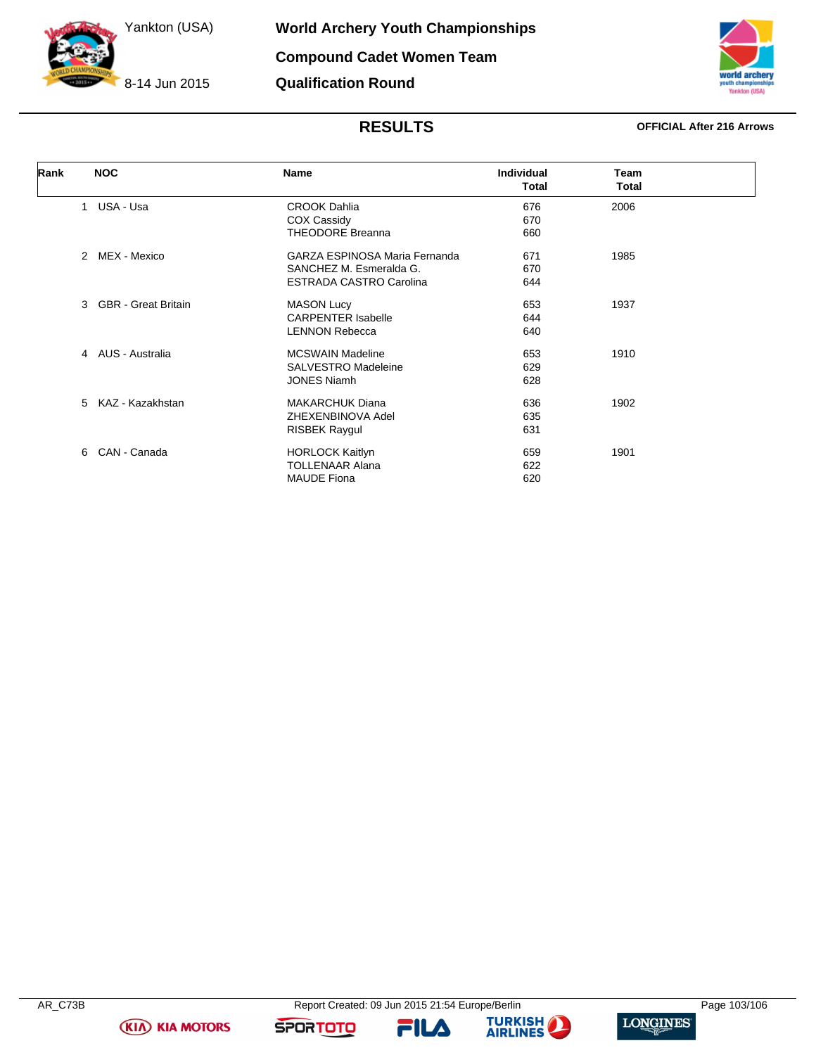8-14 Jun 2015

# **RESULTS OFFICIAL After 216 Arrows**

| Rank | <b>NOC</b>                    | <b>Name</b>                    | Individual<br><b>Total</b> | Team<br>Total |  |
|------|-------------------------------|--------------------------------|----------------------------|---------------|--|
|      | USA - Usa<br>$\mathbf{1}$     | <b>CROOK Dahlia</b>            | 676                        | 2006          |  |
|      |                               | COX Cassidy                    | 670                        |               |  |
|      |                               | <b>THEODORE Breanna</b>        | 660                        |               |  |
|      | MEX - Mexico<br>$\mathcal{P}$ | GARZA ESPINOSA Maria Fernanda  | 671                        | 1985          |  |
|      |                               | SANCHEZ M. Esmeralda G.        | 670                        |               |  |
|      |                               | <b>ESTRADA CASTRO Carolina</b> | 644                        |               |  |
|      | 3 GBR - Great Britain         | <b>MASON Lucy</b>              | 653                        | 1937          |  |
|      |                               | <b>CARPENTER Isabelle</b>      | 644                        |               |  |
|      |                               | <b>LENNON Rebecca</b>          | 640                        |               |  |
|      | 4 AUS - Australia             | <b>MCSWAIN Madeline</b>        | 653                        | 1910          |  |
|      |                               | <b>SALVESTRO Madeleine</b>     | 629                        |               |  |
|      |                               | <b>JONES Niamh</b>             | 628                        |               |  |
|      | 5<br>KAZ - Kazakhstan         | <b>MAKARCHUK Diana</b>         | 636                        | 1902          |  |
|      |                               | ZHEXENBINOVA Adel              | 635                        |               |  |
|      |                               | <b>RISBEK Raygul</b>           | 631                        |               |  |
|      | CAN - Canada<br>6             | <b>HORLOCK Kaitlyn</b>         | 659                        | 1901          |  |
|      |                               | <b>TOLLENAAR Alana</b>         | 622                        |               |  |
|      |                               | <b>MAUDE Fiona</b>             | 620                        |               |  |



AR\_C73B Report Created: 09 Jun 2015 21:54 Europe/Berlin Page 103/106

**FILA** 



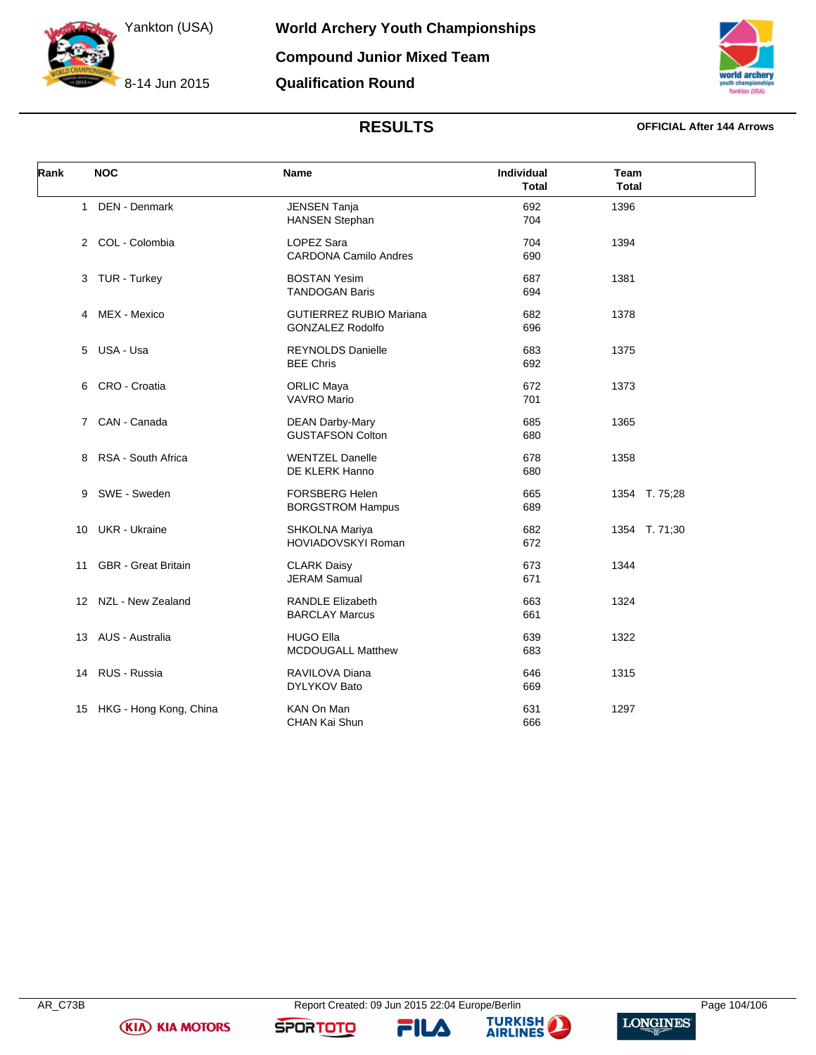8-14 Jun 2015

**Compound Junior Mixed Team**

**Qualification Round**



**World Archery Youth Championships**

## **RESULTS OFFICIAL After 144 Arrows**

| Rank         | <b>NOC</b>                 | Name                                                      | Individual<br>Total | Team<br><b>Total</b> |
|--------------|----------------------------|-----------------------------------------------------------|---------------------|----------------------|
| $\mathbf{1}$ | DEN - Denmark              | <b>JENSEN Tanja</b><br><b>HANSEN Stephan</b>              | 692<br>704          | 1396                 |
|              | 2 COL - Colombia           | <b>LOPEZ Sara</b><br><b>CARDONA Camilo Andres</b>         | 704<br>690          | 1394                 |
|              | 3 TUR - Turkey             | <b>BOSTAN Yesim</b><br><b>TANDOGAN Baris</b>              | 687<br>694          | 1381                 |
|              | 4 MEX - Mexico             | <b>GUTIERREZ RUBIO Mariana</b><br><b>GONZALEZ Rodolfo</b> | 682<br>696          | 1378                 |
| 5            | USA - Usa                  | <b>REYNOLDS Danielle</b><br><b>BEE Chris</b>              | 683<br>692          | 1375                 |
| 6            | CRO - Croatia              | <b>ORLIC Maya</b><br><b>VAVRO Mario</b>                   | 672<br>701          | 1373                 |
| $7^{\circ}$  | CAN - Canada               | <b>DEAN Darby-Mary</b><br><b>GUSTAFSON Colton</b>         | 685<br>680          | 1365                 |
| 8            | RSA - South Africa         | <b>WENTZEL Danelle</b><br>DE KLERK Hanno                  | 678<br>680          | 1358                 |
| 9            | SWE - Sweden               | <b>FORSBERG Helen</b><br><b>BORGSTROM Hampus</b>          | 665<br>689          | 1354 T. 75;28        |
| 10           | <b>UKR</b> - Ukraine       | SHKOLNA Mariya<br><b>HOVIADOVSKYI Roman</b>               | 682<br>672          | 1354 T. 71;30        |
| 11           | <b>GBR</b> - Great Britain | <b>CLARK Daisy</b><br><b>JERAM Samual</b>                 | 673<br>671          | 1344                 |
|              | 12 NZL - New Zealand       | <b>RANDLE Elizabeth</b><br><b>BARCLAY Marcus</b>          | 663<br>661          | 1324                 |
|              | 13 AUS - Australia         | <b>HUGO Ella</b><br>MCDOUGALL Matthew                     | 639<br>683          | 1322                 |
| 14           | RUS - Russia               | RAVILOVA Diana<br><b>DYLYKOV Bato</b>                     | 646<br>669          | 1315                 |
| 15           | HKG - Hong Kong, China     | KAN On Man<br><b>CHAN Kai Shun</b>                        | 631<br>666          | 1297                 |

**KIA KIA MOTORS** 

FILA